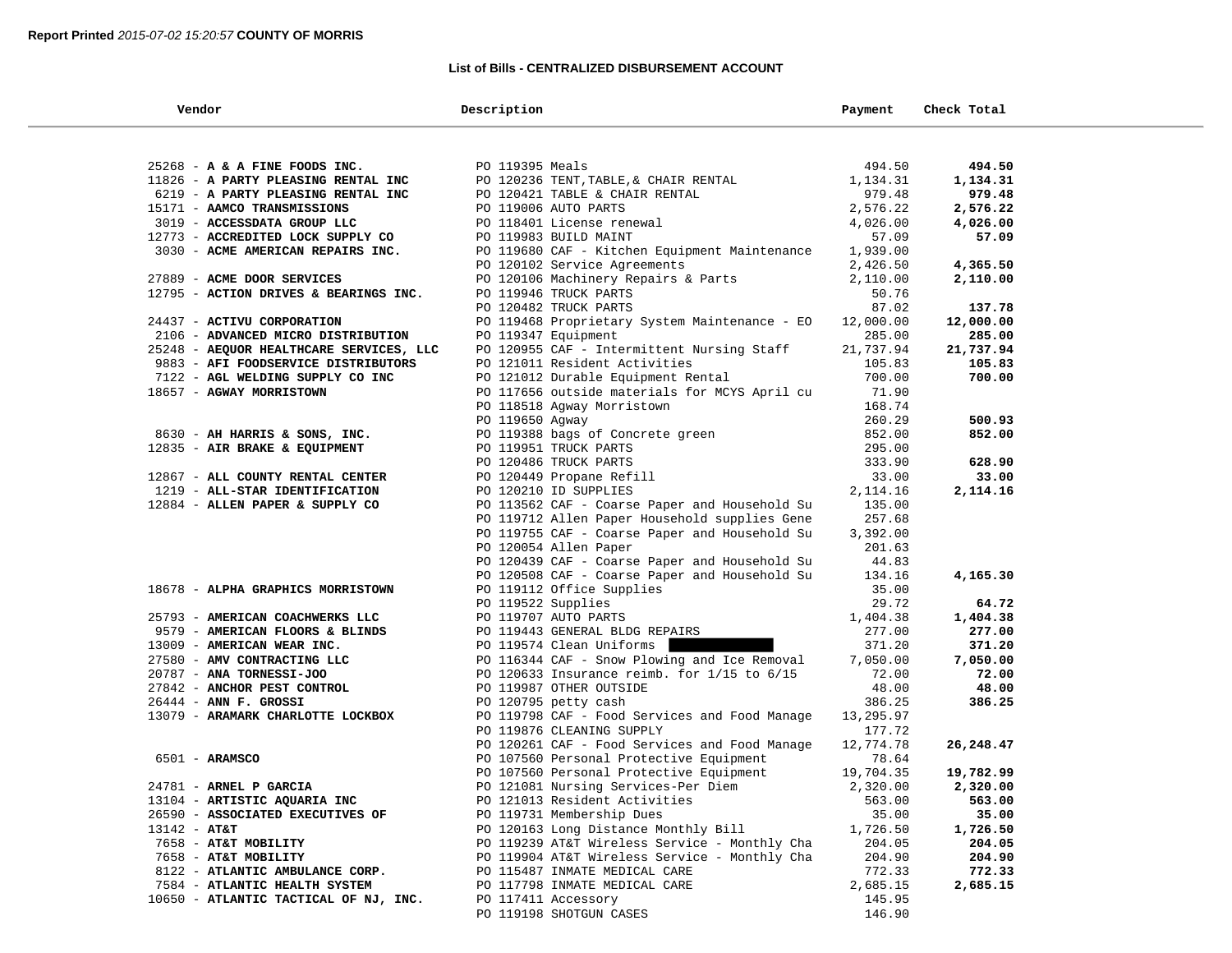## **List of Bills - CENTRALIZED DISBURSEMENT ACCOUNT**

| Vendor                                             | Description                                                                                    | Payment               | Check Total       |  |
|----------------------------------------------------|------------------------------------------------------------------------------------------------|-----------------------|-------------------|--|
|                                                    |                                                                                                |                       |                   |  |
| $25268$ - A & A FINE FOODS INC.                    | PO 119395 Meals                                                                                | 494.50                | 494.50            |  |
| 11826 - A PARTY PLEASING RENTAL INC                | PO 120236 TENT, TABLE, & CHAIR RENTAL                                                          | 1,134.31              | 1,134.31          |  |
| 6219 - A PARTY PLEASING RENTAL INC                 | PO 120421 TABLE & CHAIR RENTAL                                                                 | 979.48                | 979.48            |  |
| 15171 - AAMCO TRANSMISSIONS                        | PO 119006 AUTO PARTS                                                                           | 2,576.22              | 2,576.22          |  |
| 3019 - ACCESSDATA GROUP LLC                        | PO 118401 License renewal                                                                      | 4,026.00              | 4,026.00          |  |
| 12773 - ACCREDITED LOCK SUPPLY CO                  | PO 119983 BUILD MAINT                                                                          | 57.09                 | 57.09             |  |
| 3030 - ACME AMERICAN REPAIRS INC.                  | PO 119680 CAF - Kitchen Equipment Maintenance                                                  | 1,939.00              |                   |  |
|                                                    | PO 120102 Service Agreements                                                                   | 2,426.50              | 4,365.50          |  |
| 27889 - ACME DOOR SERVICES                         | PO 120106 Machinery Repairs & Parts                                                            | 2,110.00              | 2,110.00          |  |
| 12795 - ACTION DRIVES & BEARINGS INC.              | PO 119946 TRUCK PARTS                                                                          | 50.76                 |                   |  |
|                                                    | PO 120482 TRUCK PARTS                                                                          | 87.02                 | 137.78            |  |
| 24437 - ACTIVU CORPORATION                         | PO 119468 Proprietary System Maintenance - EO                                                  | 12,000.00             | 12,000.00         |  |
| 2106 - ADVANCED MICRO DISTRIBUTION                 | PO 119347 Equipment                                                                            | 285.00                | 285.00            |  |
| 25248 - AEQUOR HEALTHCARE SERVICES, LLC            | PO 120955 CAF - Intermittent Nursing Staff                                                     | 21,737.94             | 21,737.94         |  |
| 9883 - AFI FOODSERVICE DISTRIBUTORS                | PO 121011 Resident Activities                                                                  | 105.83                | 105.83            |  |
| 7122 - AGL WELDING SUPPLY CO INC                   | PO 121012 Durable Equipment Rental                                                             | 700.00                | 700.00            |  |
| 18657 - AGWAY MORRISTOWN                           | PO 117656 outside materials for MCYS April cu                                                  | 71.90                 |                   |  |
|                                                    | PO 118518 Agway Morristown                                                                     | 168.74                |                   |  |
|                                                    | PO 119650 Agway                                                                                | 260.29                | 500.93            |  |
| 8630 - AH HARRIS & SONS, INC.                      | PO 119388 bags of Concrete green                                                               | 852.00                | 852.00            |  |
| 12835 - AIR BRAKE & EQUIPMENT                      | PO 119951 TRUCK PARTS                                                                          | 295.00                |                   |  |
|                                                    | PO 120486 TRUCK PARTS                                                                          | 333.90                | 628.90            |  |
| 12867 - ALL COUNTY RENTAL CENTER                   | PO 120449 Propane Refill                                                                       | 33.00                 | 33.00             |  |
| 1219 - ALL-STAR IDENTIFICATION                     | PO 120210 ID SUPPLIES                                                                          | 2, 114.16             | 2,114.16          |  |
| 12884 - ALLEN PAPER & SUPPLY CO                    | PO 113562 CAF - Coarse Paper and Household Su                                                  | 135.00                |                   |  |
|                                                    | PO 119712 Allen Paper Household supplies Gene                                                  | 257.68                |                   |  |
|                                                    | PO 119755 CAF - Coarse Paper and Household Su                                                  | 3,392.00              |                   |  |
|                                                    | PO 120054 Allen Paper                                                                          | 201.63                |                   |  |
|                                                    | PO 120439 CAF - Coarse Paper and Household Su                                                  | 44.83                 |                   |  |
|                                                    | PO 120508 CAF - Coarse Paper and Household Su                                                  | 134.16                | 4,165.30          |  |
| 18678 - ALPHA GRAPHICS MORRISTOWN                  | PO 119112 Office Supplies                                                                      | 35.00                 |                   |  |
|                                                    | PO 119522 Supplies                                                                             | 29.72                 | 64.72             |  |
| 25793 - AMERICAN COACHWERKS LLC                    | PO 119707 AUTO PARTS                                                                           | 1,404.38              | 1,404.38          |  |
| 9579 - AMERICAN FLOORS & BLINDS                    | PO 119443 GENERAL BLDG REPAIRS                                                                 | 277.00                | 277.00            |  |
| 13009 - AMERICAN WEAR INC.                         | PO 119574 Clean Uniforms                                                                       | 371.20                | 371.20            |  |
| 27580 - AMV CONTRACTING LLC                        | PO 116344 CAF - Snow Plowing and Ice Removal                                                   | 7,050.00              | 7,050.00          |  |
| 20787 - ANA TORNESSI-JOO                           | PO 120633 Insurance reimb. for $1/15$ to $6/15$                                                | 72.00                 | 72.00             |  |
| 27842 - ANCHOR PEST CONTROL                        | PO 119987 OTHER OUTSIDE                                                                        | 48.00                 | 48.00             |  |
| $26444$ - ANN F. GROSSI                            | PO 120795 petty cash                                                                           | 386.25                | 386.25            |  |
| 13079 - ARAMARK CHARLOTTE LOCKBOX                  | PO 119798 CAF - Food Services and Food Manage                                                  | 13,295.97             |                   |  |
|                                                    | PO 119876 CLEANING SUPPLY                                                                      | 177.72                |                   |  |
|                                                    | PO 120261 CAF - Food Services and Food Manage                                                  | 12,774.78             | 26,248.47         |  |
| $6501 - ARAMSCO$                                   | PO 107560 Personal Protective Equipment                                                        | 78.64                 |                   |  |
| 24781 - ARNEL P GARCIA                             | PO 107560 Personal Protective Equipment<br>PO 121081 Nursing Services-Per Diem                 | 19,704.35<br>2,320.00 | 19,782.99         |  |
|                                                    |                                                                                                |                       | 2,320.00          |  |
| 13104 - ARTISTIC AQUARIA INC                       | PO 121013 Resident Activities                                                                  | 563.00                | 563.00            |  |
| 26590 - ASSOCIATED EXECUTIVES OF<br>$13142 - AT&T$ | PO 119731 Membership Dues<br>PO 120163 Long Distance Monthly Bill                              | 35.00                 | 35.00<br>1,726.50 |  |
| 7658 - AT&T MOBILITY                               |                                                                                                | 1,726.50<br>204.05    | 204.05            |  |
| 7658 - AT&T MOBILITY                               | PO 119239 AT&T Wireless Service - Monthly Cha<br>PO 119904 AT&T Wireless Service - Monthly Cha | 204.90                | 204.90            |  |
| 8122 - ATLANTIC AMBULANCE CORP.                    | PO 115487 INMATE MEDICAL CARE                                                                  | 772.33                | 772.33            |  |
| 7584 - ATLANTIC HEALTH SYSTEM                      | PO 117798 INMATE MEDICAL CARE                                                                  | 2,685.15              | 2,685.15          |  |
| 10650 - ATLANTIC TACTICAL OF NJ, INC.              | PO 117411 Accessory                                                                            | 145.95                |                   |  |
|                                                    | PO 119198 SHOTGUN CASES                                                                        | 146.90                |                   |  |
|                                                    |                                                                                                |                       |                   |  |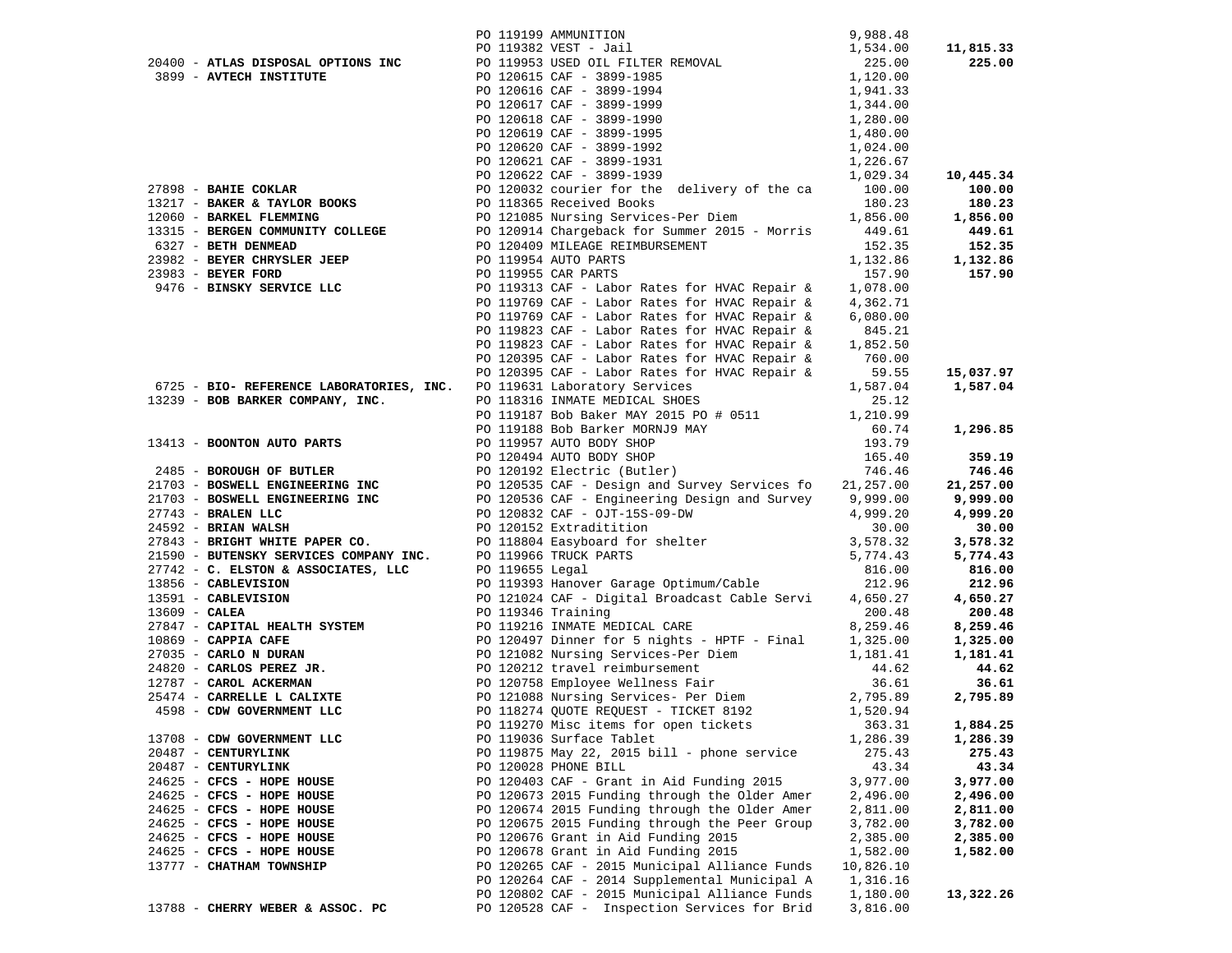|                                                                                                                                                                                                                 | 9,988.48<br>PO 119199 AMMUNITION<br>PO 119382 VEST - Jail<br>PO 119953 USED OIL FILTER REMOVAL<br>PO 120615 CAF - 3899-1985<br>PO 120616 CAF - 3899-1994<br>PO 120617 CAF - 3899-1999<br>PO 120618 CAF - 3899-1999<br>PO 120618 CAF - 3899-199                                          |                    | 11,815.33 |
|-----------------------------------------------------------------------------------------------------------------------------------------------------------------------------------------------------------------|-----------------------------------------------------------------------------------------------------------------------------------------------------------------------------------------------------------------------------------------------------------------------------------------|--------------------|-----------|
| 20400 - ATLAS DISPOSAL OPTIONS INC                                                                                                                                                                              |                                                                                                                                                                                                                                                                                         |                    | 225.00    |
| 3899 - AVTECH INSTITUTE                                                                                                                                                                                         |                                                                                                                                                                                                                                                                                         |                    |           |
|                                                                                                                                                                                                                 |                                                                                                                                                                                                                                                                                         |                    |           |
|                                                                                                                                                                                                                 |                                                                                                                                                                                                                                                                                         |                    |           |
|                                                                                                                                                                                                                 |                                                                                                                                                                                                                                                                                         |                    |           |
|                                                                                                                                                                                                                 |                                                                                                                                                                                                                                                                                         |                    |           |
|                                                                                                                                                                                                                 |                                                                                                                                                                                                                                                                                         |                    |           |
|                                                                                                                                                                                                                 |                                                                                                                                                                                                                                                                                         |                    |           |
|                                                                                                                                                                                                                 |                                                                                                                                                                                                                                                                                         |                    | 10,445.34 |
|                                                                                                                                                                                                                 | 97898 - BAHIE COKLAR<br>27898 - BAHIE COKLAR<br>27989 - BAKER & TAYLOR BOOKS<br>27989 - BAKER & TAYLOR BOOKS<br>27989 - BERGER & TAYLOR BOOKS<br>27989 - BERGER & TAYLOR BOOKS<br>27989 - BERGER & TAYLOR BOOKS<br>27989 - BERGER & TAYLOR                                              |                    | 100.00    |
|                                                                                                                                                                                                                 |                                                                                                                                                                                                                                                                                         |                    | 180.23    |
|                                                                                                                                                                                                                 |                                                                                                                                                                                                                                                                                         |                    | 1,856.00  |
|                                                                                                                                                                                                                 |                                                                                                                                                                                                                                                                                         |                    | 449.61    |
| 6327 - BETH DENMEAD                                                                                                                                                                                             |                                                                                                                                                                                                                                                                                         | 152.35             | 152.35    |
| PO 119954 AUTO PARTS<br>23983 - BEYER CHRYSLER JEEP<br>23983 - BEYER FORD<br>2476 - BINSKY SERVICE LLC<br>2476 - BINSKY SERVICE LLC<br>2476 - PO 119313 CAF - Labor                                             | PO 120409 MILEAGE REIMBURSEMENT<br>PO 119954 AUTO PARTS<br>DO 1100EE GAB DARTS                                                                                                                                                                                                          | 152.35<br>1,132.86 | 1,132.86  |
|                                                                                                                                                                                                                 |                                                                                                                                                                                                                                                                                         | 157.90             | 157.90    |
|                                                                                                                                                                                                                 | PO 119313 CAF - Labor Rates for HVAC Repair &                                                                                                                                                                                                                                           | 1,078.00           |           |
|                                                                                                                                                                                                                 | PO 119769 CAF - Labor Rates for HVAC Repair &                                                                                                                                                                                                                                           | 4,362.71           |           |
|                                                                                                                                                                                                                 | PO 119769 CAF - Labor Rates for HVAC Repair &                                                                                                                                                                                                                                           | 6,080.00           |           |
|                                                                                                                                                                                                                 |                                                                                                                                                                                                                                                                                         |                    |           |
|                                                                                                                                                                                                                 | PO 119823 CAF - Labor Rates for HVAC Repair & 845.21<br>PO 119823 CAF - Labor Rates for HVAC Repair & 1,852.50                                                                                                                                                                          |                    |           |
|                                                                                                                                                                                                                 |                                                                                                                                                                                                                                                                                         |                    |           |
|                                                                                                                                                                                                                 |                                                                                                                                                                                                                                                                                         |                    | 15,037.97 |
|                                                                                                                                                                                                                 | PO 120395 CAF - Labor Rates for HVAC Repair & 760.00<br>PO 120395 CAF - Labor Rates for HVAC Repair & 59.55<br>PO 119631 Laboratory Services 1,587.04<br>1,587.04                                                                                                                       |                    | 1,587.04  |
| 13239 - BOB BARKER COMPANY, INC.                                                                                                                                                                                | 6725 - BIO- REFERENCE LABORATORIES, INC. PO 119631 Laboratory Services<br>13239 - BOB BARKER COMPANY, INC. PO 118316 INMATE MEDICAL SHOES                                                                                                                                               | 25.12              |           |
|                                                                                                                                                                                                                 | PO 119187 Bob Baker MAY 2015 PO # 0511 1,210.99                                                                                                                                                                                                                                         |                    |           |
|                                                                                                                                                                                                                 |                                                                                                                                                                                                                                                                                         |                    | 1,296.85  |
|                                                                                                                                                                                                                 |                                                                                                                                                                                                                                                                                         |                    |           |
|                                                                                                                                                                                                                 |                                                                                                                                                                                                                                                                                         |                    | 359.19    |
|                                                                                                                                                                                                                 |                                                                                                                                                                                                                                                                                         |                    | 746.46    |
|                                                                                                                                                                                                                 |                                                                                                                                                                                                                                                                                         |                    | 21,257.00 |
|                                                                                                                                                                                                                 |                                                                                                                                                                                                                                                                                         |                    | 9,999.00  |
|                                                                                                                                                                                                                 |                                                                                                                                                                                                                                                                                         |                    | 4,999.20  |
|                                                                                                                                                                                                                 |                                                                                                                                                                                                                                                                                         |                    | 30.00     |
|                                                                                                                                                                                                                 |                                                                                                                                                                                                                                                                                         |                    | 3,578.32  |
| 21590 - BUTENSKY SERVICES COMPANY INC. PO 119966 TRUCK PARTS<br>27742 - C. ELSTON & ASSOCIATES, LLC PO 119655 Legal<br>13856 - CABLEVISION PO 119393 Hanover Gara<br>13591 - CABLEVISION PO 121024 CAF - Digita |                                                                                                                                                                                                                                                                                         |                    | 5,774.43  |
|                                                                                                                                                                                                                 |                                                                                                                                                                                                                                                                                         |                    | 816.00    |
|                                                                                                                                                                                                                 | PO 119393 Hanover Garage Optimum/Cable                                                                                                                                                                                                                                                  | 212.96             | 212.96    |
|                                                                                                                                                                                                                 | PO 121024 CAF - Digital Broadcast Cable Servi                                                                                                                                                                                                                                           |                    | 4,650.27  |
|                                                                                                                                                                                                                 | 27847 - <b>CAPITAL HEALTH SYSTEM</b><br>27847 - <b>CAPITAL HEALTH SYSTEM</b><br>200.48<br>27035 - <b>CARPIA CAPE</b><br>27035 - <b>CARLO N DURAN</b><br>27820 - <b>CARLO N DURAN</b><br>27820 - <b>CARLO SPEREZ JR.</b><br>2787 - <b>CARLO SPEREZ JR.</b><br>2787 - <b>CARLO SPEREZ</b> |                    | 200.48    |
|                                                                                                                                                                                                                 |                                                                                                                                                                                                                                                                                         |                    | 8,259.46  |
|                                                                                                                                                                                                                 |                                                                                                                                                                                                                                                                                         |                    | 1,325.00  |
|                                                                                                                                                                                                                 |                                                                                                                                                                                                                                                                                         |                    | 1,181.41  |
|                                                                                                                                                                                                                 |                                                                                                                                                                                                                                                                                         |                    | 44.62     |
|                                                                                                                                                                                                                 |                                                                                                                                                                                                                                                                                         |                    | 36.61     |
|                                                                                                                                                                                                                 |                                                                                                                                                                                                                                                                                         |                    | 2,795.89  |
|                                                                                                                                                                                                                 |                                                                                                                                                                                                                                                                                         |                    |           |
|                                                                                                                                                                                                                 | PO 119270 Misc items for open tickets                                                                                                                                                                                                                                                   | 363.31             | 1,884.25  |
| 13708 - CDW GOVERNMENT LLC                                                                                                                                                                                      | PO 119036 Surface Tablet                                                                                                                                                                                                                                                                | 1,286.39           | 1,286.39  |
| 20487 - CENTURYLINK                                                                                                                                                                                             | PO 119875 May 22, 2015 bill - phone service                                                                                                                                                                                                                                             | 275.43             | 275.43    |
| 20487 - CENTURYLINK                                                                                                                                                                                             | PO 120028 PHONE BILL                                                                                                                                                                                                                                                                    | 43.34              | 43.34     |
| 24625 - CFCS - HOPE HOUSE                                                                                                                                                                                       | PO 120403 CAF - Grant in Aid Funding 2015                                                                                                                                                                                                                                               | 3,977.00           | 3,977.00  |
| 24625 - CFCS - HOPE HOUSE                                                                                                                                                                                       | PO 120673 2015 Funding through the Older Amer                                                                                                                                                                                                                                           | 2,496.00           | 2,496.00  |
| 24625 - CFCS - HOPE HOUSE                                                                                                                                                                                       | PO 120674 2015 Funding through the Older Amer                                                                                                                                                                                                                                           | 2,811.00           | 2,811.00  |
| 24625 - CFCS - HOPE HOUSE                                                                                                                                                                                       | PO 120675 2015 Funding through the Peer Group                                                                                                                                                                                                                                           | 3,782.00           | 3,782.00  |
| 24625 - CFCS - HOPE HOUSE                                                                                                                                                                                       | PO 120676 Grant in Aid Funding 2015                                                                                                                                                                                                                                                     | 2,385.00           | 2,385.00  |
| 24625 - CFCS - HOPE HOUSE                                                                                                                                                                                       | PO 120678 Grant in Aid Funding 2015                                                                                                                                                                                                                                                     | 1,582.00           | 1,582.00  |
| 13777 - CHATHAM TOWNSHIP                                                                                                                                                                                        | PO 120265 CAF - 2015 Municipal Alliance Funds                                                                                                                                                                                                                                           | 10,826.10          |           |
|                                                                                                                                                                                                                 | PO 120264 CAF - 2014 Supplemental Municipal A                                                                                                                                                                                                                                           | 1,316.16           |           |
|                                                                                                                                                                                                                 | PO 120802 CAF - 2015 Municipal Alliance Funds                                                                                                                                                                                                                                           | 1,180.00           | 13,322.26 |
| 13788 - CHERRY WEBER & ASSOC. PC                                                                                                                                                                                | PO 120528 CAF - Inspection Services for Brid                                                                                                                                                                                                                                            | 3,816.00           |           |
|                                                                                                                                                                                                                 |                                                                                                                                                                                                                                                                                         |                    |           |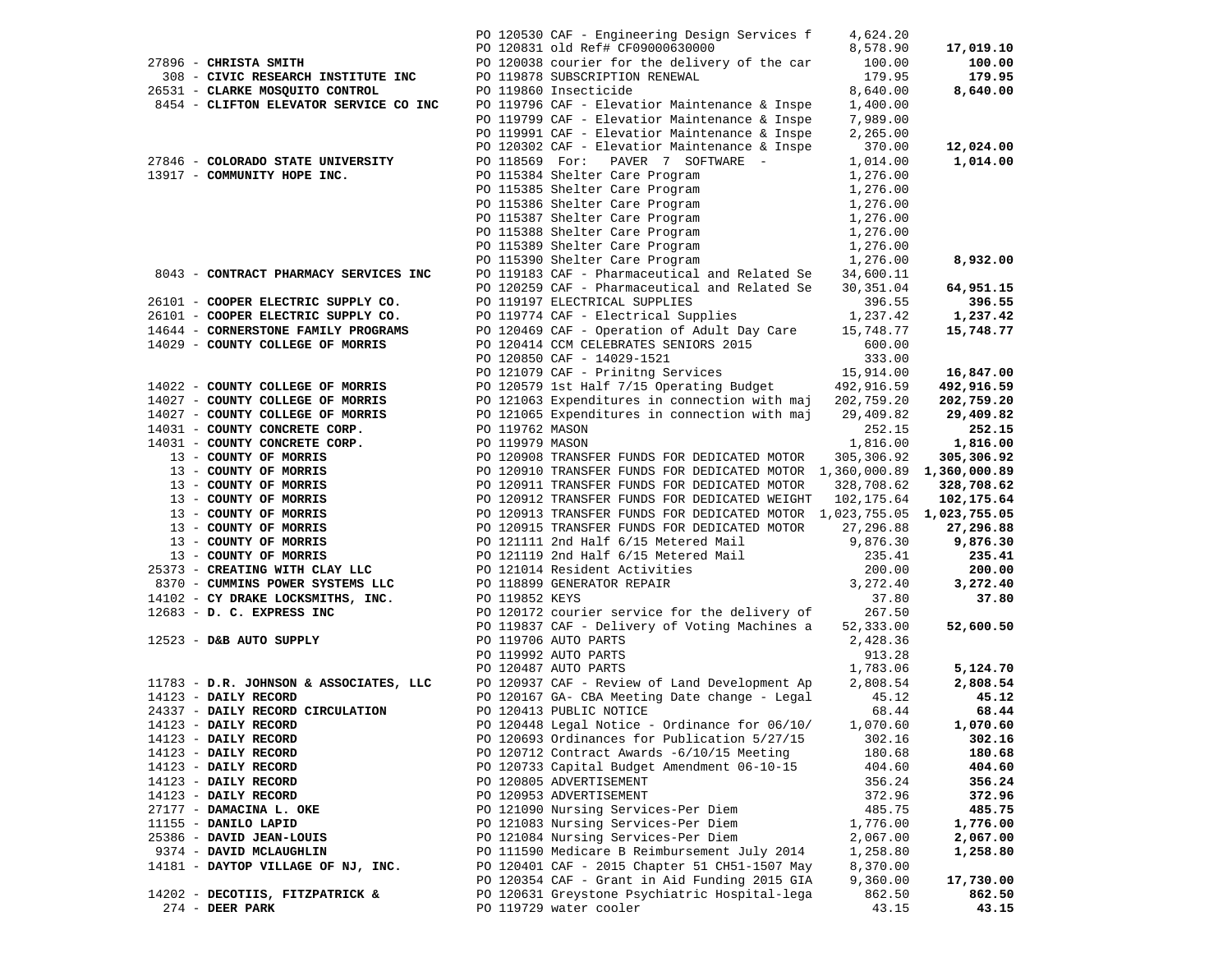|                                                          |                 | PO 120530 CAF - Engineering Design Services f                                                                                                                                                            | 4,624.20           |                |
|----------------------------------------------------------|-----------------|----------------------------------------------------------------------------------------------------------------------------------------------------------------------------------------------------------|--------------------|----------------|
|                                                          |                 | PO 120831 old Ref# CF09000630000                                                                                                                                                                         | 8,578.90           | 17,019.10      |
| 27896 - CHRISTA SMITH                                    |                 | PO 120038 courier for the delivery of the car                                                                                                                                                            | 100.00             | 100.00         |
| 308 - CIVIC RESEARCH INSTITUTE INC                       |                 | PO 119878 SUBSCRIPTION RENEWAL                                                                                                                                                                           | 179.95             | 179.95         |
| 26531 - CLARKE MOSQUITO CONTROL                          |                 | PO 119860 Insecticide                                                                                                                                                                                    | 8,640.00           | 8,640.00       |
| 8454 - CLIFTON ELEVATOR SERVICE CO INC                   |                 | PO 119796 CAF - Elevatior Maintenance & Inspe                                                                                                                                                            | 1,400.00           |                |
|                                                          |                 | PO 119799 CAF - Elevatior Maintenance & Inspe                                                                                                                                                            | 7,989.00           |                |
|                                                          |                 | PO 119991 CAF - Elevatior Maintenance & Inspe                                                                                                                                                            | 2,265.00           |                |
|                                                          |                 | PO 120302 CAF - Elevatior Maintenance & Inspe                                                                                                                                                            | 370.00             | 12,024.00      |
| 27846 - COLORADO STATE UNIVERSITY                        |                 | PO 118569 For: PAVER 7 SOFTWARE -                                                                                                                                                                        | 1,014.00           | 1,014.00       |
| 13917 - COMMUNITY HOPE INC.                              |                 | PO 115384 Shelter Care Program                                                                                                                                                                           | 1,276.00           |                |
|                                                          |                 |                                                                                                                                                                                                          | 1,276.00           |                |
|                                                          |                 | PO 115384 Shelter Care Frogram<br>PO 115385 Shelter Care Program<br>PO 115386 Shelter Care Program<br>PO 115383 Shelter Care Program<br>PO 115389 Shelter Care Program<br>PO 115390 Shelter Care Program | 1,276.00           |                |
|                                                          |                 |                                                                                                                                                                                                          | 1,276.00           |                |
|                                                          |                 |                                                                                                                                                                                                          | 1,276.00           |                |
|                                                          |                 |                                                                                                                                                                                                          | 1,276.00           | 8,932.00       |
| 8043 - CONTRACT PHARMACY SERVICES INC                    |                 | PO 119183 CAF - Pharmaceutical and Related Se 34,600.11                                                                                                                                                  | 1,276.00           |                |
|                                                          |                 | PO 120259 CAF - Pharmaceutical and Related Se                                                                                                                                                            | 30,351.04          | 64,951.15      |
| 26101 - COOPER ELECTRIC SUPPLY CO.                       |                 | PO 119197 ELECTRICAL SUPPLIES                                                                                                                                                                            | 396.55             | 396.55         |
| 26101 - COOPER ELECTRIC SUPPLY CO.                       |                 | PO 119774 CAF - Electrical Supplies                                                                                                                                                                      | 1,237.42           | 1,237.42       |
| 14644 - CORNERSTONE FAMILY PROGRAMS                      |                 | PO 120469 CAF - Operation of Adult Day Care                                                                                                                                                              | 15,748.77          | 15,748.77      |
| 14029 - COUNTY COLLEGE OF MORRIS                         |                 | PO 120414 CCM CELEBRATES SENIORS 2015                                                                                                                                                                    | 600.00             |                |
|                                                          |                 | PO 120850 CAF - 14029-1521                                                                                                                                                                               | 333.00             |                |
|                                                          |                 | PO 121079 CAF - Prinitng Services                                                                                                                                                                        | 15,914.00          | 16,847.00      |
| 14022 - COUNTY COLLEGE OF MORRIS                         |                 | PO 120579 1st Half 7/15 Operating Budget                                                                                                                                                                 | 492,916.59         | 492,916.59     |
| 14027 - COUNTY COLLEGE OF MORRIS                         |                 | PO 121063 Expenditures in connection with maj 202,759.20                                                                                                                                                 |                    | 202,759.20     |
| 14027 - COUNTY COLLEGE OF MORRIS                         |                 | PO 121065 Expenditures in connection with maj                                                                                                                                                            | 29,409.82          | 29,409.82      |
| 14031 - COUNTY CONCRETE CORP.                            | PO 119762 MASON |                                                                                                                                                                                                          | 252.15             | 252.15         |
| 14031 - COUNTY CONCRETE CORP.                            | PO 119979 MASON |                                                                                                                                                                                                          | 1,816.00           | 1,816.00       |
| 13 - COUNTY OF MORRIS                                    |                 | PO 120908 TRANSFER FUNDS FOR DEDICATED MOTOR                                                                                                                                                             | 305,306.92         | 305,306.92     |
| 13 - COUNTY OF MORRIS                                    |                 | PO 120910 TRANSFER FUNDS FOR DEDICATED MOTOR 1,360,000.89 1,360,000.89                                                                                                                                   |                    |                |
| 13 - COUNTY OF MORRIS<br>13 - COUNTY OF MORRIS           |                 | PO 120911 TRANSFER FUNDS FOR DEDICATED MOTOR                                                                                                                                                             | 328,708.62         | 328,708.62     |
| 13 - COUNTY OF MORRIS                                    |                 | PO 120912 TRANSFER FUNDS FOR DEDICATED WEIGHT<br>PO 120913 TRANSFER FUNDS FOR DEDICATED MOTOR 1,023,755.05 1,023,755.05                                                                                  | 102,175.64         | 102,175.64     |
| 13 - COUNTY OF MORRIS                                    |                 | PO 120915 TRANSFER FUNDS FOR DEDICATED MOTOR                                                                                                                                                             | 27,296.88          | 27,296.88      |
| 13 - COUNTY OF MORRIS                                    |                 | PO 121111 2nd Half 6/15 Metered Mail                                                                                                                                                                     | 9,876.30           | 9,876.30       |
| 13 - COUNTY OF MORRIS                                    |                 | PO 121119 2nd Half 6/15 Metered Mail                                                                                                                                                                     | 235.41             | 235.41         |
| 25373 - CREATING WITH CLAY LLC                           |                 | PO 121014 Resident Activities                                                                                                                                                                            | 200.00             | 200.00         |
| 8370 - CUMMINS POWER SYSTEMS LLC                         |                 | PO 118899 GENERATOR REPAIR                                                                                                                                                                               | 3,272.40           | 3,272.40       |
| 14102 - CY DRAKE LOCKSMITHS, INC.                        | PO 119852 KEYS  |                                                                                                                                                                                                          | 37.80              | 37.80          |
| 12683 - D. C. EXPRESS INC                                |                 | PO 120172 courier service for the delivery of                                                                                                                                                            | 267.50             |                |
|                                                          |                 | PO 119837 CAF - Delivery of Voting Machines a                                                                                                                                                            | 52,333.00          | 52,600.50      |
| 12523 - D&B AUTO SUPPLY                                  |                 | PO 119706 AUTO PARTS                                                                                                                                                                                     | 2,428.36           |                |
|                                                          |                 | PO 119992 AUTO PARTS                                                                                                                                                                                     | 913.28             |                |
|                                                          |                 | PO 120487 AUTO PARTS                                                                                                                                                                                     | 1,783.06           | 5,124.70       |
| 11783 - D.R. JOHNSON & ASSOCIATES, LLC                   |                 | PO 120937 CAF - Review of Land Development Ap                                                                                                                                                            | 2,808.54           | 2,808.54       |
| 14123 - DAILY RECORD<br>24337 - DAILY RECORD CIRCULATION |                 | PO 120167 GA- CBA Meeting Date change - Legal                                                                                                                                                            | 45.12<br>68.44     | 45.12<br>68.44 |
|                                                          |                 | PO 120413 PUBLIC NOTICE<br>PO 120448 Legal Notice - Ordinance for 06/10/                                                                                                                                 |                    | 1,070.60       |
| 14123 - DAILY RECORD<br>14123 - DAILY RECORD             |                 | PO 120693 Ordinances for Publication 5/27/15                                                                                                                                                             | 1,070.60<br>302.16 | 302.16         |
| 14123 - DAILY RECORD                                     |                 | PO 120712 Contract Awards -6/10/15 Meeting                                                                                                                                                               | 180.68             | 180.68         |
| 14123 - DAILY RECORD                                     |                 | PO 120733 Capital Budget Amendment 06-10-15                                                                                                                                                              | 404.60             | 404.60         |
| 14123 - DAILY RECORD                                     |                 | PO 120805 ADVERTISEMENT                                                                                                                                                                                  | 356.24             | 356.24         |
| 14123 - DAILY RECORD                                     |                 | PO 120953 ADVERTISEMENT                                                                                                                                                                                  | 372.96             | 372.96         |
| 27177 - DAMACINA L. OKE                                  |                 | PO 121090 Nursing Services-Per Diem                                                                                                                                                                      | 485.75             | 485.75         |
| 11155 - DANILO LAPID                                     |                 | PO 121083 Nursing Services-Per Diem                                                                                                                                                                      | 1,776.00           | 1,776.00       |
| 25386 - DAVID JEAN-LOUIS                                 |                 | PO 121084 Nursing Services-Per Diem                                                                                                                                                                      | 2,067.00           | 2,067.00       |
| 9374 - DAVID MCLAUGHLIN                                  |                 | PO 111590 Medicare B Reimbursement July 2014                                                                                                                                                             | 1,258.80           | 1,258.80       |
| 14181 - DAYTOP VILLAGE OF NJ, INC.                       |                 | PO 120401 CAF - 2015 Chapter 51 CH51-1507 May                                                                                                                                                            | 8,370.00           |                |
|                                                          |                 | PO 120354 CAF - Grant in Aid Funding 2015 GIA                                                                                                                                                            | 9,360.00           | 17,730.00      |
| 14202 - DECOTIIS, FITZPATRICK &                          |                 | PO 120631 Greystone Psychiatric Hospital-lega                                                                                                                                                            | 862.50             | 862.50         |
| $274$ - DEER PARK                                        |                 | PO 119729 water cooler                                                                                                                                                                                   | 43.15              | 43.15          |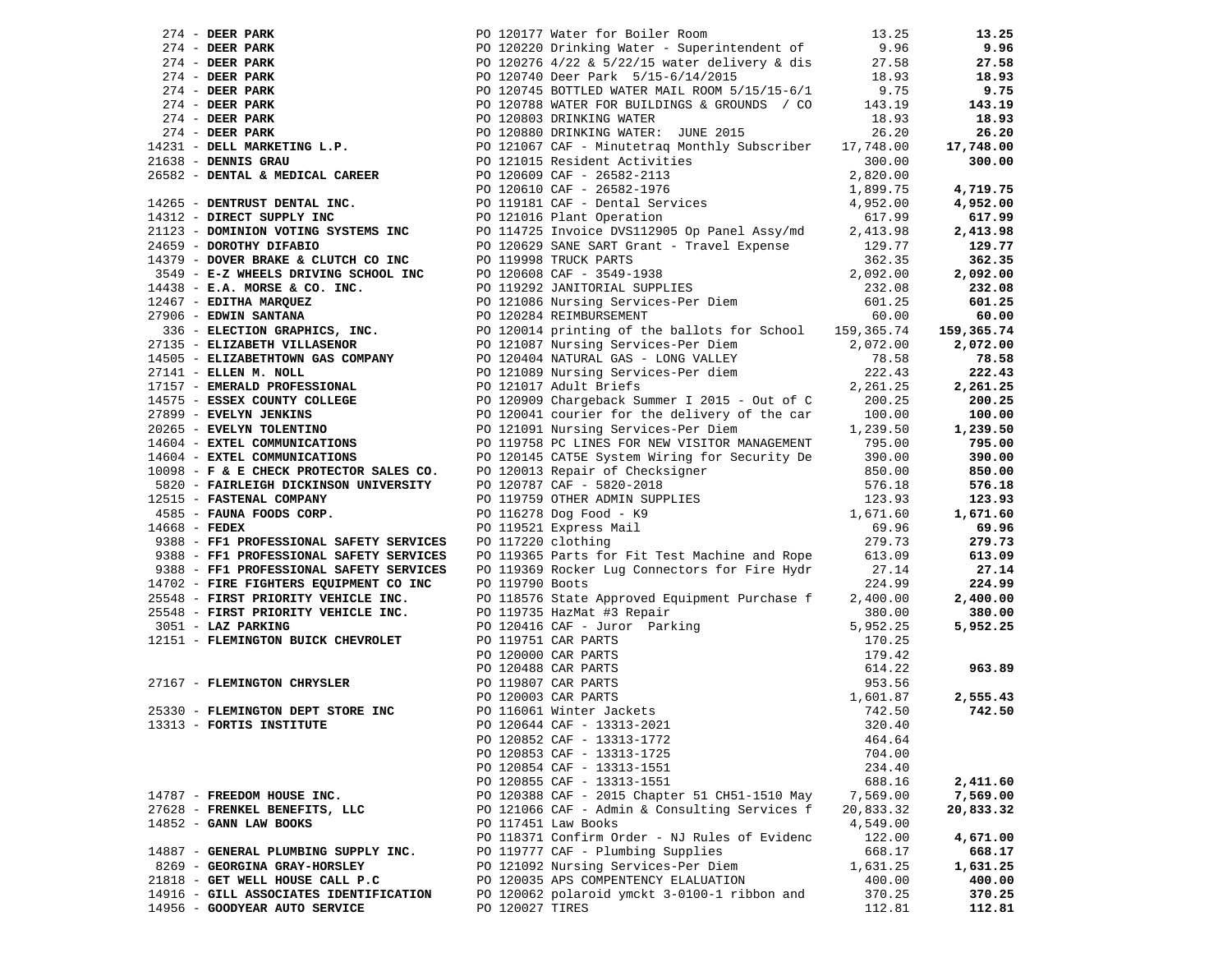|                 |                                         |                     |                                                                                                                                                                                                                                                  |           | 13.25      |
|-----------------|-----------------------------------------|---------------------|--------------------------------------------------------------------------------------------------------------------------------------------------------------------------------------------------------------------------------------------------|-----------|------------|
|                 |                                         |                     | 274 - DEER PARK PO 120177 Water for Boiler Room 13.25<br>274 - DEER PARK PO 120220 Drinking Water - Superintendent of 19.96<br>274 - DEER PARK PO 120220 Drinking Water - Superintendent of 9.96<br>274 - DEER PARK PO 120746 4/22               |           | 9.96       |
|                 |                                         |                     |                                                                                                                                                                                                                                                  |           | 27.58      |
|                 |                                         |                     |                                                                                                                                                                                                                                                  |           | 18.93      |
|                 |                                         |                     |                                                                                                                                                                                                                                                  |           | 9.75       |
|                 |                                         |                     |                                                                                                                                                                                                                                                  |           | 143.19     |
|                 |                                         |                     |                                                                                                                                                                                                                                                  |           | 18.93      |
|                 |                                         |                     |                                                                                                                                                                                                                                                  |           |            |
|                 |                                         |                     |                                                                                                                                                                                                                                                  |           | 26.20      |
|                 |                                         |                     |                                                                                                                                                                                                                                                  |           | 17,748.00  |
|                 |                                         |                     |                                                                                                                                                                                                                                                  |           | 300.00     |
|                 |                                         |                     |                                                                                                                                                                                                                                                  |           |            |
|                 |                                         |                     |                                                                                                                                                                                                                                                  |           | 4,719.75   |
|                 |                                         |                     |                                                                                                                                                                                                                                                  |           | 4,952.00   |
|                 |                                         |                     |                                                                                                                                                                                                                                                  |           | 617.99     |
|                 |                                         |                     |                                                                                                                                                                                                                                                  |           | 2,413.98   |
|                 | 24659 - DOROTHY DIFABIO                 |                     | PO 120629 SANE SART Grant - Travel Expense                                                                                                                                                                                                       | 129.77    | 129.77     |
|                 | 14379 - DOVER BRAKE & CLUTCH CO INC     |                     | PO 119998 TRUCK PARTS                                                                                                                                                                                                                            | 362.35    | 362.35     |
|                 |                                         |                     | 3549 - <b>E-Z WHEELS DRIVING SCHOOL INC</b><br>14438 - <b>E.A. MORSE &amp; CO. INC.</b><br>14438 - <b>E.A. MORSE &amp; CO. INC.</b><br>12467 - <b>EDITHA MARQUEZ</b> PO 120284 REIMBURSEMENT PO 120284 REIMBURSEMENT 60.00                       |           | 2,092.00   |
|                 | $14438$ - E.A. MORSE & CO. INC.         |                     |                                                                                                                                                                                                                                                  |           | 232.08     |
|                 | 12467 - EDITHA MARQUEZ                  |                     |                                                                                                                                                                                                                                                  |           | 601.25     |
|                 | 27906 - EDWIN SANTANA                   |                     |                                                                                                                                                                                                                                                  |           | 60.00      |
|                 |                                         |                     |                                                                                                                                                                                                                                                  |           | 159,365.74 |
|                 |                                         |                     |                                                                                                                                                                                                                                                  |           | 2,072.00   |
|                 |                                         |                     |                                                                                                                                                                                                                                                  |           |            |
|                 |                                         |                     | 336 - ELIZABETH VILLASENOR<br>27135 - ELIZABETH VILLASENOR<br>14505 - ELIZABETHTOWN GAS COMPANY<br>27141 - ELLEN M. NOLL<br>27141 - ELLEN M. NOLL<br>27141 - ELLEN M. NOLL<br>27141 - CLEN M. NOLL<br>27141 - CLEN M. NOLL<br>27141 - CLEN M.    | 78.58     | 78.58      |
|                 |                                         |                     |                                                                                                                                                                                                                                                  | 222.43    | 222.43     |
|                 |                                         |                     |                                                                                                                                                                                                                                                  | 2,261.25  | 2,261.25   |
|                 | 14575 - ESSEX COUNTY COLLEGE            |                     | PO 120909 Chargeback Summer I 2015 - Out of C                                                                                                                                                                                                    | 200.25    | 200.25     |
|                 | 27899 - EVELYN JENKINS                  |                     | PO 120041 courier for the delivery of the car 100.00<br>PO 121091 Nursing Services-Per Diem 1,239.50                                                                                                                                             |           | 100.00     |
|                 | 20265 - EVELYN TOLENTINO                |                     |                                                                                                                                                                                                                                                  |           | 1,239.50   |
|                 | 14604 - EXTEL COMMUNICATIONS            |                     | PO 119758 PC LINES FOR NEW VISITOR MANAGEMENT 795.00                                                                                                                                                                                             |           | 795.00     |
|                 | 14604 - EXTEL COMMUNICATIONS            |                     | PO 120145 CAT5E System Wiring for Security De 390.00                                                                                                                                                                                             |           | 390.00     |
|                 | 10098 - F & E CHECK PROTECTOR SALES CO. |                     |                                                                                                                                                                                                                                                  | 850.00    | 850.00     |
|                 | 5820 - FAIRLEIGH DICKINSON UNIVERSITY   |                     |                                                                                                                                                                                                                                                  | 576.18    | 576.18     |
|                 | 12515 - FASTENAL COMPANY                |                     |                                                                                                                                                                                                                                                  | 123.93    | 123.93     |
|                 | 4585 - FAUNA FOODS CORP.                |                     | PO 120133 CALLE DIRECT MILITIMS TO 120013 Repair of Checksigner<br>PO 120787 CAF - 5820-2018<br>DO 119759 OTHER ADMIN SUPPLIES<br>PO 116278 Dog Food - K9<br>PO 119521 Express Mail<br>PO 117220 clothing                                        | 1,671.60  | 1,671.60   |
| $14668$ - FEDEX |                                         |                     |                                                                                                                                                                                                                                                  | 69.96     | 69.96      |
|                 | 9388 - FF1 PROFESSIONAL SAFETY SERVICES | PO 117220 clothing  |                                                                                                                                                                                                                                                  | 279.73    | 279.73     |
|                 | 9388 - FF1 PROFESSIONAL SAFETY SERVICES |                     | PO 119365 Parts for Fit Test Machine and Rope 613.09                                                                                                                                                                                             |           | 613.09     |
|                 | 9388 - FF1 PROFESSIONAL SAFETY SERVICES |                     | PO 119369 Rocker Lug Connectors for Fire Hydr                                                                                                                                                                                                    | 27.14     | 27.14      |
|                 | 14702 - FIRE FIGHTERS EQUIPMENT CO INC  | PO 119790 Boots     |                                                                                                                                                                                                                                                  | 224.99    | 224.99     |
|                 | 25548 - FIRST PRIORITY VEHICLE INC.     |                     |                                                                                                                                                                                                                                                  | 2,400.00  | 2,400.00   |
|                 | 25548 - FIRST PRIORITY VEHICLE INC.     |                     | PO 118576 State Approved Equipment Purchase f                                                                                                                                                                                                    |           |            |
|                 |                                         |                     | PO 119735 HazMat #3 Repair                                                                                                                                                                                                                       | 380.00    | 380.00     |
|                 | 3051 - LAZ PARKING                      |                     |                                                                                                                                                                                                                                                  |           | 5,952.25   |
|                 | 12151 - FLEMINGTON BUICK CHEVROLET      |                     |                                                                                                                                                                                                                                                  |           |            |
|                 |                                         |                     |                                                                                                                                                                                                                                                  |           |            |
|                 |                                         |                     | PO 119735 Hazinat #3 Kepart<br>PO 120416 CAF - Juror Parking<br>PO 120416 CAF PARTS<br>PO 120000 CAR PARTS<br>PO 120000 CAR PARTS<br>PO 120488 CAR PARTS<br>PO 120488 CAR PARTS<br>PO 12063 CAR PARTS<br>PO 12003 CAR PARTS<br>PO 12003 CAR PART |           | 963.89     |
|                 | 27167 - FLEMINGTON CHRYSLER             |                     |                                                                                                                                                                                                                                                  |           |            |
|                 |                                         | PO 120003 CAR PARTS |                                                                                                                                                                                                                                                  |           | 2,555.43   |
|                 | 25330 - FLEMINGTON DEPT STORE INC       |                     |                                                                                                                                                                                                                                                  |           | 742.50     |
|                 | 13313 - FORTIS INSTITUTE                |                     | PO 120644 CAF - 13313-2021                                                                                                                                                                                                                       | 320.40    |            |
|                 |                                         |                     | PO 120852 CAF - 13313-1772                                                                                                                                                                                                                       | 464.64    |            |
|                 |                                         |                     | PO 120853 CAF - 13313-1725                                                                                                                                                                                                                       | 704.00    |            |
|                 |                                         |                     | PO 120854 CAF - 13313-1551                                                                                                                                                                                                                       | 234.40    |            |
|                 |                                         |                     | PO 120855 CAF - 13313-1551                                                                                                                                                                                                                       | 688.16    | 2,411.60   |
|                 | 14787 - FREEDOM HOUSE INC.              |                     | PO 120388 CAF - 2015 Chapter 51 CH51-1510 May                                                                                                                                                                                                    | 7,569.00  | 7,569.00   |
|                 | 27628 - FRENKEL BENEFITS, LLC           |                     | PO 121066 CAF - Admin & Consulting Services f                                                                                                                                                                                                    | 20,833.32 | 20,833.32  |
|                 | 14852 - GANN LAW BOOKS                  |                     | PO 117451 Law Books                                                                                                                                                                                                                              | 4,549.00  |            |
|                 |                                         |                     | PO 118371 Confirm Order - NJ Rules of Evidenc                                                                                                                                                                                                    | 122.00    | 4,671.00   |
|                 | 14887 - GENERAL PLUMBING SUPPLY INC.    |                     | PO 119777 CAF - Plumbing Supplies                                                                                                                                                                                                                |           |            |
|                 |                                         |                     |                                                                                                                                                                                                                                                  | 668.17    | 668.17     |
|                 | 8269 - GEORGINA GRAY-HORSLEY            |                     | PO 121092 Nursing Services-Per Diem                                                                                                                                                                                                              | 1,631.25  | 1,631.25   |
|                 | 21818 - GET WELL HOUSE CALL P.C         |                     | PO 120035 APS COMPENTENCY ELALUATION                                                                                                                                                                                                             | 400.00    | 400.00     |
|                 | 14916 - GILL ASSOCIATES IDENTIFICATION  |                     | PO 120062 polaroid ymckt 3-0100-1 ribbon and                                                                                                                                                                                                     | 370.25    | 370.25     |
|                 | 14956 - GOODYEAR AUTO SERVICE           | PO 120027 TIRES     |                                                                                                                                                                                                                                                  | 112.81    | 112.81     |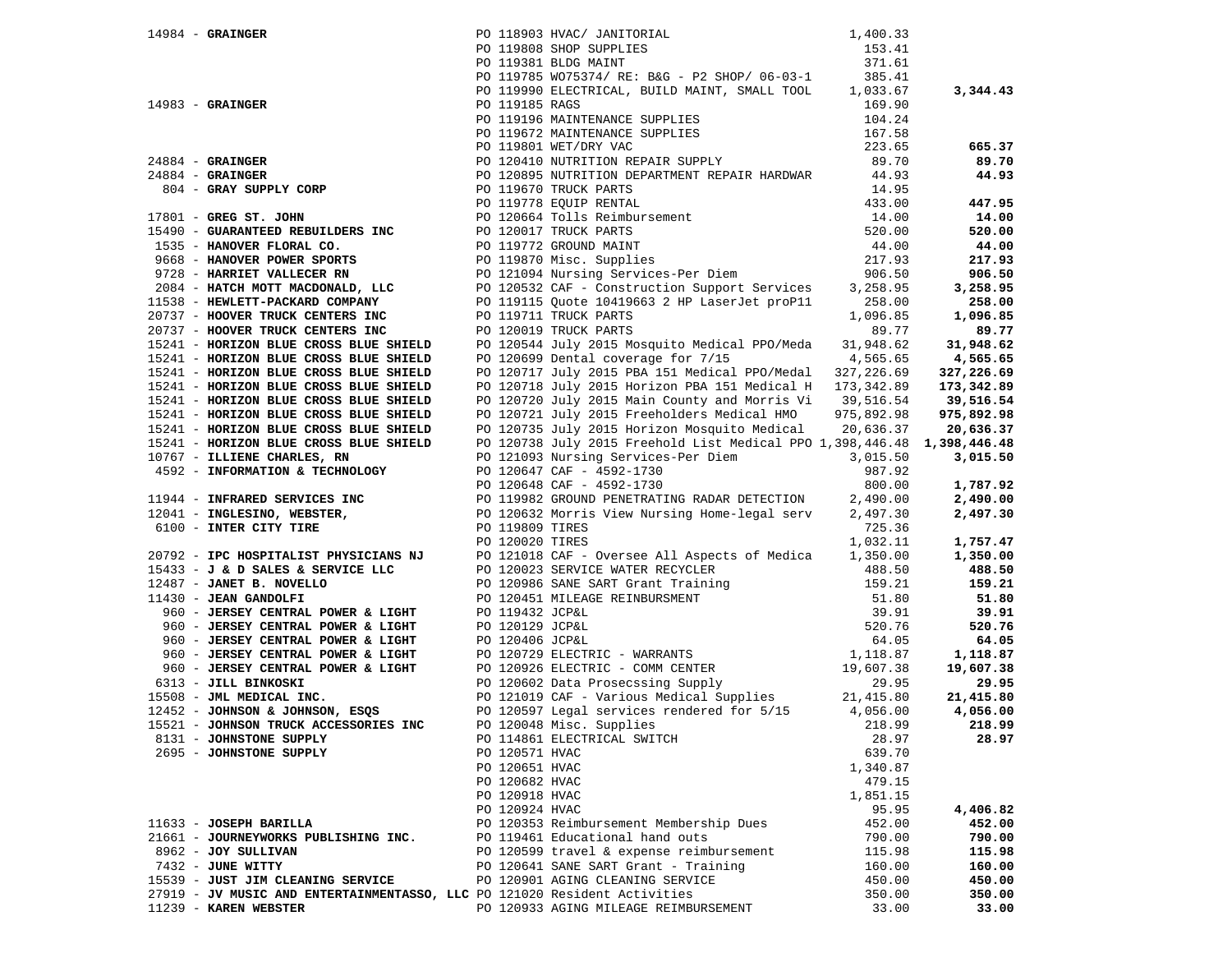|                                                                           |                | 14984 - GRAINGER (2003)<br>20119808 SHOP SUPPLIES 1000 MAC/JANITORIAL 14983 - 153.41<br>20119808 SHOP SUPPLIES (1530 MAC/JANIT (2004)<br>20119785 WO753714/RE: B&G - P2 SHOP/06-03-1<br>20119785 WO753714/RE: B&G - P2 SHOP/06-03-1<br> |          |            |
|---------------------------------------------------------------------------|----------------|-----------------------------------------------------------------------------------------------------------------------------------------------------------------------------------------------------------------------------------------|----------|------------|
|                                                                           |                |                                                                                                                                                                                                                                         |          |            |
|                                                                           |                |                                                                                                                                                                                                                                         |          | 3,344.43   |
|                                                                           |                |                                                                                                                                                                                                                                         |          |            |
|                                                                           |                |                                                                                                                                                                                                                                         |          |            |
|                                                                           |                |                                                                                                                                                                                                                                         |          |            |
|                                                                           |                |                                                                                                                                                                                                                                         |          | 665.37     |
|                                                                           |                |                                                                                                                                                                                                                                         |          | 89.70      |
|                                                                           |                |                                                                                                                                                                                                                                         |          | 44.93      |
|                                                                           |                |                                                                                                                                                                                                                                         |          |            |
|                                                                           |                |                                                                                                                                                                                                                                         |          | 447.95     |
|                                                                           |                |                                                                                                                                                                                                                                         |          | 14.00      |
|                                                                           |                |                                                                                                                                                                                                                                         |          | 520.00     |
|                                                                           |                |                                                                                                                                                                                                                                         |          | 44.00      |
|                                                                           |                |                                                                                                                                                                                                                                         |          | 217.93     |
|                                                                           |                |                                                                                                                                                                                                                                         |          | 906.50     |
|                                                                           |                |                                                                                                                                                                                                                                         |          | 3,258.95   |
|                                                                           |                |                                                                                                                                                                                                                                         |          | 258.00     |
|                                                                           |                |                                                                                                                                                                                                                                         |          | 1,096.85   |
|                                                                           |                |                                                                                                                                                                                                                                         |          | 89.77      |
|                                                                           |                |                                                                                                                                                                                                                                         |          | 31,948.62  |
| 15241 - HORIZON BLUE CROSS BLUE SHIELD                                    |                | PO 120699 Dental coverage for 7/15 4,565.65                                                                                                                                                                                             |          | 4,565.65   |
| 15241 - HORIZON BLUE CROSS BLUE SHIELD                                    |                | PO 120717 July 2015 PBA 151 Medical PPO/Medal 327,226.69                                                                                                                                                                                |          | 327,226.69 |
| 15241 - HORIZON BLUE CROSS BLUE SHIELD                                    |                | PO 120718 July 2015 Horizon PBA 151 Medical H 173,342.89                                                                                                                                                                                |          | 173,342.89 |
| 15241 - HORIZON BLUE CROSS BLUE SHIELD                                    |                | PO 120720 July 2015 Main County and Morris Vi 39,516.54 39,516.54                                                                                                                                                                       |          |            |
| 15241 - HORIZON BLUE CROSS BLUE SHIELD                                    |                |                                                                                                                                                                                                                                         |          |            |
| 15241 - HORIZON BLUE CROSS BLUE SHIELD                                    |                | PO 120721 July 2015 Freeholders Medical HMO 975,892.98 975,892.98<br>PO 120735 July 2015 Horizon Mosquito Medical 20,636.37 20,636.37                                                                                                   |          |            |
|                                                                           |                |                                                                                                                                                                                                                                         |          |            |
|                                                                           |                |                                                                                                                                                                                                                                         |          |            |
|                                                                           |                |                                                                                                                                                                                                                                         |          |            |
|                                                                           |                |                                                                                                                                                                                                                                         |          |            |
|                                                                           |                |                                                                                                                                                                                                                                         |          |            |
|                                                                           |                |                                                                                                                                                                                                                                         |          |            |
|                                                                           |                |                                                                                                                                                                                                                                         |          |            |
|                                                                           |                |                                                                                                                                                                                                                                         |          |            |
|                                                                           |                |                                                                                                                                                                                                                                         |          |            |
|                                                                           |                |                                                                                                                                                                                                                                         |          |            |
|                                                                           |                |                                                                                                                                                                                                                                         |          |            |
|                                                                           |                |                                                                                                                                                                                                                                         |          |            |
|                                                                           |                |                                                                                                                                                                                                                                         |          |            |
|                                                                           |                |                                                                                                                                                                                                                                         |          |            |
|                                                                           |                |                                                                                                                                                                                                                                         |          |            |
|                                                                           |                |                                                                                                                                                                                                                                         |          |            |
|                                                                           |                | 13241 - ROMIZON BLUE CROSS BLUE SHIELD PO 120773 July 2015 Horizon Regulato Redictal 20, 525.37 20, 635.37<br>13241 - HOMIZON BLUE CROSS BLUE SHIELD PO 120773 July 2015 Horizon Regulato Redictal 20, 356.37 20, 635.37<br>1324        |          |            |
|                                                                           |                |                                                                                                                                                                                                                                         |          |            |
|                                                                           |                |                                                                                                                                                                                                                                         |          |            |
|                                                                           |                |                                                                                                                                                                                                                                         |          |            |
|                                                                           |                |                                                                                                                                                                                                                                         |          |            |
|                                                                           |                |                                                                                                                                                                                                                                         |          |            |
| 8131 - JOHNSTONE SUPPLY                                                   |                | PO 114861 ELECTRICAL SWITCH                                                                                                                                                                                                             | 28.97    | 28.97      |
| 2695 - JOHNSTONE SUPPLY                                                   | PO 120571 HVAC |                                                                                                                                                                                                                                         | 639.70   |            |
|                                                                           | PO 120651 HVAC |                                                                                                                                                                                                                                         | 1,340.87 |            |
|                                                                           | PO 120682 HVAC |                                                                                                                                                                                                                                         | 479.15   |            |
|                                                                           | PO 120918 HVAC |                                                                                                                                                                                                                                         | 1,851.15 |            |
|                                                                           | PO 120924 HVAC |                                                                                                                                                                                                                                         | 95.95    | 4,406.82   |
| 11633 - JOSEPH BARILLA                                                    |                | PO 120353 Reimbursement Membership Dues                                                                                                                                                                                                 | 452.00   | 452.00     |
| 21661 - JOURNEYWORKS PUBLISHING INC.                                      |                | PO 119461 Educational hand outs                                                                                                                                                                                                         | 790.00   | 790.00     |
| 8962 - JOY SULLIVAN                                                       |                | PO 120599 travel & expense reimbursement                                                                                                                                                                                                | 115.98   | 115.98     |
| 7432 - JUNE WITTY                                                         |                | PO 120641 SANE SART Grant - Training                                                                                                                                                                                                    | 160.00   | 160.00     |
| 15539 - JUST JIM CLEANING SERVICE                                         |                | PO 120901 AGING CLEANING SERVICE                                                                                                                                                                                                        | 450.00   | 450.00     |
| 27919 - JV MUSIC AND ENTERTAINMENTASSO, LLC PO 121020 Resident Activities |                |                                                                                                                                                                                                                                         | 350.00   | 350.00     |
| 11239 - KAREN WEBSTER                                                     |                | PO 120933 AGING MILEAGE REIMBURSEMENT                                                                                                                                                                                                   | 33.00    | 33.00      |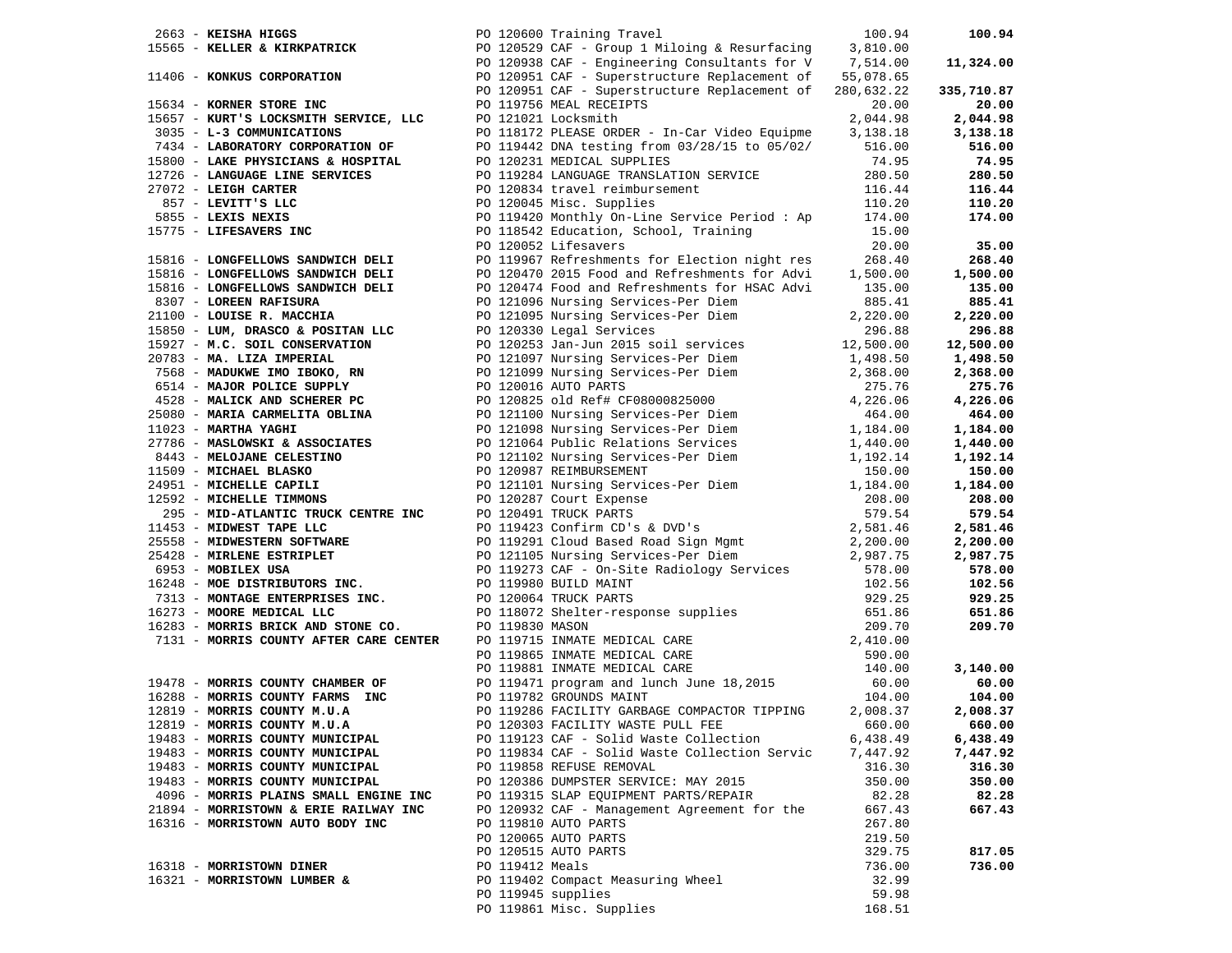| 2663 - KEISHA HIGGS  | PO 120600 Training Travel                                                                                                       |                 |                                                                                                                                                                                                                                                                       | 100.94           | 100.94           |
|----------------------|---------------------------------------------------------------------------------------------------------------------------------|-----------------|-----------------------------------------------------------------------------------------------------------------------------------------------------------------------------------------------------------------------------------------------------------------------|------------------|------------------|
|                      |                                                                                                                                 |                 | 15565 - KELLER & KIRKPATRICK PO 120529 CAF - Group 1 Miloing & Resurfacing 3,810.00<br>PO 120938 CAF - Group 1 Miloing & Resurfacing 3,810.00<br>PO 120938 CAF - Engineering Consultants for V 7,514.00<br>PO 120951 CAF - Superstructu                               |                  |                  |
|                      |                                                                                                                                 |                 |                                                                                                                                                                                                                                                                       |                  | 11,324.00        |
|                      |                                                                                                                                 |                 |                                                                                                                                                                                                                                                                       |                  |                  |
|                      |                                                                                                                                 |                 |                                                                                                                                                                                                                                                                       |                  | 335,710.87       |
|                      | 15634 - KORNER STORE INC                                                                                                        |                 | PO 119756 MEAL RECEIPTS                                                                                                                                                                                                                                               | 20.00            | 20.00            |
|                      | 15657 - KURT'S LOCKSMITH SERVICE, LLC                                                                                           |                 | PO 121021 Locksmith                                                                                                                                                                                                                                                   | 2,044.98         | 2,044.98         |
|                      | 3035 - L-3 COMMUNICATIONS                                                                                                       |                 | PO 118172 PLEASE ORDER - In-Car Video Equipme                                                                                                                                                                                                                         | 3,138.18         | 3,138.18         |
|                      | 7434 - LABORATORY CORPORATION OF                                                                                                |                 | PO 119442 DNA testing from 03/28/15 to 05/02/                                                                                                                                                                                                                         | 516.00           | 516.00           |
|                      | 15800 - LAKE PHYSICIANS & HOSPITAL                                                                                              |                 | PO 120231 MEDICAL SUPPLIES                                                                                                                                                                                                                                            | 74.95            | 74.95            |
|                      | 12726 - LANGUAGE LINE SERVICES                                                                                                  |                 | PO 119284 LANGUAGE TRANSLATION SERVICE                                                                                                                                                                                                                                | 280.50           | 280.50           |
| 27072 - LEIGH CARTER |                                                                                                                                 |                 | PO 120834 travel reimbursement                                                                                                                                                                                                                                        | 116.44           | 116.44           |
|                      |                                                                                                                                 |                 | PO 120045 Misc. Supplies                                                                                                                                                                                                                                              | 110.20           | 110.20           |
|                      |                                                                                                                                 |                 | PO 119420 Monthly On-Line Service Period: Ap                                                                                                                                                                                                                          | 174.00           | 174.00           |
|                      |                                                                                                                                 |                 | PO 118542 Education, School, Training                                                                                                                                                                                                                                 | 15.00            |                  |
|                      |                                                                                                                                 |                 | PO 120052 Lifesavers                                                                                                                                                                                                                                                  | 20.00            | 35.00            |
|                      | 857 - LEVITT'S LLC<br>5855 - LEXIS NEXIS<br>15775 - LIFESAVERS INC<br>15816 - LONGERY 1000<br>15816 - LONGFELLOWS SANDWICH DELI |                 | PO 119967 Refreshments for Election night res                                                                                                                                                                                                                         | 268.40           | 268.40           |
|                      | 15816 - LONGFELLOWS SANDWICH DELI                                                                                               |                 | PO 120470 2015 Food and Refreshments for Advi                                                                                                                                                                                                                         | 1,500.00         | 1,500.00         |
|                      | 15816 - LONGFELLOWS SANDWICH DELI                                                                                               |                 | PO 120474 Food and Refreshments for HSAC Advi                                                                                                                                                                                                                         | 135.00           | 135.00           |
|                      | 8307 - LOREEN RAFISURA                                                                                                          |                 | PO 121096 Nursing Services-Per Diem                                                                                                                                                                                                                                   | 885.41           | 885.41           |
|                      | 8307 - LOREEN RAFISURA<br>21100 - LOUISE R. MACCHIA                                                                             |                 |                                                                                                                                                                                                                                                                       | 2,220.00         | 2,220.00         |
|                      |                                                                                                                                 |                 | PO 121095 Nursing Services-Per Diem<br>PO 120330 Legal Services                                                                                                                                                                                                       |                  | 296.88           |
|                      |                                                                                                                                 |                 |                                                                                                                                                                                                                                                                       |                  | 12,500.00        |
|                      |                                                                                                                                 |                 |                                                                                                                                                                                                                                                                       |                  | 1,498.50         |
|                      |                                                                                                                                 |                 |                                                                                                                                                                                                                                                                       |                  | 2,368.00         |
|                      |                                                                                                                                 |                 |                                                                                                                                                                                                                                                                       |                  | 275.76           |
|                      |                                                                                                                                 |                 |                                                                                                                                                                                                                                                                       |                  | 4,226.06         |
|                      |                                                                                                                                 |                 |                                                                                                                                                                                                                                                                       |                  | 464.00           |
|                      |                                                                                                                                 |                 |                                                                                                                                                                                                                                                                       |                  | 1,184.00         |
|                      |                                                                                                                                 |                 |                                                                                                                                                                                                                                                                       |                  | 1,440.00         |
|                      |                                                                                                                                 |                 | 21100 - LOUISE R. MACCHIA PO 121095 Nursing Services-Per Diem 2,220.00<br>15987 - LUM, DRASCO & POSITAN LLC PO 120330 Legal Services Per Diem 2,200.00<br>15927 - M.C. SOIL CONSERVATION PO 120130 Legal Services Per Diem 1,2,50                                     |                  | 1,192.14         |
|                      |                                                                                                                                 |                 |                                                                                                                                                                                                                                                                       |                  | 150.00           |
|                      |                                                                                                                                 |                 |                                                                                                                                                                                                                                                                       |                  | 1,184.00         |
|                      |                                                                                                                                 |                 |                                                                                                                                                                                                                                                                       |                  | 208.00           |
|                      |                                                                                                                                 |                 |                                                                                                                                                                                                                                                                       |                  | 579.54           |
|                      |                                                                                                                                 |                 |                                                                                                                                                                                                                                                                       |                  | 2,581.46         |
|                      |                                                                                                                                 |                 |                                                                                                                                                                                                                                                                       |                  | 2,200.00         |
|                      |                                                                                                                                 |                 |                                                                                                                                                                                                                                                                       |                  | 2,987.75         |
|                      |                                                                                                                                 |                 |                                                                                                                                                                                                                                                                       |                  | 578.00           |
|                      |                                                                                                                                 |                 | PO 119273 CAF - On-Site Radiology Services<br>PO 119980 BUILD MAINT<br>PO 120064 TRUCK PARTS                                                                                                                                                                          |                  | 102.56           |
|                      |                                                                                                                                 |                 |                                                                                                                                                                                                                                                                       |                  | 929.25           |
|                      |                                                                                                                                 |                 | 19213 - <b>MONTAGE ENTERPRISES INC.</b><br>TRUCK PRICK PRITS<br>16273 - <b>MOORE MEDICAL LLC</b><br>16283 - <b>MORRIS BRICK AND STONE CO.</b><br>1711 - <b>MORRIS COUNTY AFTER CARE CENTER</b><br>209.70<br>1713 - <b>MORRIS COUNTY AFTER CARE CENTER</b><br>2,410.00 |                  | 651.86           |
|                      |                                                                                                                                 |                 |                                                                                                                                                                                                                                                                       |                  | 209.70           |
|                      |                                                                                                                                 |                 |                                                                                                                                                                                                                                                                       |                  |                  |
|                      |                                                                                                                                 |                 |                                                                                                                                                                                                                                                                       | 590.00           |                  |
|                      |                                                                                                                                 |                 |                                                                                                                                                                                                                                                                       | 140.00           | 3,140.00         |
|                      | 19478 - MORRIS COUNTY CHAMBER OF                                                                                                |                 | PO 119865 INMATE MEDICAL CARE<br>PO 119881 INMATE MEDICAL CARE<br>PO 119471 program and lunch June 18,2015<br>PO 119782 GROUNDS MAINT                                                                                                                                 | 60.00            | 60.00            |
|                      | 16288 - MORRIS COUNTY FARMS INC                                                                                                 |                 |                                                                                                                                                                                                                                                                       | 104.00           | 104.00           |
|                      | 12819 - MORRIS COUNTY M.U.A                                                                                                     |                 | PO 119286 FACILITY GARBAGE COMPACTOR TIPPING                                                                                                                                                                                                                          | 2,008.37         | 2,008.37         |
|                      | 12819 - MORRIS COUNTY M.U.A                                                                                                     |                 | PO 120303 FACILITY WASTE PULL FEE 660.00                                                                                                                                                                                                                              |                  | 660.00           |
|                      | 19483 - MORRIS COUNTY MUNICIPAL                                                                                                 |                 | PO 119123 CAF - Solid Waste Collection                                                                                                                                                                                                                                | 6,438.49         | 6,438.49         |
|                      | 19483 - MORRIS COUNTY MUNICIPAL                                                                                                 |                 | PO 119834 CAF - Solid Waste Collection Servic                                                                                                                                                                                                                         | 7,447.92         | 7,447.92         |
|                      | 19483 - MORRIS COUNTY MUNICIPAL                                                                                                 |                 |                                                                                                                                                                                                                                                                       |                  |                  |
|                      | 19483 - MORRIS COUNTY MUNICIPAL                                                                                                 |                 | PO 119858 REFUSE REMOVAL<br>PO 120386 DUMPSTER SERVICE: MAY 2015                                                                                                                                                                                                      | 316.30<br>350.00 | 316.30<br>350.00 |
|                      | 4096 - MORRIS PLAINS SMALL ENGINE INC                                                                                           |                 | PO 119315 SLAP EQUIPMENT PARTS/REPAIR                                                                                                                                                                                                                                 | 82.28            | 82.28            |
|                      | 21894 - MORRISTOWN & ERIE RAILWAY INC                                                                                           |                 | PO 120932 CAF - Management Agreement for the                                                                                                                                                                                                                          | 667.43           | 667.43           |
|                      | 16316 - MORRISTOWN AUTO BODY INC                                                                                                |                 | PO 119810 AUTO PARTS                                                                                                                                                                                                                                                  | 267.80           |                  |
|                      |                                                                                                                                 |                 |                                                                                                                                                                                                                                                                       |                  |                  |
|                      |                                                                                                                                 |                 | PO 120065 AUTO PARTS                                                                                                                                                                                                                                                  | 219.50           |                  |
|                      | 16318 - MORRISTOWN DINER                                                                                                        | PO 119412 Meals | PO 120515 AUTO PARTS                                                                                                                                                                                                                                                  | 329.75           | 817.05<br>736.00 |
|                      | 16321 - MORRISTOWN LUMBER &                                                                                                     |                 | PO 119402 Compact Measuring Wheel                                                                                                                                                                                                                                     | 736.00<br>32.99  |                  |
|                      |                                                                                                                                 |                 |                                                                                                                                                                                                                                                                       |                  |                  |
|                      |                                                                                                                                 |                 | PO 119945 supplies                                                                                                                                                                                                                                                    | 59.98            |                  |
|                      |                                                                                                                                 |                 | PO 119861 Misc. Supplies                                                                                                                                                                                                                                              | 168.51           |                  |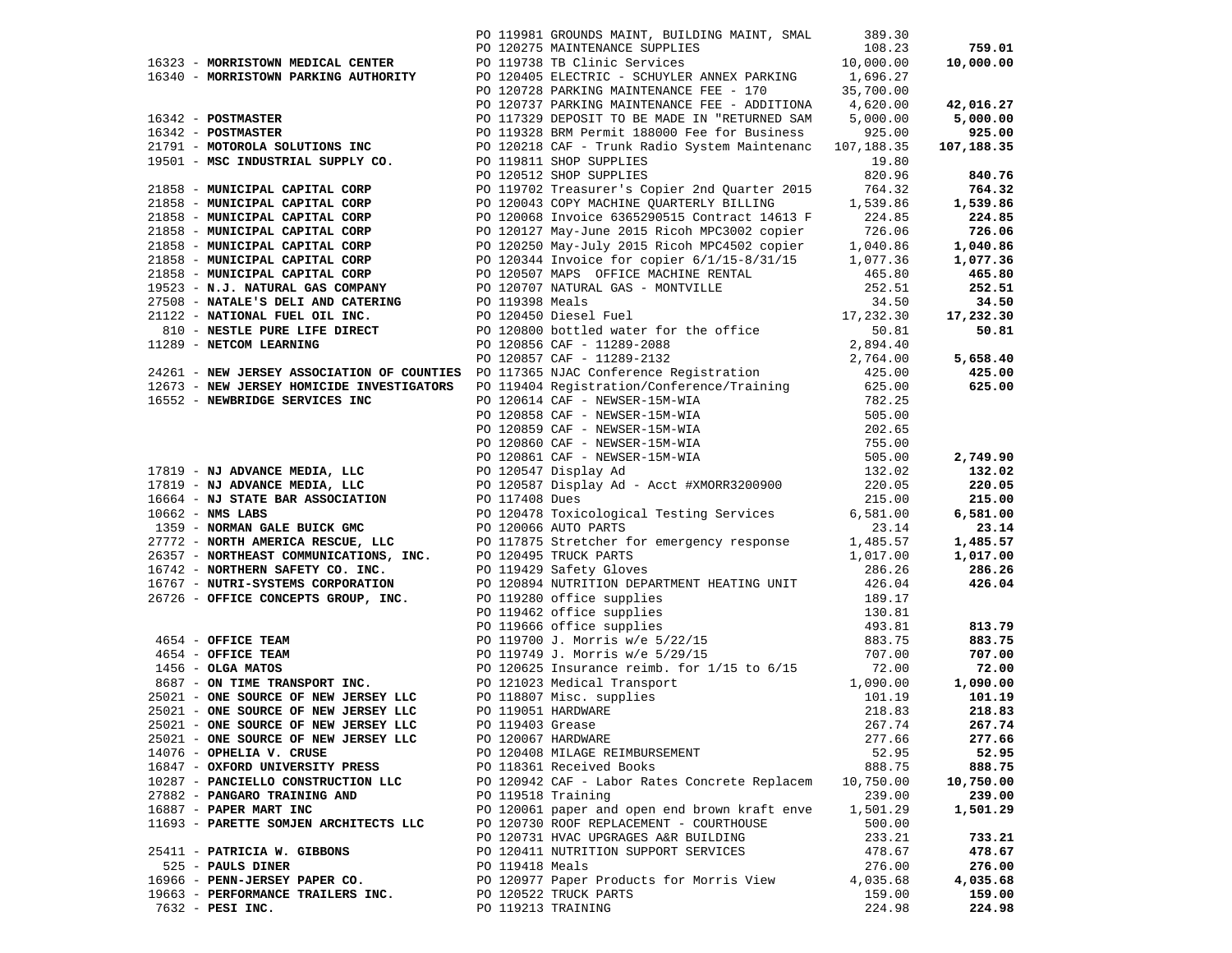|                                                                                                                                                                                                                                  |                 | PO 119981 GROUNDS MAINT, BUILDING MAINT, SMAL 389.30<br>PO 120275 MAINTENANCE SUPPLIES 108.23 |           |           |
|----------------------------------------------------------------------------------------------------------------------------------------------------------------------------------------------------------------------------------|-----------------|-----------------------------------------------------------------------------------------------|-----------|-----------|
|                                                                                                                                                                                                                                  |                 |                                                                                               |           |           |
|                                                                                                                                                                                                                                  |                 |                                                                                               |           |           |
|                                                                                                                                                                                                                                  |                 |                                                                                               |           |           |
| 1951) MORTIFORM METCH, CHEMR (NO 1992) MORTIF (NO 1992) MARTIN 2002) 1953-20<br>1953) MORTIFORM METCH, CHEMR (NO 1972) MORTIFUL AND THE SUCH ASSESS (1973) 1953-20<br>1953) MORTIFORM METCH, CHEMR (NO 1973) MORTIFORM CHEMR (NO |                 |                                                                                               |           |           |
|                                                                                                                                                                                                                                  |                 |                                                                                               |           |           |
|                                                                                                                                                                                                                                  |                 |                                                                                               |           |           |
|                                                                                                                                                                                                                                  |                 |                                                                                               |           |           |
|                                                                                                                                                                                                                                  |                 |                                                                                               |           |           |
|                                                                                                                                                                                                                                  |                 |                                                                                               |           |           |
|                                                                                                                                                                                                                                  |                 |                                                                                               |           |           |
|                                                                                                                                                                                                                                  |                 |                                                                                               |           |           |
|                                                                                                                                                                                                                                  |                 |                                                                                               |           |           |
|                                                                                                                                                                                                                                  |                 |                                                                                               |           |           |
|                                                                                                                                                                                                                                  |                 |                                                                                               |           |           |
|                                                                                                                                                                                                                                  |                 |                                                                                               |           |           |
|                                                                                                                                                                                                                                  |                 |                                                                                               |           |           |
|                                                                                                                                                                                                                                  |                 |                                                                                               |           |           |
|                                                                                                                                                                                                                                  |                 |                                                                                               |           |           |
|                                                                                                                                                                                                                                  |                 |                                                                                               |           |           |
|                                                                                                                                                                                                                                  |                 |                                                                                               |           |           |
|                                                                                                                                                                                                                                  |                 |                                                                                               |           |           |
|                                                                                                                                                                                                                                  |                 |                                                                                               |           |           |
|                                                                                                                                                                                                                                  |                 |                                                                                               |           |           |
|                                                                                                                                                                                                                                  |                 |                                                                                               |           |           |
|                                                                                                                                                                                                                                  |                 |                                                                                               |           |           |
|                                                                                                                                                                                                                                  |                 |                                                                                               |           |           |
|                                                                                                                                                                                                                                  |                 |                                                                                               |           |           |
|                                                                                                                                                                                                                                  |                 |                                                                                               |           |           |
|                                                                                                                                                                                                                                  |                 |                                                                                               |           |           |
|                                                                                                                                                                                                                                  |                 |                                                                                               |           |           |
|                                                                                                                                                                                                                                  |                 |                                                                                               |           |           |
|                                                                                                                                                                                                                                  |                 |                                                                                               |           |           |
|                                                                                                                                                                                                                                  |                 |                                                                                               |           |           |
|                                                                                                                                                                                                                                  |                 |                                                                                               |           |           |
|                                                                                                                                                                                                                                  |                 |                                                                                               |           |           |
|                                                                                                                                                                                                                                  |                 |                                                                                               |           |           |
|                                                                                                                                                                                                                                  |                 |                                                                                               |           |           |
|                                                                                                                                                                                                                                  |                 |                                                                                               |           |           |
|                                                                                                                                                                                                                                  |                 |                                                                                               |           |           |
|                                                                                                                                                                                                                                  |                 |                                                                                               |           |           |
|                                                                                                                                                                                                                                  |                 |                                                                                               |           |           |
|                                                                                                                                                                                                                                  |                 |                                                                                               |           |           |
|                                                                                                                                                                                                                                  |                 |                                                                                               |           |           |
|                                                                                                                                                                                                                                  |                 |                                                                                               |           |           |
|                                                                                                                                                                                                                                  |                 |                                                                                               |           |           |
|                                                                                                                                                                                                                                  |                 |                                                                                               |           |           |
|                                                                                                                                                                                                                                  |                 |                                                                                               |           |           |
|                                                                                                                                                                                                                                  |                 |                                                                                               |           |           |
|                                                                                                                                                                                                                                  |                 |                                                                                               |           |           |
|                                                                                                                                                                                                                                  |                 |                                                                                               |           |           |
|                                                                                                                                                                                                                                  |                 |                                                                                               |           |           |
|                                                                                                                                                                                                                                  |                 |                                                                                               |           |           |
|                                                                                                                                                                                                                                  |                 |                                                                                               |           |           |
| 25021 - ONE SOURCE OF NEW JERSEY LLC                                                                                                                                                                                             |                 | PO 119403 Grease                                                                              | 267.74    | 267.74    |
|                                                                                                                                                                                                                                  |                 |                                                                                               |           |           |
| 25021 - ONE SOURCE OF NEW JERSEY LLC                                                                                                                                                                                             |                 | PO 120067 HARDWARE                                                                            | 277.66    | 277.66    |
| 14076 - OPHELIA V. CRUSE                                                                                                                                                                                                         |                 | PO 120408 MILAGE REIMBURSEMENT                                                                | 52.95     | 52.95     |
| 16847 - OXFORD UNIVERSITY PRESS                                                                                                                                                                                                  |                 | PO 118361 Received Books                                                                      | 888.75    | 888.75    |
| 10287 - PANCIELLO CONSTRUCTION LLC                                                                                                                                                                                               |                 | PO 120942 CAF - Labor Rates Concrete Replacem                                                 | 10,750.00 | 10,750.00 |
| 27882 - PANGARO TRAINING AND                                                                                                                                                                                                     |                 | PO 119518 Training                                                                            | 239.00    | 239.00    |
| 16887 - PAPER MART INC                                                                                                                                                                                                           |                 | PO 120061 paper and open end brown kraft enve                                                 | 1,501.29  | 1,501.29  |
| 11693 - PARETTE SOMJEN ARCHITECTS LLC                                                                                                                                                                                            |                 | PO 120730 ROOF REPLACEMENT - COURTHOUSE                                                       | 500.00    |           |
|                                                                                                                                                                                                                                  |                 | PO 120731 HVAC UPGRAGES A&R BUILDING                                                          | 233.21    | 733.21    |
|                                                                                                                                                                                                                                  |                 | PO 120411 NUTRITION SUPPORT SERVICES                                                          |           |           |
| 25411 - PATRICIA W. GIBBONS                                                                                                                                                                                                      |                 |                                                                                               | 478.67    | 478.67    |
| 525 - PAULS DINER                                                                                                                                                                                                                | PO 119418 Meals |                                                                                               | 276.00    | 276.00    |
| 16966 - PENN-JERSEY PAPER CO.                                                                                                                                                                                                    |                 | PO 120977 Paper Products for Morris View                                                      | 4,035.68  | 4,035.68  |
| 19663 - PERFORMANCE TRAILERS INC.                                                                                                                                                                                                |                 | PO 120522 TRUCK PARTS                                                                         | 159.00    | 159.00    |
| $7632$ - PESI INC.                                                                                                                                                                                                               |                 | PO 119213 TRAINING                                                                            | 224.98    | 224.98    |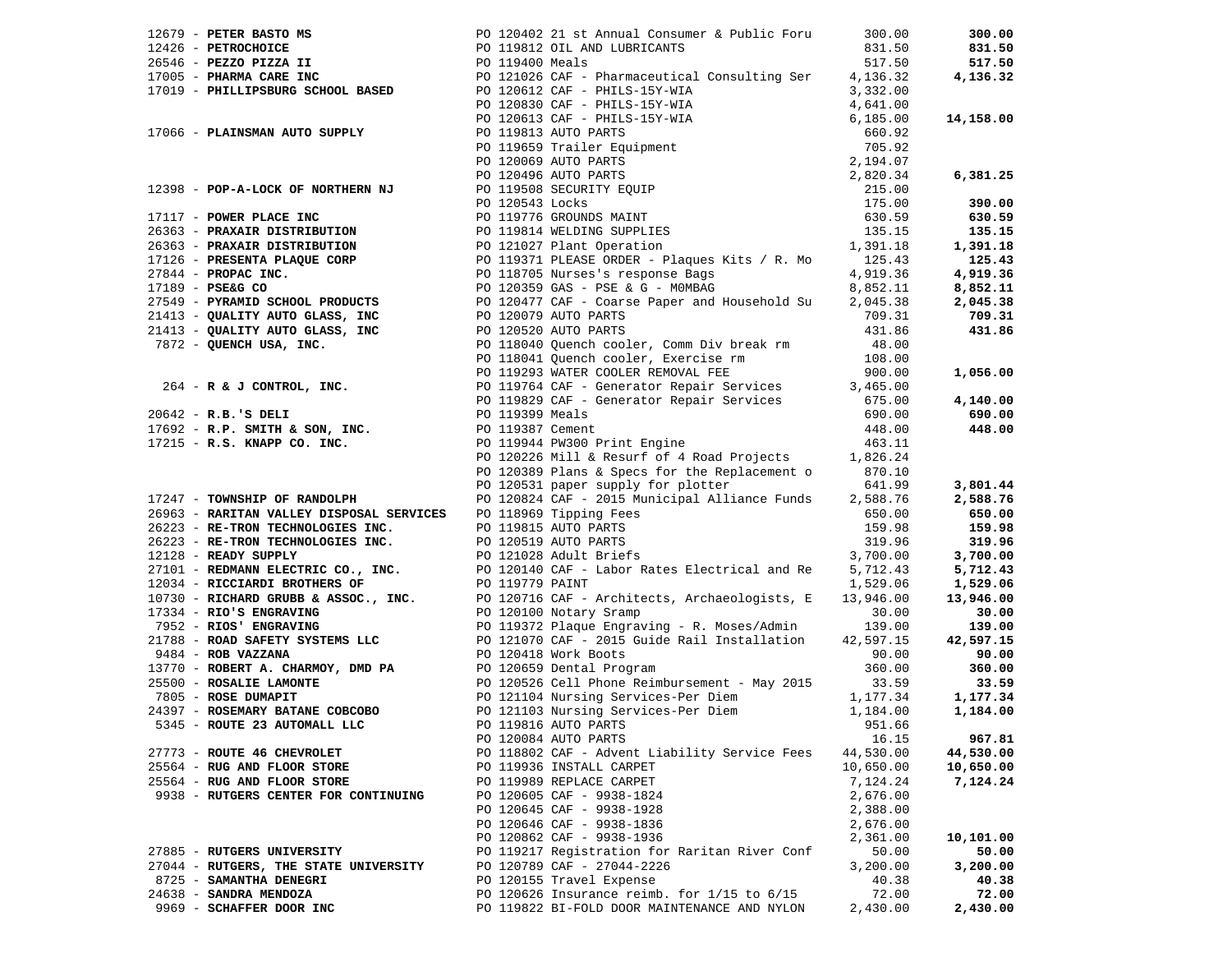|                             |                                       | 17979 <b>PETRIMANYON NOTO 2000-02</b> 13 a ABUNDAI CORRUNAL DEVICE PRESS, 200,000<br>17925 <b>PETROCHESICA II</b> PO 119413 011, 400 1194812011<br>17913 <b>PRIMERIMANYON DEVICE II</b> PO 119413 011, 400 1194812011<br>17913 <b>PRIMERIMANY AUTO S</b> |           |           |
|-----------------------------|---------------------------------------|----------------------------------------------------------------------------------------------------------------------------------------------------------------------------------------------------------------------------------------------------------|-----------|-----------|
|                             |                                       |                                                                                                                                                                                                                                                          |           |           |
|                             |                                       |                                                                                                                                                                                                                                                          |           | 650.00    |
|                             |                                       |                                                                                                                                                                                                                                                          |           | 159.98    |
|                             |                                       |                                                                                                                                                                                                                                                          |           | 319.96    |
|                             |                                       | 17247 - TOWNSHIP OF RANDOLPH<br>2693 - RARTYAN VALLEY DISPOSAL SERVICES PO 118989 Tipping Fees<br>2693 - RARTYAN VALLEY DISPOSAL SERVICES PO 119815 AUTO PARTS<br>26223 - RE-TRON TECHNOLOGIES INC. PO 12059 AUTO PARTS<br>159.98 15<br>                 |           | 3,700.00  |
|                             |                                       |                                                                                                                                                                                                                                                          |           | 5,712.43  |
|                             |                                       |                                                                                                                                                                                                                                                          |           | 1,529.06  |
|                             |                                       |                                                                                                                                                                                                                                                          |           | 13,946.00 |
|                             |                                       |                                                                                                                                                                                                                                                          |           | 30.00     |
|                             |                                       |                                                                                                                                                                                                                                                          |           | 139.00    |
|                             |                                       |                                                                                                                                                                                                                                                          |           | 42,597.15 |
|                             |                                       |                                                                                                                                                                                                                                                          |           | 90.00     |
|                             |                                       |                                                                                                                                                                                                                                                          |           | 360.00    |
|                             |                                       |                                                                                                                                                                                                                                                          |           | 33.59     |
|                             |                                       |                                                                                                                                                                                                                                                          |           | 1,177.34  |
|                             |                                       |                                                                                                                                                                                                                                                          |           | 1,184.00  |
|                             |                                       |                                                                                                                                                                                                                                                          |           |           |
|                             |                                       | PO 120084 AUTO PARTS                                                                                                                                                                                                                                     | 16.15     | 967.81    |
| 27773 - ROUTE 46 CHEVROLET  |                                       | PO 118802 CAF - Advent Liability Service Fees                                                                                                                                                                                                            | 44,530.00 | 44,530.00 |
| 25564 - RUG AND FLOOR STORE |                                       | PO 119936 INSTALL CARPET                                                                                                                                                                                                                                 | 10,650.00 | 10,650.00 |
| 25564 - RUG AND FLOOR STORE |                                       | PO 119989 REPLACE CARPET                                                                                                                                                                                                                                 | 7,124.24  | 7,124.24  |
|                             | 9938 - RUTGERS CENTER FOR CONTINUING  | PO 120605 CAF - 9938-1824                                                                                                                                                                                                                                | 2,676.00  |           |
|                             |                                       | PO 120645 CAF - 9938-1928                                                                                                                                                                                                                                | 2,388.00  |           |
|                             |                                       | PO 120646 CAF - 9938-1836                                                                                                                                                                                                                                | 2,676.00  |           |
|                             |                                       | PO 120862 CAF - 9938-1936                                                                                                                                                                                                                                | 2,361.00  | 10,101.00 |
| 27885 - RUTGERS UNIVERSITY  |                                       | PO 119217 Registration for Raritan River Conf                                                                                                                                                                                                            | 50.00     | 50.00     |
|                             | 27044 - RUTGERS, THE STATE UNIVERSITY | PO 120789 CAF - 27044-2226                                                                                                                                                                                                                               | 3,200.00  | 3,200.00  |
| 8725 - SAMANTHA DENEGRI     |                                       | PO 120155 Travel Expense                                                                                                                                                                                                                                 | 40.38     | 40.38     |
| 24638 - SANDRA MENDOZA      |                                       | PO 120626 Insurance reimb. for $1/15$ to $6/15$                                                                                                                                                                                                          | 72.00     | 72.00     |
| 9969 - SCHAFFER DOOR INC    |                                       | PO 119822 BI-FOLD DOOR MAINTENANCE AND NYLON                                                                                                                                                                                                             | 2,430.00  | 2,430.00  |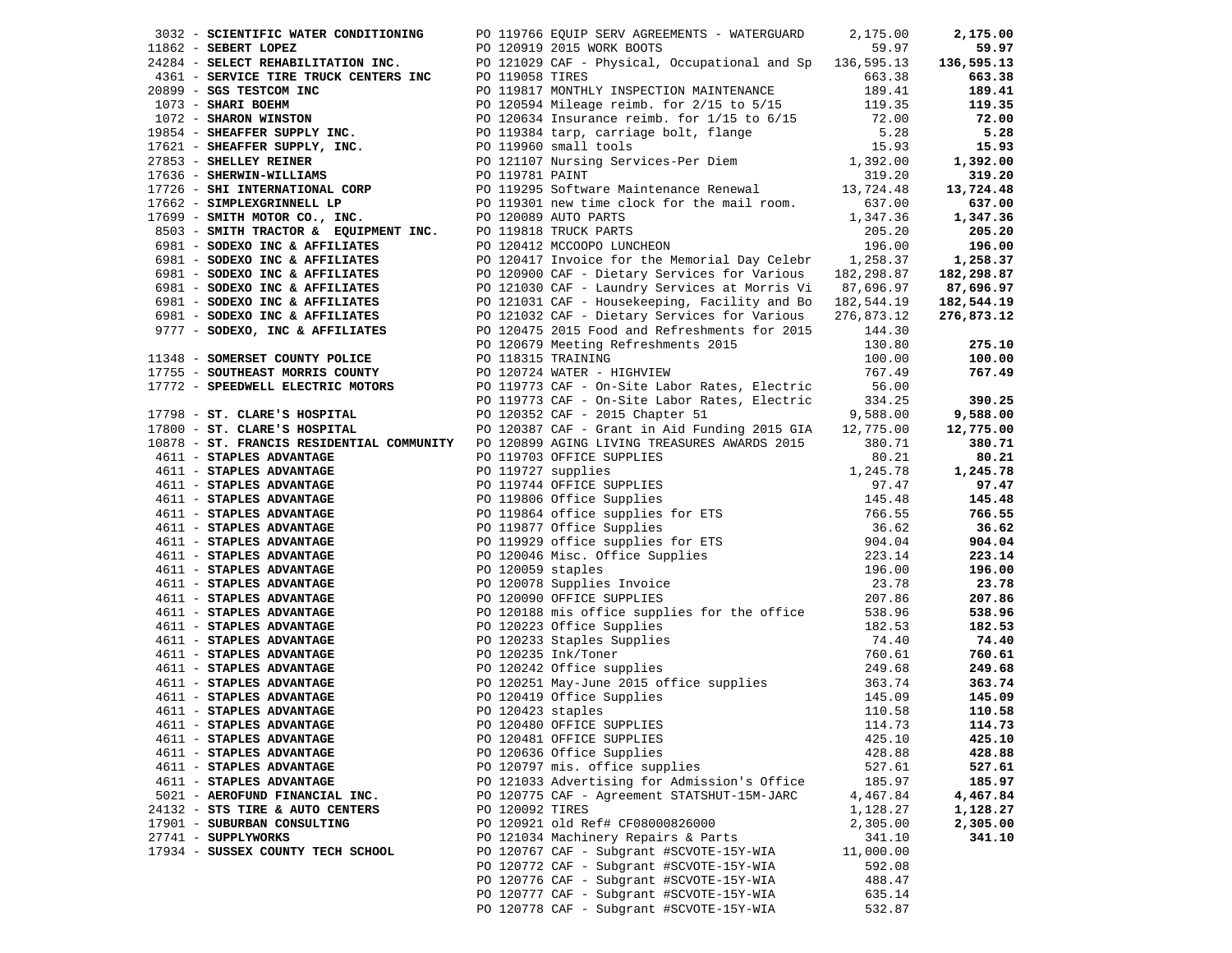| 3032 - SCIENTIFIC WATER CONDITIONING<br>1962 - SCIENTIFY WATER CONDITIONING PO 119765 EQUIP SERVADERENTS - WATERGUARD 2,175.00<br>11662 - SEBERT LOPEZ TRE TRUCK CRYPERS INC PO 1210919 2015 WORK BOOTS<br>2013 - SERVICE TIRE TRUCK CRYPERS INC PO 119058 TRES<br>2019 - S |                 | PO 119766 EQUIP SERV AGREEMENTS - WATERGUARD            | 2,175.00  | 2,175.00   |
|-----------------------------------------------------------------------------------------------------------------------------------------------------------------------------------------------------------------------------------------------------------------------------|-----------------|---------------------------------------------------------|-----------|------------|
|                                                                                                                                                                                                                                                                             |                 |                                                         |           | 59.97      |
|                                                                                                                                                                                                                                                                             |                 |                                                         |           | 136,595.13 |
|                                                                                                                                                                                                                                                                             |                 |                                                         |           | 663.38     |
|                                                                                                                                                                                                                                                                             |                 |                                                         |           | 189.41     |
|                                                                                                                                                                                                                                                                             |                 |                                                         |           | 119.35     |
|                                                                                                                                                                                                                                                                             |                 |                                                         |           | 72.00      |
|                                                                                                                                                                                                                                                                             |                 |                                                         |           | 5.28       |
|                                                                                                                                                                                                                                                                             |                 |                                                         |           | 15.93      |
|                                                                                                                                                                                                                                                                             |                 |                                                         |           | 1,392.00   |
|                                                                                                                                                                                                                                                                             |                 |                                                         |           | 319.20     |
|                                                                                                                                                                                                                                                                             |                 |                                                         |           | 13,724.48  |
|                                                                                                                                                                                                                                                                             |                 |                                                         |           | 637.00     |
|                                                                                                                                                                                                                                                                             |                 |                                                         |           | 1,347.36   |
|                                                                                                                                                                                                                                                                             |                 |                                                         |           | 205.20     |
|                                                                                                                                                                                                                                                                             |                 |                                                         |           | 196.00     |
|                                                                                                                                                                                                                                                                             |                 |                                                         |           | 1,258.37   |
|                                                                                                                                                                                                                                                                             |                 |                                                         |           | 182,298.87 |
|                                                                                                                                                                                                                                                                             |                 |                                                         |           | 87,696.97  |
|                                                                                                                                                                                                                                                                             |                 |                                                         |           | 182,544.19 |
|                                                                                                                                                                                                                                                                             |                 |                                                         |           | 276,873.12 |
|                                                                                                                                                                                                                                                                             |                 |                                                         |           |            |
|                                                                                                                                                                                                                                                                             |                 |                                                         |           | 275.10     |
| 11348 - SOMERSET COUNTY POLICE<br>17755 - SOUTHEAST MORRIS COUNTY<br>17772 - SPEEDWELL ELECTRIC MOTORS<br>17772 - SPEEDWELL ELECTRIC MOTORS<br>234.25<br>234.25<br>234.25<br>234.25<br>234.25<br>234.25                                                                     |                 |                                                         |           | 100.00     |
|                                                                                                                                                                                                                                                                             |                 |                                                         |           | 767.49     |
|                                                                                                                                                                                                                                                                             |                 |                                                         |           |            |
|                                                                                                                                                                                                                                                                             |                 |                                                         |           | 390.25     |
|                                                                                                                                                                                                                                                                             |                 | PO 120352 CAF - 2015 Chapter 51                         | 9,588.00  | 9,588.00   |
| 17798 - ST. CLARE'S HOSPITAL<br>17800 - ST. CLARE'S HOSPITAL                                                                                                                                                                                                                |                 | PO 120387 CAF - Grant in Aid Funding 2015 GIA 12,775.00 |           | 12,775.00  |
| 10878 - ST. FRANCIS RESIDENTIAL COMMUNITY PO 120899 AGING LIVING TREASURES AWARDS 2015                                                                                                                                                                                      |                 |                                                         | 380.71    | 380.71     |
|                                                                                                                                                                                                                                                                             |                 |                                                         |           | 80.21      |
|                                                                                                                                                                                                                                                                             |                 |                                                         |           | 1,245.78   |
|                                                                                                                                                                                                                                                                             |                 |                                                         |           | 97.47      |
|                                                                                                                                                                                                                                                                             |                 |                                                         |           | 145.48     |
|                                                                                                                                                                                                                                                                             |                 |                                                         |           | 766.55     |
|                                                                                                                                                                                                                                                                             |                 |                                                         |           | 36.62      |
|                                                                                                                                                                                                                                                                             |                 |                                                         |           | 904.04     |
|                                                                                                                                                                                                                                                                             |                 |                                                         |           | 223.14     |
|                                                                                                                                                                                                                                                                             |                 |                                                         |           | 196.00     |
|                                                                                                                                                                                                                                                                             |                 |                                                         |           | 23.78      |
|                                                                                                                                                                                                                                                                             |                 |                                                         |           | 207.86     |
|                                                                                                                                                                                                                                                                             |                 |                                                         |           | 538.96     |
|                                                                                                                                                                                                                                                                             |                 |                                                         |           | 182.53     |
|                                                                                                                                                                                                                                                                             |                 |                                                         |           | 74.40      |
|                                                                                                                                                                                                                                                                             |                 |                                                         |           | 760.61     |
|                                                                                                                                                                                                                                                                             |                 |                                                         |           | 249.68     |
|                                                                                                                                                                                                                                                                             |                 |                                                         |           | 363.74     |
|                                                                                                                                                                                                                                                                             |                 |                                                         |           | 145.09     |
|                                                                                                                                                                                                                                                                             |                 |                                                         |           | 110.58     |
| 4611 - STAPLES ADVANTAGE                                                                                                                                                                                                                                                    |                 | PO 120480 OFFICE SUPPLIES<br>114.73                     |           | 114.73     |
| 4611 - STAPLES ADVANTAGE                                                                                                                                                                                                                                                    |                 | PO 120481 OFFICE SUPPLIES                               | 425.10    | 425.10     |
| 4611 - STAPLES ADVANTAGE                                                                                                                                                                                                                                                    |                 | PO 120636 Office Supplies                               | 428.88    | 428.88     |
| 4611 - STAPLES ADVANTAGE                                                                                                                                                                                                                                                    |                 | PO 120797 mis. office supplies                          | 527.61    | 527.61     |
| 4611 - STAPLES ADVANTAGE                                                                                                                                                                                                                                                    |                 | PO 121033 Advertising for Admission's Office            | 185.97    | 185.97     |
|                                                                                                                                                                                                                                                                             |                 | PO 120775 CAF - Agreement STATSHUT-15M-JARC             | 4,467.84  |            |
| 5021 - AEROFUND FINANCIAL INC.                                                                                                                                                                                                                                              | PO 120092 TIRES |                                                         |           | 4,467.84   |
| 24132 - STS TIRE & AUTO CENTERS                                                                                                                                                                                                                                             |                 |                                                         | 1,128.27  | 1,128.27   |
| 17901 - SUBURBAN CONSULTING                                                                                                                                                                                                                                                 |                 | PO 120921 old Ref# CF08000826000                        | 2,305.00  | 2,305.00   |
| 27741 - SUPPLYWORKS                                                                                                                                                                                                                                                         |                 | PO 121034 Machinery Repairs & Parts                     | 341.10    | 341.10     |
| 17934 - SUSSEX COUNTY TECH SCHOOL                                                                                                                                                                                                                                           |                 | PO 120767 CAF - Subgrant #SCVOTE-15Y-WIA                | 11,000.00 |            |
|                                                                                                                                                                                                                                                                             |                 | PO 120772 CAF - Subgrant #SCVOTE-15Y-WIA                | 592.08    |            |
|                                                                                                                                                                                                                                                                             |                 | PO 120776 CAF - Subgrant #SCVOTE-15Y-WIA                | 488.47    |            |
|                                                                                                                                                                                                                                                                             |                 | PO 120777 CAF - Subgrant #SCVOTE-15Y-WIA                | 635.14    |            |
|                                                                                                                                                                                                                                                                             |                 | PO 120778 CAF - Subgrant #SCVOTE-15Y-WIA                | 532.87    |            |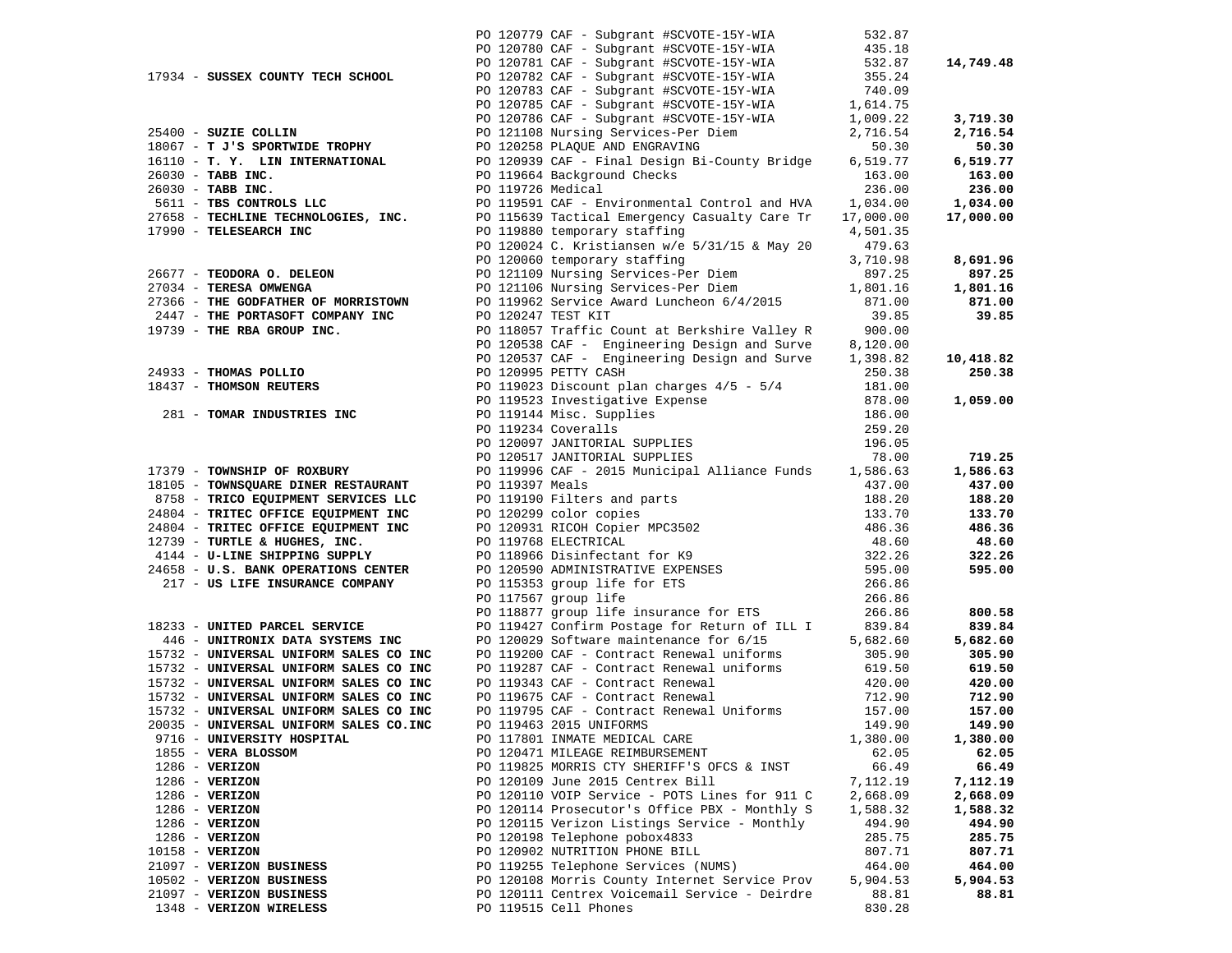|                                                                                                                                                                                                                                        |                   | PO 120779 CAF - Subgrant #SCVOTE-15Y-WIA                                                                                                                                                                                                            | 532.87                                      |                    |
|----------------------------------------------------------------------------------------------------------------------------------------------------------------------------------------------------------------------------------------|-------------------|-----------------------------------------------------------------------------------------------------------------------------------------------------------------------------------------------------------------------------------------------------|---------------------------------------------|--------------------|
|                                                                                                                                                                                                                                        |                   | PO 120780 CAF - Subgrant #SCVOTE-15Y-WIA                                                                                                                                                                                                            | $435.18$<br>$532.87$<br>$355.24$            |                    |
|                                                                                                                                                                                                                                        |                   | PO 120781 CAF - Subgrant #SCVOTE-15Y-WIA<br>PO 120782 CAF - Subgrant #SCVOTE-15Y-WIA                                                                                                                                                                |                                             | 14,749.48          |
| 17934 - SUSSEX COUNTY TECH SCHOOL                                                                                                                                                                                                      |                   |                                                                                                                                                                                                                                                     |                                             |                    |
|                                                                                                                                                                                                                                        |                   | PO 120783 CAF - Subgrant #SCVOTE-15Y-WIA 740.09<br>PO 120785 CAF - Subgrant #SCVOTE-15Y-WIA 1,614.75                                                                                                                                                |                                             |                    |
|                                                                                                                                                                                                                                        |                   |                                                                                                                                                                                                                                                     |                                             |                    |
|                                                                                                                                                                                                                                        |                   | PO 120786 CAF - Subgrant #SCVOTE-15Y-WIA 1,009.22<br>PO 121108 Nursing Services-Per Diem 2,716.54<br>PO 120258 PLAQUE AND ENGRAVING 50.30<br>PO 120939 CAF - Final Design Bi-County Bridge 6,519.77                                                 |                                             | 3,719.30           |
| 25400 - SUZIE COLLIN                                                                                                                                                                                                                   |                   |                                                                                                                                                                                                                                                     |                                             | 2,716.54           |
| 18067 - T J'S SPORTWIDE TROPHY                                                                                                                                                                                                         |                   | PO 120258 PLAQUE AND ENGRAVING<br>PO 120939 CAF - Final Design B:                                                                                                                                                                                   |                                             | 50.30              |
| 16110 - T. Y. LIN INTERNATIONAL                                                                                                                                                                                                        |                   |                                                                                                                                                                                                                                                     |                                             | 6,519.77           |
| 26030 - TABB INC.<br>26030 - TABB INC.                                                                                                                                                                                                 | PO 119726 Medical | PO 119664 Background Checks                                                                                                                                                                                                                         | 163.00<br>236.00                            | 163.00<br>236.00   |
| 5611 - TBS CONTROLS LLC                                                                                                                                                                                                                |                   | PO 119591 CAF - Environmental Control and HVA 1,034.00                                                                                                                                                                                              |                                             | 1,034.00           |
| 5611 - TBS CONTROLS LLC<br>27658 - TECHLINE TECHNOLOGIES, INC.                                                                                                                                                                         |                   | PO 115639 Tactical Emergency Casualty Care Tr                                                                                                                                                                                                       | 17,000.00                                   | 17,000.00          |
| 17990 - TELESEARCH INC                                                                                                                                                                                                                 |                   | PO 119880 temporary staffing                                                                                                                                                                                                                        | 4,501.35                                    |                    |
|                                                                                                                                                                                                                                        |                   | PO 120024 C. Kristiansen w/e 5/31/15 & May 20                                                                                                                                                                                                       | 479.63                                      |                    |
|                                                                                                                                                                                                                                        |                   | PO 120060 temporary staffing                                                                                                                                                                                                                        | 3,710.98                                    | 8,691.96           |
| 26677 - TEODORA O. DELEON                                                                                                                                                                                                              |                   | PO 121109 Nursing Services-Per Diem                                                                                                                                                                                                                 | 897.25                                      | 897.25             |
| 27034 - TERESA OMWENGA                                                                                                                                                                                                                 |                   | PO 121106 Nursing Services-Per Diem<br>PO 119962 Service Award Luncheon 6/4/2015                                                                                                                                                                    | 1,801.16                                    | 1,801.16           |
| 27366 - THE GODFATHER OF MORRISTOWN                                                                                                                                                                                                    |                   |                                                                                                                                                                                                                                                     | 871.00                                      | 871.00             |
| 2447 - THE PORTASOFT COMPANY INC 200120247 TEST KIT 39.85<br>19739 - THE RBA GROUP INC. PO 118057 Traffic Count at Berkshire Valley R 39.00<br>20538 CAF - Engineering Design and Surve 3,120.00<br>20537 CAF - Engineering Design and |                   |                                                                                                                                                                                                                                                     |                                             | 39.85              |
| 19739 - THE RBA GROUP INC.                                                                                                                                                                                                             |                   |                                                                                                                                                                                                                                                     |                                             |                    |
|                                                                                                                                                                                                                                        |                   |                                                                                                                                                                                                                                                     |                                             |                    |
|                                                                                                                                                                                                                                        |                   |                                                                                                                                                                                                                                                     |                                             | 10,418.82          |
| 24933 - THOMAS POLLIO                                                                                                                                                                                                                  |                   |                                                                                                                                                                                                                                                     | 250.38                                      | 250.38             |
| 18437 - THOMSON REUTERS                                                                                                                                                                                                                |                   | PO 120995 PETTY CASH<br>PO 119023 Discount plan charges 4/5 - 5/4<br>PO 119523 Investigative Expense<br>PO 119144 Misc. Supplies<br>PO 119234 Coveralls<br>PO 120097 JANITORIAL SUPPLIES<br>PO 120097 JANITORIAL SUPPLIES<br>PO 120517 JANITORIAL S | 181.00                                      |                    |
|                                                                                                                                                                                                                                        |                   |                                                                                                                                                                                                                                                     | 878.00<br>186.00                            | 1,059.00           |
| 281 - TOMAR INDUSTRIES INC                                                                                                                                                                                                             |                   |                                                                                                                                                                                                                                                     |                                             |                    |
|                                                                                                                                                                                                                                        |                   |                                                                                                                                                                                                                                                     | 259.20<br>196.05                            |                    |
|                                                                                                                                                                                                                                        |                   |                                                                                                                                                                                                                                                     | 78.00                                       | 719.25             |
| 17379 - TOWNSHIP OF ROXBURY                                                                                                                                                                                                            |                   | PO 119996 CAF - 2015 Municipal Alliance Funds 1,586.63                                                                                                                                                                                              |                                             | 1,586.63           |
| 17379 - TOWNSHIP OF ROADON:<br>18105 - TOWNSQUARE DINER RESTAURANT<br>10000 - TRICO FOUTDMENT SERVICES LLC                                                                                                                             | PO 119397 Meals   |                                                                                                                                                                                                                                                     | 437.00                                      | 437.00             |
|                                                                                                                                                                                                                                        |                   | PO 119397 Meals<br>PO 119190 Filters and parts<br>PO 120299 color copies<br>PO 120931 RICOH Copier MPC3502<br>PO 119768 ELECTRICAL<br>PO 118966 Disinfectant for K9                                                                                 | 188.20                                      | 188.20             |
| 24804 - TRITEC OFFICE EQUIPMENT INC                                                                                                                                                                                                    |                   |                                                                                                                                                                                                                                                     |                                             | 133.70             |
| 24804 - TRITEC OFFICE EQUIPMENT INC                                                                                                                                                                                                    |                   |                                                                                                                                                                                                                                                     | 133.70<br>486.36                            | 486.36             |
| 12739 - TURTLE & HUGHES, INC.                                                                                                                                                                                                          |                   |                                                                                                                                                                                                                                                     | $48.60$<br>$322.26$<br>$595.00$<br>$266.86$ | 48.60              |
| 4144 - U-LINE SHIPPING SUPPLY                                                                                                                                                                                                          |                   |                                                                                                                                                                                                                                                     |                                             | 322.26             |
| 24658 - U.S. BANK OPERATIONS CENTER                                                                                                                                                                                                    |                   |                                                                                                                                                                                                                                                     |                                             | 595.00             |
| 217 - US LIFE INSURANCE COMPANY                                                                                                                                                                                                        |                   |                                                                                                                                                                                                                                                     |                                             |                    |
|                                                                                                                                                                                                                                        |                   | PO 120590 ADMINISTRATIVE EXPENSES<br>PO 115353 group life for ETS<br>PO 117567 group life<br>PO 118877 group life insurance for ETS                                                                                                                 | 266.86                                      |                    |
|                                                                                                                                                                                                                                        |                   |                                                                                                                                                                                                                                                     | 266.86                                      | 800.58             |
| 18233 - UNITED PARCEL SERVICE<br>446 - UNITRONIX DATA SYSTEMS INC                                                                                                                                                                      |                   | PO 119427 Confirm Postage for Return of ILL I 839.84<br>PO 120029 Software maintenance for 6/15                                                                                                                                                     | 5,682.60                                    | 839.84             |
| 15732 - UNIVERSAL UNIFORM SALES CO INC                                                                                                                                                                                                 |                   | PO 119200 CAF - Contract Renewal uniforms                                                                                                                                                                                                           | 305.90                                      | 5,682.60<br>305.90 |
| 15732 - UNIVERSAL UNIFORM SALES CO INC                                                                                                                                                                                                 |                   | PO 119287 CAF - Contract Renewal uniforms                                                                                                                                                                                                           | 619.50                                      | 619.50             |
| 15732 - UNIVERSAL UNIFORM SALES CO INC                                                                                                                                                                                                 |                   |                                                                                                                                                                                                                                                     | 420.00                                      | 420.00             |
| 15732 - UNIVERSAL UNIFORM SALES CO INC                                                                                                                                                                                                 |                   | PO 119343 CAF - Contract Renewal<br>PO 119675 CAF - Contract Renewal                                                                                                                                                                                | 712.90                                      | 712.90             |
| 15732 - UNIVERSAL UNIFORM SALES CO INC                                                                                                                                                                                                 |                   | PO 119795 CAF - Contract Renewal Uniforms                                                                                                                                                                                                           | 157.00                                      | 157.00             |
| 20035 - UNIVERSAL UNIFORM SALES CO.INC                                                                                                                                                                                                 |                   | PO 119463 2015 UNIFORMS                                                                                                                                                                                                                             | 149.90                                      | 149.90             |
| 9716 - UNIVERSITY HOSPITAL                                                                                                                                                                                                             |                   | PO 117801 INMATE MEDICAL CARE                                                                                                                                                                                                                       | 1,380.00                                    | 1,380.00           |
| 1855 - VERA BLOSSOM                                                                                                                                                                                                                    |                   | PO 120471 MILEAGE REIMBURSEMENT                                                                                                                                                                                                                     | 62.05                                       | 62.05              |
| $1286 - VERIZON$                                                                                                                                                                                                                       |                   | PO 119825 MORRIS CTY SHERIFF'S OFCS & INST                                                                                                                                                                                                          | 66.49                                       | 66.49              |
| $1286 - VERIZON$                                                                                                                                                                                                                       |                   | PO 120109 June 2015 Centrex Bill                                                                                                                                                                                                                    | 7,112.19                                    | 7,112.19           |
| $1286 - VERIZON$                                                                                                                                                                                                                       |                   | PO 120110 VOIP Service - POTS Lines for 911 C                                                                                                                                                                                                       | 2,668.09                                    | 2,668.09           |
| $1286$ - VERIZON                                                                                                                                                                                                                       |                   | PO 120114 Prosecutor's Office PBX - Monthly S                                                                                                                                                                                                       | 1,588.32                                    | 1,588.32           |
| $1286$ - VERIZON<br>$1286$ - VERIZON                                                                                                                                                                                                   |                   | PO 120115 Verizon Listings Service - Monthly<br>PO 120198 Telephone pobox4833                                                                                                                                                                       | 494.90                                      | 494.90<br>285.75   |
| $10158 - VERIZON$                                                                                                                                                                                                                      |                   | PO 120902 NUTRITION PHONE BILL                                                                                                                                                                                                                      | 285.75<br>807.71                            | 807.71             |
| 21097 - VERIZON BUSINESS                                                                                                                                                                                                               |                   | PO 119255 Telephone Services (NUMS)                                                                                                                                                                                                                 | 464.00                                      | 464.00             |
| 10502 - VERIZON BUSINESS                                                                                                                                                                                                               |                   | PO 120108 Morris County Internet Service Prov                                                                                                                                                                                                       | 5,904.53                                    | 5,904.53           |
| 21097 - VERIZON BUSINESS                                                                                                                                                                                                               |                   | PO 120111 Centrex Voicemail Service - Deirdre                                                                                                                                                                                                       | 88.81                                       | 88.81              |
| 1348 - VERIZON WIRELESS                                                                                                                                                                                                                |                   | PO 119515 Cell Phones                                                                                                                                                                                                                               | 830.28                                      |                    |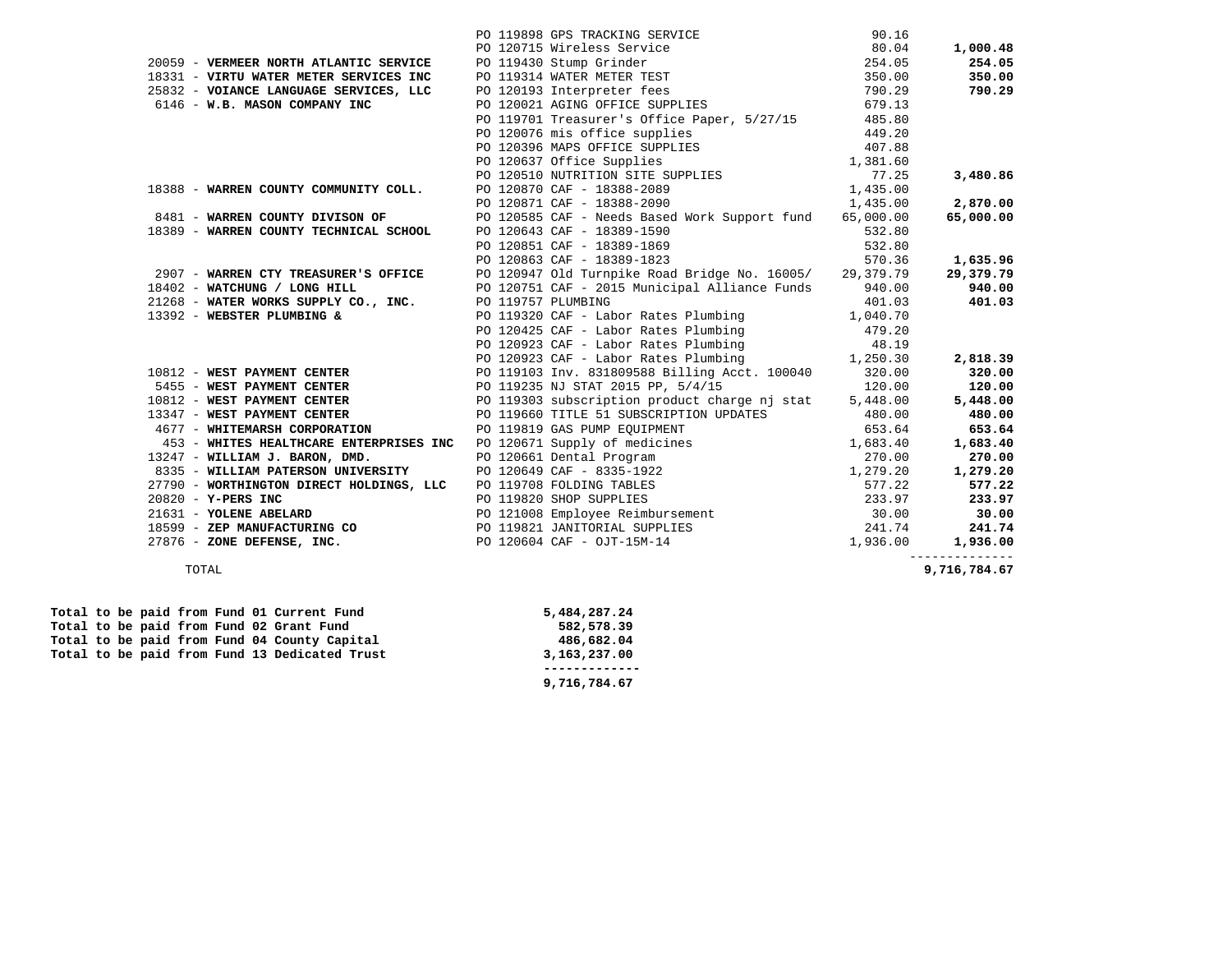|                                                                   | PO 119898 GPS TRACKING SERVICE 90.16<br>PO 120715 Wireless Service 80.04<br>PO 120715 Wireless Service 80.04<br>PO 119430 Stump Grinder 254.05<br>25832 - <b>VOIANCE LANGUAGE SERVICES, LLC</b> PO 119314 WATER METER TEST 350.00<br>25832 -                                 |        |                |
|-------------------------------------------------------------------|------------------------------------------------------------------------------------------------------------------------------------------------------------------------------------------------------------------------------------------------------------------------------|--------|----------------|
|                                                                   |                                                                                                                                                                                                                                                                              |        | 1,000.48       |
|                                                                   |                                                                                                                                                                                                                                                                              |        | 254.05         |
|                                                                   |                                                                                                                                                                                                                                                                              |        | 350.00         |
|                                                                   |                                                                                                                                                                                                                                                                              |        | 790.29         |
|                                                                   |                                                                                                                                                                                                                                                                              |        |                |
|                                                                   | PO 119701 Treasurer's Office Paper, 5/27/15 485.80                                                                                                                                                                                                                           |        |                |
|                                                                   | 18388 - WARREN COUNTY COMMUNITY COLL.<br>18388 - WARREN COUNTY COMMUNITY COLL.<br>2012050 MARREN COUNTY COMMUNITY COLL.<br>2012057 Office Supplies<br>20120570 CAF - 18388-2099<br>2.870.00<br>2.870.00<br>2.870.00<br>2.870.00<br>2.870.00<br>2.8                           |        |                |
|                                                                   |                                                                                                                                                                                                                                                                              |        |                |
|                                                                   |                                                                                                                                                                                                                                                                              |        |                |
|                                                                   |                                                                                                                                                                                                                                                                              |        |                |
|                                                                   |                                                                                                                                                                                                                                                                              |        |                |
|                                                                   |                                                                                                                                                                                                                                                                              |        |                |
|                                                                   | 8481 - WARREN COUNTY DIVISON OF PO 120585 CAF - Needs Based Work Support fund 65,000.00                                                                                                                                                                                      |        | 65,000.00      |
| 18389 - WARREN COUNTY TECHNICAL SCHOOL PO 120643 CAF - 18389-1590 |                                                                                                                                                                                                                                                                              |        |                |
|                                                                   |                                                                                                                                                                                                                                                                              |        |                |
|                                                                   | PO 120643 CAF - 18389-1590 532.80<br>PO 120851 CAF - 18389-1869 532.80<br>PO 120863 CAF - 18389-1823 570.36<br>PO 120863 CAF - 18389-1823                                                                                                                                    | 570.36 | 1,635.96       |
|                                                                   | 2907 - WARREN CTY TREASURER'S OFFICE PO 120947 Old Turnpike Road Bridge No. 16005/29,379.79<br>18402 - WATCHUNG / LONG HILL PO 120751 CAF - 2015 Municipal Alliance Funds 940.00                                                                                             |        | 29,379.79      |
| 18402 - WATCHUNG / LONG HILL                                      |                                                                                                                                                                                                                                                                              |        | 940.00         |
|                                                                   |                                                                                                                                                                                                                                                                              |        |                |
|                                                                   |                                                                                                                                                                                                                                                                              |        |                |
|                                                                   |                                                                                                                                                                                                                                                                              |        |                |
|                                                                   |                                                                                                                                                                                                                                                                              |        |                |
|                                                                   |                                                                                                                                                                                                                                                                              |        |                |
|                                                                   |                                                                                                                                                                                                                                                                              |        |                |
|                                                                   |                                                                                                                                                                                                                                                                              |        |                |
|                                                                   |                                                                                                                                                                                                                                                                              |        |                |
|                                                                   |                                                                                                                                                                                                                                                                              |        |                |
|                                                                   |                                                                                                                                                                                                                                                                              |        |                |
|                                                                   |                                                                                                                                                                                                                                                                              |        |                |
|                                                                   |                                                                                                                                                                                                                                                                              |        |                |
|                                                                   |                                                                                                                                                                                                                                                                              |        |                |
|                                                                   |                                                                                                                                                                                                                                                                              |        |                |
|                                                                   |                                                                                                                                                                                                                                                                              |        |                |
|                                                                   |                                                                                                                                                                                                                                                                              |        |                |
|                                                                   |                                                                                                                                                                                                                                                                              |        |                |
|                                                                   | 18402 <b>- WATCHUNG / LONG HILL</b><br>21268 <b>- WATCHUNG / LONG HILL</b><br>21268 <b>- WATCHUNG 2126 CONG HILL</b><br>21332 <b>- WESPIENT CO., INC.</b><br>21332 <b>- WESPIENT CO., INC.</b><br>21332 <b>- WESPIENT DEVIENT CO., INC.</b><br>2261392 <b>- WESPIENT DEV</b> |        |                |
|                                                                   |                                                                                                                                                                                                                                                                              |        | -------------- |

TOTAL **9,716,784.67** 

|  |  |  |  | Total to be paid from Fund 01 Current Fund    | 5,484,287.24 |
|--|--|--|--|-----------------------------------------------|--------------|
|  |  |  |  | Total to be paid from Fund 02 Grant Fund      | 582,578.39   |
|  |  |  |  | Total to be paid from Fund 04 County Capital  | 486,682.04   |
|  |  |  |  | Total to be paid from Fund 13 Dedicated Trust | 3,163,237.00 |
|  |  |  |  |                                               |              |
|  |  |  |  |                                               | 9,716,784.67 |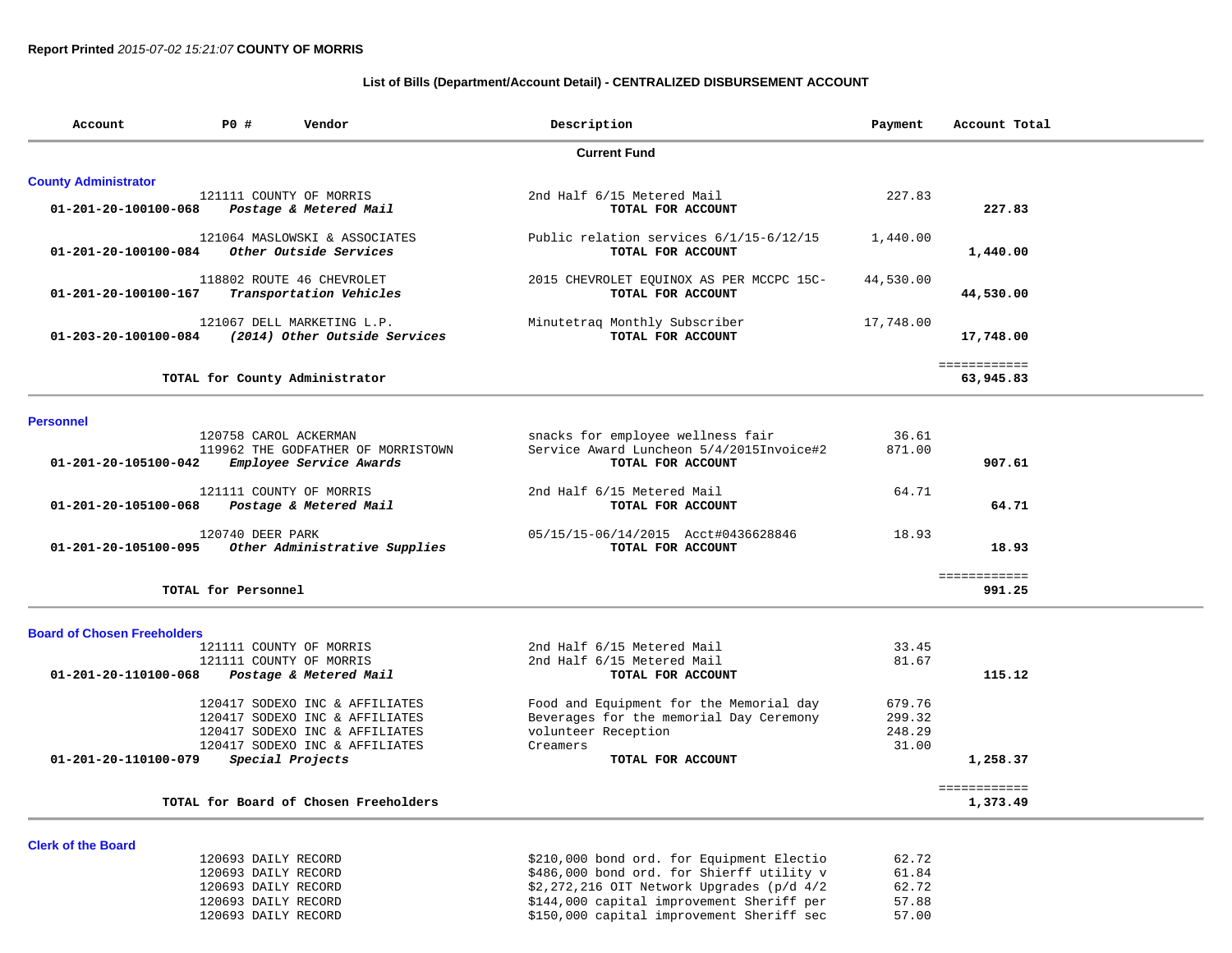# **List of Bills (Department/Account Detail) - CENTRALIZED DISBURSEMENT ACCOUNT**

| Account                            | <b>PO #</b><br>Vendor                             | Description                                                                            | Payment   | Account Total            |
|------------------------------------|---------------------------------------------------|----------------------------------------------------------------------------------------|-----------|--------------------------|
|                                    |                                                   | <b>Current Fund</b>                                                                    |           |                          |
| <b>County Administrator</b>        |                                                   |                                                                                        |           |                          |
|                                    | 121111 COUNTY OF MORRIS                           | 2nd Half 6/15 Metered Mail                                                             | 227.83    |                          |
| 01-201-20-100100-068               | Postage & Metered Mail                            | TOTAL FOR ACCOUNT                                                                      |           | 227.83                   |
|                                    | 121064 MASLOWSKI & ASSOCIATES                     | Public relation services 6/1/15-6/12/15                                                | 1,440.00  |                          |
| 01-201-20-100100-084               | Other Outside Services                            | TOTAL FOR ACCOUNT                                                                      |           | 1,440.00                 |
|                                    | 118802 ROUTE 46 CHEVROLET                         | 2015 CHEVROLET EQUINOX AS PER MCCPC 15C-                                               | 44,530.00 |                          |
| 01-201-20-100100-167               | Transportation Vehicles                           | TOTAL FOR ACCOUNT                                                                      |           | 44,530.00                |
|                                    | 121067 DELL MARKETING L.P.                        | Minutetraq Monthly Subscriber                                                          | 17,748.00 |                          |
| 01-203-20-100100-084               | (2014) Other Outside Services                     | TOTAL FOR ACCOUNT                                                                      |           | 17,748.00                |
|                                    |                                                   |                                                                                        |           | ============             |
|                                    | TOTAL for County Administrator                    |                                                                                        |           | 63,945.83                |
|                                    |                                                   |                                                                                        |           |                          |
| <b>Personnel</b>                   | 120758 CAROL ACKERMAN                             | snacks for employee wellness fair                                                      | 36.61     |                          |
|                                    | 119962 THE GODFATHER OF MORRISTOWN                | Service Award Luncheon 5/4/2015Invoice#2                                               | 871.00    |                          |
| 01-201-20-105100-042               | Employee Service Awards                           | TOTAL FOR ACCOUNT                                                                      |           | 907.61                   |
|                                    |                                                   |                                                                                        |           |                          |
| 01-201-20-105100-068               | 121111 COUNTY OF MORRIS<br>Postage & Metered Mail | 2nd Half 6/15 Metered Mail<br>TOTAL FOR ACCOUNT                                        | 64.71     | 64.71                    |
|                                    |                                                   |                                                                                        |           |                          |
|                                    | 120740 DEER PARK                                  | 05/15/15-06/14/2015 Acct#0436628846                                                    | 18.93     |                          |
| 01-201-20-105100-095               | Other Administrative Supplies                     | TOTAL FOR ACCOUNT                                                                      |           | 18.93                    |
|                                    | TOTAL for Personnel                               |                                                                                        |           | ============<br>991.25   |
|                                    |                                                   |                                                                                        |           |                          |
| <b>Board of Chosen Freeholders</b> |                                                   |                                                                                        |           |                          |
|                                    | 121111 COUNTY OF MORRIS                           | 2nd Half 6/15 Metered Mail                                                             | 33.45     |                          |
|                                    | 121111 COUNTY OF MORRIS                           | 2nd Half 6/15 Metered Mail                                                             | 81.67     |                          |
| 01-201-20-110100-068               | Postage & Metered Mail                            | TOTAL FOR ACCOUNT                                                                      |           | 115.12                   |
|                                    | 120417 SODEXO INC & AFFILIATES                    | Food and Equipment for the Memorial day                                                | 679.76    |                          |
|                                    | 120417 SODEXO INC & AFFILIATES                    | Beverages for the memorial Day Ceremony                                                | 299.32    |                          |
|                                    | 120417 SODEXO INC & AFFILIATES                    | volunteer Reception                                                                    | 248.29    |                          |
|                                    | 120417 SODEXO INC & AFFILIATES                    | Creamers                                                                               | 31.00     |                          |
| 01-201-20-110100-079               | Special Projects                                  | TOTAL FOR ACCOUNT                                                                      |           | 1,258.37                 |
|                                    | TOTAL for Board of Chosen Freeholders             |                                                                                        |           | ============<br>1,373.49 |
|                                    |                                                   |                                                                                        |           |                          |
| <b>Clerk of the Board</b>          |                                                   |                                                                                        | 62.72     |                          |
|                                    | 120693 DAILY RECORD<br>120693 DAILY RECORD        | \$210,000 bond ord. for Equipment Electio<br>\$486,000 bond ord. for Shierff utility v | 61.84     |                          |
|                                    |                                                   |                                                                                        |           |                          |

 120693 DAILY RECORD \$2,272,216 OIT Network Upgrades (p/d 4/2 62.72 120693 DAILY RECORD \$144,000 capital improvement Sheriff per 57.88 120693 DAILY RECORD \$150,000 capital improvement Sheriff sec 57.00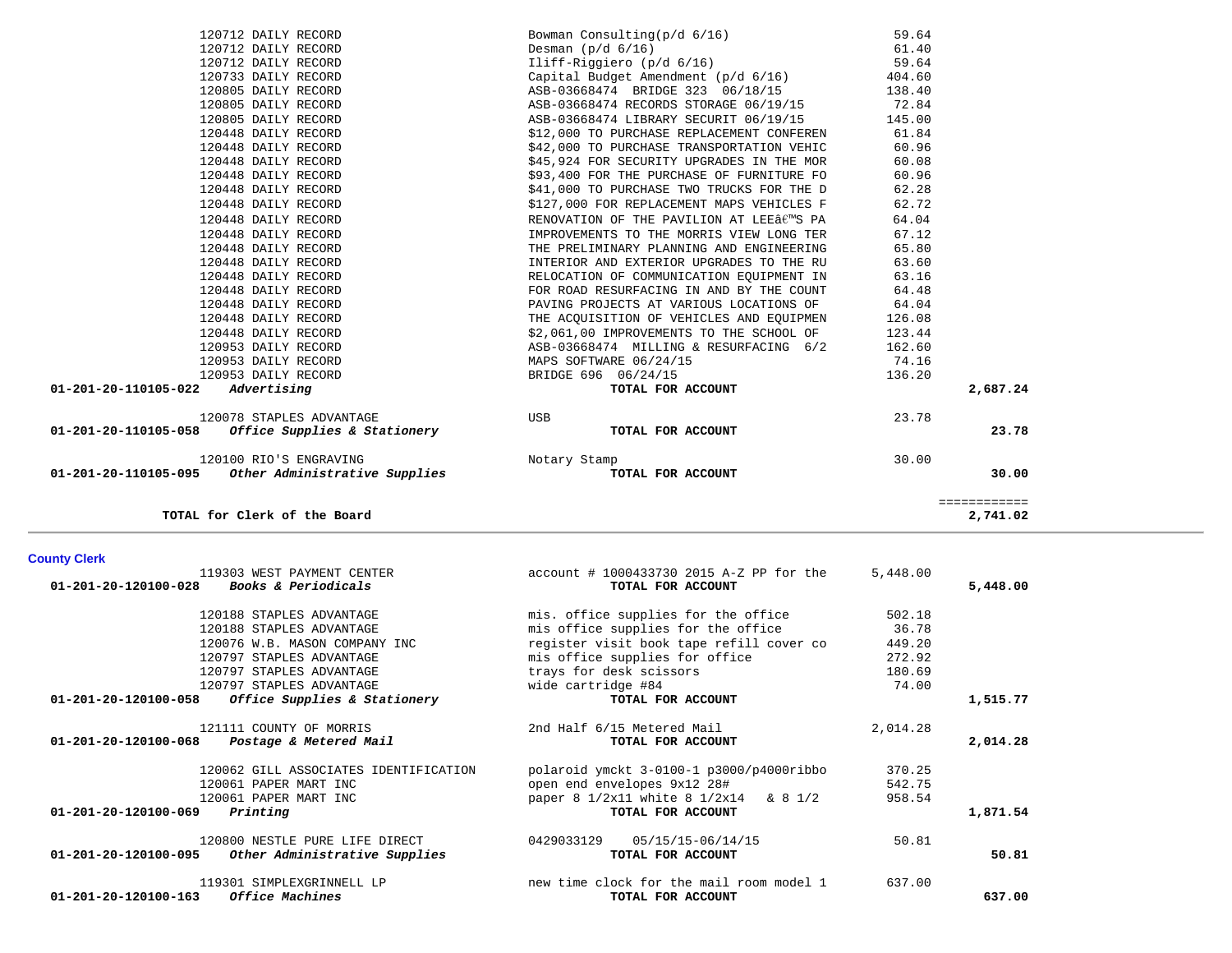| <b>County Clerk</b>                                                                            |                                                                 |          |          |
|------------------------------------------------------------------------------------------------|-----------------------------------------------------------------|----------|----------|
| 119303 WEST PAYMENT CENTER<br>$01 - 201 - 20 - 120100 - 028$<br><b>Books &amp; Periodicals</b> | $account # 1000433730 2015 A-Z PP for the$<br>TOTAL FOR ACCOUNT | 5,448.00 | 5,448.00 |
| 120188 STAPLES ADVANTAGE                                                                       | mis. office supplies for the office                             | 502.18   |          |
| 120188 STAPLES ADVANTAGE                                                                       | mis office supplies for the office                              | 36.78    |          |
| 120076 W.B. MASON COMPANY INC                                                                  | register visit book tape refill cover co                        | 449.20   |          |
| 120797 STAPLES ADVANTAGE                                                                       | mis office supplies for office                                  | 272.92   |          |
| 120797 STAPLES ADVANTAGE                                                                       | trays for desk scissors                                         | 180.69   |          |
| 120797 STAPLES ADVANTAGE                                                                       | wide cartridge #84                                              | 74.00    |          |
| Office Supplies & Stationery<br>01-201-20-120100-058                                           | TOTAL FOR ACCOUNT                                               |          | 1,515.77 |
| 121111 COUNTY OF MORRIS                                                                        | 2nd Half 6/15 Metered Mail                                      | 2,014.28 |          |
| $01 - 201 - 20 - 120100 - 068$<br>Postage & Metered Mail                                       | TOTAL FOR ACCOUNT                                               |          | 2,014.28 |
| 120062 GILL ASSOCIATES IDENTIFICATION                                                          | polaroid ymckt 3-0100-1 p3000/p4000ribbo                        | 370.25   |          |
| 120061 PAPER MART INC                                                                          | open end envelopes 9x12 28#                                     | 542.75   |          |
| 120061 PAPER MART INC                                                                          | paper 8 1/2x11 white 8 1/2x14 & 8 1/2                           | 958.54   |          |
| 01-201-20-120100-069<br>Printing                                                               | TOTAL FOR ACCOUNT                                               |          | 1,871.54 |
| 120800 NESTLE PURE LIFE DIRECT                                                                 | 05/15/15-06/14/15<br>0429033129                                 | 50.81    |          |
| 01-201-20-120100-095<br>Other Administrative Supplies                                          | TOTAL FOR ACCOUNT                                               |          | 50.81    |
| 119301 SIMPLEXGRINNELL LP                                                                      | new time clock for the mail room model 1                        | 637.00   |          |
| 01-201-20-120100-163<br>Office Machines                                                        | TOTAL FOR ACCOUNT                                               |          | 637.00   |

**TOTAL for Clerk of the Board 2,741.02**

| 01-201-20-110105-058<br>Office Supplies & Stationery | TOTAL FOR ACCOUNT                        |        | 23.78    |
|------------------------------------------------------|------------------------------------------|--------|----------|
| 120078 STAPLES ADVANTAGE                             | USB                                      | 23.78  |          |
| 01-201-20-110105-022<br>Advertising                  | TOTAL FOR ACCOUNT                        |        | 2,687.24 |
| 120953 DAILY RECORD                                  | BRIDGE 696 06/24/15                      | 136.20 |          |
| 120953 DAILY RECORD                                  | MAPS SOFTWARE 06/24/15                   | 74.16  |          |
| 120953 DAILY RECORD                                  | ASB-03668474 MILLING & RESURFACING 6/2   | 162.60 |          |
| 120448 DAILY RECORD                                  | \$2,061,00 IMPROVEMENTS TO THE SCHOOL OF | 123.44 |          |
| 120448 DAILY RECORD                                  | THE ACOUISITION OF VEHICLES AND EOUIPMEN | 126.08 |          |
| 120448 DAILY RECORD                                  | PAVING PROJECTS AT VARIOUS LOCATIONS OF  | 64.04  |          |
| 120448 DAILY RECORD                                  | FOR ROAD RESURFACING IN AND BY THE COUNT | 64.48  |          |
| 120448 DAILY RECORD                                  | RELOCATION OF COMMUNICATION EOUIPMENT IN | 63.16  |          |
| 120448 DAILY RECORD                                  | INTERIOR AND EXTERIOR UPGRADES TO THE RU | 63.60  |          |
| 120448 DAILY RECORD                                  | THE PRELIMINARY PLANNING AND ENGINEERING | 65.80  |          |
| 120448 DAILY RECORD                                  | IMPROVEMENTS TO THE MORRIS VIEW LONG TER | 67.12  |          |
| 120448 DAILY RECORD                                  | RENOVATION OF THE PAVILION AT LEE€™S PA  | 64.04  |          |
|                                                      |                                          |        |          |

120100 RIO'S ENGRAVING Notary Stamp 30.00

 **01-201-20-110105-095** *Other Administrative Supplies* **TOTAL FOR ACCOUNT 30.00**

| 120712 DAILY RECORD                        | Bowman Consulting(p/d 6/16)                         | 59.64  |         |
|--------------------------------------------|-----------------------------------------------------|--------|---------|
| 120712 DAILY RECORD                        | Desman $(p/d 6/16)$                                 | 61.40  |         |
| 120712 DAILY RECORD                        | Iliff-Riggiero (p/d 6/16) 59.64                     |        |         |
| 120733 DAILY RECORD                        | Capital Budget Amendment (p/d 6/16)                 | 404.60 |         |
| 120805 DAILY RECORD                        | ASB-03668474 BRIDGE 323 06/18/15 138.40             |        |         |
| 120805 DAILY RECORD                        | ASB-03668474 RECORDS STORAGE 06/19/15 72.84         |        |         |
| 120805 DAILY RECORD                        | ASB-03668474 LIBRARY SECURIT 06/19/15 145.00        |        |         |
| 120448 DAILY RECORD                        | \$12,000 TO PURCHASE REPLACEMENT CONFEREN           | 61.84  |         |
| 120448 DAILY RECORD                        | \$42,000 TO PURCHASE TRANSPORTATION VEHIC           | 60.96  |         |
| 120448 DAILY RECORD                        | \$45,924 FOR SECURITY UPGRADES IN THE MOR           | 60.08  |         |
| 120448 DAILY RECORD                        | \$93,400 FOR THE PURCHASE OF FURNITURE FO           | 60.96  |         |
| 120448 DAILY RECORD                        | \$41,000 TO PURCHASE TWO TRUCKS FOR THE D           | 62.28  |         |
| 120448 DAILY RECORD                        | \$127,000 FOR REPLACEMENT MAPS VEHICLES F           | 62.72  |         |
| 120448 DAILY RECORD                        | RENOVATION OF THE PAVILION AT LEEÂ $\epsilon$ ms pa | 64.04  |         |
| 120448 DAILY RECORD                        | IMPROVEMENTS TO THE MORRIS VIEW LONG TER            | 67.12  |         |
| 120448 DAILY RECORD                        | THE PRELIMINARY PLANNING AND ENGINEERING            | 65.80  |         |
| 120448 DAILY RECORD                        | INTERIOR AND EXTERIOR UPGRADES TO THE RU            | 63.60  |         |
| 120448 DAILY RECORD                        | RELOCATION OF COMMUNICATION EQUIPMENT IN            | 63.16  |         |
| 120448 DAILY RECORD                        | FOR ROAD RESURFACING IN AND BY THE COUNT            | 64.48  |         |
| 120448 DAILY RECORD                        | PAVING PROJECTS AT VARIOUS LOCATIONS OF             | 64.04  |         |
| 120448 DAILY RECORD                        | THE ACQUISITION OF VEHICLES AND EQUIPMEN            | 126.08 |         |
| 120448 DAILY RECORD                        | \$2,061,00 IMPROVEMENTS TO THE SCHOOL OF            | 123.44 |         |
| 120953 DAILY RECORD                        | ASB-03668474 MILLING & RESURFACING 6/2              | 162.60 |         |
| 120953 DAILY RECORD                        | MAPS SOFTWARE 06/24/15                              | 74.16  |         |
| 120953 DAILY RECORD                        | BRIDGE 696 06/24/15                                 | 136.20 |         |
| $01 - 201 - 20 - 110105 - 022$ Advertising | TOTAL FOR ACCOUNT                                   |        | 2,687.2 |
| 120078 STAPLES ADVANTAGE                   | <b>TISR</b>                                         | 23 78  |         |

 ============ 2,741.02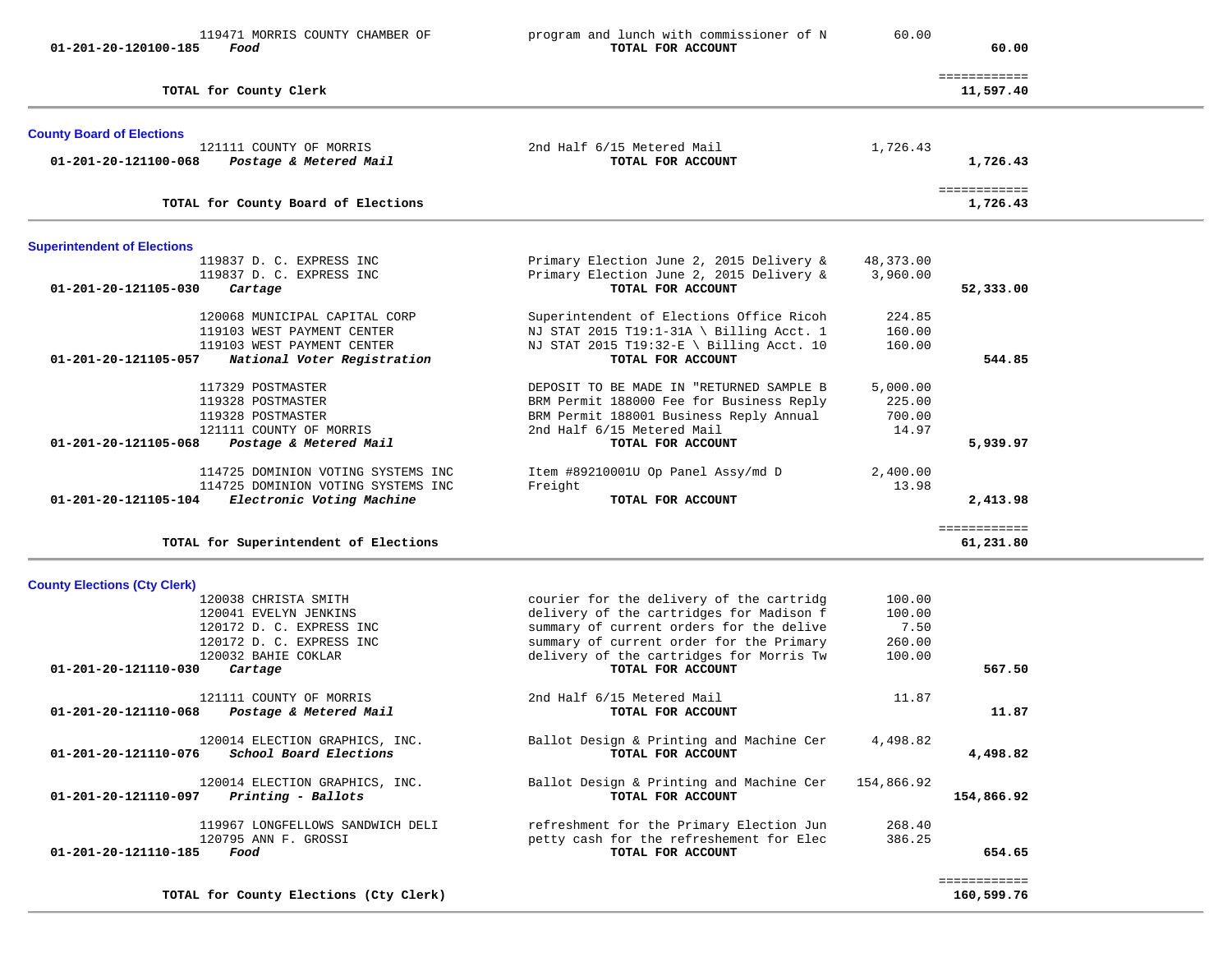| $01 - 201 - 20 - 120100 - 185$      | 119471 MORRIS COUNTY CHAMBER OF<br>Food                                                                                                 | program and lunch with commissioner of N<br>TOTAL FOR ACCOUNT                                                                                                                                                                                 | 60.00                                        | 60.00                     |  |
|-------------------------------------|-----------------------------------------------------------------------------------------------------------------------------------------|-----------------------------------------------------------------------------------------------------------------------------------------------------------------------------------------------------------------------------------------------|----------------------------------------------|---------------------------|--|
|                                     | TOTAL for County Clerk                                                                                                                  |                                                                                                                                                                                                                                               |                                              | ============<br>11,597.40 |  |
| <b>County Board of Elections</b>    | 121111 COUNTY OF MORRIS                                                                                                                 | 2nd Half 6/15 Metered Mail                                                                                                                                                                                                                    | 1,726.43                                     |                           |  |
| 01-201-20-121100-068                | Postage & Metered Mail                                                                                                                  | TOTAL FOR ACCOUNT                                                                                                                                                                                                                             |                                              | 1,726.43                  |  |
|                                     | TOTAL for County Board of Elections                                                                                                     |                                                                                                                                                                                                                                               |                                              | ============<br>1,726.43  |  |
| <b>Superintendent of Elections</b>  |                                                                                                                                         |                                                                                                                                                                                                                                               |                                              |                           |  |
| 01-201-20-121105-030                | 119837 D. C. EXPRESS INC<br>119837 D. C. EXPRESS INC<br>Cartage                                                                         | Primary Election June 2, 2015 Delivery &<br>Primary Election June 2, 2015 Delivery &<br>TOTAL FOR ACCOUNT                                                                                                                                     | 48,373.00<br>3,960.00                        | 52,333.00                 |  |
| 01-201-20-121105-057                | 120068 MUNICIPAL CAPITAL CORP<br>119103 WEST PAYMENT CENTER<br>119103 WEST PAYMENT CENTER<br>National Voter Registration                | Superintendent of Elections Office Ricoh<br>NJ STAT 2015 T19:1-31A \ Billing Acct. 1<br>NJ STAT 2015 T19:32-E \ Billing Acct. 10<br>TOTAL FOR ACCOUNT                                                                                         | 224.85<br>160.00<br>160.00                   | 544.85                    |  |
| $01 - 201 - 20 - 121105 - 068$      | 117329 POSTMASTER<br>119328 POSTMASTER<br>119328 POSTMASTER<br>121111 COUNTY OF MORRIS<br>Postage & Metered Mail                        | DEPOSIT TO BE MADE IN "RETURNED SAMPLE B<br>BRM Permit 188000 Fee for Business Reply<br>BRM Permit 188001 Business Reply Annual<br>2nd Half 6/15 Metered Mail<br>TOTAL FOR ACCOUNT                                                            | 5,000.00<br>225.00<br>700.00<br>14.97        | 5,939.97                  |  |
| 01-201-20-121105-104                | 114725 DOMINION VOTING SYSTEMS INC<br>114725 DOMINION VOTING SYSTEMS INC<br>Electronic Voting Machine                                   | Item #89210001U Op Panel Assy/md D<br>Freight<br>TOTAL FOR ACCOUNT                                                                                                                                                                            | 2,400.00<br>13.98                            | 2,413.98                  |  |
|                                     | TOTAL for Superintendent of Elections                                                                                                   |                                                                                                                                                                                                                                               |                                              | ============<br>61,231.80 |  |
| <b>County Elections (Cty Clerk)</b> |                                                                                                                                         |                                                                                                                                                                                                                                               |                                              |                           |  |
| 01-201-20-121110-030                | 120038 CHRISTA SMITH<br>120041 EVELYN JENKINS<br>120172 D. C. EXPRESS INC<br>120172 D. C. EXPRESS INC<br>120032 BAHIE COKLAR<br>Cartage | courier for the delivery of the cartridg<br>delivery of the cartridges for Madison f<br>summary of current orders for the delive<br>summary of current order for the Primary<br>delivery of the cartridges for Morris Tw<br>TOTAL FOR ACCOUNT | 100.00<br>100.00<br>7.50<br>260.00<br>100.00 | 567.50                    |  |
| 01-201-20-121110-068                | 121111 COUNTY OF MORRIS<br>Postage & Metered Mail                                                                                       | 2nd Half 6/15 Metered Mail<br>TOTAL FOR ACCOUNT                                                                                                                                                                                               | 11.87                                        | 11.87                     |  |
| 01-201-20-121110-076                | 120014 ELECTION GRAPHICS, INC.<br>School Board Elections                                                                                | Ballot Design & Printing and Machine Cer<br>TOTAL FOR ACCOUNT                                                                                                                                                                                 | 4,498.82                                     | 4,498.82                  |  |
| 01-201-20-121110-097                | 120014 ELECTION GRAPHICS, INC.<br>Printing - Ballots                                                                                    | Ballot Design & Printing and Machine Cer<br>TOTAL FOR ACCOUNT                                                                                                                                                                                 | 154,866.92                                   | 154,866.92                |  |
| 01-201-20-121110-185                | 119967 LONGFELLOWS SANDWICH DELI<br>120795 ANN F. GROSSI<br>Food                                                                        | refreshment for the Primary Election Jun<br>petty cash for the refreshement for Elec<br>TOTAL FOR ACCOUNT                                                                                                                                     | 268.40<br>386.25                             | 654.65                    |  |

**TOTAL for County Elections (Cty Clerk) 160,599.76**

 ============ ============<br>160,599.76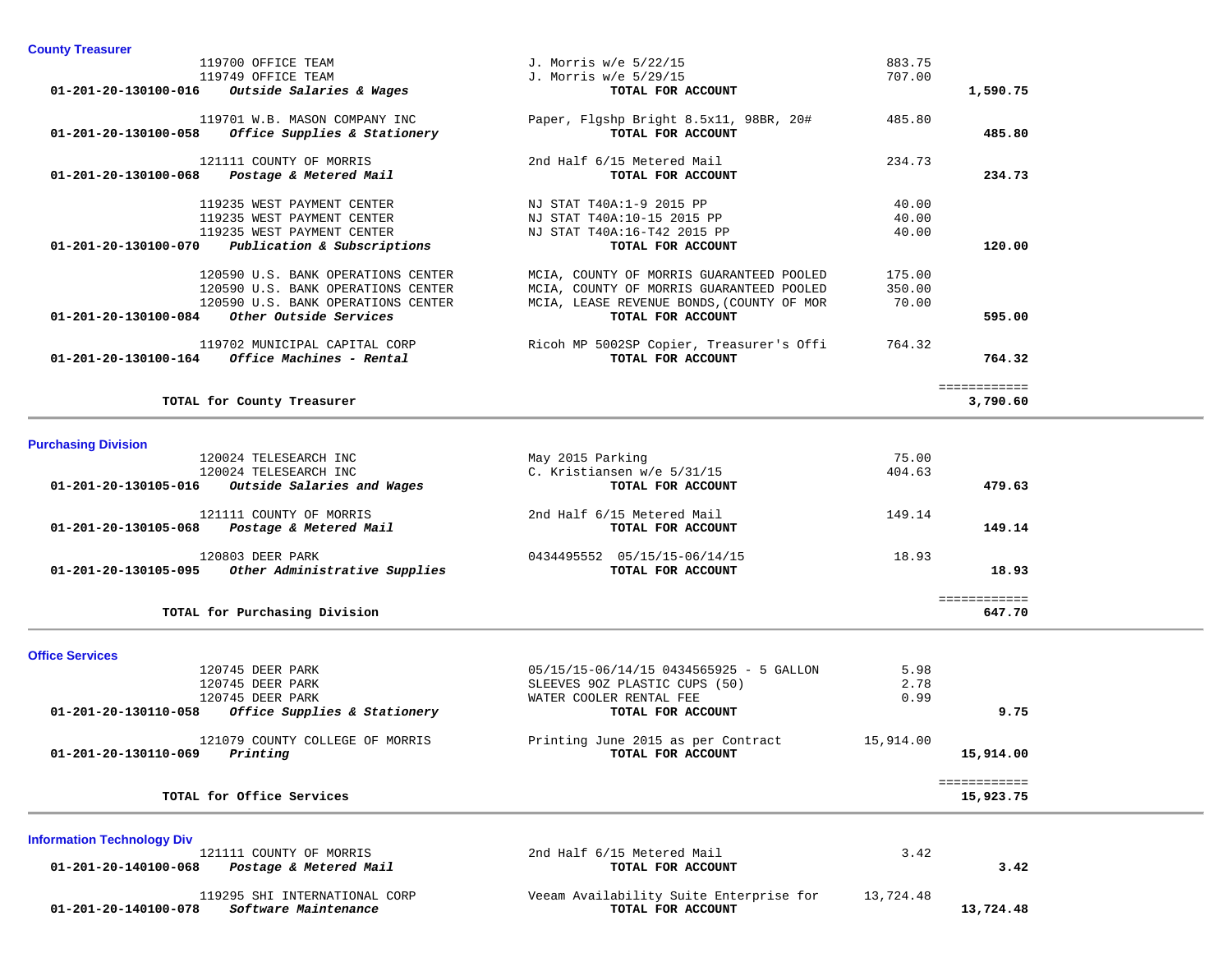| <b>County Treasurer</b>                                                   |                                                 |           |              |  |
|---------------------------------------------------------------------------|-------------------------------------------------|-----------|--------------|--|
| 119700 OFFICE TEAM                                                        | J. Morris w/e 5/22/15                           | 883.75    |              |  |
| 119749 OFFICE TEAM                                                        | J. Morris w/e 5/29/15                           | 707.00    |              |  |
| 01-201-20-130100-016<br>Outside Salaries & Wages                          | TOTAL FOR ACCOUNT                               |           | 1,590.75     |  |
| 119701 W.B. MASON COMPANY INC                                             | Paper, Flgshp Bright 8.5x11, 98BR, 20#          | 485.80    |              |  |
| $01-201-20-130100-058$ Office Supplies & Stationery                       | TOTAL FOR ACCOUNT                               |           | 485.80       |  |
|                                                                           |                                                 |           |              |  |
| 121111 COUNTY OF MORRIS<br>Postage & Metered Mail<br>01-201-20-130100-068 | 2nd Half 6/15 Metered Mail<br>TOTAL FOR ACCOUNT | 234.73    | 234.73       |  |
|                                                                           |                                                 |           |              |  |
| 119235 WEST PAYMENT CENTER                                                | NJ STAT T40A:1-9 2015 PP                        | 40.00     |              |  |
| 119235 WEST PAYMENT CENTER                                                | NJ STAT T40A:10-15 2015 PP                      | 40.00     |              |  |
| 119235 WEST PAYMENT CENTER                                                | NJ STAT T40A:16-T42 2015 PP                     | 40.00     |              |  |
| $01-201-20-130100-070$ Publication & Subscriptions                        | TOTAL FOR ACCOUNT                               |           | 120.00       |  |
|                                                                           |                                                 |           |              |  |
| 120590 U.S. BANK OPERATIONS CENTER                                        | MCIA, COUNTY OF MORRIS GUARANTEED POOLED        | 175.00    |              |  |
| 120590 U.S. BANK OPERATIONS CENTER                                        | MCIA, COUNTY OF MORRIS GUARANTEED POOLED        | 350.00    |              |  |
| 120590 U.S. BANK OPERATIONS CENTER                                        | MCIA, LEASE REVENUE BONDS, (COUNTY OF MOR       | 70.00     |              |  |
| 01-201-20-130100-084 Other Outside Services                               | TOTAL FOR ACCOUNT                               |           | 595.00       |  |
|                                                                           |                                                 |           |              |  |
| 119702 MUNICIPAL CAPITAL CORP                                             | Ricoh MP 5002SP Copier, Treasurer's Offi        | 764.32    |              |  |
| 01-201-20-130100-164 Office Machines - Rental                             | TOTAL FOR ACCOUNT                               |           | 764.32       |  |
|                                                                           |                                                 |           | ============ |  |
| TOTAL for County Treasurer                                                |                                                 |           | 3,790.60     |  |
|                                                                           |                                                 |           |              |  |
| <b>Purchasing Division</b>                                                |                                                 |           |              |  |
| 120024 TELESEARCH INC                                                     | May 2015 Parking                                | 75.00     |              |  |
| 120024 TELESEARCH INC                                                     | C. Kristiansen w/e 5/31/15                      | 404.63    |              |  |
| 01-201-20-130105-016 Outside Salaries and Wages                           | TOTAL FOR ACCOUNT                               |           | 479.63       |  |
|                                                                           |                                                 |           |              |  |
| 121111 COUNTY OF MORRIS                                                   | 2nd Half 6/15 Metered Mail                      | 149.14    |              |  |
| 01-201-20-130105-068 Postage & Metered Mail                               | TOTAL FOR ACCOUNT                               |           | 149.14       |  |
|                                                                           |                                                 | 18.93     |              |  |
| 120803 DEER PARK                                                          | 0434495552 05/15/15-06/14/15                    |           | 18.93        |  |
| 01-201-20-130105-095 Other Administrative Supplies                        | TOTAL FOR ACCOUNT                               |           |              |  |
|                                                                           |                                                 |           | ============ |  |
| TOTAL for Purchasing Division                                             |                                                 |           | 647.70       |  |
|                                                                           |                                                 |           |              |  |
| <b>Office Services</b>                                                    |                                                 |           |              |  |
| 120745 DEER PARK                                                          | 05/15/15-06/14/15 0434565925 - 5 GALLON         | 5.98      |              |  |
| 120745 DEER PARK                                                          | SLEEVES 90Z PLASTIC CUPS (50)                   | 2.78      |              |  |
| 120745 DEER PARK                                                          | WATER COOLER RENTAL FEE                         | 0.99      |              |  |
| 01-201-20-130110-058 Office Supplies & Stationery                         | TOTAL FOR ACCOUNT                               |           | 9.75         |  |
| 121079 COUNTY COLLEGE OF MORRIS                                           | Printing June 2015 as per Contract              | 15,914.00 |              |  |
| $01 - 201 - 20 - 130110 - 069$ Printing                                   | TOTAL FOR ACCOUNT                               |           | 15,914.00    |  |
|                                                                           |                                                 |           |              |  |
|                                                                           |                                                 |           | ============ |  |
| TOTAL for Office Services                                                 |                                                 |           | 15,923.75    |  |

# **Information Technology Div** 121111 COUNTY OF MORRIS 2nd Half 6/15 Metered Mail 3.42  **01-201-20-140100-068** *Postage & Metered Mail* **TOTAL FOR ACCOUNT 3.42** 119295 SHI INTERNATIONAL CORP Veeam Availability Suite Enterprise for 13,724.48<br>B Software Maintenance TOTAL FOR ACCOUNT  **01-201-20-140100-078** *Software Maintenance* **TOTAL FOR ACCOUNT 13,724.48**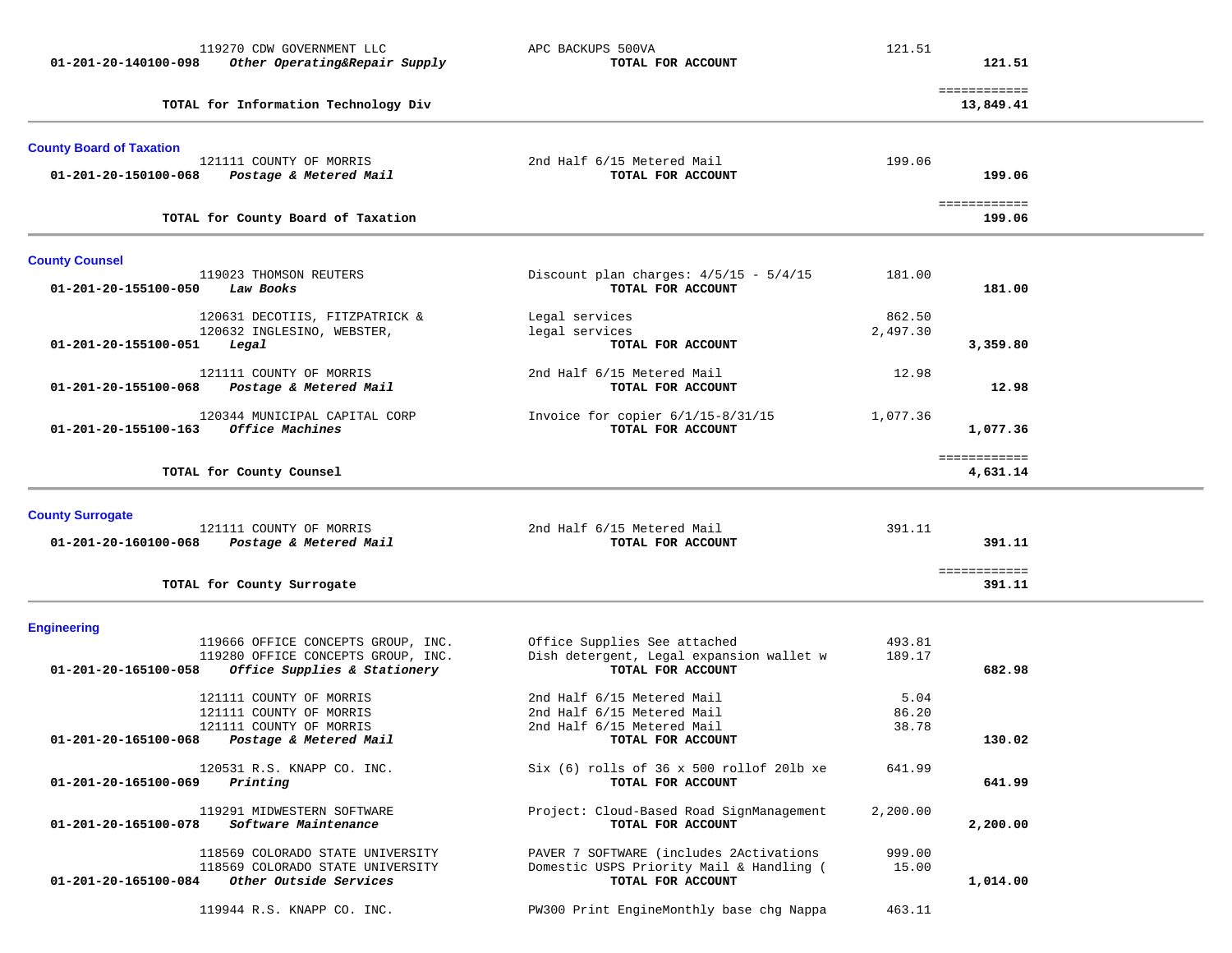| 01-201-20-140100-098                          | 119270 CDW GOVERNMENT LLC<br>Other Operating&Repair Supply                                               | APC BACKUPS 500VA<br>TOTAL FOR ACCOUNT                                                                      | 121.51                 | 121.51                    |  |
|-----------------------------------------------|----------------------------------------------------------------------------------------------------------|-------------------------------------------------------------------------------------------------------------|------------------------|---------------------------|--|
|                                               | TOTAL for Information Technology Div                                                                     |                                                                                                             |                        | ============<br>13,849.41 |  |
| <b>County Board of Taxation</b>               | 121111 COUNTY OF MORRIS                                                                                  | 2nd Half 6/15 Metered Mail<br>TOTAL FOR ACCOUNT                                                             | 199.06                 | 199.06                    |  |
| 01-201-20-150100-068                          | Postage & Metered Mail<br>TOTAL for County Board of Taxation                                             |                                                                                                             |                        | ============<br>199.06    |  |
|                                               |                                                                                                          |                                                                                                             |                        |                           |  |
| <b>County Counsel</b><br>01-201-20-155100-050 | 119023 THOMSON REUTERS<br>Law Books                                                                      | Discount plan charges: $4/5/15 - 5/4/15$<br>TOTAL FOR ACCOUNT                                               | 181.00                 | 181.00                    |  |
| 01-201-20-155100-051                          | 120631 DECOTIIS, FITZPATRICK &<br>120632 INGLESINO, WEBSTER,<br>Legal                                    | Legal services<br>legal services<br>TOTAL FOR ACCOUNT                                                       | 862.50<br>2,497.30     | 3,359.80                  |  |
| 01-201-20-155100-068                          | 121111 COUNTY OF MORRIS<br>Postage & Metered Mail                                                        | 2nd Half 6/15 Metered Mail<br>TOTAL FOR ACCOUNT                                                             | 12.98                  | 12.98                     |  |
| $01 - 201 - 20 - 155100 - 163$                | 120344 MUNICIPAL CAPITAL CORP<br>Office Machines                                                         | Invoice for copier $6/1/15-8/31/15$<br>TOTAL FOR ACCOUNT                                                    | 1,077.36               | 1,077.36                  |  |
|                                               | TOTAL for County Counsel                                                                                 |                                                                                                             |                        | ============<br>4,631.14  |  |
| <b>County Surrogate</b>                       |                                                                                                          |                                                                                                             |                        |                           |  |
| 01-201-20-160100-068                          | 121111 COUNTY OF MORRIS<br>Postage & Metered Mail                                                        | 2nd Half 6/15 Metered Mail<br>TOTAL FOR ACCOUNT                                                             | 391.11                 | 391.11                    |  |
|                                               | TOTAL for County Surrogate                                                                               |                                                                                                             |                        | ============<br>391.11    |  |
| <b>Engineering</b>                            |                                                                                                          |                                                                                                             |                        |                           |  |
| 01-201-20-165100-058                          | 119666 OFFICE CONCEPTS GROUP, INC.<br>119280 OFFICE CONCEPTS GROUP, INC.<br>Office Supplies & Stationery | Office Supplies See attached<br>Dish detergent, Legal expansion wallet w<br>TOTAL FOR ACCOUNT               | 493.81<br>189.17       | 682.98                    |  |
| 01-201-20-165100-068                          | 121111 COUNTY OF MORRIS<br>121111 COUNTY OF MORRIS<br>121111 COUNTY OF MORRIS<br>Postage & Metered Mail  | 2nd Half 6/15 Metered Mail<br>2nd Half 6/15 Metered Mail<br>2nd Half 6/15 Metered Mail<br>TOTAL FOR ACCOUNT | 5.04<br>86.20<br>38.78 | 130.02                    |  |
| 01-201-20-165100-069                          | 120531 R.S. KNAPP CO. INC.<br>Printing                                                                   | $Six (6) rolls of 36 x 500 rollof 20lb xe$<br>TOTAL FOR ACCOUNT                                             | 641.99                 | 641.99                    |  |
| 01-201-20-165100-078                          | 119291 MIDWESTERN SOFTWARE<br>Software Maintenance                                                       | Project: Cloud-Based Road SignManagement<br>TOTAL FOR ACCOUNT                                               | 2,200.00               | 2,200.00                  |  |
| 01-201-20-165100-084                          | 118569 COLORADO STATE UNIVERSITY<br>118569 COLORADO STATE UNIVERSITY<br>Other Outside Services           | PAVER 7 SOFTWARE (includes 2Activations<br>Domestic USPS Priority Mail & Handling (<br>TOTAL FOR ACCOUNT    | 999.00<br>15.00        | 1,014.00                  |  |
|                                               | 119944 R.S. KNAPP CO. INC.                                                                               | PW300 Print EngineMonthly base chg Nappa                                                                    | 463.11                 |                           |  |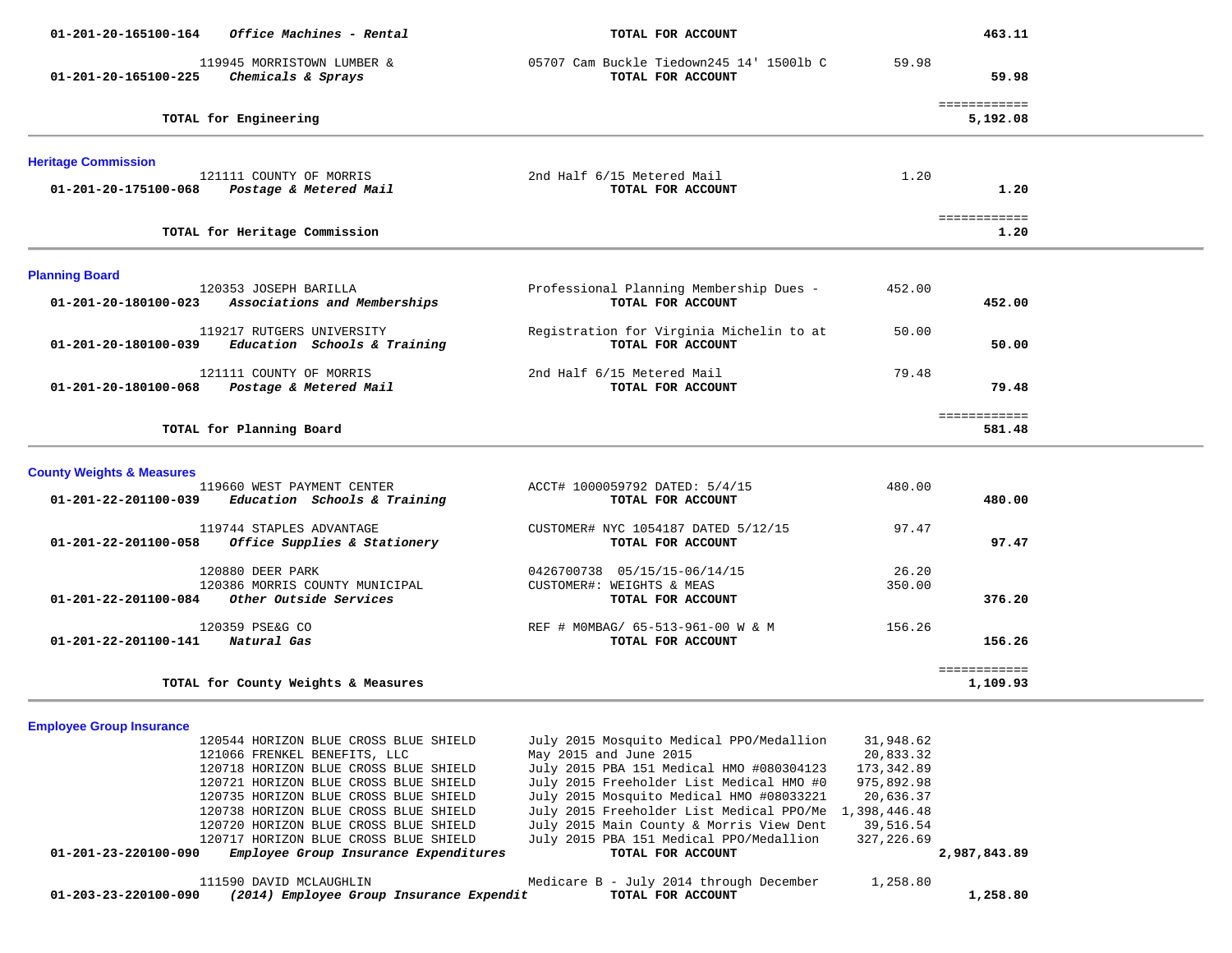| 01-201-20-165100-164                          | Office Machines - Rental                                                          | TOTAL FOR ACCOUNT                                             |                 | 463.11                   |  |
|-----------------------------------------------|-----------------------------------------------------------------------------------|---------------------------------------------------------------|-----------------|--------------------------|--|
| 01-201-20-165100-225                          | 119945 MORRISTOWN LUMBER &<br>Chemicals & Sprays                                  | 05707 Cam Buckle Tiedown245 14' 1500lb C<br>TOTAL FOR ACCOUNT | 59.98           | 59.98                    |  |
| TOTAL for Engineering                         |                                                                                   |                                                               |                 | ============<br>5,192.08 |  |
| <b>Heritage Commission</b>                    |                                                                                   |                                                               |                 |                          |  |
| 01-201-20-175100-068                          | 121111 COUNTY OF MORRIS<br>Postage & Metered Mail                                 | 2nd Half 6/15 Metered Mail<br>TOTAL FOR ACCOUNT               | 1.20            | 1.20                     |  |
|                                               | TOTAL for Heritage Commission                                                     |                                                               |                 | ============<br>1.20     |  |
| <b>Planning Board</b>                         |                                                                                   |                                                               |                 |                          |  |
| 01-201-20-180100-023                          | 120353 JOSEPH BARILLA<br>Associations and Memberships                             | Professional Planning Membership Dues -<br>TOTAL FOR ACCOUNT  | 452.00          | 452.00                   |  |
| 01-201-20-180100-039                          | 119217 RUTGERS UNIVERSITY<br>Education Schools & Training                         | Registration for Virginia Michelin to at<br>TOTAL FOR ACCOUNT | 50.00           | 50.00                    |  |
| 01-201-20-180100-068                          | 121111 COUNTY OF MORRIS<br>Postage & Metered Mail                                 | 2nd Half 6/15 Metered Mail<br>TOTAL FOR ACCOUNT               | 79.48           | 79.48                    |  |
|                                               | TOTAL for Planning Board                                                          |                                                               |                 | ============<br>581.48   |  |
| <b>County Weights &amp; Measures</b>          |                                                                                   |                                                               |                 |                          |  |
|                                               | 119660 WEST PAYMENT CENTER<br>$01-201-22-201100-039$ Education Schools & Training | ACCT# 1000059792 DATED: 5/4/15<br>TOTAL FOR ACCOUNT           | 480.00          | 480.00                   |  |
| 01-201-22-201100-058                          | 119744 STAPLES ADVANTAGE<br>Office Supplies & Stationery                          | CUSTOMER# NYC 1054187 DATED 5/12/15<br>TOTAL FOR ACCOUNT      | 97.47           | 97.47                    |  |
|                                               | 120880 DEER PARK<br>120386 MORRIS COUNTY MUNICIPAL                                | 0426700738 05/15/15-06/14/15<br>CUSTOMER#: WEIGHTS & MEAS     | 26.20<br>350.00 |                          |  |
| $01-201-22-201100-084$ Other Outside Services |                                                                                   | TOTAL FOR ACCOUNT                                             |                 | 376.20                   |  |
| 01-201-22-201100-141                          | 120359 PSE&G CO<br>Natural Gas                                                    | REF # MOMBAG/ 65-513-961-00 W & M<br>TOTAL FOR ACCOUNT        | 156.26          | 156.26                   |  |
|                                               | TOTAL for County Weights & Measures                                               |                                                               |                 | ============<br>1,109.93 |  |

**Employee Group Insurance** 

| 01-203-23-220100-090 | 111590 DAVID MCLAUGHLIN               |  | (2014) Employee Group Insurance Expendit |  | TOTAL FOR ACCOUNT      | Medicare B - July 2014 through December               | 1,258.80   | 1,258.80     |
|----------------------|---------------------------------------|--|------------------------------------------|--|------------------------|-------------------------------------------------------|------------|--------------|
|                      |                                       |  | Employee Group Insurance Expenditures    |  | TOTAL FOR ACCOUNT      |                                                       |            | 2,987,843.89 |
| 01-201-23-220100-090 |                                       |  |                                          |  |                        |                                                       |            |              |
|                      | 120717 HORIZON BLUE CROSS BLUE SHIELD |  |                                          |  |                        | July 2015 PBA 151 Medical PPO/Medallion               | 327,226.69 |              |
|                      | 120720 HORIZON BLUE CROSS BLUE SHIELD |  |                                          |  |                        | July 2015 Main County & Morris View Dent              | 39,516.54  |              |
|                      | 120738 HORIZON BLUE CROSS BLUE SHIELD |  |                                          |  |                        | July 2015 Freeholder List Medical PPO/Me 1,398,446.48 |            |              |
|                      | 120735 HORIZON BLUE CROSS BLUE SHIELD |  |                                          |  |                        | July 2015 Mosquito Medical HMO #08033221              | 20,636.37  |              |
|                      | 120721 HORIZON BLUE CROSS BLUE SHIELD |  |                                          |  |                        | July 2015 Freeholder List Medical HMO #0              | 975,892.98 |              |
|                      | 120718 HORIZON BLUE CROSS BLUE SHIELD |  |                                          |  |                        | July 2015 PBA 151 Medical HMO #080304123              | 173,342.89 |              |
|                      | 121066 FRENKEL BENEFITS, LLC          |  |                                          |  | May 2015 and June 2015 |                                                       | 20,833.32  |              |
|                      | 120544 HORIZON BLUE CROSS BLUE SHIELD |  |                                          |  |                        | July 2015 Mosquito Medical PPO/Medallion              | 31,948.62  |              |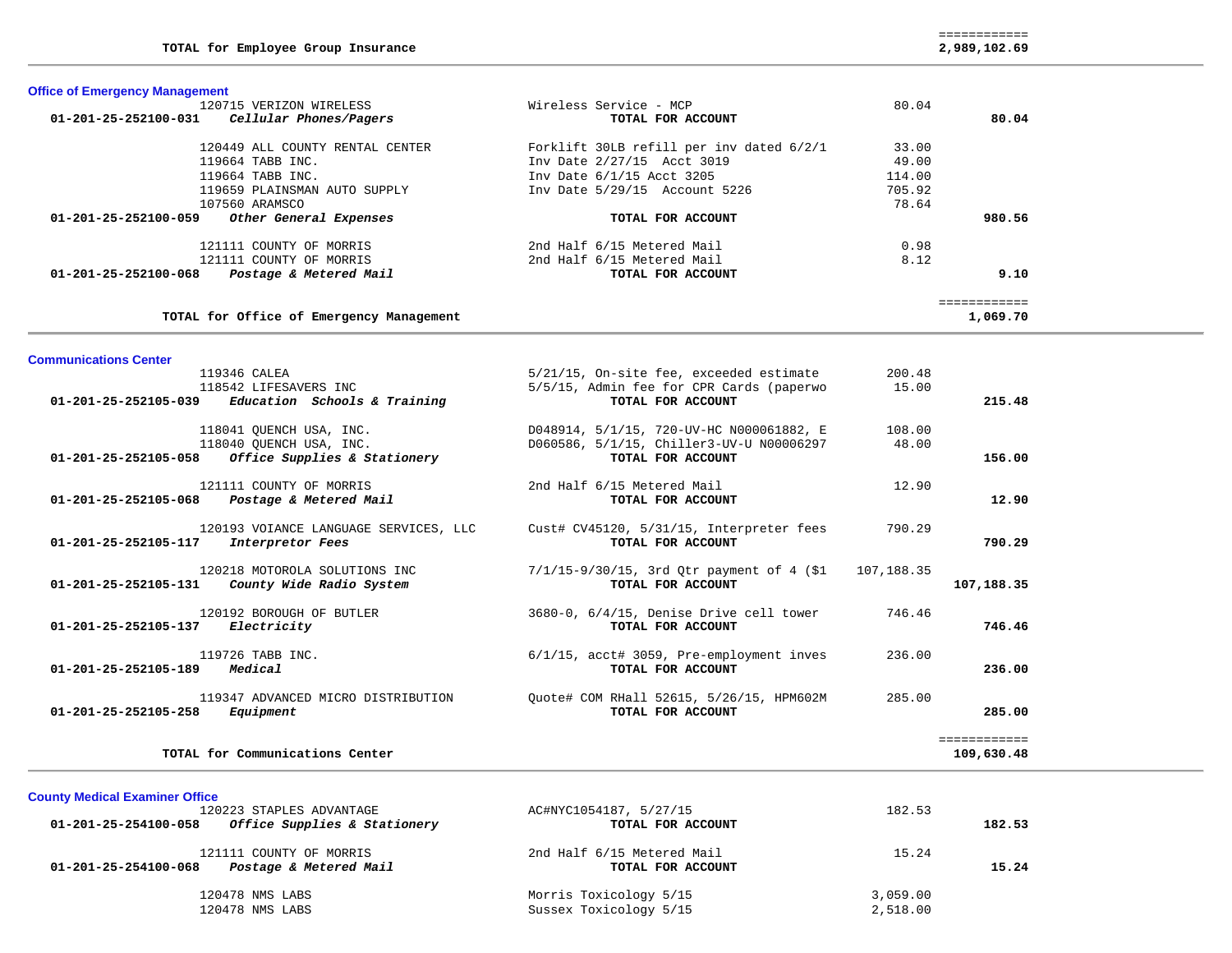============ 2,989,102.69

| <b>Office of Emergency Management</b>          |                        |       |
|------------------------------------------------|------------------------|-------|
| 120715 VERIZON WIRELESS                        | Wireless Service - MCP | 80.04 |
| 01-201-25-252100-031<br>Cellular Phones/Pagers | TOTAL FOR ACCOUNT      |       |

**Communications Center** 

| 80.04    |        | TOTAL FOR ACCOUNT                        | 01-201-25-252100-031<br>Cellular Phones/Pagers |
|----------|--------|------------------------------------------|------------------------------------------------|
|          | 33.00  | Forklift 30LB refill per inv dated 6/2/1 | 120449 ALL COUNTY RENTAL CENTER                |
|          | 49.00  | Inv Date 2/27/15 Acct 3019               | 119664 TABB INC.                               |
|          | 114.00 | Inv Date 6/1/15 Acct 3205                | 119664 TABB INC.                               |
|          | 705.92 | Inv Date 5/29/15 Account 5226            | 119659 PLAINSMAN AUTO SUPPLY                   |
|          | 78.64  |                                          | 107560 ARAMSCO                                 |
| 980.56   |        | TOTAL FOR ACCOUNT                        | 01-201-25-252100-059<br>Other General Expenses |
|          | 0.98   | 2nd Half 6/15 Metered Mail               | 121111 COUNTY OF MORRIS                        |
|          | 8.12   | 2nd Half 6/15 Metered Mail               | 121111 COUNTY OF MORRIS                        |
| 9.10     |        | TOTAL FOR ACCOUNT                        | Postage & Metered Mail<br>01-201-25-252100-068 |
|          |        |                                          |                                                |
| 1,069.70 |        |                                          | TOTAL for Office of Emergency Management       |

| 119346 CALEA                                                                      | 5/21/15, On-site fee, exceeded estimate                                      | 200.48 |              |
|-----------------------------------------------------------------------------------|------------------------------------------------------------------------------|--------|--------------|
| 118542 LIFESAVERS INC<br>$01-201-25-252105-039$ Education Schools & Training      | 5/5/15, Admin fee for CPR Cards (paperwo<br>TOTAL FOR ACCOUNT                | 15.00  | 215.48       |
| 118041 QUENCH USA, INC.                                                           | D048914, 5/1/15, 720-UV-HC N000061882, E                                     | 108.00 |              |
| 118040 QUENCH USA, INC.<br>$01-201-25-252105-058$ Office Supplies & Stationery    | D060586, 5/1/15, Chiller3-UV-U N00006297<br>TOTAL FOR ACCOUNT                | 48.00  | 156.00       |
| 121111 COUNTY OF MORRIS<br>01-201-25-252105-068 Postage & Metered Mail            | 2nd Half 6/15 Metered Mail<br>TOTAL FOR ACCOUNT                              | 12.90  | 12.90        |
| 120193 VOIANCE LANGUAGE SERVICES, LLC<br>01-201-25-252105-117<br>Interpretor Fees | Cust# CV45120, 5/31/15, Interpreter fees<br>TOTAL FOR ACCOUNT                | 790.29 | 790.29       |
| 120218 MOTOROLA SOLUTIONS INC<br>$01-201-25-252105-131$ County Wide Radio System  | $7/1/15-9/30/15$ , 3rd Qtr payment of 4 (\$1 107,188.35<br>TOTAL FOR ACCOUNT |        | 107,188.35   |
| 120192 BOROUGH OF BUTLER<br>01-201-25-252105-137<br><i>Electricity</i>            | 3680-0, 6/4/15, Denise Drive cell tower<br>TOTAL FOR ACCOUNT                 | 746.46 | 746.46       |
| 119726 TABB INC.<br>Medical<br>01-201-25-252105-189                               | $6/1/15$ , acct# 3059, Pre-employment inves<br>TOTAL FOR ACCOUNT             | 236.00 | 236.00       |
| 119347 ADVANCED MICRO DISTRIBUTION<br>01-201-25-252105-258<br>Equipment           | Quote# COM RHall 52615, 5/26/15, HPM602M<br>TOTAL FOR ACCOUNT                | 285.00 | 285.00       |
|                                                                                   |                                                                              |        | ============ |
| TOTAL for Communications Center                                                   |                                                                              |        | 109,630.48   |

|  | TOTAL for Communications Center |  |
|--|---------------------------------|--|
|--|---------------------------------|--|

**County Medical Examiner Office** 120223 STAPLES ADVANTAGE AC#NYC1054187, 5/27/15 182.53  **01-201-25-254100-058** *Office Supplies & Stationery* **TOTAL FOR ACCOUNT 182.53** 121111 COUNTY OF MORRIS 2nd Half 6/15 Metered Mail 15.24  **01-201-25-254100-068** *Postage & Metered Mail* **TOTAL FOR ACCOUNT 15.24** 120478 NMS LABS Morris Toxicology 5/15 3,059.00 Sussex Toxicology 5/15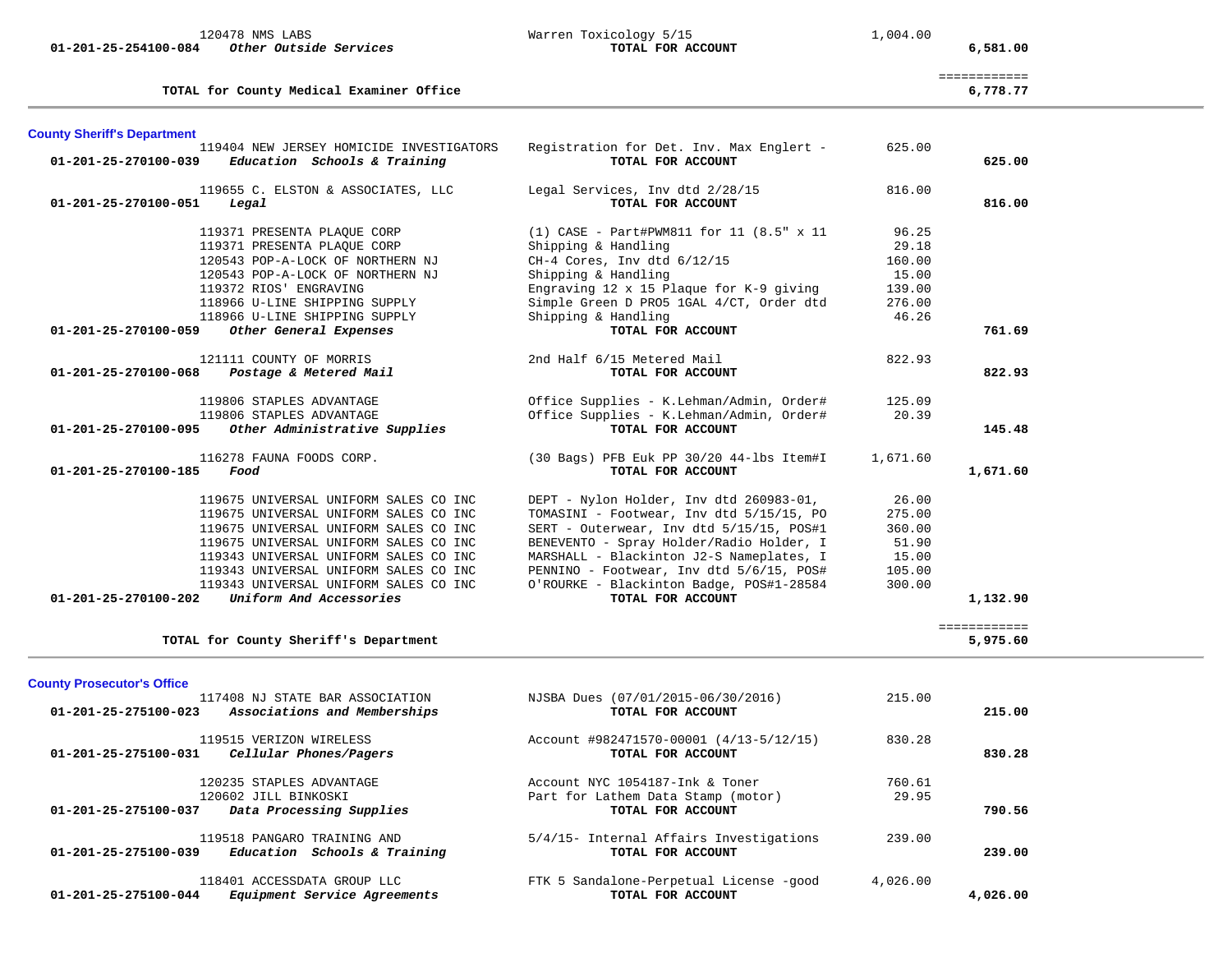| 01-201-25-254100-084               | 120478 NMS LABS<br>Other Outside Services                                                                                                                                                                                                                                                                              | Warren Toxicology 5/15<br>TOTAL FOR ACCOUNT                                                                                                                                                                                                                                                                                          | 1,004.00                                                        | 6,581.00                 |
|------------------------------------|------------------------------------------------------------------------------------------------------------------------------------------------------------------------------------------------------------------------------------------------------------------------------------------------------------------------|--------------------------------------------------------------------------------------------------------------------------------------------------------------------------------------------------------------------------------------------------------------------------------------------------------------------------------------|-----------------------------------------------------------------|--------------------------|
|                                    | TOTAL for County Medical Examiner Office                                                                                                                                                                                                                                                                               |                                                                                                                                                                                                                                                                                                                                      |                                                                 | ============<br>6,778.77 |
| <b>County Sheriff's Department</b> |                                                                                                                                                                                                                                                                                                                        |                                                                                                                                                                                                                                                                                                                                      |                                                                 |                          |
| 01-201-25-270100-039               | 119404 NEW JERSEY HOMICIDE INVESTIGATORS<br>Education Schools & Training                                                                                                                                                                                                                                               | Registration for Det. Inv. Max Englert -<br>TOTAL FOR ACCOUNT                                                                                                                                                                                                                                                                        | 625.00                                                          | 625.00                   |
| 01-201-25-270100-051               | 119655 C. ELSTON & ASSOCIATES, LLC<br>Legal                                                                                                                                                                                                                                                                            | Legal Services, Inv dtd 2/28/15<br>TOTAL FOR ACCOUNT                                                                                                                                                                                                                                                                                 | 816.00                                                          | 816.00                   |
|                                    | 119371 PRESENTA PLAQUE CORP<br>119371 PRESENTA PLAQUE CORP<br>120543 POP-A-LOCK OF NORTHERN NJ<br>120543 POP-A-LOCK OF NORTHERN NJ<br>119372 RIOS' ENGRAVING<br>118966 U-LINE SHIPPING SUPPLY                                                                                                                          | $(1)$ CASE - Part#PWM811 for 11 $(8.5" \times 11)$<br>Shipping & Handling<br>CH-4 Cores, Inv dtd 6/12/15<br>Shipping & Handling<br>Engraving 12 x 15 Plaque for K-9 giving<br>Simple Green D PRO5 1GAL 4/CT, Order dtd                                                                                                               | 96.25<br>29.18<br>160.00<br>15.00<br>139.00<br>276.00           |                          |
| 01-201-25-270100-059               | 118966 U-LINE SHIPPING SUPPLY<br>Other General Expenses                                                                                                                                                                                                                                                                | Shipping & Handling<br>TOTAL FOR ACCOUNT                                                                                                                                                                                                                                                                                             | 46.26                                                           | 761.69                   |
| 01-201-25-270100-068               | 121111 COUNTY OF MORRIS<br>Postage & Metered Mail                                                                                                                                                                                                                                                                      | 2nd Half 6/15 Metered Mail<br>TOTAL FOR ACCOUNT                                                                                                                                                                                                                                                                                      | 822.93                                                          | 822.93                   |
| 01-201-25-270100-095               | 119806 STAPLES ADVANTAGE<br>119806 STAPLES ADVANTAGE<br>Other Administrative Supplies                                                                                                                                                                                                                                  | Office Supplies - K.Lehman/Admin, Order#<br>Office Supplies - K.Lehman/Admin, Order#<br>TOTAL FOR ACCOUNT                                                                                                                                                                                                                            | 125.09<br>20.39                                                 | 145.48                   |
| 01-201-25-270100-185               | 116278 FAUNA FOODS CORP.<br>Food                                                                                                                                                                                                                                                                                       | (30 Bags) PFB Euk PP 30/20 44-lbs Item#I<br>TOTAL FOR ACCOUNT                                                                                                                                                                                                                                                                        | 1,671.60                                                        | 1,671.60                 |
| 01-201-25-270100-202               | 119675 UNIVERSAL UNIFORM SALES CO INC<br>119675 UNIVERSAL UNIFORM SALES CO INC<br>119675 UNIVERSAL UNIFORM SALES CO INC<br>119675 UNIVERSAL UNIFORM SALES CO INC<br>119343 UNIVERSAL UNIFORM SALES CO INC<br>119343 UNIVERSAL UNIFORM SALES CO INC<br>119343 UNIVERSAL UNIFORM SALES CO INC<br>Uniform And Accessories | DEPT - Nylon Holder, Inv dtd 260983-01,<br>TOMASINI - Footwear, Inv dtd 5/15/15, PO<br>SERT - Outerwear, Inv dtd 5/15/15, POS#1<br>BENEVENTO - Spray Holder/Radio Holder, I<br>MARSHALL - Blackinton J2-S Nameplates, I<br>PENNINO - Footwear, Inv dtd 5/6/15, POS#<br>O'ROURKE - Blackinton Badge, POS#1-28584<br>TOTAL FOR ACCOUNT | 26.00<br>275.00<br>360.00<br>51.90<br>15.00<br>105.00<br>300.00 | 1,132.90                 |
|                                    | TOTAL for County Sheriff's Department                                                                                                                                                                                                                                                                                  |                                                                                                                                                                                                                                                                                                                                      |                                                                 | ============<br>5,975.60 |

| Associations and Memberships<br>01-201-25-275100-023                                                 | TOTAL FOR ACCOUNT                                                                          |                 | 215.00   |
|------------------------------------------------------------------------------------------------------|--------------------------------------------------------------------------------------------|-----------------|----------|
| 119515 VERIZON WIRELESS<br>01-201-25-275100-031<br>Cellular Phones/Pagers                            | Account #982471570-00001 (4/13-5/12/15)<br>TOTAL FOR ACCOUNT                               | 830.28          | 830.28   |
| 120235 STAPLES ADVANTAGE<br>120602 JILL BINKOSKI<br>Data Processing Supplies<br>01-201-25-275100-037 | Account NYC 1054187-Ink & Toner<br>Part for Lathem Data Stamp (motor)<br>TOTAL FOR ACCOUNT | 760.61<br>29.95 | 790.56   |
| 119518 PANGARO TRAINING AND<br>Education Schools & Training<br>01-201-25-275100-039                  | 5/4/15- Internal Affairs Investigations<br>TOTAL FOR ACCOUNT                               | 239.00          | 239.00   |
| 118401 ACCESSDATA GROUP LLC<br>Equipment Service Agreements<br>01-201-25-275100-044                  | FTK 5 Sandalone-Perpetual License -good<br>TOTAL FOR ACCOUNT                               | 4,026.00        | 4,026.00 |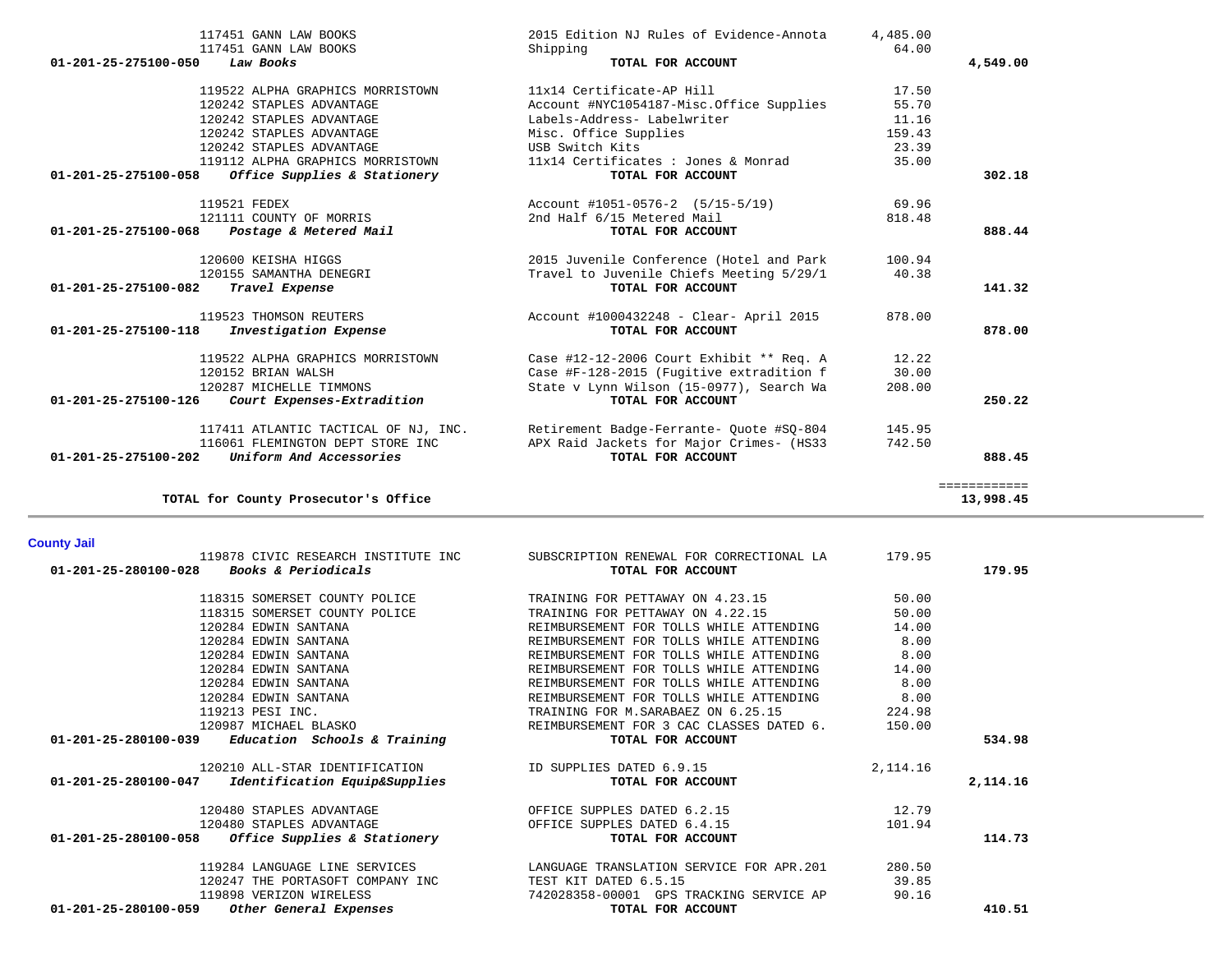| 01-201-25-275100-058                     |                                                             | USB Switch Kits                                                  |           |                           |
|------------------------------------------|-------------------------------------------------------------|------------------------------------------------------------------|-----------|---------------------------|
|                                          | 119112 ALPHA GRAPHICS MORRISTOWN                            | 11x14 Certificates : Jones & Monrad                              | 35.00     |                           |
|                                          | <i>Office Supplies &amp; Stationery</i>                     | TOTAL FOR ACCOUNT                                                |           | 302.18                    |
|                                          | 119521 FEDEX                                                | Account #1051-0576-2 (5/15-5/19)                                 | 69.96     |                           |
|                                          | 121111 COUNTY OF MORRIS                                     | 2nd Half 6/15 Metered Mail                                       | 818.48    |                           |
| 01-201-25-275100-068                     | Postage & Metered Mail                                      | TOTAL FOR ACCOUNT                                                |           | 888.44                    |
|                                          | 120600 KEISHA HIGGS                                         | 2015 Juvenile Conference (Hotel and Park                         | 100.94    |                           |
|                                          | 120155 SAMANTHA DENEGRI                                     | Travel to Juvenile Chiefs Meeting 5/29/1                         | 40.38     |                           |
| 01-201-25-275100-082                     | Travel Expense                                              | TOTAL FOR ACCOUNT                                                |           | 141.32                    |
|                                          | 119523 THOMSON REUTERS                                      | Account #1000432248 - Clear- April 2015                          | 878.00    |                           |
| 01-201-25-275100-118                     | Investigation Expense                                       | TOTAL FOR ACCOUNT                                                |           | 878.00                    |
|                                          | 119522 ALPHA GRAPHICS MORRISTOWN                            | Case #12-12-2006 Court Exhibit ** Req. A                         | 12.22     |                           |
|                                          | 120152 BRIAN WALSH                                          | Case #F-128-2015 (Fugitive extradition f                         | 30.00     |                           |
|                                          | 120287 MICHELLE TIMMONS                                     | State v Lynn Wilson (15-0977), Search Wa                         | 208.00    |                           |
|                                          | 01-201-25-275100-126 Court Expenses-Extradition             | TOTAL FOR ACCOUNT                                                |           | 250.22                    |
|                                          |                                                             |                                                                  |           |                           |
|                                          | 117411 ATLANTIC TACTICAL OF NJ, INC.                        | Retirement Badge-Ferrante- Quote #SQ-804                         | 145.95    |                           |
| 01-201-25-275100-202                     | 116061 FLEMINGTON DEPT STORE INC<br>Uniform And Accessories | APX Raid Jackets for Major Crimes- (HS33<br>TOTAL FOR ACCOUNT    | 742.50    | 888.45                    |
|                                          |                                                             |                                                                  |           |                           |
|                                          | TOTAL for County Prosecutor's Office                        |                                                                  |           | ============<br>13,998.45 |
|                                          |                                                             |                                                                  |           |                           |
| <b>County Jail</b>                       | 119878 CIVIC RESEARCH INSTITUTE INC                         | SUBSCRIPTION RENEWAL FOR CORRECTIONAL LA                         | 179.95    |                           |
|                                          |                                                             |                                                                  |           | 179.95                    |
|                                          |                                                             |                                                                  |           |                           |
| 01-201-25-280100-028 Books & Periodicals |                                                             | TOTAL FOR ACCOUNT                                                |           |                           |
|                                          | 118315 SOMERSET COUNTY POLICE                               | TRAINING FOR PETTAWAY ON 4.23.15                                 | 50.00     |                           |
|                                          | 118315 SOMERSET COUNTY POLICE                               | TRAINING FOR PETTAWAY ON 4.22.15                                 | 50.00     |                           |
|                                          | 120284 EDWIN SANTANA                                        | REIMBURSEMENT FOR TOLLS WHILE ATTENDING                          | 14.00     |                           |
|                                          | 120284 EDWIN SANTANA                                        | REIMBURSEMENT FOR TOLLS WHILE ATTENDING                          | 8.00      |                           |
|                                          | 120284 EDWIN SANTANA                                        | REIMBURSEMENT FOR TOLLS WHILE ATTENDING                          | 8.00      |                           |
|                                          | 120284 EDWIN SANTANA                                        | REIMBURSEMENT FOR TOLLS WHILE ATTENDING                          | 14.00     |                           |
|                                          | 120284 EDWIN SANTANA                                        | REIMBURSEMENT FOR TOLLS WHILE ATTENDING                          | 8.00      |                           |
|                                          | 120284 EDWIN SANTANA                                        | REIMBURSEMENT FOR TOLLS WHILE ATTENDING                          | 8.00      |                           |
|                                          | 119213 PESI INC.                                            | TRAINING FOR M. SARABAEZ ON 6.25.15                              | 224.98    |                           |
|                                          | 120987 MICHAEL BLASKO                                       | REIMBURSEMENT FOR 3 CAC CLASSES DATED 6.                         | 150.00    |                           |
| 01-201-25-280100-039                     | Education Schools & Training                                | TOTAL FOR ACCOUNT                                                |           | 534.98                    |
|                                          | 120210 ALL-STAR IDENTIFICATION                              | ID SUPPLIES DATED 6.9.15                                         | 2, 114.16 |                           |
| 01-201-25-280100-047                     | Identification Equip&Supplies                               | TOTAL FOR ACCOUNT                                                |           | 2,114.16                  |
|                                          | 120480 STAPLES ADVANTAGE                                    | OFFICE SUPPLES DATED 6.2.15                                      | 12.79     |                           |
|                                          | 120480 STAPLES ADVANTAGE                                    | OFFICE SUPPLES DATED 6.4.15                                      | 101.94    |                           |
|                                          | 01-201-25-280100-058 Office Supplies & Stationery           | TOTAL FOR ACCOUNT                                                |           | 114.73                    |
|                                          | 119284 LANGUAGE LINE SERVICES                               | LANGUAGE TRANSLATION SERVICE FOR APR.201                         | 280.50    |                           |
|                                          |                                                             |                                                                  | 39.85     |                           |
|                                          | 120247 THE PORTASOFT COMPANY INC<br>119898 VERIZON WIRELESS | TEST KIT DATED 6.5.15<br>742028358-00001 GPS TRACKING SERVICE AP | 90.16     |                           |

 117451 GANN LAW BOOKS 2015 Edition NJ Rules of Evidence-Annota 4,485.00 117451 GANN LAW BOOKS Shipping 64.00  **01-201-25-275100-050** *Law Books* **TOTAL FOR ACCOUNT 4,549.00**

> 119522 ALPHA GRAPHICS MORRISTOWN 11x14 Certificate-AP Hill 17.50 120242 STAPLES ADVANTAGE Account #NYC1054187-Misc.Office Supplies 55.70

159.43

120242 STAPLES ADVANTAGE Labels-Address- Labelwriter 11.16

120242 STAPLES ADVANTAGE Misc. Office Supplies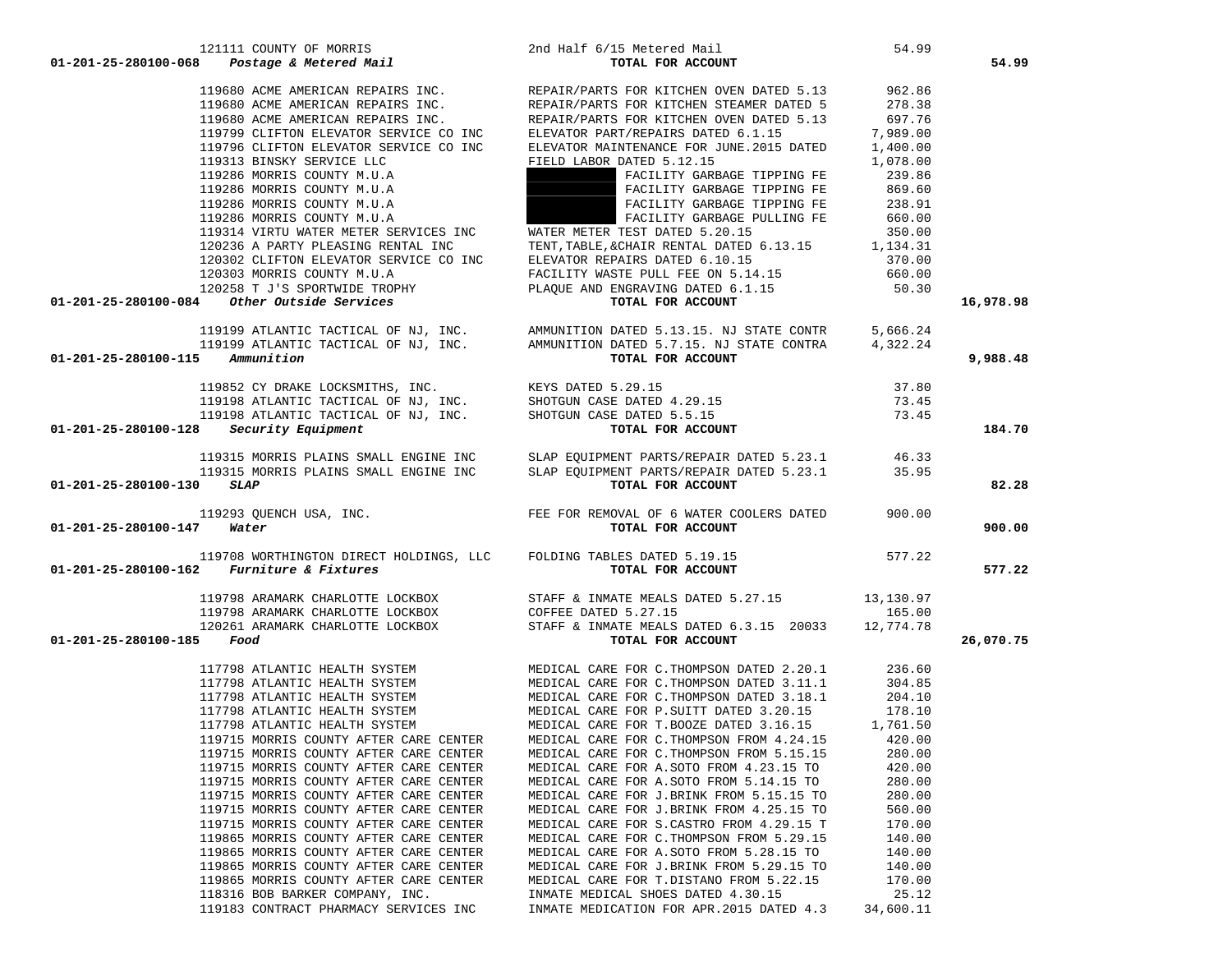|                                           | 01-201-25-280100-068  Postage & Metered Mail                                                                         | TOTAL FOR ACCOUNT                                                                                                                                                                                                                         |           | 54.99     |
|-------------------------------------------|----------------------------------------------------------------------------------------------------------------------|-------------------------------------------------------------------------------------------------------------------------------------------------------------------------------------------------------------------------------------------|-----------|-----------|
|                                           |                                                                                                                      |                                                                                                                                                                                                                                           |           |           |
|                                           |                                                                                                                      |                                                                                                                                                                                                                                           |           |           |
|                                           |                                                                                                                      |                                                                                                                                                                                                                                           |           |           |
|                                           |                                                                                                                      |                                                                                                                                                                                                                                           |           |           |
|                                           |                                                                                                                      |                                                                                                                                                                                                                                           |           |           |
|                                           | 119313 BINSKY SERVICE LLC                                                                                            | FIELD LABOR DATED 5.12.15                                                                                                                                                                                                                 | 1,078.00  |           |
|                                           |                                                                                                                      |                                                                                                                                                                                                                                           |           |           |
|                                           | 119286 MORRIS COUNTY M.U.A                                                                                           | FACILITY GARBAGE TIPPING FE 239.86<br>FACILITY GARBAGE TIPPING FE                                                                                                                                                                         | 869.60    |           |
|                                           | 119286 MORRIS COUNTY M.U.A<br>119286 MORRIS COUNTY M.U.A<br>119286 MORRIS COUNTY M.U.A<br>119286 MORRIS COUNTY M.U.A | FACILITY GARBAGE TIPPING FE 238.91                                                                                                                                                                                                        |           |           |
|                                           |                                                                                                                      |                                                                                                                                                                                                                                           |           |           |
|                                           | 119314 VIRTU WATER METER SERVICES INC                                                                                | FACILITY GARBAGE PULLING FE 660.00<br>TEST DATED 5.20.15 350.00<br>WATER METER TEST DATED 5.20.15                                                                                                                                         |           |           |
|                                           |                                                                                                                      |                                                                                                                                                                                                                                           |           |           |
|                                           |                                                                                                                      |                                                                                                                                                                                                                                           |           |           |
|                                           |                                                                                                                      |                                                                                                                                                                                                                                           |           |           |
|                                           |                                                                                                                      |                                                                                                                                                                                                                                           |           |           |
|                                           |                                                                                                                      |                                                                                                                                                                                                                                           |           | 16,978.98 |
|                                           |                                                                                                                      | 119314 VIRTU WATER METER SERVICES INC<br>120236 A PARTY PLEASING RENTAL INC TENT, TABLE, & CHAIR RENTAL DATED 6.13.15<br>120302 CLIFTON ELEVATOR SERVICE CO INC ELEVATOR REPAIRS DATED 6.10.15 370.00<br>120258 T J'S SPORTWIDE TRO       |           |           |
|                                           |                                                                                                                      | 119199 ATLANTIC TACTICAL OF NJ, INC.<br>119199 ATLANTIC TACTICAL OF NJ, INC.<br>119199 ATLANTIC TACTICAL OF NJ, INC.<br>119852 CY DRAKE LOCKSMITHS, INC.<br>119852 CY DRAKE LOCKSMITHS, INC.<br>119198 ATLANTIC TACTICAL OF NJ, INC.<br>1 |           |           |
|                                           |                                                                                                                      |                                                                                                                                                                                                                                           |           |           |
| $01 - 201 - 25 - 280100 - 115$ Ammunition |                                                                                                                      |                                                                                                                                                                                                                                           |           | 9,988.48  |
|                                           |                                                                                                                      |                                                                                                                                                                                                                                           |           |           |
|                                           |                                                                                                                      |                                                                                                                                                                                                                                           |           |           |
|                                           |                                                                                                                      |                                                                                                                                                                                                                                           |           |           |
|                                           |                                                                                                                      |                                                                                                                                                                                                                                           |           |           |
|                                           | $01-201-25-280100-128$ Security Equipment                                                                            |                                                                                                                                                                                                                                           |           | 184.70    |
|                                           |                                                                                                                      | 119315 MORRIS PLAINS SMALL ENGINE INC SLAP EQUIPMENT PARTS/REPAIR DATED 5.23.1 46.33                                                                                                                                                      |           |           |
|                                           |                                                                                                                      | 119315 MORRIS PLAINS SMALL ENGINE INC SLAP EQUIPMENT PARTS/REPAIR DATED 5.23.1 35.95                                                                                                                                                      |           |           |
| $01-201-25-280100-130$ SLAP               |                                                                                                                      | TOTAL FOR ACCOUNT                                                                                                                                                                                                                         |           | 82.28     |
|                                           |                                                                                                                      |                                                                                                                                                                                                                                           |           |           |
|                                           |                                                                                                                      | 119293 QUENCH USA, INC.<br>7 <b>Water</b> 900.00                                                                                                                                                                                          |           |           |
| 01-201-25-280100-147 Water                |                                                                                                                      | TOTAL FOR ACCOUNT                                                                                                                                                                                                                         |           | 900.00    |
|                                           |                                                                                                                      |                                                                                                                                                                                                                                           |           |           |
|                                           | $01-201-25-280100-162$ Furniture & Fixtures                                                                          | 119708 WORTHINGTON DIRECT HOLDINGS, LLC FOLDING TABLES DATED 5.19.15 577.22<br>2 Furniture & Fixtures 11 and 100 Total For ACCOUNT                                                                                                        |           | 577.22    |
|                                           |                                                                                                                      |                                                                                                                                                                                                                                           |           |           |
|                                           |                                                                                                                      | 119798 ARAMARK CHARLOTTE LOCKBOX<br>119798 ARAMARK CHARLOTTE LOCKBOX<br>120261 ARAMARK CHARLOTTE LOCKBOX<br>120261 ARAMARK CHARLOTTE LOCKBOX<br>5 <b>Food</b> TOTAL FOR ACCOUNT                                                           |           |           |
|                                           |                                                                                                                      |                                                                                                                                                                                                                                           |           |           |
|                                           |                                                                                                                      |                                                                                                                                                                                                                                           |           |           |
| 01-201-25-280100-185 Food                 |                                                                                                                      |                                                                                                                                                                                                                                           |           | 26,070.75 |
|                                           |                                                                                                                      |                                                                                                                                                                                                                                           |           |           |
|                                           |                                                                                                                      |                                                                                                                                                                                                                                           |           |           |
|                                           |                                                                                                                      |                                                                                                                                                                                                                                           |           |           |
|                                           |                                                                                                                      |                                                                                                                                                                                                                                           |           |           |
|                                           |                                                                                                                      |                                                                                                                                                                                                                                           |           |           |
|                                           |                                                                                                                      |                                                                                                                                                                                                                                           |           |           |
|                                           | 119715 MORRIS COUNTY AFTER CARE CENTER                                                                               | MEDICAL CARE FOR C. THOMPSON FROM 5.15.15 280.00                                                                                                                                                                                          |           |           |
|                                           | 119715 MORRIS COUNTY AFTER CARE CENTER                                                                               | MEDICAL CARE FOR A.SOTO FROM 4.23.15 TO                                                                                                                                                                                                   | 420.00    |           |
|                                           | 119715 MORRIS COUNTY AFTER CARE CENTER                                                                               | MEDICAL CARE FOR A.SOTO FROM 5.14.15 TO                                                                                                                                                                                                   | 280.00    |           |
|                                           | 119715 MORRIS COUNTY AFTER CARE CENTER                                                                               | MEDICAL CARE FOR J.BRINK FROM 5.15.15 TO                                                                                                                                                                                                  | 280.00    |           |
|                                           | 119715 MORRIS COUNTY AFTER CARE CENTER                                                                               | MEDICAL CARE FOR J.BRINK FROM 4.25.15 TO                                                                                                                                                                                                  | 560.00    |           |
|                                           | 119715 MORRIS COUNTY AFTER CARE CENTER                                                                               | MEDICAL CARE FOR S.CASTRO FROM 4.29.15 T                                                                                                                                                                                                  | 170.00    |           |
|                                           | 119865 MORRIS COUNTY AFTER CARE CENTER                                                                               | MEDICAL CARE FOR C. THOMPSON FROM 5.29.15                                                                                                                                                                                                 | 140.00    |           |
|                                           | 119865 MORRIS COUNTY AFTER CARE CENTER                                                                               | MEDICAL CARE FOR A.SOTO FROM 5.28.15 TO                                                                                                                                                                                                   | 140.00    |           |
|                                           | 119865 MORRIS COUNTY AFTER CARE CENTER                                                                               | MEDICAL CARE FOR J.BRINK FROM 5.29.15 TO                                                                                                                                                                                                  | 140.00    |           |
|                                           | 119865 MORRIS COUNTY AFTER CARE CENTER                                                                               | MEDICAL CARE FOR T.DISTANO FROM 5.22.15                                                                                                                                                                                                   | 170.00    |           |
|                                           | 118316 BOB BARKER COMPANY, INC.                                                                                      | INMATE MEDICAL SHOES DATED 4.30.15                                                                                                                                                                                                        | 25.12     |           |
|                                           | 119183 CONTRACT PHARMACY SERVICES INC                                                                                | INMATE MEDICATION FOR APR. 2015 DATED 4.3                                                                                                                                                                                                 | 34,600.11 |           |
|                                           |                                                                                                                      |                                                                                                                                                                                                                                           |           |           |

121111 COUNTY OF MORRIS 2nd Half 6/15 Metered Mail 54.99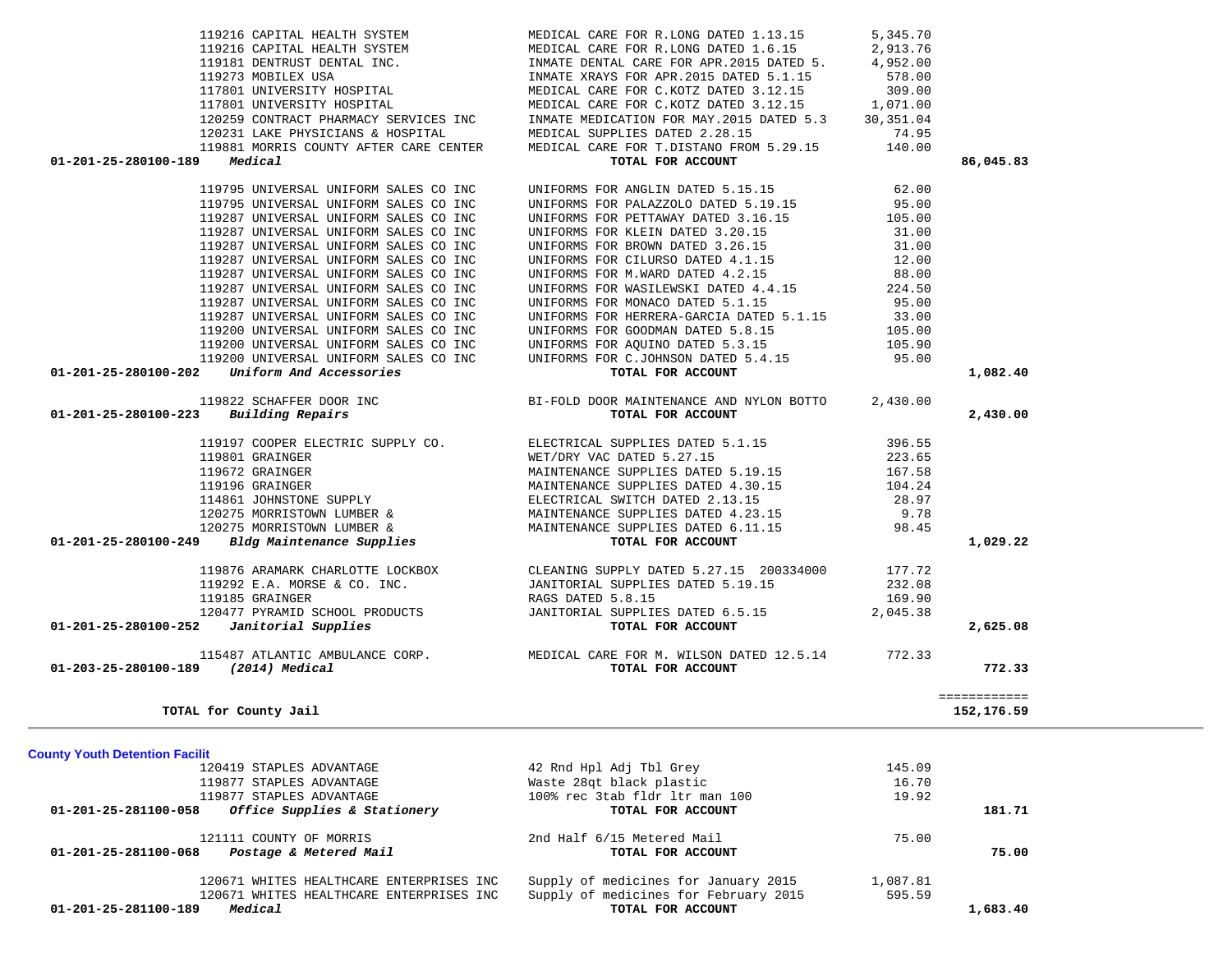| <b>County Youth Detention Facilit</b>                |                                       |          |          |
|------------------------------------------------------|---------------------------------------|----------|----------|
| 120419 STAPLES ADVANTAGE                             | 42 Rnd Hpl Adj Tbl Grey               | 145.09   |          |
| 119877 STAPLES ADVANTAGE                             | Waste 28gt black plastic              | 16.70    |          |
| 119877 STAPLES ADVANTAGE                             | 100% rec 3tab fldr 1tr man 100        | 19.92    |          |
| Office Supplies & Stationery<br>01-201-25-281100-058 | TOTAL FOR ACCOUNT                     |          | 181.71   |
| 121111 COUNTY OF MORRIS                              | 2nd Half 6/15 Metered Mail            | 75.00    |          |
| 01-201-25-281100-068<br>Postage & Metered Mail       | TOTAL FOR ACCOUNT                     |          | 75.00    |
| 120671 WHITES HEALTHCARE ENTERPRISES INC             | Supply of medicines for January 2015  | 1,087.81 |          |
| 120671 WHITES HEALTHCARE ENTERPRISES INC             | Supply of medicines for February 2015 | 595.59   |          |
| Medical<br>01-201-25-281100-189                      | TOTAL FOR ACCOUNT                     |          | 1,683.40 |

| 01-201-25-280100-223<br>Building Repairs          | TOTAL FOR ACCOUNT                        |          | 2,430.00                   |
|---------------------------------------------------|------------------------------------------|----------|----------------------------|
| 119197 COOPER ELECTRIC SUPPLY CO.                 | ELECTRICAL SUPPLIES DATED 5.1.15         | 396.55   |                            |
| 119801 GRAINGER                                   | WET/DRY VAC DATED 5.27.15                | 223.65   |                            |
| 119672 GRAINGER                                   | MAINTENANCE SUPPLIES DATED 5.19.15       | 167.58   |                            |
| 119196 GRAINGER                                   | MAINTENANCE SUPPLIES DATED 4.30.15       | 104.24   |                            |
| 114861 JOHNSTONE SUPPLY                           | ELECTRICAL SWITCH DATED 2.13.15          | 28.97    |                            |
| 120275 MORRISTOWN LUMBER &                        | MAINTENANCE SUPPLIES DATED 4.23.15       | 9.78     |                            |
| 120275 MORRISTOWN LUMBER &                        | MAINTENANCE SUPPLIES DATED 6.11.15       | 98.45    |                            |
| Bldg Maintenance Supplies<br>01-201-25-280100-249 | TOTAL FOR ACCOUNT                        |          | 1,029.22                   |
| 119876 ARAMARK CHARLOTTE LOCKBOX                  | CLEANING SUPPLY DATED 5.27.15 200334000  | 177.72   |                            |
| 119292 E.A. MORSE & CO. INC.                      | JANITORIAL SUPPLIES DATED 5.19.15        | 232.08   |                            |
| 119185 GRAINGER                                   | RAGS DATED 5.8.15                        | 169.90   |                            |
| 120477 PYRAMID SCHOOL PRODUCTS                    | JANITORIAL SUPPLIES DATED 6.5.15         | 2,045.38 |                            |
| Janitorial Supplies<br>01-201-25-280100-252       | TOTAL FOR ACCOUNT                        |          | 2,625.08                   |
| 115487 ATLANTIC AMBULANCE CORP.                   | MEDICAL CARE FOR M. WILSON DATED 12.5.14 | 772.33   |                            |
| (2014) Medical<br>01-203-25-280100-189            | TOTAL FOR ACCOUNT                        |          | 772.33                     |
|                                                   |                                          |          |                            |
| TOTAL for County Jail                             |                                          |          | ============<br>152,176.59 |
|                                                   |                                          |          |                            |

|                      | 119181 DENTRUST DENTAL INC.                     | INMATE DENTAL CARE FOR APR.2015 DATED 5.                                              | 4,952.00  |           |
|----------------------|-------------------------------------------------|---------------------------------------------------------------------------------------|-----------|-----------|
|                      | 119273 MOBILEX USA                              | INMATE XRAYS FOR APR.2015 DATED 5.1.15                                                | 578.00    |           |
|                      | 117801 UNIVERSITY HOSPITAL                      | MEDICAL CARE FOR C.KOTZ DATED 3.12.15                                                 | 309.00    |           |
|                      | 117801 UNIVERSITY HOSPITAL                      | MEDICAL CARE FOR C.KOTZ DATED 3.12.15 1,071.00                                        |           |           |
|                      | 120259 CONTRACT PHARMACY SERVICES INC           | INMATE MEDICATION FOR MAY.2015 DATED 5.3                                              | 30,351.04 |           |
|                      | 120231 LAKE PHYSICIANS & HOSPITAL               | MEDICAL SUPPLIES DATED 2.28.15                                                        | 74.95     |           |
|                      |                                                 | 119881 MORRIS COUNTY AFTER CARE CENTER MEDICAL CARE FOR T.DISTANO FROM 5.29.15 140.00 |           |           |
| 01-201-25-280100-189 | Medical                                         | TOTAL FOR ACCOUNT                                                                     |           | 86,045.83 |
|                      |                                                 |                                                                                       |           |           |
|                      |                                                 | 119795 UNIVERSAL UNIFORM SALES CO INC UNIFORMS FOR ANGLIN DATED 5.15.15               | 62.00     |           |
|                      | 119795 UNIVERSAL UNIFORM SALES CO INC           | UNIFORMS FOR PALAZZOLO DATED 5.19.15                                                  | 95.00     |           |
|                      | 119287 UNIVERSAL UNIFORM SALES CO INC.          | UNIFORMS FOR PETTAWAY DATED 3.16.15                                                   | 105.00    |           |
|                      | 119287 UNIVERSAL UNIFORM SALES CO INC           | UNIFORMS FOR KLEIN DATED 3.20.15                                                      | 31.00     |           |
|                      | 119287 UNIVERSAL UNIFORM SALES CO INC           | UNIFORMS FOR BROWN DATED 3.26.15                                                      | 31.00     |           |
|                      | 119287 UNIVERSAL UNIFORM SALES CO INC           | UNIFORMS FOR CILURSO DATED 4.1.15                                                     | 12.00     |           |
|                      | 119287 UNIVERSAL UNIFORM SALES CO INC           | UNIFORMS FOR M.WARD DATED 4.2.15                                                      | 88.00     |           |
|                      | 119287 UNIVERSAL UNIFORM SALES CO INC           | UNIFORMS FOR WASILEWSKI DATED 4.4.15                                                  | 224.50    |           |
|                      | 119287 UNIVERSAL UNIFORM SALES CO INC           | UNIFORMS FOR MONACO DATED 5.1.15                                                      | 95.00     |           |
|                      | 119287 UNIVERSAL UNIFORM SALES CO INC.          | INIFORMS FOR HERRERA-GARCIA DATED 5.1.15                                              | 33.00     |           |
|                      | 119200 UNIVERSAL UNIFORM SALES CO INC           | UNIFORMS FOR GOODMAN DATED 5.8.15                                                     | 105.00    |           |
|                      | 119200 UNIVERSAL UNIFORM SALES CO INC           | UNIFORMS FOR AQUINO DATED 5.3.15                                                      | 105.90    |           |
|                      | 119200 UNIVERSAL UNIFORM SALES CO INC           | UNIFORMS FOR C.JOHNSON DATED 5.4.15                                                   | 95.00     |           |
| 01-201-25-280100-202 | Uniform And Accessories                         | TOTAL FOR ACCOUNT                                                                     |           | 1,082.40  |
|                      | 119822 SCHAFFER DOOR INC                        | BI-FOLD DOOR MAINTENANCE AND NYLON BOTTO 2,430.00                                     |           |           |
|                      | $01 - 201 - 25 - 280100 - 223$ Building Repairs | TOTAL FOR ACCOUNT                                                                     |           | 2,430,00  |
|                      |                                                 |                                                                                       |           |           |

|                    | 120259 CONTRACT PHARMACY SERVICES INC  |         |  |  |  |
|--------------------|----------------------------------------|---------|--|--|--|
|                    | 120231 LAKE PHYSICIANS & HOSPITAL      |         |  |  |  |
|                    | 119881 MORRIS COUNTY AFTER CARE CENTER |         |  |  |  |
| -201-25-280100-189 |                                        | Medical |  |  |  |
|                    |                                        |         |  |  |  |

| 119216 CAPITAL HEALTH SYSTEM           | MEDICAL CARE FOR R.LONG DATED 1.13.15     | 5,345.70   |
|----------------------------------------|-------------------------------------------|------------|
| 119216 CAPITAL HEALTH SYSTEM           | MEDICAL CARE FOR R.LONG DATED 1.6.15      | 2,913.76   |
| 119181 DENTRUST DENTAL INC.            | INMATE DENTAL CARE FOR APR. 2015 DATED 5. | 4,952.00   |
| 119273 MOBILEX USA                     | INMATE XRAYS FOR APR. 2015 DATED 5.1.15   | 578.00     |
| 117801 UNIVERSITY HOSPITAL             | MEDICAL CARE FOR C.KOTZ DATED 3.12.15     | 309.00     |
| 117801 UNIVERSITY HOSPITAL             | MEDICAL CARE FOR C.KOTZ DATED 3.12.15     | 1,071.00   |
| 120259 CONTRACT PHARMACY SERVICES INC  | INMATE MEDICATION FOR MAY. 2015 DATED 5.3 | 30, 351.04 |
| 120231 LAKE PHYSICIANS & HOSPITAL      | MEDICAL SUPPLIES DATED 2.28.15            | 74.95      |
| 119881 MORRIS COUNTY AFTER CARE CENTER | MEDICAL CARE FOR T.DISTANO FROM 5.29.15   | 140.00     |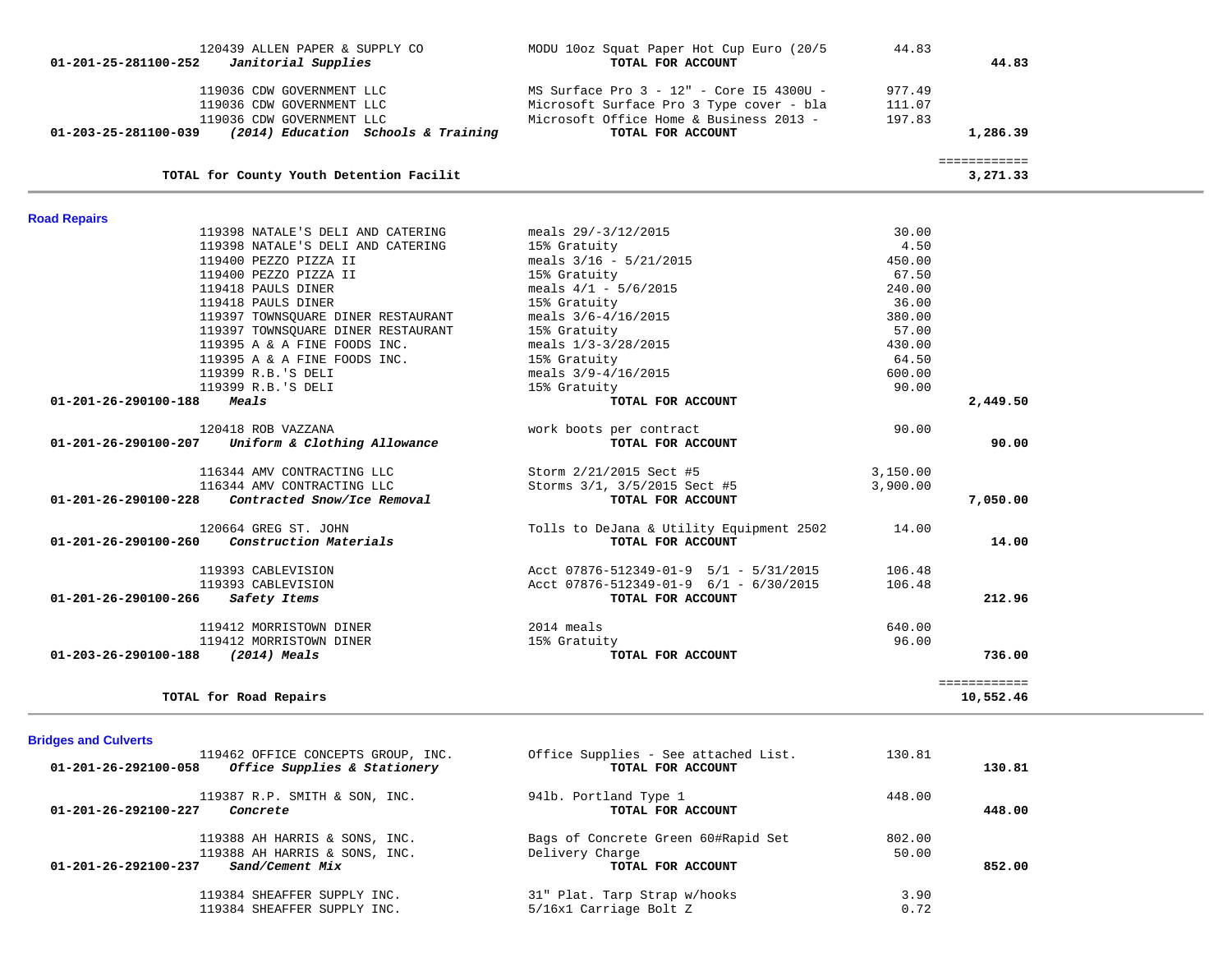| 120439 ALLEN PAPER & SUPPLY CO<br>$01 - 201 - 25 - 281100 - 252$<br>Janitorial Supplies | MODU 10oz Squat Paper Hot Cup Euro (20/5<br>TOTAL FOR ACCOUNT | 44.83    | 44.83                    |
|-----------------------------------------------------------------------------------------|---------------------------------------------------------------|----------|--------------------------|
| 119036 CDW GOVERNMENT LLC                                                               | MS Surface Pro 3 - 12" - Core 15 4300U -                      | 977.49   |                          |
| 119036 CDW GOVERNMENT LLC                                                               | Microsoft Surface Pro 3 Type cover - bla                      | 111.07   |                          |
| 119036 CDW GOVERNMENT LLC                                                               | Microsoft Office Home & Business 2013 -                       | 197.83   |                          |
| (2014) Education Schools & Training<br>01-203-25-281100-039                             | TOTAL FOR ACCOUNT                                             |          | 1,286.39                 |
| TOTAL for County Youth Detention Facilit                                                |                                                               |          | ============<br>3,271.33 |
|                                                                                         |                                                               |          |                          |
| <b>Road Repairs</b><br>119398 NATALE'S DELI AND CATERING                                | meals $29/-3/12/2015$                                         | 30.00    |                          |
| 119398 NATALE'S DELI AND CATERING                                                       |                                                               | 4.50     |                          |
| 119400 PEZZO PIZZA II                                                                   | 15% Gratuity<br>meals $3/16 - 5/21/2015$                      | 450.00   |                          |
| 119400 PEZZO PIZZA II                                                                   | 15% Gratuity                                                  | 67.50    |                          |
| 119418 PAULS DINER                                                                      | meals $4/1 - 5/6/2015$                                        | 240.00   |                          |
| 119418 PAULS DINER                                                                      | 15% Gratuity                                                  | 36.00    |                          |
| 119397 TOWNSQUARE DINER RESTAURANT                                                      | meals $3/6 - 4/16/2015$                                       | 380.00   |                          |
| 119397 TOWNSOUARE DINER RESTAURANT                                                      | 15% Gratuity                                                  | 57.00    |                          |
| 119395 A & A FINE FOODS INC.                                                            | meals $1/3 - 3/28/2015$                                       | 430.00   |                          |
| 119395 A & A FINE FOODS INC.                                                            | 15% Gratuity                                                  | 64.50    |                          |
| 119399 R.B.'S DELI                                                                      | meals $3/9 - 4/16/2015$                                       | 600.00   |                          |
| 119399 R.B.'S DELI                                                                      | 15% Gratuity                                                  | 90.00    |                          |
| 01-201-26-290100-188<br>Meals                                                           | TOTAL FOR ACCOUNT                                             |          | 2,449.50                 |
| 120418 ROB VAZZANA                                                                      | work boots per contract                                       | 90.00    |                          |
| Uniform & Clothing Allowance<br>01-201-26-290100-207                                    | TOTAL FOR ACCOUNT                                             |          | 90.00                    |
| 116344 AMV CONTRACTING LLC                                                              | Storm 2/21/2015 Sect #5                                       | 3,150.00 |                          |
| 116344 AMV CONTRACTING LLC                                                              | Storms 3/1, 3/5/2015 Sect #5                                  | 3,900.00 |                          |
| Contracted Snow/Ice Removal<br>01-201-26-290100-228                                     | TOTAL FOR ACCOUNT                                             |          | 7,050.00                 |
| 120664 GREG ST. JOHN                                                                    | Tolls to DeJana & Utility Equipment 2502                      | 14.00    |                          |
| Construction Materials<br>01-201-26-290100-260                                          | TOTAL FOR ACCOUNT                                             |          | 14.00                    |
| 119393 CABLEVISION                                                                      | Acct $07876 - 512349 - 01 - 9$ 5/1 - 5/31/2015                | 106.48   |                          |
| 119393 CABLEVISION                                                                      | Acct 07876-512349-01-9 6/1 - 6/30/2015                        | 106.48   |                          |
| 01-201-26-290100-266<br>Safety Items                                                    | TOTAL FOR ACCOUNT                                             |          | 212.96                   |
| 119412 MORRISTOWN DINER                                                                 | 2014 meals                                                    | 640.00   |                          |
| 119412 MORRISTOWN DINER                                                                 | 15% Gratuity                                                  | 96.00    |                          |
| 01-203-26-290100-188<br>(2014) Meals                                                    | TOTAL FOR ACCOUNT                                             |          | 736.00                   |
|                                                                                         |                                                               |          | ============             |
| TOTAL for Road Repairs                                                                  |                                                               |          | 10,552.46                |

# **Bridges and Culverts**

| 119462 OFFICE CONCEPTS GROUP, INC.<br>Office Supplies & Stationery<br>01-201-26-292100-058 | Office Supplies - See attached List.<br>TOTAL FOR ACCOUNT | 130.81 | 130.81 |
|--------------------------------------------------------------------------------------------|-----------------------------------------------------------|--------|--------|
| 119387 R.P. SMITH & SON, INC.<br>$01 - 201 - 26 - 292100 - 227$<br>Concrete                | 941b. Portland Type 1<br>TOTAL FOR ACCOUNT                | 448.00 | 448.00 |
| 119388 AH HARRIS & SONS, INC.                                                              | Bags of Concrete Green 60#Rapid Set                       | 802.00 |        |
| 119388 AH HARRIS & SONS, INC.<br>Sand/Cement Mix<br>$01 - 201 - 26 - 292100 - 237$         | Delivery Charge<br>TOTAL FOR ACCOUNT                      | 50.00  | 852.00 |
| 119384 SHEAFFER SUPPLY INC.                                                                | 31" Plat. Tarp Strap w/hooks                              | 3.90   |        |
| 119384 SHEAFFER SUPPLY INC.                                                                | 5/16x1 Carriage Bolt Z                                    | 0.72   |        |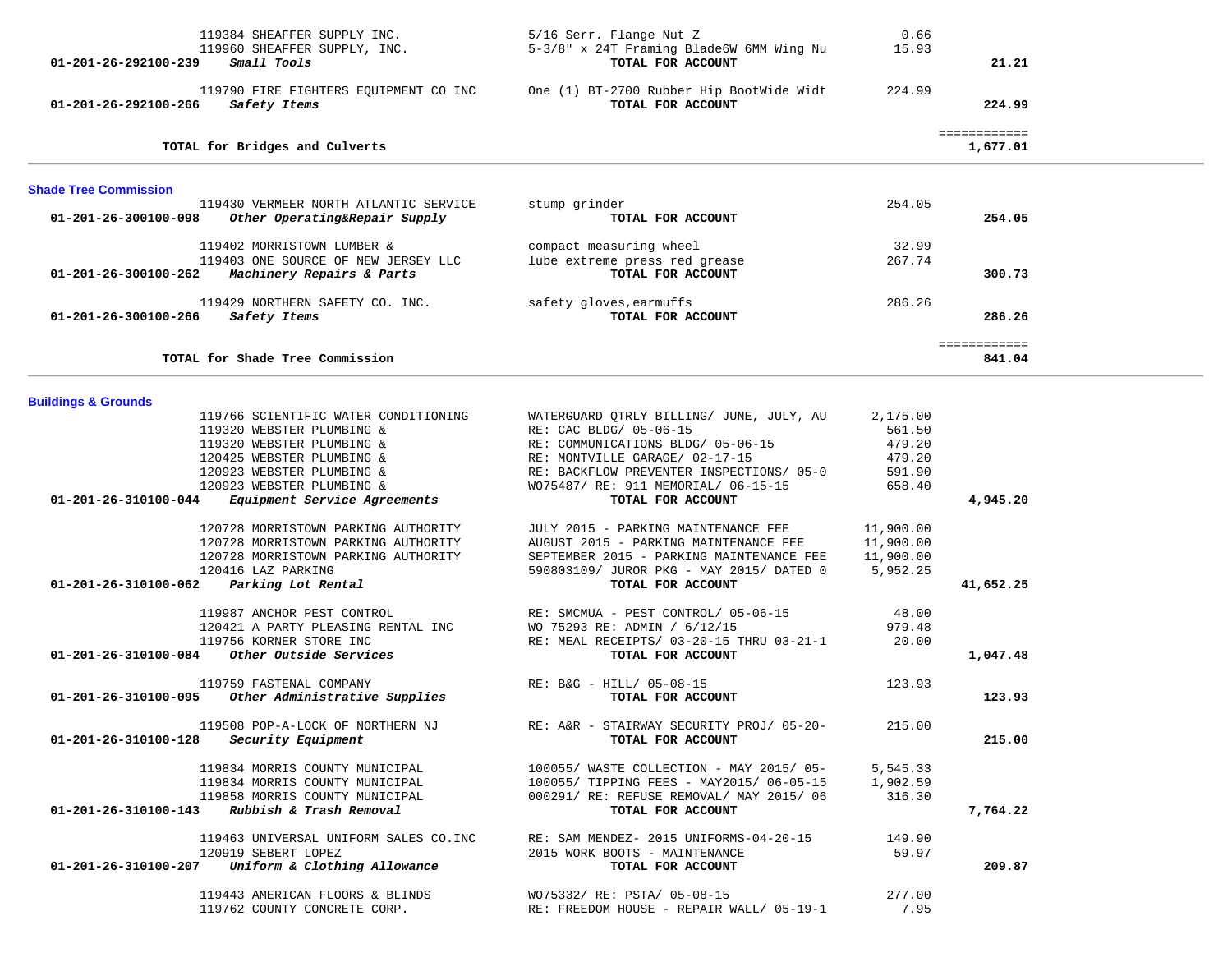| 119384 SHEAFFER SUPPLY INC.<br>119960 SHEAFFER SUPPLY, INC.<br>Small Tools<br>01-201-26-292100-239       | 5/16 Serr. Flange Nut Z<br>5-3/8" x 24T Framing Blade6W 6MM Wing Nu<br>TOTAL FOR ACCOUNT | 0.66<br>15.93      | 21.21        |  |
|----------------------------------------------------------------------------------------------------------|------------------------------------------------------------------------------------------|--------------------|--------------|--|
|                                                                                                          |                                                                                          |                    |              |  |
| 119790 FIRE FIGHTERS EQUIPMENT CO INC<br>Safety Items<br>01-201-26-292100-266                            | One (1) BT-2700 Rubber Hip BootWide Widt<br>TOTAL FOR ACCOUNT                            | 224.99             | 224.99       |  |
|                                                                                                          |                                                                                          |                    | ============ |  |
| TOTAL for Bridges and Culverts                                                                           |                                                                                          |                    | 1,677.01     |  |
| <b>Shade Tree Commission</b>                                                                             |                                                                                          |                    |              |  |
| 119430 VERMEER NORTH ATLANTIC SERVICE<br>$01 - 201 - 26 - 300100 - 098$<br>Other Operating&Repair Supply | stump grinder<br>TOTAL FOR ACCOUNT                                                       | 254.05             | 254.05       |  |
| 119402 MORRISTOWN LUMBER &                                                                               | compact measuring wheel                                                                  | 32.99              |              |  |
| 119403 ONE SOURCE OF NEW JERSEY LLC                                                                      | lube extreme press red grease                                                            | 267.74             |              |  |
| 01-201-26-300100-262<br>Machinery Repairs & Parts                                                        | TOTAL FOR ACCOUNT                                                                        |                    | 300.73       |  |
| 119429 NORTHERN SAFETY CO. INC.<br>Safety Items<br>01-201-26-300100-266                                  | safety gloves, earmuffs<br>TOTAL FOR ACCOUNT                                             | 286.26             | 286.26       |  |
|                                                                                                          |                                                                                          |                    | ============ |  |
| TOTAL for Shade Tree Commission                                                                          |                                                                                          |                    | 841.04       |  |
|                                                                                                          |                                                                                          |                    |              |  |
| <b>Buildings &amp; Grounds</b>                                                                           |                                                                                          |                    |              |  |
| 119766 SCIENTIFIC WATER CONDITIONING<br>119320 WEBSTER PLUMBING &                                        | WATERGUARD QTRLY BILLING/ JUNE, JULY, AU<br>RE: CAC BLDG/ 05-06-15                       | 2,175.00<br>561.50 |              |  |
| 119320 WEBSTER PLUMBING &                                                                                | RE: COMMUNICATIONS BLDG/ 05-06-15                                                        | 479.20             |              |  |
| 120425 WEBSTER PLUMBING &                                                                                | RE: MONTVILLE GARAGE/ 02-17-15                                                           | 479.20             |              |  |
| 120923 WEBSTER PLUMBING &                                                                                | RE: BACKFLOW PREVENTER INSPECTIONS/ 05-0                                                 | 591.90             |              |  |
| 120923 WEBSTER PLUMBING &                                                                                | WO75487/ RE: 911 MEMORIAL/ 06-15-15                                                      | 658.40             |              |  |
| 01-201-26-310100-044<br>Equipment Service Agreements                                                     | TOTAL FOR ACCOUNT                                                                        |                    | 4,945.20     |  |
| 120728 MORRISTOWN PARKING AUTHORITY                                                                      | JULY 2015 - PARKING MAINTENANCE FEE                                                      | 11,900.00          |              |  |
| 120728 MORRISTOWN PARKING AUTHORITY                                                                      | AUGUST 2015 - PARKING MAINTENANCE FEE                                                    | 11,900.00          |              |  |
| 120728 MORRISTOWN PARKING AUTHORITY                                                                      | SEPTEMBER 2015 - PARKING MAINTENANCE FEE                                                 | 11,900.00          |              |  |
| 120416 LAZ PARKING                                                                                       | 590803109/ JUROR PKG - MAY 2015/ DATED 0                                                 | 5,952.25           |              |  |
| 01-201-26-310100-062<br>Parking Lot Rental                                                               | TOTAL FOR ACCOUNT                                                                        |                    | 41,652.25    |  |
|                                                                                                          |                                                                                          |                    |              |  |
| 119987 ANCHOR PEST CONTROL<br>120421 A PARTY PLEASING RENTAL INC                                         | RE: SMCMUA - PEST CONTROL/ 05-06-15<br>WO 75293 RE: ADMIN / 6/12/15                      | 48.00<br>979.48    |              |  |
| 119756 KORNER STORE INC                                                                                  | RE: MEAL RECEIPTS/ 03-20-15 THRU 03-21-1                                                 | 20.00              |              |  |
| Other Outside Services<br>01-201-26-310100-084                                                           | TOTAL FOR ACCOUNT                                                                        |                    | 1,047.48     |  |
|                                                                                                          |                                                                                          |                    |              |  |
| 119759 FASTENAL COMPANY                                                                                  | RE: B&G - HILL/ 05-08-15                                                                 | 123.93             |              |  |
| Other Administrative Supplies<br>01-201-26-310100-095                                                    | TOTAL FOR ACCOUNT                                                                        |                    | 123.93       |  |
| 119508 POP-A-LOCK OF NORTHERN NJ                                                                         | RE: A&R - STAIRWAY SECURITY PROJ/ 05-20-                                                 | 215.00             |              |  |
| Security Equipment<br>01-201-26-310100-128                                                               | TOTAL FOR ACCOUNT                                                                        |                    | 215.00       |  |
|                                                                                                          |                                                                                          |                    |              |  |
| 119834 MORRIS COUNTY MUNICIPAL                                                                           | 100055/ WASTE COLLECTION - MAY 2015/ 05-                                                 | 5,545.33           |              |  |
| 119834 MORRIS COUNTY MUNICIPAL<br>119858 MORRIS COUNTY MUNICIPAL                                         | 100055/ TIPPING FEES - MAY2015/ 06-05-15                                                 | 1,902.59<br>316.30 |              |  |
| Rubbish & Trash Removal<br>01-201-26-310100-143                                                          | 000291/ RE: REFUSE REMOVAL/ MAY 2015/ 06<br>TOTAL FOR ACCOUNT                            |                    | 7,764.22     |  |
|                                                                                                          |                                                                                          |                    |              |  |
| 119463 UNIVERSAL UNIFORM SALES CO. INC                                                                   | RE: SAM MENDEZ- 2015 UNIFORMS-04-20-15                                                   | 149.90             |              |  |
| 120919 SEBERT LOPEZ                                                                                      | 2015 WORK BOOTS - MAINTENANCE                                                            | 59.97              |              |  |
| Uniform & Clothing Allowance<br>01-201-26-310100-207                                                     | TOTAL FOR ACCOUNT                                                                        |                    | 209.87       |  |
| 119443 AMERICAN FLOORS & BLINDS                                                                          | WO75332/ RE: PSTA/ 05-08-15                                                              | 277.00             |              |  |
| 119762 COUNTY CONCRETE CORP.                                                                             | RE: FREEDOM HOUSE - REPAIR WALL/ 05-19-1                                                 | 7.95               |              |  |
|                                                                                                          |                                                                                          |                    |              |  |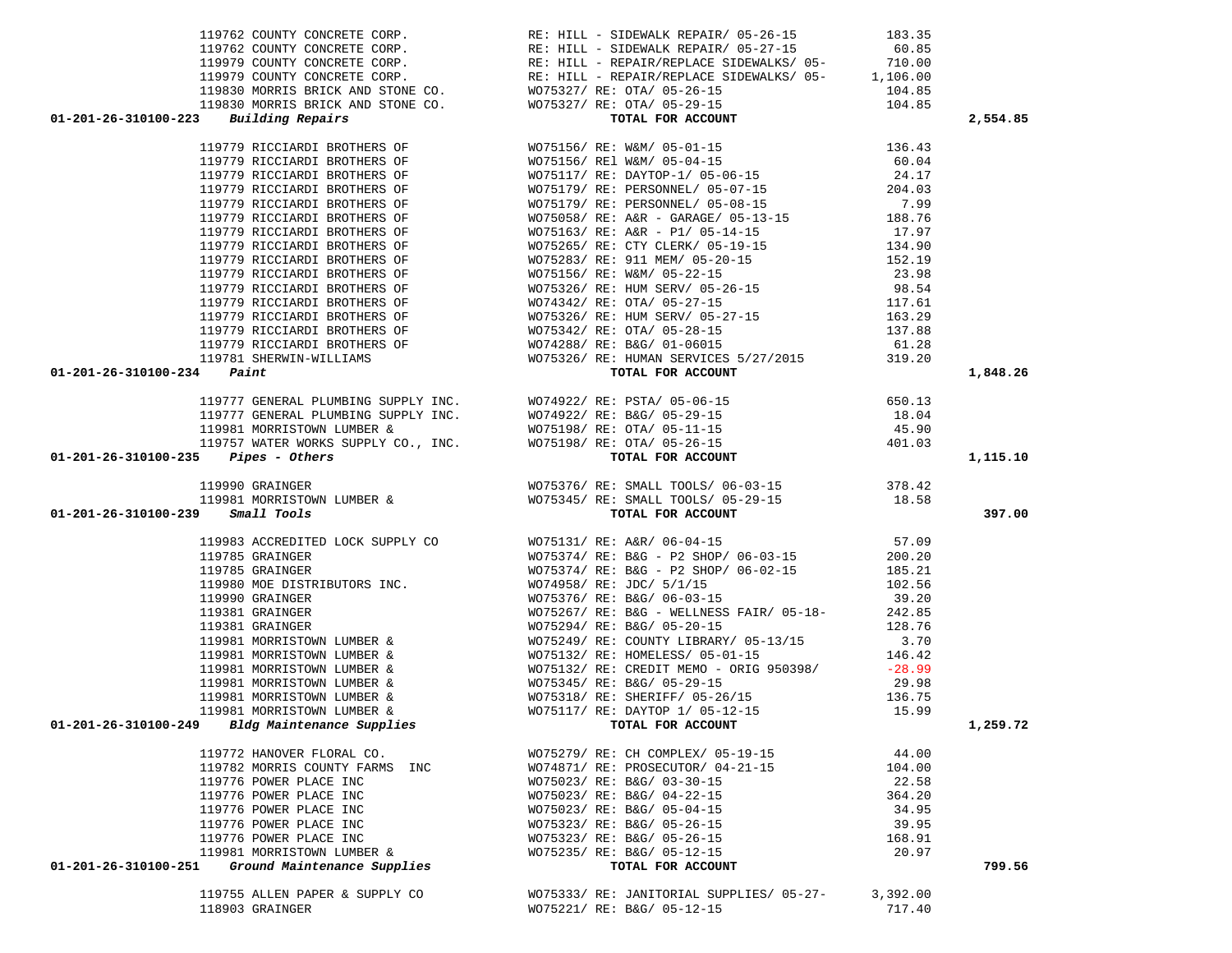| $01 - 201 - 26 - 310100 - 223$ Building Repairs                  |                                                                                                                                                                                                                                                                                                                                              |                    | 2,554.85 |
|------------------------------------------------------------------|----------------------------------------------------------------------------------------------------------------------------------------------------------------------------------------------------------------------------------------------------------------------------------------------------------------------------------------------|--------------------|----------|
|                                                                  |                                                                                                                                                                                                                                                                                                                                              |                    |          |
|                                                                  |                                                                                                                                                                                                                                                                                                                                              |                    |          |
|                                                                  |                                                                                                                                                                                                                                                                                                                                              |                    |          |
|                                                                  |                                                                                                                                                                                                                                                                                                                                              |                    |          |
|                                                                  |                                                                                                                                                                                                                                                                                                                                              |                    |          |
|                                                                  |                                                                                                                                                                                                                                                                                                                                              |                    |          |
|                                                                  |                                                                                                                                                                                                                                                                                                                                              |                    |          |
|                                                                  |                                                                                                                                                                                                                                                                                                                                              |                    |          |
|                                                                  |                                                                                                                                                                                                                                                                                                                                              |                    |          |
|                                                                  |                                                                                                                                                                                                                                                                                                                                              |                    |          |
|                                                                  |                                                                                                                                                                                                                                                                                                                                              |                    |          |
|                                                                  |                                                                                                                                                                                                                                                                                                                                              |                    |          |
|                                                                  |                                                                                                                                                                                                                                                                                                                                              |                    |          |
|                                                                  |                                                                                                                                                                                                                                                                                                                                              |                    |          |
|                                                                  |                                                                                                                                                                                                                                                                                                                                              |                    |          |
|                                                                  |                                                                                                                                                                                                                                                                                                                                              |                    |          |
|                                                                  |                                                                                                                                                                                                                                                                                                                                              |                    |          |
| $01 - 201 - 26 - 310100 - 234$ Paint                             |                                                                                                                                                                                                                                                                                                                                              |                    | 1,848.26 |
|                                                                  |                                                                                                                                                                                                                                                                                                                                              |                    |          |
|                                                                  |                                                                                                                                                                                                                                                                                                                                              |                    |          |
|                                                                  |                                                                                                                                                                                                                                                                                                                                              |                    |          |
|                                                                  |                                                                                                                                                                                                                                                                                                                                              |                    |          |
|                                                                  |                                                                                                                                                                                                                                                                                                                                              |                    |          |
| $01-201-26-310100-235$ Pipes - Others                            |                                                                                                                                                                                                                                                                                                                                              |                    | 1,115.10 |
|                                                                  |                                                                                                                                                                                                                                                                                                                                              |                    |          |
|                                                                  |                                                                                                                                                                                                                                                                                                                                              |                    |          |
|                                                                  |                                                                                                                                                                                                                                                                                                                                              |                    |          |
|                                                                  |                                                                                                                                                                                                                                                                                                                                              |                    |          |
| 01-201-26-310100-239 Small Tools                                 |                                                                                                                                                                                                                                                                                                                                              |                    | 397.00   |
|                                                                  |                                                                                                                                                                                                                                                                                                                                              |                    |          |
|                                                                  | 119777 GENERAL PLUMBING SUPPLY INC.<br>119777 GENERAL PLUMBING SUPPLY INC.<br>119777 GENERAL PLUMBING SUPPLY INC.<br>119981 MORRISTOWN LUMBER & WO75198/ RE: OTA/ 05-11-15<br>119757 WATER WORKS SUPPLY CO., INC.<br>119757 WATER WORKS                                                                                                      |                    |          |
|                                                                  |                                                                                                                                                                                                                                                                                                                                              |                    |          |
|                                                                  |                                                                                                                                                                                                                                                                                                                                              |                    |          |
|                                                                  |                                                                                                                                                                                                                                                                                                                                              |                    |          |
|                                                                  |                                                                                                                                                                                                                                                                                                                                              |                    |          |
|                                                                  |                                                                                                                                                                                                                                                                                                                                              |                    |          |
|                                                                  |                                                                                                                                                                                                                                                                                                                                              |                    |          |
|                                                                  |                                                                                                                                                                                                                                                                                                                                              |                    |          |
|                                                                  |                                                                                                                                                                                                                                                                                                                                              |                    |          |
|                                                                  |                                                                                                                                                                                                                                                                                                                                              |                    |          |
|                                                                  |                                                                                                                                                                                                                                                                                                                                              |                    |          |
|                                                                  |                                                                                                                                                                                                                                                                                                                                              |                    |          |
|                                                                  |                                                                                                                                                                                                                                                                                                                                              |                    |          |
| 01-201-26-310100-249 Bldg Maintenance Supplies TOTAL FOR ACCOUNT | $119983 AGCREDITED LOK SUPPLY CO\n119785 GRAINGER\n119785 GRAINGER\n119785 GRAINGER\n119785 GRAINGER\n119785 GRAINGER\n119785 GRAINGER\n119880 MOER DISTRISTUNORS INC.\n11980 OR INTREIVORS INC.\n119980 OR INTREIVORS\n119981 GRAINGER\n11980 ARINGER\n11981 GRAINGER\n11981 GRAINGER\n119981 MORRISTONN LUMBER & WOT5267/\n119981 MORRIST$ |                    | 1,259.72 |
|                                                                  |                                                                                                                                                                                                                                                                                                                                              |                    |          |
| 119772 HANOVER FLORAL CO.                                        | WO75279/ RE: CH COMPLEX/ 05-19-15                                                                                                                                                                                                                                                                                                            | 44.00              |          |
| 119782 MORRIS COUNTY FARMS INC                                   | WO74871/ RE: PROSECUTOR/ 04-21-15                                                                                                                                                                                                                                                                                                            | 104.00             |          |
| 119776 POWER PLACE INC                                           | WO75023/ RE: B&G/ 03-30-15                                                                                                                                                                                                                                                                                                                   | 22.58              |          |
| 119776 POWER PLACE INC                                           | WO75023/ RE: B&G/ 04-22-15                                                                                                                                                                                                                                                                                                                   | 364.20             |          |
| 119776 POWER PLACE INC                                           | WO75023/ RE: B&G/ 05-04-15                                                                                                                                                                                                                                                                                                                   | 34.95              |          |
| 119776 POWER PLACE INC                                           | WO75323/ RE: B&G/ 05-26-15                                                                                                                                                                                                                                                                                                                   | 39.95              |          |
| 119776 POWER PLACE INC                                           | WO75323/ RE: B&G/ 05-26-15                                                                                                                                                                                                                                                                                                                   | 168.91             |          |
| 119981 MORRISTOWN LUMBER &                                       | WO75235/ RE: B&G/ 05-12-15                                                                                                                                                                                                                                                                                                                   | 20.97              |          |
| 01-201-26-310100-251<br>Ground Maintenance Supplies              | TOTAL FOR ACCOUNT                                                                                                                                                                                                                                                                                                                            |                    | 799.56   |
|                                                                  |                                                                                                                                                                                                                                                                                                                                              |                    |          |
| 119755 ALLEN PAPER & SUPPLY CO<br>118903 GRAINGER                | WO75333/RE: JANITORIAL SUPPLIES/05-27-<br>WO75221/ RE: B&G/ 05-12-15                                                                                                                                                                                                                                                                         | 3,392.00<br>717.40 |          |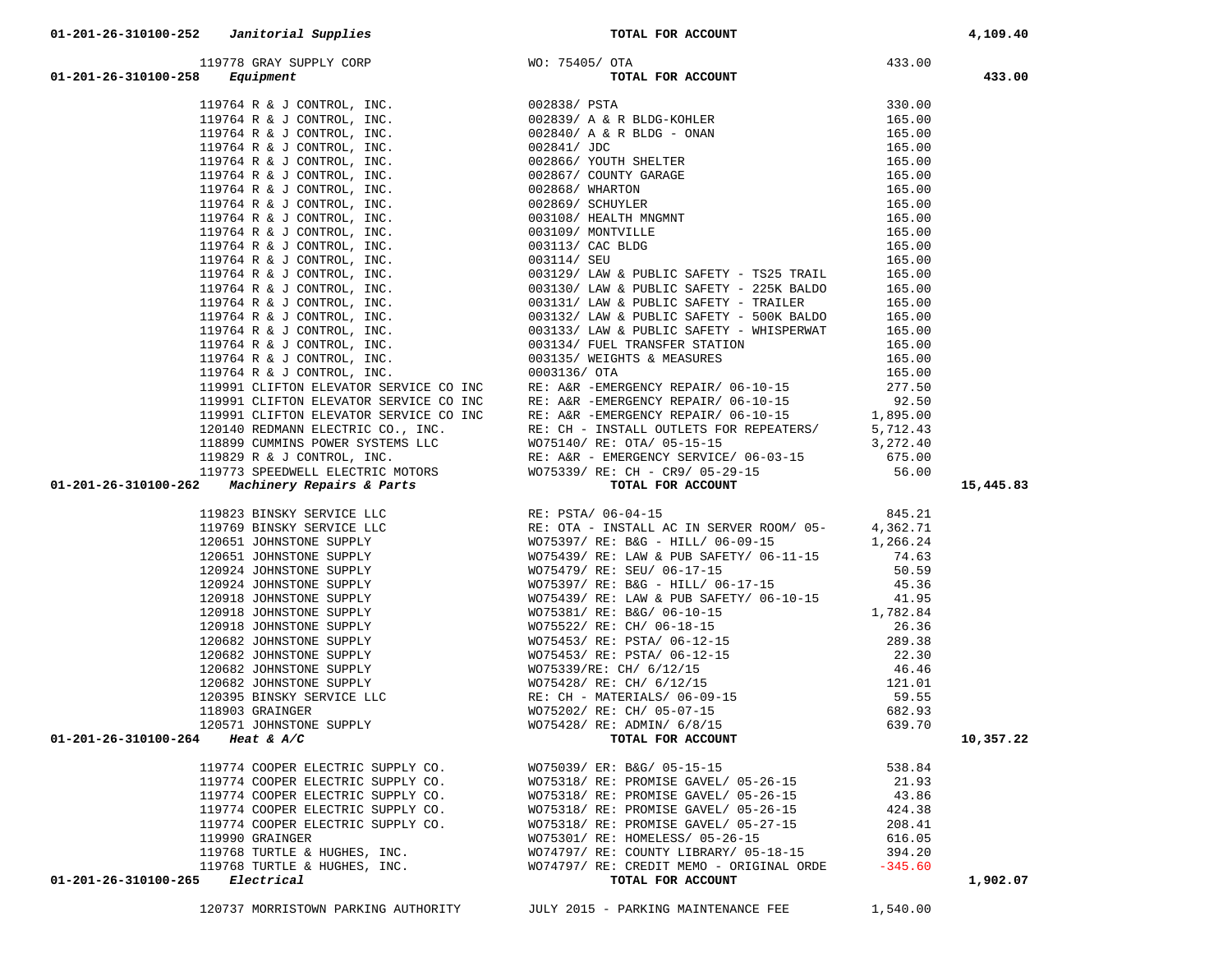|  | 119764 4 5 (2003) - 12, 2003) - 12, 2003) - 12, 2003) - 12, 2003<br>119764 4 5 (2003) - 12, 2003) - 12, 2003<br>119764 5 2 (2003) - 12, 2003) - 12, 2003<br>119776 4 5 (2003) - 12, 2003<br>119776 4 5 (2003) - 12, 2003<br>119776 4 5 |           |
|--|----------------------------------------------------------------------------------------------------------------------------------------------------------------------------------------------------------------------------------------|-----------|
|  |                                                                                                                                                                                                                                        |           |
|  |                                                                                                                                                                                                                                        |           |
|  |                                                                                                                                                                                                                                        |           |
|  |                                                                                                                                                                                                                                        |           |
|  |                                                                                                                                                                                                                                        |           |
|  |                                                                                                                                                                                                                                        |           |
|  |                                                                                                                                                                                                                                        |           |
|  |                                                                                                                                                                                                                                        |           |
|  |                                                                                                                                                                                                                                        |           |
|  |                                                                                                                                                                                                                                        |           |
|  |                                                                                                                                                                                                                                        |           |
|  |                                                                                                                                                                                                                                        |           |
|  |                                                                                                                                                                                                                                        |           |
|  |                                                                                                                                                                                                                                        |           |
|  |                                                                                                                                                                                                                                        |           |
|  |                                                                                                                                                                                                                                        |           |
|  |                                                                                                                                                                                                                                        |           |
|  |                                                                                                                                                                                                                                        |           |
|  |                                                                                                                                                                                                                                        |           |
|  |                                                                                                                                                                                                                                        |           |
|  |                                                                                                                                                                                                                                        |           |
|  |                                                                                                                                                                                                                                        |           |
|  |                                                                                                                                                                                                                                        |           |
|  |                                                                                                                                                                                                                                        |           |
|  |                                                                                                                                                                                                                                        |           |
|  |                                                                                                                                                                                                                                        | 15,445.83 |
|  |                                                                                                                                                                                                                                        |           |
|  |                                                                                                                                                                                                                                        |           |
|  |                                                                                                                                                                                                                                        |           |
|  |                                                                                                                                                                                                                                        |           |
|  |                                                                                                                                                                                                                                        |           |
|  |                                                                                                                                                                                                                                        |           |
|  |                                                                                                                                                                                                                                        |           |
|  |                                                                                                                                                                                                                                        |           |
|  |                                                                                                                                                                                                                                        |           |
|  |                                                                                                                                                                                                                                        |           |
|  |                                                                                                                                                                                                                                        |           |
|  |                                                                                                                                                                                                                                        |           |
|  |                                                                                                                                                                                                                                        |           |
|  |                                                                                                                                                                                                                                        |           |
|  |                                                                                                                                                                                                                                        |           |
|  |                                                                                                                                                                                                                                        |           |
|  |                                                                                                                                                                                                                                        |           |
|  |                                                                                                                                                                                                                                        | 10,357.22 |
|  |                                                                                                                                                                                                                                        |           |
|  |                                                                                                                                                                                                                                        |           |
|  |                                                                                                                                                                                                                                        |           |
|  |                                                                                                                                                                                                                                        |           |
|  |                                                                                                                                                                                                                                        |           |
|  |                                                                                                                                                                                                                                        |           |
|  |                                                                                                                                                                                                                                        |           |
|  |                                                                                                                                                                                                                                        |           |
|  |                                                                                                                                                                                                                                        | 1,902.07  |
|  |                                                                                                                                                                                                                                        |           |

 119778 GRAY SUPPLY CORP WO: 75405/ OTA 433.00  **01-201-26-310100-258** *Equipment* **TOTAL FOR ACCOUNT 433.00**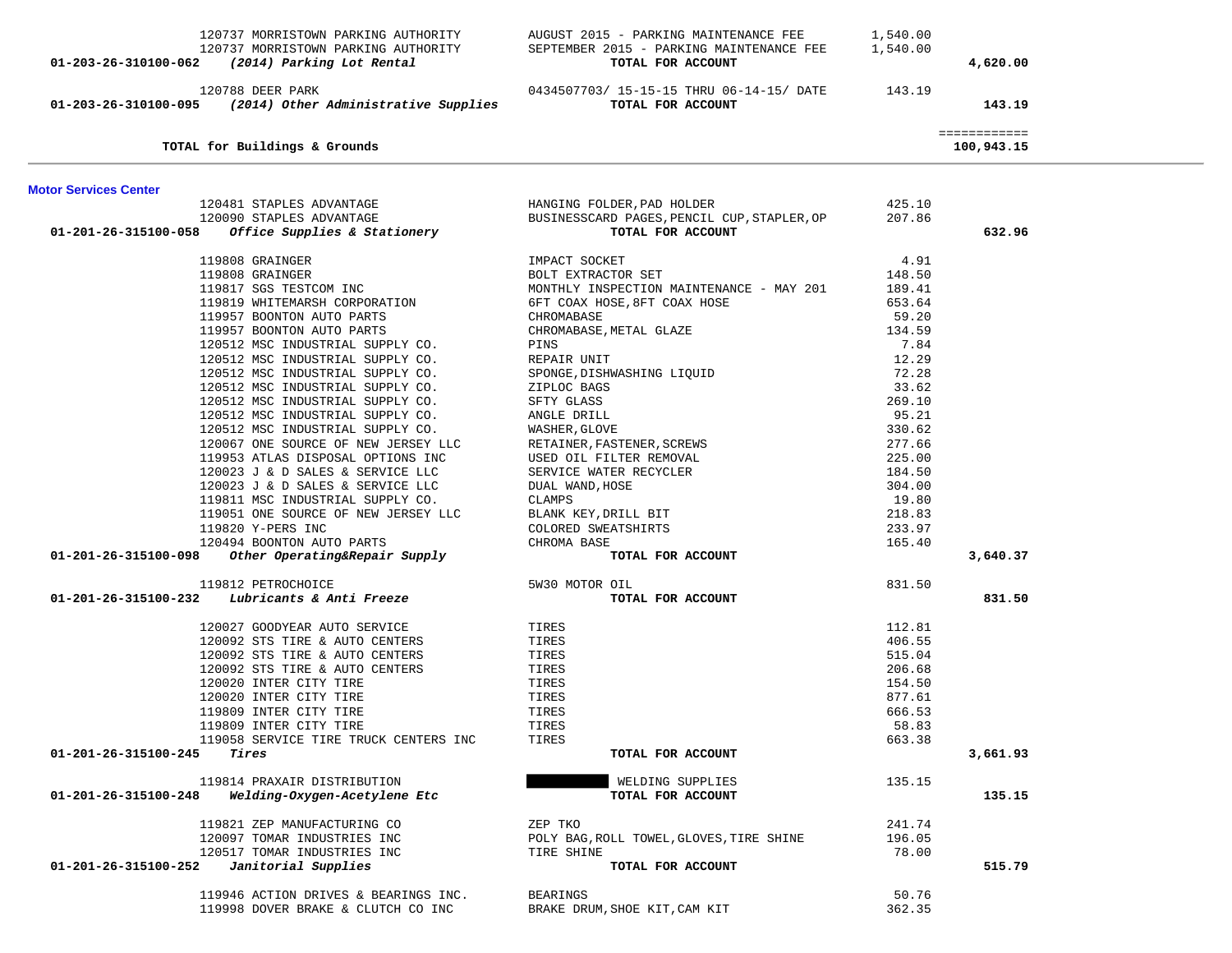|                              | 120737 MORRISTOWN PARKING AUTHORITY<br>120737 MORRISTOWN PARKING AUTHORITY<br>01-203-26-310100-062 (2014) Parking Lot Rental | AUGUST 2015 - PARKING MAINTENANCE FEE<br>SEPTEMBER 2015 - PARKING MAINTENANCE FEE 1,540.00<br>TOTAL FOR ACCOUNT                  | 1,540.00        | 4,620.00                   |  |
|------------------------------|------------------------------------------------------------------------------------------------------------------------------|----------------------------------------------------------------------------------------------------------------------------------|-----------------|----------------------------|--|
|                              | 120788 DEER PARK<br>$01-203-26-310100-095$ (2014) Other Administrative Supplies                                              | 0434507703/ 15-15-15 THRU 06-14-15/ DATE 143.19<br>TOTAL FOR ACCOUNT                                                             |                 | 143.19                     |  |
|                              | TOTAL for Buildings & Grounds                                                                                                |                                                                                                                                  |                 | ============<br>100,943.15 |  |
|                              |                                                                                                                              |                                                                                                                                  |                 |                            |  |
| <b>Motor Services Center</b> |                                                                                                                              |                                                                                                                                  | 425.10          |                            |  |
|                              |                                                                                                                              | HANGING FOLDER,PAD HOLDER<br>BUSINESSCARD PAGES,PENCIL CUP,STAPLER,OP                                                            | 207.86          |                            |  |
|                              |                                                                                                                              | TOTAL FOR ACCOUNT                                                                                                                |                 | 632.96                     |  |
|                              | 119808 GRAINGER                                                                                                              | IMPACT SOCKET                                                                                                                    | 4.91            |                            |  |
|                              | 119808 GRAINGER                                                                                                              | HTPACI SUCKET<br>BOLT EXTRACTOR SET                                                                                              | 148.50          |                            |  |
|                              | 119817 SGS TESTCOM INC                                                                                                       | MONTHLY INSPECTION MAINTENANCE - MAY 201 189.41                                                                                  |                 |                            |  |
|                              | 119819 WHITEMARSH CORPORATION                                                                                                | 6FT COAX HOSE, 8FT COAX HOSE                                                                                                     | 653.64          |                            |  |
|                              | 119957 BOONTON AUTO PARTS                                                                                                    | CHROMABASE                                                                                                                       | 59.20           |                            |  |
|                              | 119957 BOONTON AUTO PARTS                                                                                                    | CHROMABASE, METAL GLAZE                                                                                                          | 134.59          |                            |  |
|                              | 120512 MSC INDUSTRIAL SUPPLY CO.                                                                                             | PINS                                                                                                                             | 7.84            |                            |  |
|                              | 120512 MSC INDUSTRIAL SUPPLY CO.                                                                                             | REPAIR UNIT                                                                                                                      | 12.29           |                            |  |
|                              | 120512 MSC INDUSTRIAL SUPPLY CO.                                                                                             | SPONGE, DISHWASHING LIQUID                                                                                                       | 72.28           |                            |  |
|                              | 120512 MSC INDUSTRIAL SUPPLY CO.                                                                                             | ZIPLOC BAGS                                                                                                                      | 33.62           |                            |  |
|                              | 120512 MSC INDUSTRIAL SUPPLY CO.                                                                                             | SFTY GLASS                                                                                                                       | 269.10          |                            |  |
|                              | 120512 MSC INDUSTRIAL SUPPLY CO.                                                                                             | SFILE<br>WASHER, GLOVE<br>RETAINER, FASTENER, SCREWS<br>USED OIL FILTER REMOVAL<br>SERVICE WATER RECYCLER<br>~******* WAND, HOSE | 95.21           |                            |  |
|                              | 120512 MSC INDUSTRIAL SUPPLY CO.                                                                                             |                                                                                                                                  | 330.62          |                            |  |
|                              | 120067 ONE SOURCE OF NEW JERSEY LLC                                                                                          |                                                                                                                                  | 277.66          |                            |  |
|                              | 119953 ATLAS DISPOSAL OPTIONS INC                                                                                            |                                                                                                                                  | 225.00          |                            |  |
|                              | 120023 J & D SALES & SERVICE LLC                                                                                             |                                                                                                                                  | 184.50          |                            |  |
|                              | 120023 J & D SALES & SERVICE LLC                                                                                             |                                                                                                                                  | 304.00          |                            |  |
|                              | 119811 MSC INDUSTRIAL SUPPLY CO.<br>119051 ONE SOURCE OF NEW JERSEY LLC                                                      | BLANK KEY, DRILL BIT                                                                                                             | 19.80<br>218.83 |                            |  |
|                              | 119820 Y-PERS INC                                                                                                            | COLORED SWEATSHIRTS                                                                                                              | 233.97          |                            |  |
|                              | 120494 BOONTON AUTO PARTS                                                                                                    | CHROMA BASE                                                                                                                      | 165.40          |                            |  |
|                              | 01-201-26-315100-098 Other Operating&Repair Supply                                                                           | TOTAL FOR ACCOUNT                                                                                                                |                 | 3,640.37                   |  |
|                              | 119812 PETROCHOICE                                                                                                           | 5W30 MOTOR OIL                                                                                                                   | 831.50          |                            |  |
|                              | $01-201-26-315100-232$ Lubricants & Anti Freeze                                                                              | TOTAL FOR ACCOUNT                                                                                                                |                 | 831.50                     |  |
|                              | 120027 GOODYEAR AUTO SERVICE                                                                                                 | TIRES                                                                                                                            | 112.81          |                            |  |
|                              | 120092 STS TIRE & AUTO CENTERS                                                                                               | TIRES                                                                                                                            | 406.55          |                            |  |
|                              | 120092 STS TIRE & AUTO CENTERS                                                                                               | TIRES                                                                                                                            | 515.04          |                            |  |
|                              | 120092 STS TIRE & AUTO CENTERS                                                                                               | TIRES                                                                                                                            | 206.68          |                            |  |
|                              | 120020 INTER CITY TIRE                                                                                                       | TIRES                                                                                                                            | 154.50          |                            |  |
|                              | 120020 INTER CITY TIRE                                                                                                       | TIRES                                                                                                                            | 877.61          |                            |  |
|                              | 119809 INTER CITY TIRE                                                                                                       | TIRES                                                                                                                            | 666.53          |                            |  |
|                              | 119809 INTER CITY TIRE                                                                                                       | TIRES                                                                                                                            | 58.83           |                            |  |
|                              | 119058 SERVICE TIRE TRUCK CENTERS INC                                                                                        | TIRES                                                                                                                            | 663.38          |                            |  |
| 01-201-26-315100-245         | Tires                                                                                                                        | TOTAL FOR ACCOUNT                                                                                                                |                 | 3,661.93                   |  |
|                              | 119814 PRAXAIR DISTRIBUTION                                                                                                  | WELDING SUPPLIES                                                                                                                 | 135.15          |                            |  |
| 01-201-26-315100-248         | Welding-Oxygen-Acetylene Etc                                                                                                 | TOTAL FOR ACCOUNT                                                                                                                |                 | 135.15                     |  |
|                              | 119821 ZEP MANUFACTURING CO                                                                                                  | ZEP TKO                                                                                                                          | 241.74          |                            |  |
|                              | 120097 TOMAR INDUSTRIES INC                                                                                                  | POLY BAG, ROLL TOWEL, GLOVES, TIRE SHINE                                                                                         | 196.05          |                            |  |
|                              | 120517 TOMAR INDUSTRIES INC                                                                                                  | TIRE SHINE                                                                                                                       | 78.00           |                            |  |
| 01-201-26-315100-252         | Janitorial Supplies                                                                                                          | TOTAL FOR ACCOUNT                                                                                                                |                 | 515.79                     |  |
|                              | 119946 ACTION DRIVES & BEARINGS INC.                                                                                         | <b>BEARINGS</b>                                                                                                                  | 50.76           |                            |  |
|                              | 119998 DOVER BRAKE & CLUTCH CO INC                                                                                           | BRAKE DRUM, SHOE KIT, CAM KIT                                                                                                    | 362.35          |                            |  |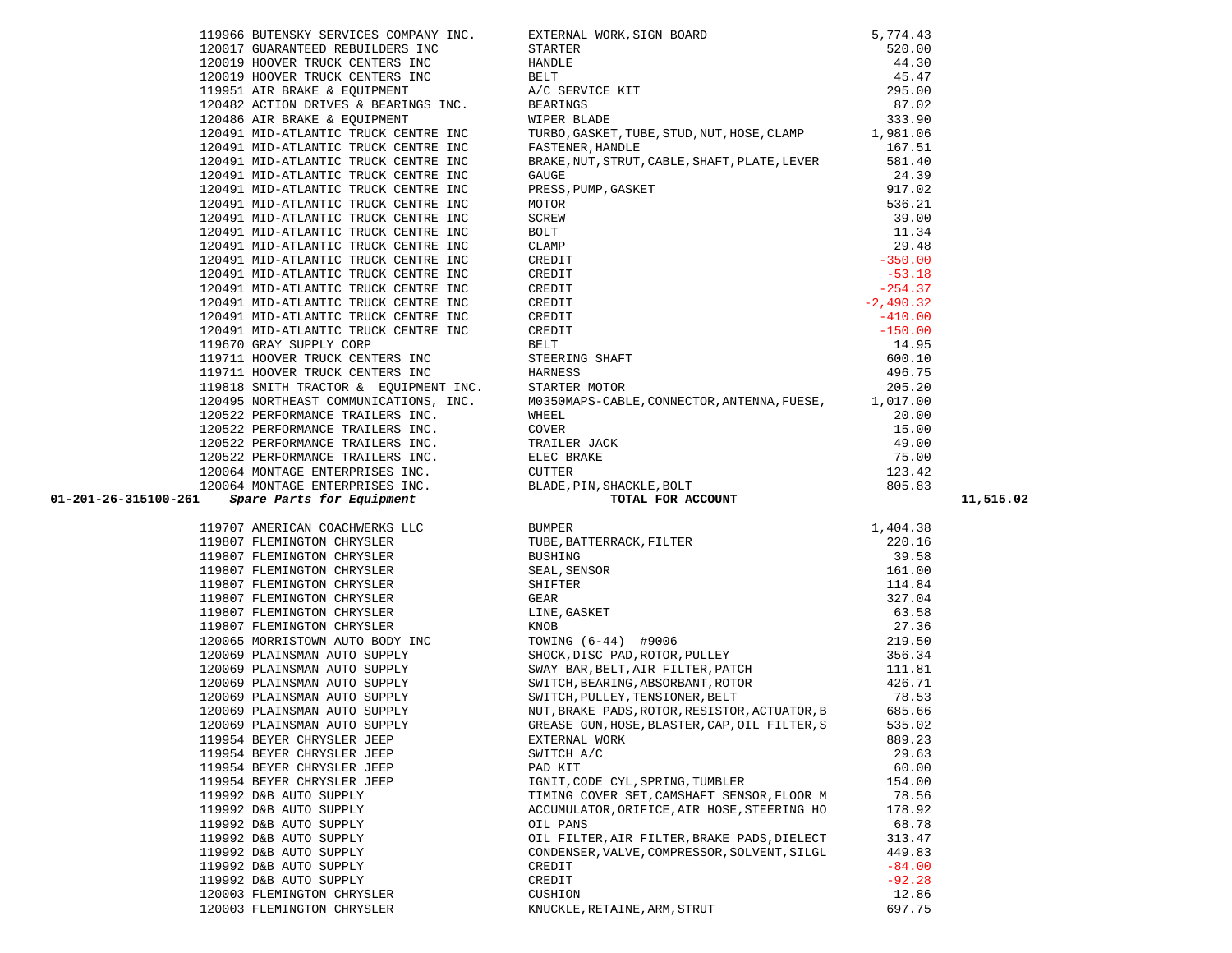|   |        | TIASTS PMITH IKMCIOK & EÕOTEMED  |
|---|--------|----------------------------------|
|   |        | 120495 NORTHEAST COMMUNICATIONS, |
|   |        | 120522 PERFORMANCE TRAILERS INC. |
|   |        | 120522 PERFORMANCE TRAILERS INC. |
|   |        | 120522 PERFORMANCE TRAILERS INC. |
|   |        | 120522 PERFORMANCE TRAILERS INC. |
|   |        | 120064 MONTAGE ENTERPRISES INC.  |
|   |        | 120064 MONTAGE ENTERPRISES INC.  |
| 1 |        | Spare Parts for Equipment        |
|   |        |                                  |
|   |        | 119707 AMERICAN COACHWERKS LLC   |
|   |        | 119807 FLEMINGTON CHRYSLER       |
|   |        | 119807 FLEMINGTON CHRYSLER       |
|   |        | 119807 FLEMINGTON CHRYSLER       |
|   |        | 119807 FLEMINGTON CHRYSLER       |
|   |        | 119807 FLEMINGTON CHRYSLER       |
|   |        | 119807 FLEMINGTON CHRYSLER       |
|   |        | 119807 FLEMINGTON CHRYSLER       |
|   | 120065 | MORRISTOWN AUTO BODY INC         |
|   |        | 120069 PLAINSMAN AUTO SUPPLY     |
|   |        | 120069 PLAINSMAN AUTO SUPPLY     |
|   |        | 120069 PLAINSMAN AUTO SUPPLY     |
|   |        | 120069 PLAINSMAN AUTO SUPPLY     |
|   |        | 120069 PLAINSMAN AUTO SUPPLY     |
|   |        | 120069 PLAINSMAN AUTO SUPPLY     |
|   |        | 119954 BEYER CHRYSLER JEEP       |
|   |        | 119954 BEYER CHRYSLER JEEP       |
|   |        | 119954 BEYER CHRYSLER JEEP       |
|   |        | 119954 BEYER CHRYSLER JEEP       |
|   |        | 119992 D&B AUTO SUPPLY           |
|   |        | 119992 D&B AUTO SUPPLY           |
|   |        | 119992 D&B AUTO SUPPLY           |
|   |        | 119992 D&B AUTO SUPPLY           |
|   |        | 119992 D&B AUTO SUPPLY           |
|   |        | 119992 D&B AUTO SUPPLY           |
|   |        | 119992 D&B AUTO SUPPLY           |
|   |        | 120003 FLEMINGTON CHRYSLER       |
|   |        | 120003 FLEMINGTON CHRYSLER       |
|   |        |                                  |

|                      | 120017 GUARANTEED REBUILDERS INC                                                                                          |                                                                                                                                                                                                      | 520.00          |           |
|----------------------|---------------------------------------------------------------------------------------------------------------------------|------------------------------------------------------------------------------------------------------------------------------------------------------------------------------------------------------|-----------------|-----------|
|                      | 120019 HOOVER TRUCK CENTERS INC                                                                                           | STARTER<br>HANDLE<br>BELT<br>A/C SERVICE KIT<br>BEARINGS<br>WIPER BLADE                                                                                                                              | 44.30           |           |
|                      | 120019 HOOVER TRUCK CENTERS INC                                                                                           |                                                                                                                                                                                                      | 45.47           |           |
|                      | 119951 AIR BRAKE & EQUIPMENT                                                                                              |                                                                                                                                                                                                      | 295.00          |           |
|                      | 120482 ACTION DRIVES & BEARINGS INC.                                                                                      |                                                                                                                                                                                                      | 87.02           |           |
|                      | 120486 AIR BRAKE & EQUIPMENT                                                                                              | WIPER BLADE                                                                                                                                                                                          | 333.90          |           |
|                      | 120491 MID-ATLANTIC TRUCK CENTRE INC                                                                                      | TURBO, GASKET, TUBE, STUD, NUT, HOSE, CLAMP 1, 981.06                                                                                                                                                |                 |           |
|                      | 120491 MID-ATLANTIC TRUCK CENTRE INC                                                                                      | FASTENER, HANDLE                                                                                                                                                                                     | 167.51          |           |
|                      | 120491 MID-ATLANTIC TRUCK CENTRE INC                                                                                      | BRAKE, NUT, STRUT, CABLE, SHAFT, PLATE, LEVER                                                                                                                                                        | 581.40          |           |
|                      | 120491 MID-ATLANTIC TRUCK CENTRE INC                                                                                      | GAUGE                                                                                                                                                                                                | 24.39           |           |
|                      | 120491 MID-ATLANTIC TRUCK CENTRE INC                                                                                      | PRESS, PUMP, GASKET                                                                                                                                                                                  | 917.02          |           |
|                      | 120491 MID-ATLANTIC TRUCK CENTRE INC                                                                                      | MOTOR                                                                                                                                                                                                | 536.21          |           |
|                      | 120491 MID-ATLANTIC TRUCK CENTRE INC                                                                                      | SCREW                                                                                                                                                                                                | 39.00           |           |
|                      | 120491 MID-ATLANTIC TRUCK CENTRE INC                                                                                      | BOLT                                                                                                                                                                                                 | 11.34           |           |
|                      | 120491 MID-ATLANTIC TRUCK CENTRE INC                                                                                      | CLAMP                                                                                                                                                                                                | 29.48           |           |
|                      | 120491 MID-ATLANTIC TRUCK CENTRE INC                                                                                      | CREDIT                                                                                                                                                                                               | $-350.00$       |           |
|                      | 120491 MID-ATLANTIC TRUCK CENTRE INC                                                                                      | CREDIT                                                                                                                                                                                               | $-53.18$        |           |
|                      | 120491 MID-ATLANTIC TRUCK CENTRE INC                                                                                      | CREDIT                                                                                                                                                                                               | $-254.37$       |           |
|                      | 120491 MID-ATLANTIC TRUCK CENTRE INC                                                                                      | CREDIT                                                                                                                                                                                               | $-2,490.32$     |           |
|                      | 120491 MID-ATLANTIC TRUCK CENTRE INC                                                                                      | CREDIT                                                                                                                                                                                               | $-410.00$       |           |
|                      | 120491 MID-ATLANTIC TRUCK CENTRE INC                                                                                      | CREDIT                                                                                                                                                                                               | $-150.00$       |           |
|                      | 119670 GRAY SUPPLY CORP                                                                                                   | BELT                                                                                                                                                                                                 | 14.95           |           |
|                      | 119711 HOOVER TRUCK CENTERS INC                                                                                           | STEERING SHAFT                                                                                                                                                                                       | 600.10          |           |
|                      |                                                                                                                           |                                                                                                                                                                                                      | 496.75          |           |
|                      | 119711 HOOVER TRUCK CENTERS INC HARNESS 119818 SMITH TRACTOR $\&$ EQUIPMENT INC. STARTER MOTOR                            |                                                                                                                                                                                                      | 205.20          |           |
|                      |                                                                                                                           | 120495 NORTHEAST COMMUNICATIONS, INC. M0350MAPS-CABLE, CONNECTOR, ANTENNA, FUESE, 1, 017.00                                                                                                          |                 |           |
|                      | 120522 PERFORMANCE TRAILERS INC.                                                                                          | WHEEL                                                                                                                                                                                                | 20.00           |           |
|                      | 120522 PERFORMANCE TRAILERS INC.                                                                                          |                                                                                                                                                                                                      | 15.00           |           |
|                      | 120522 PERFORMANCE TRAILERS INC.                                                                                          |                                                                                                                                                                                                      | 49.00           |           |
|                      | 120522 FEREORMANCE IRAILERS INC.<br>120522 PERFORMANCE TRAILERS INC. ELEC BRAKE<br>120064 MONTAGE ENTERPRISES INC. CUTTER |                                                                                                                                                                                                      | 75.00           |           |
|                      |                                                                                                                           |                                                                                                                                                                                                      | 123.42          |           |
|                      |                                                                                                                           |                                                                                                                                                                                                      |                 |           |
|                      |                                                                                                                           |                                                                                                                                                                                                      |                 |           |
|                      |                                                                                                                           | COVER<br>TRAILER JACK<br>ELEC BRAKE<br>CUTTER<br>BLADE, PIN, SHACKLE, BOLT                                                                                                                           | 805.83          |           |
| 01-201-26-315100-261 | 120064 MONTAGE ENTERPRISES INC.<br>120064 MONTAGE ENTERPRISES INC. BLADE, P<br>Spare Parts for Equipment                  | TOTAL FOR ACCOUNT                                                                                                                                                                                    |                 | 11,515.02 |
|                      |                                                                                                                           |                                                                                                                                                                                                      |                 |           |
|                      | 119707 AMERICAN COACHWERKS LLC                                                                                            |                                                                                                                                                                                                      | 1,404.38        |           |
|                      | 119807 FLEMINGTON CHRYSLER                                                                                                |                                                                                                                                                                                                      | 220.16          |           |
|                      | 119807 FLEMINGTON CHRYSLER                                                                                                |                                                                                                                                                                                                      | 39.58           |           |
|                      | 119807 FLEMINGTON CHRYSLER                                                                                                |                                                                                                                                                                                                      | 161.00          |           |
|                      | 119807 FLEMINGTON CHRYSLER                                                                                                |                                                                                                                                                                                                      | 114.84          |           |
|                      | 119807 FLEMINGTON CHRYSLER                                                                                                |                                                                                                                                                                                                      | 327.04          |           |
|                      | 119807 FLEMINGTON CHRYSLER                                                                                                |                                                                                                                                                                                                      | 63.58           |           |
|                      | 119807 FLEMINGTON CHRYSLER                                                                                                |                                                                                                                                                                                                      | 27.36           |           |
|                      | 120065 MORRISTOWN AUTO BODY INC                                                                                           |                                                                                                                                                                                                      | 219.50          |           |
|                      | 120069 PLAINSMAN AUTO SUPPLY                                                                                              | BUMPER<br>TUBE, BATTERRACK, FILTER<br>BUSHING<br>SEAL, SENSOR<br>SHIFTER<br>GEAR<br>LINE, GASKET<br>NOCK, DISC PAD, ROTOR, PULLEY<br>SWACK, DISC PAD, ROTOR, PULLEY<br>WAY PAP PETT ATP FILTEP PATCH | 356.34          |           |
|                      | 120069 PLAINSMAN AUTO SUPPLY                                                                                              |                                                                                                                                                                                                      | 111.81          |           |
|                      | 120069 PLAINSMAN AUTO SUPPLY                                                                                              |                                                                                                                                                                                                      | 426.71          |           |
|                      | 120069 PLAINSMAN AUTO SUPPLY                                                                                              | SWAY BAR, BELT, AIR FILTER, PATCH<br>SWITCH, BEARING, ABSORBANT, ROTOR<br>SWITCH, PULLEY, TENSIONER, BELT                                                                                            | 78.53           |           |
|                      | 120069 PLAINSMAN AUTO SUPPLY                                                                                              | NUT, BRAKE PADS, ROTOR, RESISTOR, ACTUATOR, B                                                                                                                                                        | 685.66          |           |
|                      | 120069 PLAINSMAN AUTO SUPPLY                                                                                              | GREASE GUN, HOSE, BLASTER, CAP, OIL FILTER, S                                                                                                                                                        | 535.02          |           |
|                      | 119954 BEYER CHRYSLER JEEP                                                                                                | EXTERNAL WORK                                                                                                                                                                                        | 889.23          |           |
|                      | 119954 BEYER CHRYSLER JEEP                                                                                                | SWITCH A/C                                                                                                                                                                                           | 29.63           |           |
|                      | 119954 BEYER CHRYSLER JEEP                                                                                                | PAD KIT                                                                                                                                                                                              | 60.00           |           |
|                      | 119954 BEYER CHRYSLER JEEP                                                                                                | IGNIT, CODE CYL, SPRING, TUMBLER                                                                                                                                                                     | 154.00          |           |
|                      | 119992 D&B AUTO SUPPLY                                                                                                    | TIMING COVER SET, CAMSHAFT SENSOR, FLOOR M                                                                                                                                                           | 78.56           |           |
|                      | 119992 D&B AUTO SUPPLY                                                                                                    | ACCUMULATOR, ORIFICE, AIR HOSE, STEERING HO                                                                                                                                                          | 178.92          |           |
|                      | 119992 D&B AUTO SUPPLY                                                                                                    | OIL PANS                                                                                                                                                                                             | 68.78           |           |
|                      | 119992 D&B AUTO SUPPLY                                                                                                    | OIL FILTER, AIR FILTER, BRAKE PADS, DIELECT                                                                                                                                                          | 313.47          |           |
|                      | 119992 D&B AUTO SUPPLY                                                                                                    | CONDENSER, VALVE, COMPRESSOR, SOLVENT, SILGL                                                                                                                                                         | 449.83          |           |
|                      | 119992 D&B AUTO SUPPLY                                                                                                    | CREDIT                                                                                                                                                                                               | $-84.00$        |           |
|                      | 119992 D&B AUTO SUPPLY                                                                                                    | CREDIT                                                                                                                                                                                               | $-92.28$        |           |
|                      | 120003 FLEMINGTON CHRYSLER<br>120003 FLEMINGTON CHRYSLER                                                                  | CUSHION<br>KNUCKLE RETAINE ARM STRUT                                                                                                                                                                 | 12.86<br>697.75 |           |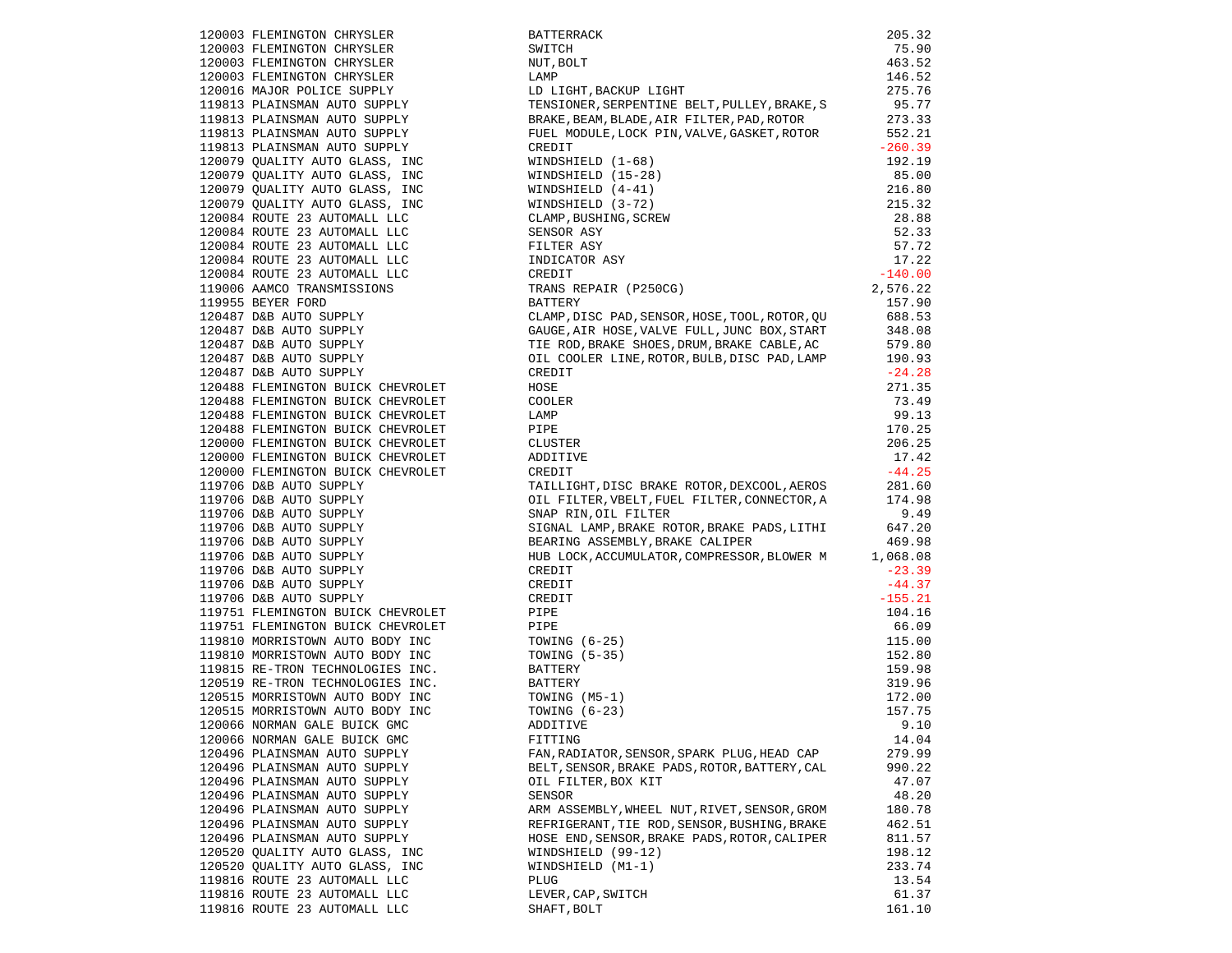| 120003 FLEMINGTON CHRYSLER                                                                                                                                                                                                         | BATTERRACK                                                                                                | 205.32           |
|------------------------------------------------------------------------------------------------------------------------------------------------------------------------------------------------------------------------------------|-----------------------------------------------------------------------------------------------------------|------------------|
| 120003 FLEMINGTON CHRYSLER                                                                                                                                                                                                         | SWITCH                                                                                                    | 75.90            |
| 120003 FLEMINGTON CHRYSLER<br>120003 FLEMINGTON CHRYSLER                                                                                                                                                                           | NUT, BOLT                                                                                                 | 463.52           |
|                                                                                                                                                                                                                                    | LAMP<br>LD LIGHT,BACKUP LIGHT                                                                             | 146.52           |
| 120016 MAJOR POLICE SUPPLY<br>119813 PLAINSMAN AUTO SUPPLY                                                                                                                                                                         |                                                                                                           | 275.76           |
|                                                                                                                                                                                                                                    | TENSIONER, SERPENTINE BELT, PULLEY, BRAKE, S                                                              | 95.77            |
| 119813 PLAINSMAN AUTO SUPPLY                                                                                                                                                                                                       | BRAKE, BEAM, BLADE, AIR FILTER, PAD, ROTOR 273.33<br>FUEL MODULE, LOCK PIN, VALVE, GASKET, ROTOR 552.21   | 273.33           |
| 119813 PLAINSMAN AUTO SUPPLY                                                                                                                                                                                                       |                                                                                                           |                  |
|                                                                                                                                                                                                                                    |                                                                                                           |                  |
|                                                                                                                                                                                                                                    |                                                                                                           |                  |
|                                                                                                                                                                                                                                    |                                                                                                           |                  |
|                                                                                                                                                                                                                                    |                                                                                                           |                  |
|                                                                                                                                                                                                                                    |                                                                                                           |                  |
|                                                                                                                                                                                                                                    |                                                                                                           |                  |
|                                                                                                                                                                                                                                    |                                                                                                           |                  |
|                                                                                                                                                                                                                                    |                                                                                                           |                  |
|                                                                                                                                                                                                                                    |                                                                                                           |                  |
| 120084 ROUTE 23 AUTOMABLE<br>119006 AAMCO TRANSMISSIONS                                                                                                                                                                            |                                                                                                           |                  |
|                                                                                                                                                                                                                                    |                                                                                                           |                  |
|                                                                                                                                                                                                                                    | BATTERY                                                                                                   | 157.90           |
| 120487 D&B AUTO SUPPLY<br>120487 D&B AUTO SUPPLY<br>120487 D&B AUTO SUPPLY<br>120487 D&B AUTO SUPPLY<br>120487 D&B AUTO SUPPLY<br>120487 D&B AUTO SUPPLY                                                                           | CLAMP, DISC PAD, SENSOR, HOSE, TOOL, ROTOR, QU                                                            | 688.53           |
|                                                                                                                                                                                                                                    | GAUGE, AIR HOSE, VALVE FULL, JUNC BOX, START                                                              | 348.08           |
|                                                                                                                                                                                                                                    | TIE ROD, BRAKE SHOES, DRUM, BRAKE CABLE, AC                                                               | 579.80<br>190.93 |
|                                                                                                                                                                                                                                    | OIL COOLER LINE, ROTOR, BULB, DISC PAD, LAMP                                                              | 190.93           |
|                                                                                                                                                                                                                                    | CREDIT                                                                                                    | $-24.28$         |
| 120488 FLEMINGTON BUICK CHEVROLET                                                                                                                                                                                                  | HOSE                                                                                                      | 271.35           |
| 120488 FLEMINGTON BUICK CHEVROLET<br>120488 FLEMINGTON BUICK CHEVROLET                                                                                                                                                             | COOLER                                                                                                    | 73.49            |
|                                                                                                                                                                                                                                    | LAMP                                                                                                      | 99.13            |
| 120488 FLEMINGTON BUICK CHEVROLET<br>120000 FLEMINGTON BUICK CHEVROLET                                                                                                                                                             | PIPE                                                                                                      | 170.25           |
|                                                                                                                                                                                                                                    | CLUSTER                                                                                                   | 206.25           |
| 120000 FLEMINGTON BUICK CHEVROLET<br>120000 FLEMINGTON BUICK CHEVROLET                                                                                                                                                             | ADDITIVE                                                                                                  | 17.42            |
|                                                                                                                                                                                                                                    | CREDIT                                                                                                    | $-44.25$         |
| 119706 D&B AUTO SUPPLY                                                                                                                                                                                                             | TAILLIGHT, DISC BRAKE ROTOR, DEXCOOL, AEROS 281.60<br>OIL FILTER, VBELT, FUEL FILTER, CONNECTOR, A 174.98 |                  |
| 119706 D&B AUTO SUPPLY                                                                                                                                                                                                             |                                                                                                           |                  |
| 119706 D&B AUTO SUPPLY<br>119706 D&B AUTO SUPPLY<br>119706 D&B AUTO SUPPLY<br>119706 D&B AUTO SUPPLY<br>119706 D&B AUTO SUPPLY<br>119706 D&B AUTO SUPPLY<br>119751 FLEMINGTON BUICK CHEVROLET<br>119751 FLEMINGTON BUICK CHEVROLET | SNAP RIN, OIL FILTER                                                                                      | 9.49             |
|                                                                                                                                                                                                                                    | SIGNAL LAMP, BRAKE ROTOR, BRAKE PADS, LITHI 647.20                                                        |                  |
|                                                                                                                                                                                                                                    | BEARING ASSEMBLY, BRAKE CALIPER 469.98<br>HUB LOCK, ACCUMULATOR, COMPRESSOR, BLOWER M 1,068.08            |                  |
|                                                                                                                                                                                                                                    |                                                                                                           |                  |
|                                                                                                                                                                                                                                    | CREDIT                                                                                                    | $-23.39$         |
|                                                                                                                                                                                                                                    | CREDIT                                                                                                    | $-44.37$         |
|                                                                                                                                                                                                                                    |                                                                                                           | $-155.21$        |
|                                                                                                                                                                                                                                    |                                                                                                           | 104.16           |
|                                                                                                                                                                                                                                    |                                                                                                           | 66.09            |
|                                                                                                                                                                                                                                    |                                                                                                           | 115.00           |
|                                                                                                                                                                                                                                    |                                                                                                           | 152.80           |
|                                                                                                                                                                                                                                    |                                                                                                           | 159.98           |
|                                                                                                                                                                                                                                    |                                                                                                           | 319.96           |
|                                                                                                                                                                                                                                    |                                                                                                           | 172.00           |
|                                                                                                                                                                                                                                    |                                                                                                           | 157.75           |
|                                                                                                                                                                                                                                    |                                                                                                           | 9.10             |
| 120066 NORMAN GALE BUICK GMC                                                                                                                                                                                                       | FITTING                                                                                                   | 14.04            |
| 120496 PLAINSMAN AUTO SUPPLY                                                                                                                                                                                                       | FAN, RADIATOR, SENSOR, SPARK PLUG, HEAD CAP                                                               | 279.99           |
| 120496 PLAINSMAN AUTO SUPPLY                                                                                                                                                                                                       | BELT, SENSOR, BRAKE PADS, ROTOR, BATTERY, CAL                                                             | 990.22           |
| 120496 PLAINSMAN AUTO SUPPLY                                                                                                                                                                                                       | OIL FILTER, BOX KIT                                                                                       | 47.07            |
| 120496 PLAINSMAN AUTO SUPPLY                                                                                                                                                                                                       | SENSOR                                                                                                    | 48.20            |
| 120496 PLAINSMAN AUTO SUPPLY                                                                                                                                                                                                       | ARM ASSEMBLY, WHEEL NUT, RIVET, SENSOR, GROM                                                              | 180.78           |
| 120496 PLAINSMAN AUTO SUPPLY                                                                                                                                                                                                       | REFRIGERANT, TIE ROD, SENSOR, BUSHING, BRAKE                                                              | 462.51<br>811.57 |
| 120496 PLAINSMAN AUTO SUPPLY                                                                                                                                                                                                       | HOSE END, SENSOR, BRAKE PADS, ROTOR, CALIPER                                                              |                  |
| 120520 OUALITY AUTO GLASS, INC                                                                                                                                                                                                     | WINDSHIELD (99-12)                                                                                        | 198.12           |
| 120520 QUALITY AUTO GLASS, INC                                                                                                                                                                                                     | WINDSHIELD (M1-1)                                                                                         | 233.74           |
| 119816 ROUTE 23 AUTOMALL LLC                                                                                                                                                                                                       | <b>PLUG</b>                                                                                               | 13.54            |
| 119816 ROUTE 23 AUTOMALL LLC                                                                                                                                                                                                       | LEVER, CAP, SWITCH                                                                                        | 61.37            |
| 119816 ROUTE 23 AUTOMALL LLC                                                                                                                                                                                                       | SHAFT, BOLT                                                                                               | 161.10           |

| 120003 FLEMINGTON CHRYSLER                                                                                                                                                                                      |                                                                                                                                        | 205.32           |
|-----------------------------------------------------------------------------------------------------------------------------------------------------------------------------------------------------------------|----------------------------------------------------------------------------------------------------------------------------------------|------------------|
| 120003 FLEMINGTON CHRYSLER                                                                                                                                                                                      |                                                                                                                                        | 75.90            |
|                                                                                                                                                                                                                 |                                                                                                                                        | 463.52           |
| 120003 FLEMINGTON CHRYSLER<br>120003 FLEMINGTON CHRYSLER                                                                                                                                                        |                                                                                                                                        | 146.52           |
|                                                                                                                                                                                                                 | BATTERRACK<br>SWITCH<br>NUT, BOLT<br>LAMP<br>LD LIGHT, BACKUP LIGHT<br>TENGIONER ATALLERIT                                             | 275.76           |
| 120016 MAJOR POLICE SUPPLY<br>119813 PLAINSMAN AUTO SUPPLY                                                                                                                                                      | TENSIONER, SERPENTINE BELT, PULLEY, BRAKE, S                                                                                           | 95.77            |
| 119813 PLAINSMAN AUTO SUPPLY                                                                                                                                                                                    |                                                                                                                                        |                  |
|                                                                                                                                                                                                                 | BRAKE, BEAM, BLADE, AIR FILTER, PAD, ROTOR 273.33<br>FUEL MODULE, LOCK PIN, VALVE, GASKET, ROTOR 552.21                                |                  |
| 119813 PLAINSMAN AUTO SUPPLY                                                                                                                                                                                    |                                                                                                                                        |                  |
| 119813 PLAINSMAN AUTO SUPPLY                                                                                                                                                                                    | CREDIT                                                                                                                                 | $-260.39$        |
| 120079 QUALITY AUTO GLASS, INC                                                                                                                                                                                  |                                                                                                                                        |                  |
| 120079 QUALITY AUTO GLASS, INC                                                                                                                                                                                  |                                                                                                                                        |                  |
| 120079 QUALITY AUTO GLASS, INC                                                                                                                                                                                  |                                                                                                                                        |                  |
| 120079 QUALITY AUTO GLASS, INC                                                                                                                                                                                  |                                                                                                                                        |                  |
| 120084 ROUTE 23 AUTOMALL LLC                                                                                                                                                                                    |                                                                                                                                        |                  |
|                                                                                                                                                                                                                 |                                                                                                                                        |                  |
|                                                                                                                                                                                                                 |                                                                                                                                        |                  |
| 120084 ROUTE 23 AUTOMALL LLC<br>120084 ROUTE 23 AUTOMALL LLC<br>120084 ROUTE 23 AUTOMALL LLC<br>120084 ROUTE 23 AUTOMALL LLC<br>120084 ROUTE 23 AUTOMALL LLC<br>119006 AAMCO TRANSMISSIONS<br>119955 REYER FORD |                                                                                                                                        |                  |
|                                                                                                                                                                                                                 |                                                                                                                                        |                  |
|                                                                                                                                                                                                                 |                                                                                                                                        |                  |
|                                                                                                                                                                                                                 |                                                                                                                                        |                  |
|                                                                                                                                                                                                                 | BATTERY                                                                                                                                | 157.90           |
| 120487 D&B AUTO SUPPLY<br>120487 D&B AUTO SUPPLY<br>120487 D&B AUTO SUPPLY<br>120487 D&B AUTO SUPPLY<br>120487 D&B AUTO SUPPLY<br>120487 D&B AUTO SUPPLY                                                        | CLAMP, DISC PAD, SENSOR, HOSE, TOOL, ROTOR, QU                                                                                         | 688.53<br>348.08 |
|                                                                                                                                                                                                                 | GAUGE, AIR HOSE, VALVE FULL, JUNC BOX, START                                                                                           |                  |
|                                                                                                                                                                                                                 | TIE ROD, BRAKE SHOES, DRUM, BRAKE CABLE, AC 579.80<br>OIL COOLER LINE, ROTOR, BULB, DISC PAD, LAMP 190.93                              |                  |
|                                                                                                                                                                                                                 | OIL COOLER LINE, ROTOR, BULB, DISC PAD, LAMP                                                                                           | 190.93           |
|                                                                                                                                                                                                                 | CREDIT                                                                                                                                 | $-24.28$         |
| 120488 FLEMINGTON BUICK CHEVROLET                                                                                                                                                                               | HOSE                                                                                                                                   | 271.35           |
| 120488 FLEMINGTON BUICK CHEVROLET                                                                                                                                                                               | COOLER                                                                                                                                 | 73.49            |
| 120488 FLEMINGTON BUICK CHEVROLET                                                                                                                                                                               | LAMP                                                                                                                                   | 99.13            |
| 120488 FLEMINGTON BUICK CHEVROLET                                                                                                                                                                               | PIPE                                                                                                                                   | 170.25           |
|                                                                                                                                                                                                                 |                                                                                                                                        | 206.25           |
| 120000 FLEMINGTON BUICK CHEVROLET                                                                                                                                                                               | CLUSTER                                                                                                                                |                  |
| 120000 FLEMINGTON BUICK CHEVROLET                                                                                                                                                                               | ADDITIVE                                                                                                                               | 17.42            |
| 120000 FLEMINGTON BUICK CHEVROLET                                                                                                                                                                               | CREDIT                                                                                                                                 | $-44.25$         |
| 119706 D&B AUTO SUPPLY                                                                                                                                                                                          | TAILLIGHT, DISC BRAKE ROTOR, DEXCOOL, AEROS 281.60<br>OIL FILTER, VBELT, FUEL FILTER, CONNECTOR, A 174.98                              |                  |
| 119706 D&B AUTO SUPPLY<br>119706 D&B AUTO SUPPLY<br>119706 D&B AUTO SUPPLY<br>119706 D&B AUTO SUPPLY<br>119706 D&B AUTO SUPPLY<br>119706 D&B AUTO SUPPLY<br>119706 D&B AUTO SUPPLY                              | OIL FILTER, VBELT, FUEL FILTER, CONNECTOR, A                                                                                           |                  |
|                                                                                                                                                                                                                 | SNAP RIN, OIL FILTER<br>SIGNAL LAMP, BRAKE ROTOR, BRAKE PADS, LITHI 647.20<br>469.98                                                   |                  |
|                                                                                                                                                                                                                 |                                                                                                                                        |                  |
|                                                                                                                                                                                                                 | BEARING ASSEMBLY, BRAKE CALIPER 469.98<br>HUB LOCK, ACCUMULATOR, COMPRESSOR, BLOWER M 1,068.08                                         |                  |
|                                                                                                                                                                                                                 |                                                                                                                                        |                  |
|                                                                                                                                                                                                                 | CREDIT                                                                                                                                 | $-23.39$         |
|                                                                                                                                                                                                                 | CREDIT<br>CREDIT<br>PIPE<br>PIPE<br>TOWING (6-25)<br>TOWING (5-35)<br>BATTERY<br>BATTERY<br>TOWING (M5-1)<br>TOWING (6-23)<br>ADDITIVE | $-44.37$         |
| 119706 D&B AUTO SUPPLY<br>119706 D&B AUTO SUPPLY                                                                                                                                                                |                                                                                                                                        | $-155.21$        |
|                                                                                                                                                                                                                 |                                                                                                                                        |                  |
| 119751 FLEMINGTON BUICK CHEVROLET                                                                                                                                                                               |                                                                                                                                        | 104.16           |
| 119751 FLEMINGTON BUICK CHEVROLET PIPE                                                                                                                                                                          |                                                                                                                                        | 66.09            |
| 119810 MORRISTOWN AUTO BODY INC                                                                                                                                                                                 |                                                                                                                                        | 115.00           |
| 119810 MORRISTOWN AUTO BODY INC TOWING (5-35)                                                                                                                                                                   |                                                                                                                                        | 152.80           |
| ${\tt 119815~RE-TRON~TECHNOLOGIES~INC.} {\tt BATTERY}$ ${\tt 120519~RE-TRON~TECHNOLOGIES~INC.} {\tt BATTERY}$                                                                                                   |                                                                                                                                        | 159.98           |
|                                                                                                                                                                                                                 |                                                                                                                                        | 319.96           |
| $120515 \text{ MORRISTOWN} \text{ AUTO BODY INC} \text{TOWING (M5-1)} \\ 120515 \text{ MORRISTOWN} \text{ AUTO BODY INC} \text{TOWING (6-23)} \\$                                                               |                                                                                                                                        | 172.00           |
|                                                                                                                                                                                                                 |                                                                                                                                        | 157.75           |
| 120066 NORMAN GALE BUICK GMC                                                                                                                                                                                    | ADDITIVE                                                                                                                               | 9.10             |
| 120066 NORMAN GALE BUICK GMC                                                                                                                                                                                    | FITTING                                                                                                                                | 14.04            |
|                                                                                                                                                                                                                 |                                                                                                                                        |                  |
| 120496 PLAINSMAN AUTO SUPPLY                                                                                                                                                                                    | FAN, RADIATOR, SENSOR, SPARK PLUG, HEAD CAP                                                                                            | 279.99           |
| 120496 PLAINSMAN AUTO SUPPLY                                                                                                                                                                                    | BELT, SENSOR, BRAKE PADS, ROTOR, BATTERY, CAL                                                                                          | 990.22           |
| 120496 PLAINSMAN AUTO SUPPLY                                                                                                                                                                                    | OIL FILTER, BOX KIT                                                                                                                    | 47.07            |
| 120496 PLAINSMAN AUTO SUPPLY                                                                                                                                                                                    | SENSOR                                                                                                                                 | 48.20            |
| 120496 PLAINSMAN AUTO SUPPLY                                                                                                                                                                                    | ARM ASSEMBLY, WHEEL NUT, RIVET, SENSOR, GROM                                                                                           | 180.78           |
| 120496 PLAINSMAN AUTO SUPPLY                                                                                                                                                                                    | REFRIGERANT, TIE ROD, SENSOR, BUSHING, BRAKE                                                                                           | 462.51           |
| 120496 PLAINSMAN AUTO SUPPLY                                                                                                                                                                                    | HOSE END, SENSOR, BRAKE PADS, ROTOR, CALIPER                                                                                           | 811.57           |
| 120520 QUALITY AUTO GLASS, INC                                                                                                                                                                                  | WINDSHIELD (99-12)                                                                                                                     | 198.12           |
| 120520 QUALITY AUTO GLASS, INC                                                                                                                                                                                  | WINDSHIELD (M1-1)                                                                                                                      | 233.74           |
| 119816 ROUTE 23 AUTOMALL LLC                                                                                                                                                                                    | PLUG                                                                                                                                   | 13.54            |
| 119816 ROUTE 23 AUTOMALL LLC                                                                                                                                                                                    | LEVER, CAP, SWITCH                                                                                                                     | 61.37            |
| 119816 DOUTH 23 AUTOMALL LLC                                                                                                                                                                                    | <b>CUART ROLT</b>                                                                                                                      | 16110            |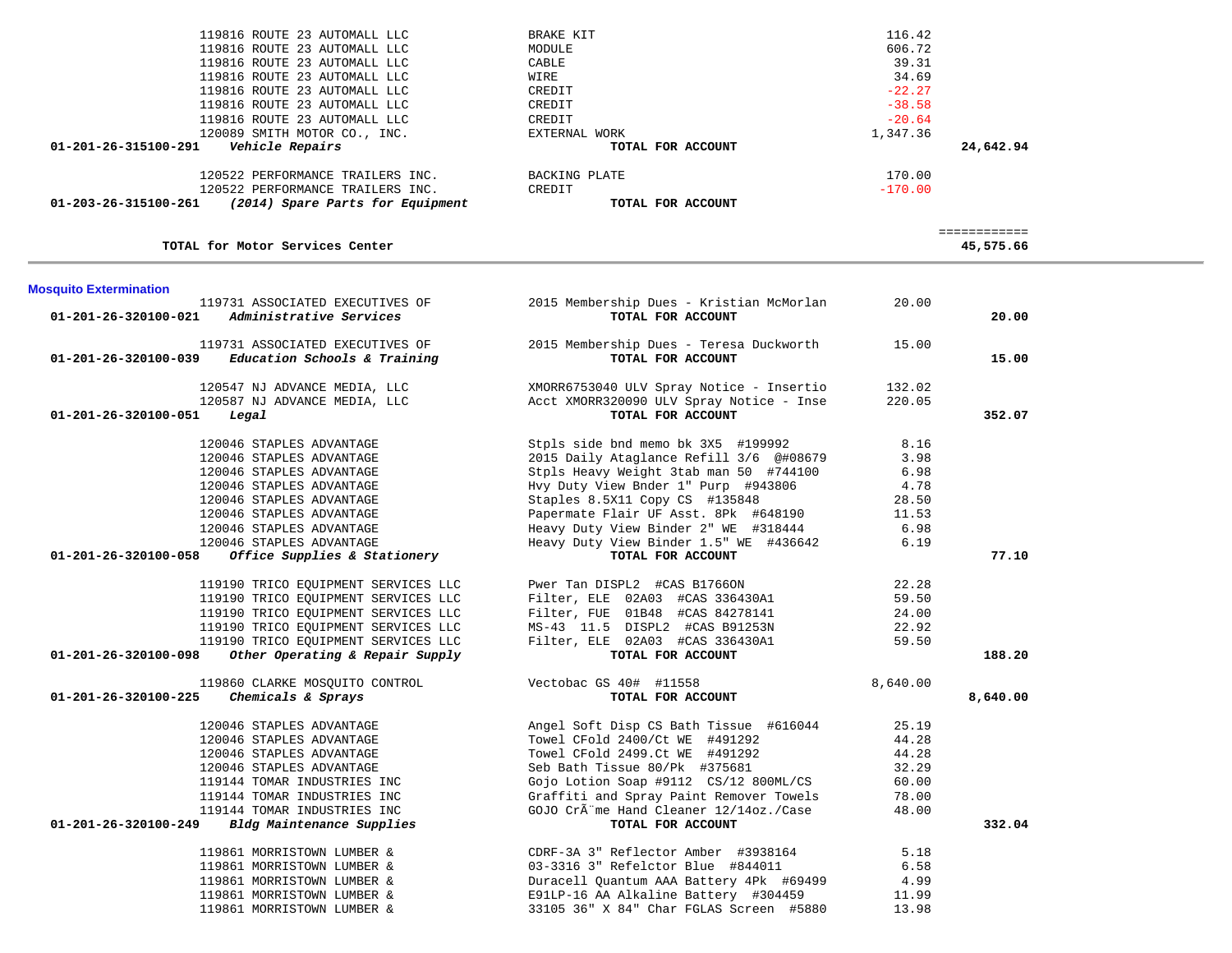|                                | 120522 PERFORMANCE TRAILERS INC.                         | BACKING PLATE                                               | 170.00    |              |
|--------------------------------|----------------------------------------------------------|-------------------------------------------------------------|-----------|--------------|
|                                | 120522 PERFORMANCE TRAILERS INC.                         | CREDIT                                                      | $-170.00$ |              |
|                                | 01-203-26-315100-261 (2014) Spare Parts for Equipment    | TOTAL FOR ACCOUNT                                           |           |              |
|                                |                                                          |                                                             |           | ============ |
|                                | TOTAL for Motor Services Center                          |                                                             |           | 45,575.66    |
| <b>Mosquito Extermination</b>  |                                                          |                                                             |           |              |
|                                | 119731 ASSOCIATED EXECUTIVES OF                          | 2015 Membership Dues - Kristian McMorlan                    | 20.00     |              |
| 01-201-26-320100-021           | Administrative Services                                  | TOTAL FOR ACCOUNT                                           |           | 20.00        |
|                                | 119731 ASSOCIATED EXECUTIVES OF                          | 2015 Membership Dues - Teresa Duckworth                     | 15.00     |              |
|                                | $01-201-26-320100-039$ Education Schools & Training      | TOTAL FOR ACCOUNT                                           |           | 15.00        |
|                                | 120547 NJ ADVANCE MEDIA, LLC                             | XMORR6753040 ULV Spray Notice - Insertio                    | 132.02    |              |
|                                | 120587 NJ ADVANCE MEDIA, LLC                             | Acct XMORR320090 ULV Spray Notice - Inse                    | 220.05    |              |
| 01-201-26-320100-051           | Legal                                                    | TOTAL FOR ACCOUNT                                           |           | 352.07       |
|                                | 120046 STAPLES ADVANTAGE                                 | Stpls side bnd memo bk 3X5 #199992                          | 8.16      |              |
|                                | 120046 STAPLES ADVANTAGE                                 | 2015 Daily Ataglance Refill 3/6 @#08679                     | 3.98      |              |
|                                | 120046 STAPLES ADVANTAGE                                 | Stpls Heavy Weight 3tab man 50 #744100                      | 6.98      |              |
|                                | 120046 STAPLES ADVANTAGE                                 | Hvy Duty View Bnder 1" Purp #943806                         | 4.78      |              |
|                                | 120046 STAPLES ADVANTAGE                                 | Staples 8.5X11 Copy CS #135848                              | 28.50     |              |
|                                | 120046 STAPLES ADVANTAGE                                 | Papermate Flair UF Asst. 8Pk #648190                        | 11.53     |              |
|                                | 120046 STAPLES ADVANTAGE                                 | Heavy Duty View Binder 2" WE #318444                        | 6.98      |              |
|                                | 120046 STAPLES ADVANTAGE                                 | Heavy Duty View Binder 1.5" WE #436642                      | 6.19      |              |
| 01-201-26-320100-058           | Office Supplies & Stationery                             | TOTAL FOR ACCOUNT                                           |           | 77.10        |
|                                | 119190 TRICO EQUIPMENT SERVICES LLC                      | Pwer Tan DISPL2 #CAS B1766ON                                | 22.28     |              |
|                                | 119190 TRICO EQUIPMENT SERVICES LLC                      | Filter, ELE 02A03 #CAS 336430A1                             | 59.50     |              |
|                                | 119190 TRICO EQUIPMENT SERVICES LLC                      | Filter, FUE 01B48 #CAS 84278141                             | 24.00     |              |
|                                | 119190 TRICO EQUIPMENT SERVICES LLC                      | MS-43 11.5 DISPL2 #CAS B91253N                              | 22.92     |              |
|                                | 119190 TRICO EQUIPMENT SERVICES LLC                      | Filter, ELE 02A03 #CAS 336430A1                             | 59.50     |              |
| 01-201-26-320100-098           | Other Operating & Repair Supply                          | TOTAL FOR ACCOUNT                                           |           | 188.20       |
|                                | 119860 CLARKE MOSQUITO CONTROL                           | Vectobac GS 40# #11558                                      | 8,640.00  |              |
| 01-201-26-320100-225           | Chemicals & Sprays                                       | TOTAL FOR ACCOUNT                                           |           | 8,640.00     |
|                                | 120046 STAPLES ADVANTAGE                                 | Angel Soft Disp CS Bath Tissue #616044                      | 25.19     |              |
|                                | 120046 STAPLES ADVANTAGE                                 | Towel CFold 2400/Ct WE #491292                              | 44.28     |              |
|                                | 120046 STAPLES ADVANTAGE                                 | Towel CFold 2499.Ct WE #491292                              | 44.28     |              |
|                                | 120046 STAPLES ADVANTAGE                                 | Seb Bath Tissue 80/Pk #375681                               | 32.29     |              |
|                                | 119144 TOMAR INDUSTRIES INC                              | Gojo Lotion Soap #9112 CS/12 800ML/CS                       | 60.00     |              |
|                                | 119144 TOMAR INDUSTRIES INC                              | Graffiti and Spray Paint Remover Towels                     | 78.00     |              |
| $01 - 201 - 26 - 320100 - 249$ | 119144 TOMAR INDUSTRIES INC<br>Bldg Maintenance Supplies | GOJO CrÃ"me Hand Cleaner 12/14oz./Case<br>TOTAL FOR ACCOUNT | 48.00     | 332.04       |
|                                | 119861 MORRISTOWN LUMBER &                               | CDRF-3A 3" Reflector Amber #3938164                         | 5.18      |              |
|                                | 119861 MORRISTOWN LUMBER &                               | 03-3316 3" Refelctor Blue #844011                           | 6.58      |              |
|                                | 119861 MORRISTOWN LUMBER &                               | Duracell Quantum AAA Battery 4Pk #69499                     | 4.99      |              |
|                                | 119861 MORRISTOWN LUMBER &                               | E91LP-16 AA Alkaline Battery #304459                        | 11.99     |              |
|                                | 119861 MORRISTOWN LUMBER &                               | 33105 36" X 84" Char FGLAS Screen #5880                     | 13.98     |              |
|                                |                                                          |                                                             |           |              |

119816 ROUTE 23 AUTOMALL LLC BRAKE KIT BRAKE KIT 116.42

119816 ROUTE 23 AUTOMALL LLC CREDIT CREDIT CREDIT  $-38.58$ 

120089 SMITH MOTOR CO., INC. EXTERNAL WORK 1,347.36  **01-201-26-315100-291** *Vehicle Repairs* **TOTAL FOR ACCOUNT 24,642.94**

119816 ROUTE 23 AUTOMALL LLC MODULE

119816 ROUTE 23 AUTOMALL LLC CREDIT

119816 ROUTE 23 AUTOMALL LLC CREDIT

119816 ROUTE 23 AUTOMALL LLC CABLE

119816 ROUTE 23 AUTOMALL LLC WIRE

606.72

39.31

34.69

 $-22.27$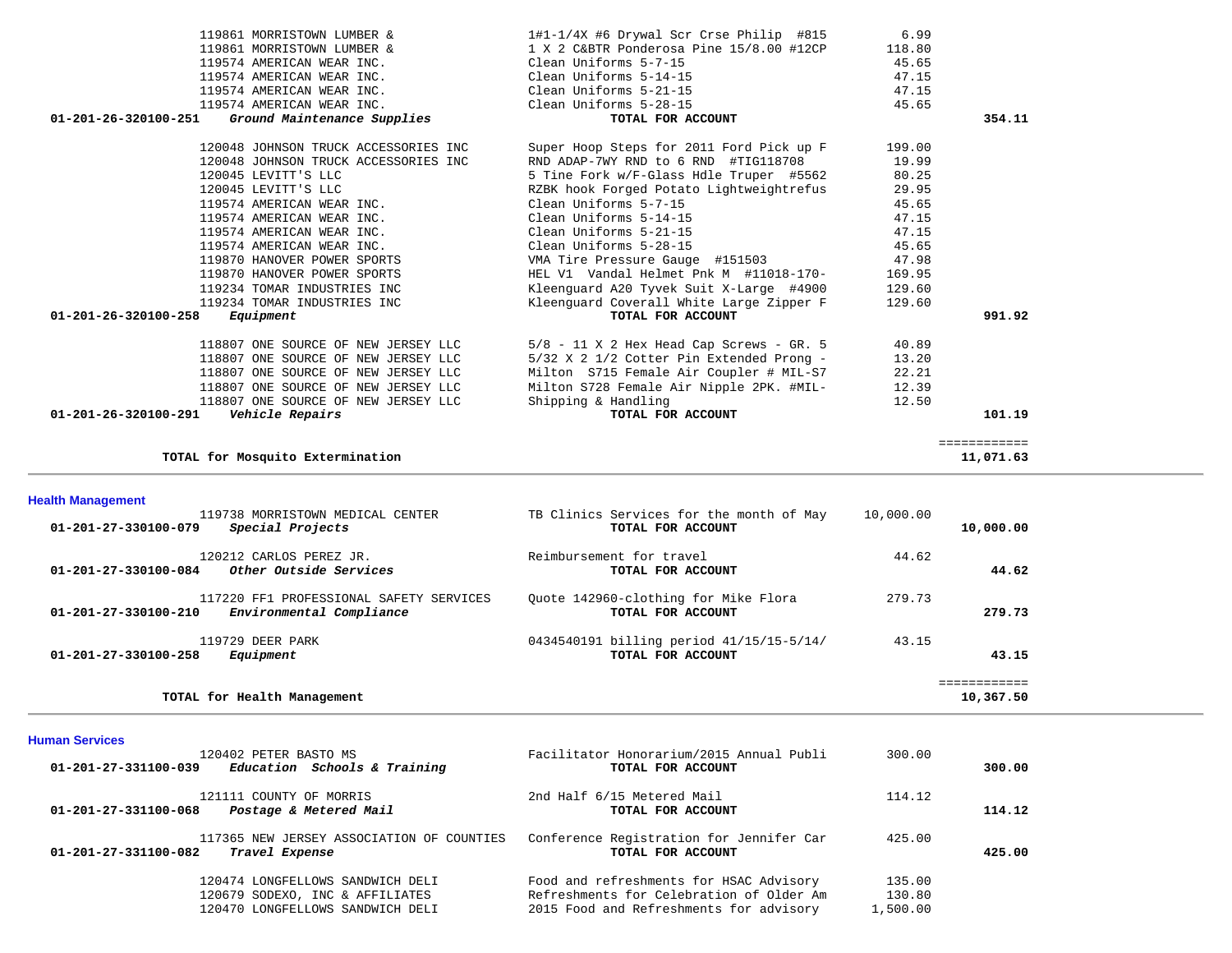| 119729 DEER PARK                                                                            | 0434540191 billing period 41/15/15-5/14/                  | 43.15     |                           |  |
|---------------------------------------------------------------------------------------------|-----------------------------------------------------------|-----------|---------------------------|--|
| 117220 FF1 PROFESSIONAL SAFETY SERVICES<br>Environmental Compliance<br>01-201-27-330100-210 | Quote 142960-clothing for Mike Flora<br>TOTAL FOR ACCOUNT | 279.73    | 279.73                    |  |
| 120212 CARLOS PEREZ JR.<br>01-201-27-330100-084<br>Other Outside Services                   | Reimbursement for travel<br>TOTAL FOR ACCOUNT             | 44.62     | 44.62                     |  |
| Special Projects<br>01-201-27-330100-079                                                    | TOTAL FOR ACCOUNT                                         |           | 10,000.00                 |  |
| <b>Health Management</b><br>119738 MORRISTOWN MEDICAL CENTER                                | TB Clinics Services for the month of May                  | 10,000.00 |                           |  |
| TOTAL for Mosquito Extermination                                                            |                                                           |           | ============<br>11,071.63 |  |
| 01-201-26-320100-291    Vehicle Repairs                                                     | TOTAL FOR ACCOUNT                                         |           | 101.19                    |  |
| 118807 ONE SOURCE OF NEW JERSEY LLC                                                         | Shipping & Handling                                       | 12.50     |                           |  |
| 118807 ONE SOURCE OF NEW JERSEY LLC                                                         | Milton S728 Female Air Nipple 2PK. #MIL-                  | 12.39     |                           |  |
| 118807 ONE SOURCE OF NEW JERSEY LLC                                                         | Milton S715 Female Air Coupler # MIL-S7                   | 22.21     |                           |  |
| 118807 ONE SOURCE OF NEW JERSEY LLC                                                         | 5/32 X 2 1/2 Cotter Pin Extended Prong -                  | 13.20     |                           |  |
| 118807 ONE SOURCE OF NEW JERSEY LLC                                                         | $5/8$ - 11 X 2 Hex Head Cap Screws - GR. 5                | 40.89     |                           |  |
| 01-201-26-320100-258<br>Equipment                                                           | TOTAL FOR ACCOUNT                                         |           | 991.92                    |  |
| 119234 TOMAR INDUSTRIES INC                                                                 | Kleenguard Coverall White Large Zipper F                  | 129.60    |                           |  |
| 119234 TOMAR INDUSTRIES INC                                                                 | Kleenguard A20 Tyvek Suit X-Large #4900                   | 129.60    |                           |  |
| 119870 HANOVER POWER SPORTS                                                                 | HEL V1 Vandal Helmet Pnk M #11018-170-                    | 169.95    |                           |  |
| 119870 HANOVER POWER SPORTS                                                                 | VMA Tire Pressure Gauge #151503                           | 47.98     |                           |  |
| 119574 AMERICAN WEAR INC.                                                                   | Clean Uniforms 5-28-15                                    | 45.65     |                           |  |
| 119574 AMERICAN WEAR INC.                                                                   | Clean Uniforms 5-21-15                                    | 47.15     |                           |  |
| 119574 AMERICAN WEAR INC.                                                                   | Clean Uniforms 5-14-15                                    | 47.15     |                           |  |
| 119574 AMERICAN WEAR INC.                                                                   | Clean Uniforms 5-7-15                                     | 45.65     |                           |  |
| 120045 LEVITT'S LLC                                                                         | RZBK hook Forged Potato Lightweightrefus                  | 29.95     |                           |  |
| 120045 LEVITT'S LLC                                                                         | 5 Tine Fork w/F-Glass Hdle Truper #5562                   | 80.25     |                           |  |
| 120048 JOHNSON TRUCK ACCESSORIES INC                                                        | RND ADAP-7WY RND to 6 RND #TIG118708                      | 19.99     |                           |  |
| 120048 JOHNSON TRUCK ACCESSORIES INC                                                        | Super Hoop Steps for 2011 Ford Pick up F                  | 199.00    |                           |  |
| 01-201-26-320100-251<br>Ground Maintenance Supplies                                         | TOTAL FOR ACCOUNT                                         |           | 354.11                    |  |
| 119574 AMERICAN WEAR INC.                                                                   | Clean Uniforms 5-28-15                                    | 45.65     |                           |  |
| 119574 AMERICAN WEAR INC.                                                                   | Clean Uniforms 5-21-15                                    | 47.15     |                           |  |
|                                                                                             |                                                           |           |                           |  |

 119861 MORRISTOWN LUMBER & 1#1-1/4X #6 Drywal Scr Crse Philip #815 6.99 119861 MORRISTOWN LUMBER & 1 X 2 C&BTR Ponderosa Pine 15/8.00 #12CP 118.80<br>119574 AMERICAN WEAR INC. Clean Uniforms 5-7-15 45.65

119574 AMERICAN WEAR INC. Clean Uniforms 5-14-15

47.15

10,367.50

 **01-201-27-330100-258** *Equipment* **TOTAL FOR ACCOUNT 43.15**

**TOTAL for Health Management 10,367.50**

119574 AMERICAN WEAR INC.

### **Human Services**

| нишан осгово                                                                        |                                                               |          |        |
|-------------------------------------------------------------------------------------|---------------------------------------------------------------|----------|--------|
| 120402 PETER BASTO MS<br>Education Schools & Training<br>01-201-27-331100-039       | Facilitator Honorarium/2015 Annual Publi<br>TOTAL FOR ACCOUNT | 300.00   | 300.00 |
| 121111 COUNTY OF MORRIS<br>Postage & Metered Mail<br>01-201-27-331100-068           | 2nd Half 6/15 Metered Mail<br>TOTAL FOR ACCOUNT               | 114.12   | 114.12 |
| 117365 NEW JERSEY ASSOCIATION OF COUNTIES<br>01-201-27-331100-082<br>Travel Expense | Conference Registration for Jennifer Car<br>TOTAL FOR ACCOUNT | 425.00   | 425.00 |
| 120474 LONGFELLOWS SANDWICH DELI                                                    | Food and refreshments for HSAC Advisory                       | 135.00   |        |
| 120679 SODEXO, INC & AFFILIATES                                                     | Refreshments for Celebration of Older Am                      | 130.80   |        |
| 120470 LONGFELLOWS SANDWICH DELI                                                    | 2015 Food and Refreshments for advisory                       | 1,500.00 |        |
|                                                                                     |                                                               |          |        |

============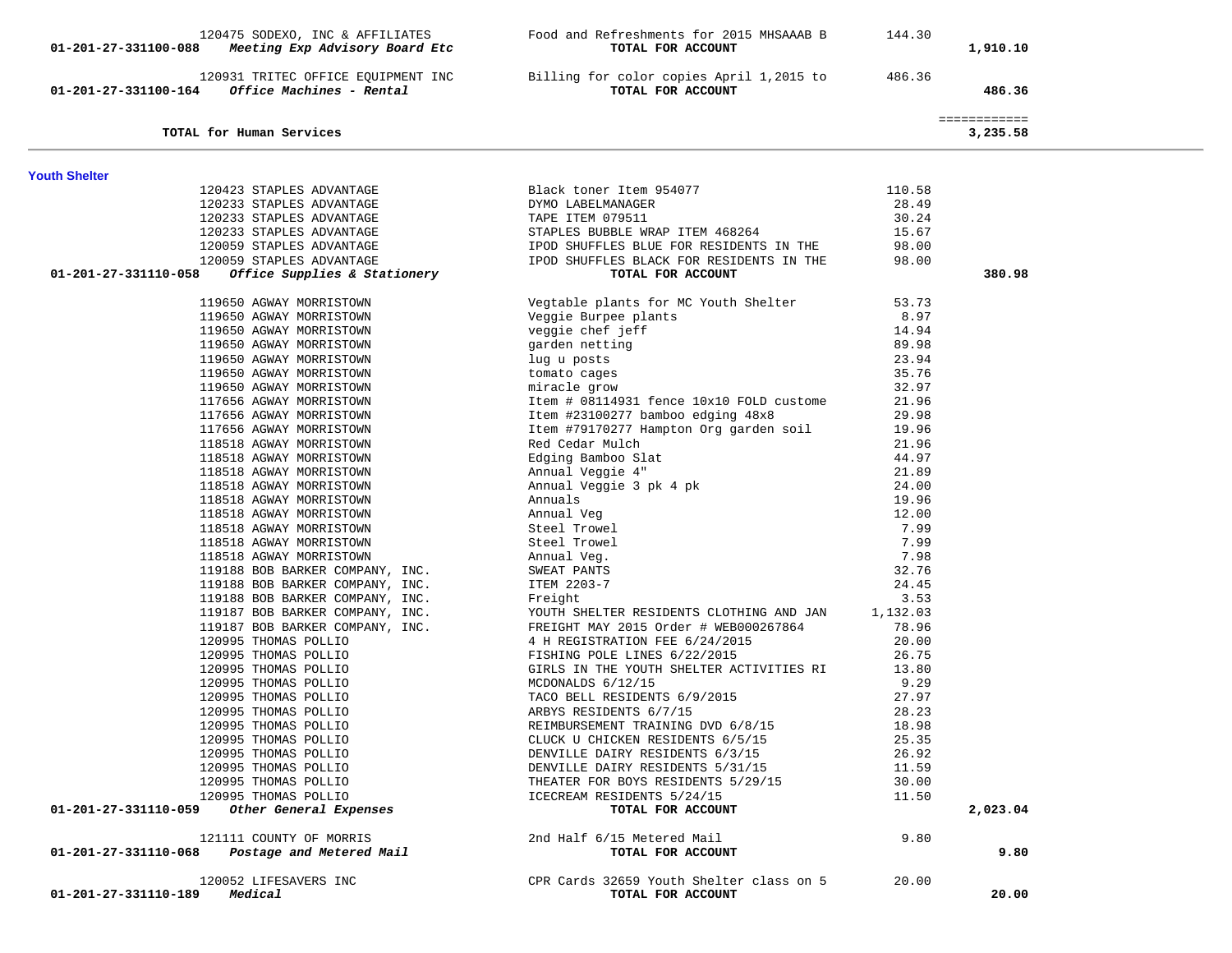| 01-201-27-331100-088 | 120475 SODEXO, INC & AFFILIATES<br>Meeting Exp Advisory Board Etc | Food and Refreshments for 2015 MHSAAAB B<br>TOTAL FOR ACCOUNT            | 144.30         | 1,910.10                 |  |
|----------------------|-------------------------------------------------------------------|--------------------------------------------------------------------------|----------------|--------------------------|--|
| 01-201-27-331100-164 | 120931 TRITEC OFFICE EQUIPMENT INC<br>Office Machines - Rental    | Billing for color copies April 1,2015 to<br>TOTAL FOR ACCOUNT            | 486.36         | 486.36                   |  |
|                      | TOTAL for Human Services                                          |                                                                          |                | ============<br>3,235.58 |  |
| <b>Youth Shelter</b> |                                                                   |                                                                          |                |                          |  |
|                      | 120423 STAPLES ADVANTAGE                                          | Black toner Item 954077                                                  | 110.58         |                          |  |
|                      | 120233 STAPLES ADVANTAGE                                          | DYMO LABELMANAGER                                                        | 28.49          |                          |  |
|                      | 120233 STAPLES ADVANTAGE                                          | TAPE ITEM 079511                                                         | 30.24          |                          |  |
|                      | 120233 STAPLES ADVANTAGE                                          | STAPLES BUBBLE WRAP ITEM 468264                                          | 15.67          |                          |  |
|                      | 120059 STAPLES ADVANTAGE                                          | IPOD SHUFFLES BLUE FOR RESIDENTS IN THE                                  | 98.00          |                          |  |
|                      | 120059 STAPLES ADVANTAGE                                          | IPOD SHUFFLES BLACK FOR RESIDENTS IN THE                                 | 98.00          |                          |  |
| 01-201-27-331110-058 | <i>Office Supplies &amp; Stationery</i>                           | TOTAL FOR ACCOUNT                                                        |                | 380.98                   |  |
|                      | 119650 AGWAY MORRISTOWN                                           | Vegtable plants for MC Youth Shelter                                     | 53.73          |                          |  |
|                      | 119650 AGWAY MORRISTOWN                                           | Veggie Burpee plants                                                     | 8.97           |                          |  |
|                      | 119650 AGWAY MORRISTOWN                                           | veggie chef jeff                                                         | 14.94          |                          |  |
|                      | 119650 AGWAY MORRISTOWN                                           | garden netting                                                           | 89.98          |                          |  |
|                      | 119650 AGWAY MORRISTOWN                                           | lug u posts                                                              | 23.94          |                          |  |
|                      | 119650 AGWAY MORRISTOWN                                           | tomato cages                                                             | 35.76          |                          |  |
|                      | 119650 AGWAY MORRISTOWN                                           | miracle grow                                                             | 32.97          |                          |  |
|                      | 117656 AGWAY MORRISTOWN                                           | Item # 08114931 fence 10x10 FOLD custome                                 | 21.96          |                          |  |
|                      | 117656 AGWAY MORRISTOWN                                           | Item #23100277 bamboo edging 48x8                                        | 29.98          |                          |  |
|                      | 117656 AGWAY MORRISTOWN                                           | Item #79170277 Hampton Org garden soil                                   | 19.96          |                          |  |
|                      | 118518 AGWAY MORRISTOWN                                           | Red Cedar Mulch                                                          | 21.96          |                          |  |
|                      | 118518 AGWAY MORRISTOWN                                           | Edging Bamboo Slat                                                       | 44.97          |                          |  |
|                      | 118518 AGWAY MORRISTOWN                                           | Annual Veggie 4"                                                         | 21.89          |                          |  |
|                      | 118518 AGWAY MORRISTOWN                                           | Annual Veggie 3 pk 4 pk<br>Annuals<br>Annual Veg                         | 24.00          |                          |  |
|                      | 118518 AGWAY MORRISTOWN                                           |                                                                          | 19.96          |                          |  |
|                      | 118518 AGWAY MORRISTOWN                                           | Annual Veg                                                               | 12.00          |                          |  |
|                      | 118518 AGWAY MORRISTOWN                                           | Steel Trowel                                                             | 7.99           |                          |  |
|                      | 118518 AGWAY MORRISTOWN                                           | Steel Trowel                                                             | 7.99           |                          |  |
|                      | 118518 AGWAY MORRISTOWN                                           | Annual Veg.                                                              | 7.98           |                          |  |
|                      | 119188 BOB BARKER COMPANY, INC.                                   | SWEAT PANTS                                                              | 32.76          |                          |  |
|                      | 119188 BOB BARKER COMPANY, INC.                                   | ITEM 2203-7                                                              | 24.45          |                          |  |
|                      | 119188 BOB BARKER COMPANY, INC.                                   | Freight                                                                  | 3.53           |                          |  |
|                      | 119187 BOB BARKER COMPANY, INC.                                   | YOUTH SHELTER RESIDENTS CLOTHING AND JAN                                 | 1,132.03       |                          |  |
|                      | 119187 BOB BARKER COMPANY, INC.                                   | FREIGHT MAY 2015 Order # WEB000267864                                    | 78.96          |                          |  |
|                      | 120995 THOMAS POLLIO                                              | 4 H REGISTRATION FEE 6/24/2015                                           | 20.00<br>26.75 |                          |  |
|                      | 120995 THOMAS POLLIO<br>120995 THOMAS POLLIO                      | FISHING POLE LINES 6/22/2015<br>GIRLS IN THE YOUTH SHELTER ACTIVITIES RI | 13.80          |                          |  |
|                      | 120995 THOMAS POLLIO                                              | MCDONALDS 6/12/15                                                        | 9.29           |                          |  |
|                      | 120995 THOMAS POLLIO                                              | TACO BELL RESIDENTS 6/9/2015                                             | 27.97          |                          |  |
|                      | 120995 THOMAS POLLIO                                              | ARBYS RESIDENTS 6/7/15                                                   | 28.23          |                          |  |
|                      | 120995 THOMAS POLLIO                                              | REIMBURSEMENT TRAINING DVD 6/8/15                                        | 18.98          |                          |  |
|                      | 120995 THOMAS POLLIO                                              | CLUCK U CHICKEN RESIDENTS 6/5/15                                         | 25.35          |                          |  |
|                      | 120995 THOMAS POLLIO                                              | DENVILLE DAIRY RESIDENTS 6/3/15                                          | 26.92          |                          |  |
|                      | 120995 THOMAS POLLIO                                              | DENVILLE DAIRY RESIDENTS 5/31/15                                         | 11.59          |                          |  |
|                      | 120995 THOMAS POLLIO                                              | THEATER FOR BOYS RESIDENTS 5/29/15                                       | 30.00          |                          |  |
|                      | 120995 THOMAS POLLIO                                              | ICECREAM RESIDENTS 5/24/15                                               | 11.50          |                          |  |
| 01-201-27-331110-059 | Other General Expenses                                            | TOTAL FOR ACCOUNT                                                        |                | 2,023.04                 |  |
|                      | 121111 COUNTY OF MORRIS                                           | 2nd Half 6/15 Metered Mail                                               | 9.80           |                          |  |
| 01-201-27-331110-068 | Postage and Metered Mail                                          | TOTAL FOR ACCOUNT                                                        |                | 9.80                     |  |
|                      | 120052 LIFESAVERS INC                                             | CPR Cards 32659 Youth Shelter class on 5                                 | 20.00          |                          |  |
| 01-201-27-331110-189 | Medical                                                           | TOTAL FOR ACCOUNT                                                        |                | 20.00                    |  |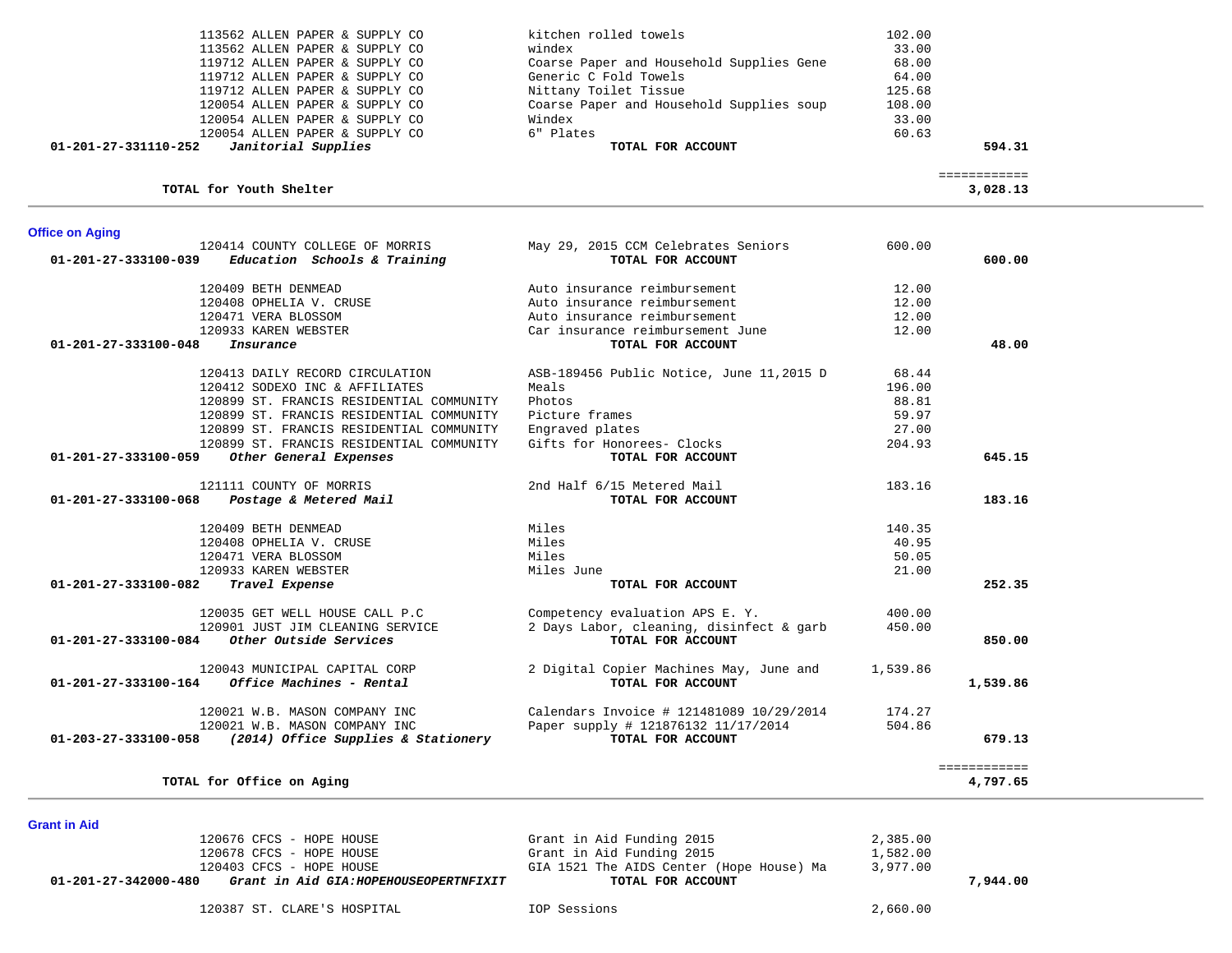| 120054 ALLEN PAPER & SUPPLY CO<br>120054 ALLEN PAPER & SUPPLY CO<br>120054 ALLEN PAPER & SUPPLY CO |                                          | Coarse Paper and Household Supplies soup<br>Windex<br>6" Plates | 108.00<br>33.00<br>60.63 |                          |  |
|----------------------------------------------------------------------------------------------------|------------------------------------------|-----------------------------------------------------------------|--------------------------|--------------------------|--|
| 01-201-27-331110-252<br>Janitorial Supplies                                                        |                                          | TOTAL FOR ACCOUNT                                               |                          | 594.31                   |  |
| TOTAL for Youth Shelter                                                                            |                                          |                                                                 |                          | ============<br>3,028.13 |  |
| <b>Office on Aging</b>                                                                             |                                          |                                                                 |                          |                          |  |
| 120414 COUNTY COLLEGE OF MORRIS<br>$01 - 201 - 27 - 333100 - 039$                                  | Education Schools & Training             | May 29, 2015 CCM Celebrates Seniors<br>TOTAL FOR ACCOUNT        | 600.00                   | 600.00                   |  |
| 120409 BETH DENMEAD                                                                                |                                          | Auto insurance reimbursement                                    | 12.00                    |                          |  |
| 120408 OPHELIA V. CRUSE                                                                            |                                          | Auto insurance reimbursement                                    | 12.00                    |                          |  |
| 120471 VERA BLOSSOM                                                                                |                                          | Auto insurance reimbursement                                    | 12.00                    |                          |  |
| 120933 KAREN WEBSTER                                                                               |                                          | Car insurance reimbursement June                                | 12.00                    |                          |  |
| 01-201-27-333100-048<br>Insurance                                                                  |                                          | TOTAL FOR ACCOUNT                                               |                          | 48.00                    |  |
| 120413 DAILY RECORD CIRCULATION                                                                    |                                          | ASB-189456 Public Notice, June 11,2015 D                        | 68.44                    |                          |  |
| 120412 SODEXO INC & AFFILIATES                                                                     |                                          | Meals                                                           | 196.00                   |                          |  |
|                                                                                                    | 120899 ST. FRANCIS RESIDENTIAL COMMUNITY | Photos                                                          | 88.81                    |                          |  |
|                                                                                                    | 120899 ST. FRANCIS RESIDENTIAL COMMUNITY | Picture frames                                                  | 59.97                    |                          |  |
|                                                                                                    | 120899 ST. FRANCIS RESIDENTIAL COMMUNITY | Engraved plates                                                 | 27.00                    |                          |  |
|                                                                                                    | 120899 ST. FRANCIS RESIDENTIAL COMMUNITY | Gifts for Honorees- Clocks                                      | 204.93                   |                          |  |
| Other General Expenses<br>01-201-27-333100-059                                                     |                                          | TOTAL FOR ACCOUNT                                               |                          | 645.15                   |  |
| 121111 COUNTY OF MORRIS                                                                            |                                          | 2nd Half 6/15 Metered Mail                                      | 183.16                   |                          |  |
| 01-201-27-333100-068<br>Postage & Metered Mail                                                     |                                          | TOTAL FOR ACCOUNT                                               |                          | 183.16                   |  |
| 120409 BETH DENMEAD                                                                                |                                          | Miles                                                           | 140.35                   |                          |  |
| 120408 OPHELIA V. CRUSE                                                                            |                                          | Miles                                                           | 40.95                    |                          |  |
| 120471 VERA BLOSSOM                                                                                |                                          | Miles                                                           | 50.05                    |                          |  |
| 120933 KAREN WEBSTER                                                                               |                                          | Miles June                                                      | 21.00                    |                          |  |
| 01-201-27-333100-082<br>Travel Expense                                                             |                                          | TOTAL FOR ACCOUNT                                               |                          | 252.35                   |  |
| 120035 GET WELL HOUSE CALL P.C                                                                     |                                          | Competency evaluation APS E. Y.                                 | 400.00                   |                          |  |
|                                                                                                    | 120901 JUST JIM CLEANING SERVICE         | 2 Days Labor, cleaning, disinfect & garb                        | 450.00                   |                          |  |
| Other Outside Services<br>01-201-27-333100-084                                                     |                                          | TOTAL FOR ACCOUNT                                               |                          | 850.00                   |  |
| 120043 MUNICIPAL CAPITAL CORP                                                                      |                                          | 2 Digital Copier Machines May, June and                         | 1,539.86                 |                          |  |
| Office Machines - Rental<br>01-201-27-333100-164                                                   |                                          | TOTAL FOR ACCOUNT                                               |                          | 1,539.86                 |  |
| 120021 W.B. MASON COMPANY INC                                                                      |                                          | Calendars Invoice # 121481089 10/29/2014                        | 174.27                   |                          |  |
| 120021 W.B. MASON COMPANY INC                                                                      |                                          | Paper supply # 121876132 11/17/2014                             | 504.86                   |                          |  |
| 01-203-27-333100-058                                                                               | (2014) Office Supplies & Stationery      | TOTAL FOR ACCOUNT                                               |                          | 679.13                   |  |
|                                                                                                    |                                          |                                                                 |                          | ============             |  |
| TOTAL for Office on Aging                                                                          |                                          |                                                                 |                          | 4,797.65                 |  |

113562 ALLEN PAPER & SUPPLY CO kitchen rolled towels 102.00

119712 ALLEN PAPER & SUPPLY CO Coarse Paper and Household Supplies Gene 68.00<br>119712 ALLEN PAPER & SUPPLY CO Generic C Fold Towels 64.00

113562 ALLEN PAPER & SUPPLY CO windex

119712 ALLEN PAPER & SUPPLY CO Nittany Toilet Tissue

119712 ALLEN PAPER & SUPPLY CO

| 120676 CFCS - HOPE HOUSE                                      | Grant in Aid Funding 2015                | 2,385.00 |          |
|---------------------------------------------------------------|------------------------------------------|----------|----------|
| 120678 CFCS - HOPE HOUSE                                      | Grant in Aid Funding 2015                | 1,582.00 |          |
| 120403 CFCS - HOPE HOUSE                                      | GIA 1521 The AIDS Center (Hope House) Ma | 3,977.00 |          |
| Grant in Aid GIA:HOPEHOUSEOPERTNFIXIT<br>01-201-27-342000-480 | TOTAL FOR ACCOUNT                        |          | 7,944.00 |
| 120387 ST. CLARE'S HOSPITAL                                   | IOP Sessions                             | 2,660.00 |          |

33.00

68.00

125.68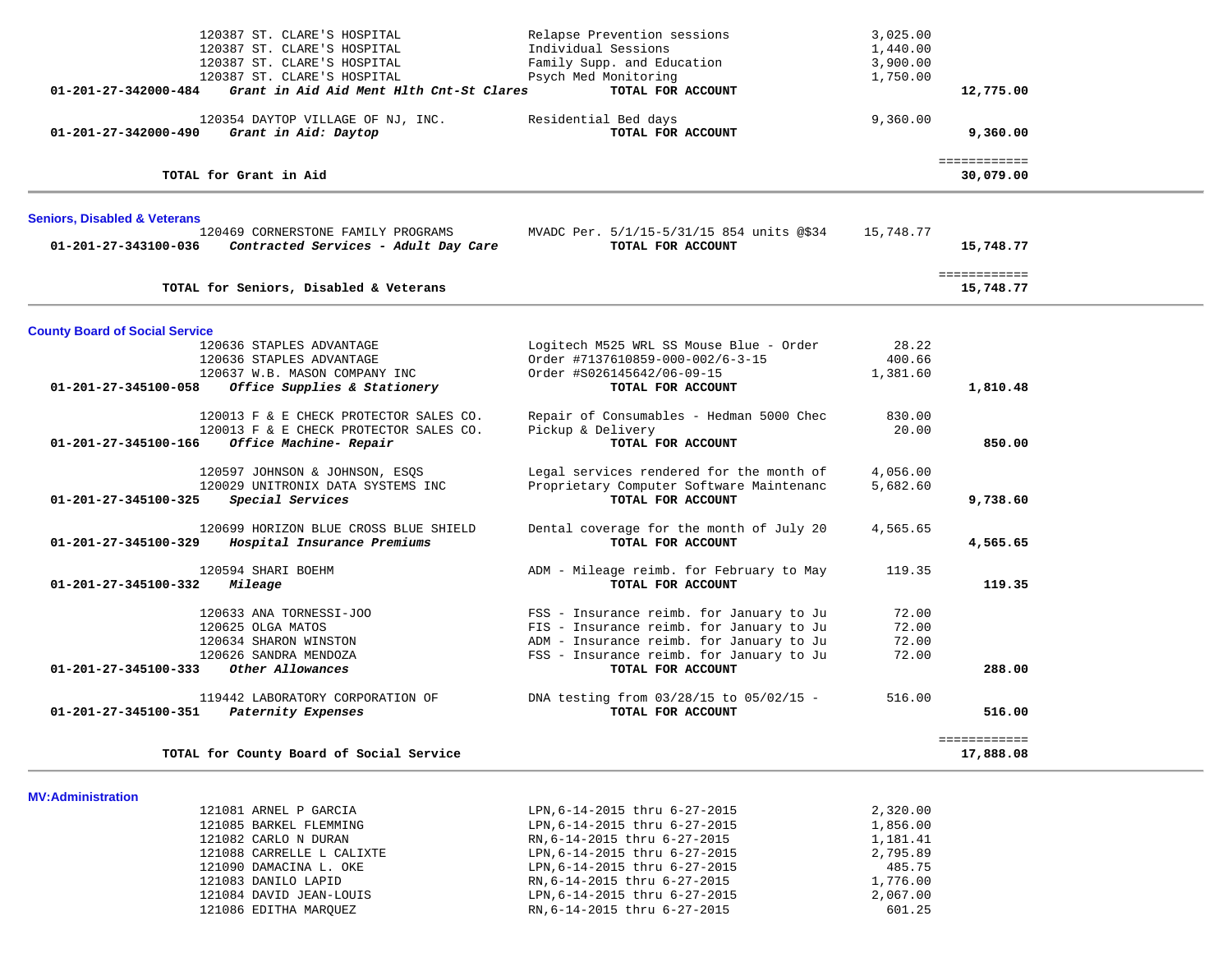| 120387 ST. CLARE'S HOSPITAL                                |                                          | Relapse Prevention sessions                                                          | 3,025.00             |                           |  |
|------------------------------------------------------------|------------------------------------------|--------------------------------------------------------------------------------------|----------------------|---------------------------|--|
| 120387 ST. CLARE'S HOSPITAL                                |                                          | Individual Sessions                                                                  | 1,440.00             |                           |  |
| 120387 ST. CLARE'S HOSPITAL<br>120387 ST. CLARE'S HOSPITAL |                                          | Family Supp. and Education<br>Psych Med Monitoring                                   | 3,900.00<br>1,750.00 |                           |  |
| 01-201-27-342000-484                                       | Grant in Aid Aid Ment Hlth Cnt-St Clares | TOTAL FOR ACCOUNT                                                                    |                      | 12,775.00                 |  |
|                                                            |                                          |                                                                                      |                      |                           |  |
|                                                            | 120354 DAYTOP VILLAGE OF NJ, INC.        | Residential Bed days                                                                 | 9,360.00             |                           |  |
| 01-201-27-342000-490<br>Grant in Aid: Daytop               |                                          | TOTAL FOR ACCOUNT                                                                    |                      | 9,360.00                  |  |
| TOTAL for Grant in Aid                                     |                                          |                                                                                      |                      | ============<br>30,079.00 |  |
| <b>Seniors, Disabled &amp; Veterans</b>                    |                                          |                                                                                      |                      |                           |  |
| 120469 CORNERSTONE FAMILY PROGRAMS<br>01-201-27-343100-036 | Contracted Services - Adult Day Care     | MVADC Per. 5/1/15-5/31/15 854 units @\$34<br>TOTAL FOR ACCOUNT                       | 15,748.77            | 15,748.77                 |  |
| TOTAL for Seniors, Disabled & Veterans                     |                                          |                                                                                      |                      | ============<br>15,748.77 |  |
| <b>County Board of Social Service</b>                      |                                          |                                                                                      |                      |                           |  |
| 120636 STAPLES ADVANTAGE                                   |                                          | Logitech M525 WRL SS Mouse Blue - Order                                              | 28.22                |                           |  |
| 120636 STAPLES ADVANTAGE                                   |                                          | Order #7137610859-000-002/6-3-15                                                     | 400.66               |                           |  |
| 120637 W.B. MASON COMPANY INC                              |                                          | Order #S026145642/06-09-15                                                           | 1,381.60             |                           |  |
| 01-201-27-345100-058                                       | Office Supplies & Stationery             | TOTAL FOR ACCOUNT                                                                    |                      | 1,810.48                  |  |
|                                                            | 120013 F & E CHECK PROTECTOR SALES CO.   | Repair of Consumables - Hedman 5000 Chec                                             | 830.00               |                           |  |
|                                                            | 120013 F & E CHECK PROTECTOR SALES CO.   | Pickup & Delivery                                                                    | 20.00                |                           |  |
| Office Machine- Repair<br>01-201-27-345100-166             |                                          | TOTAL FOR ACCOUNT                                                                    |                      | 850.00                    |  |
| 120597 JOHNSON & JOHNSON, ESQS                             |                                          | Legal services rendered for the month of                                             | 4,056.00             |                           |  |
| 120029 UNITRONIX DATA SYSTEMS INC                          |                                          | Proprietary Computer Software Maintenanc                                             | 5,682.60             |                           |  |
| Special Services<br>01-201-27-345100-325                   |                                          | TOTAL FOR ACCOUNT                                                                    |                      | 9,738.60                  |  |
|                                                            | 120699 HORIZON BLUE CROSS BLUE SHIELD    | Dental coverage for the month of July 20                                             | 4,565.65             |                           |  |
| 01-201-27-345100-329                                       | Hospital Insurance Premiums              | TOTAL FOR ACCOUNT                                                                    |                      | 4,565.65                  |  |
| 120594 SHARI BOEHM                                         |                                          | ADM - Mileage reimb. for February to May                                             | 119.35               |                           |  |
| 01-201-27-345100-332<br>Mileage                            |                                          | TOTAL FOR ACCOUNT                                                                    |                      | 119.35                    |  |
|                                                            |                                          |                                                                                      |                      |                           |  |
| 120633 ANA TORNESSI-JOO<br>120625 OLGA MATOS               |                                          | FSS - Insurance reimb. for January to Ju<br>FIS - Insurance reimb. for January to Ju | 72.00<br>72.00       |                           |  |
| 120634 SHARON WINSTON                                      |                                          | ADM - Insurance reimb. for January to Ju                                             | 72.00                |                           |  |
| 120626 SANDRA MENDOZA                                      |                                          | FSS - Insurance reimb. for January to Ju                                             | 72.00                |                           |  |
| 01-201-27-345100-333<br>Other Allowances                   |                                          | TOTAL FOR ACCOUNT                                                                    |                      | 288.00                    |  |
| 119442 LABORATORY CORPORATION OF                           |                                          | DNA testing from 03/28/15 to 05/02/15 -                                              | 516.00               |                           |  |
| 01-201-27-345100-351<br>Paternity Expenses                 |                                          | TOTAL FOR ACCOUNT                                                                    |                      | 516.00                    |  |
|                                                            |                                          |                                                                                      |                      | ============              |  |
| TOTAL for County Board of Social Service                   |                                          |                                                                                      |                      | 17,888.08                 |  |
|                                                            |                                          |                                                                                      |                      |                           |  |
| <b>MV:Administration</b><br>121081 ARNEL P GARCIA          |                                          | $T.PN$ 6-14-2015 thru 6-27-2015                                                      | 2320.00              |                           |  |

| 121081 ARNEL P GARCIA     | LPN, 6-14-2015 thru 6-27-2015 | 2,320.00 |
|---------------------------|-------------------------------|----------|
| 121085 BARKEL FLEMMING    | LPN, 6-14-2015 thru 6-27-2015 | 1,856.00 |
| 121082 CARLO N DURAN      | RN, 6-14-2015 thru 6-27-2015  | 1,181.41 |
| 121088 CARRELLE L CALIXTE | LPN, 6-14-2015 thru 6-27-2015 | 2,795.89 |
| 121090 DAMACINA L. OKE    | LPN, 6-14-2015 thru 6-27-2015 | 485.75   |
| 121083 DANILO LAPID       | RN, 6-14-2015 thru 6-27-2015  | 1,776.00 |
| 121084 DAVID JEAN-LOUIS   | LPN, 6-14-2015 thru 6-27-2015 | 2,067.00 |
| 121086 EDITHA MAROUEZ     | RN, 6-14-2015 thru 6-27-2015  | 601.25   |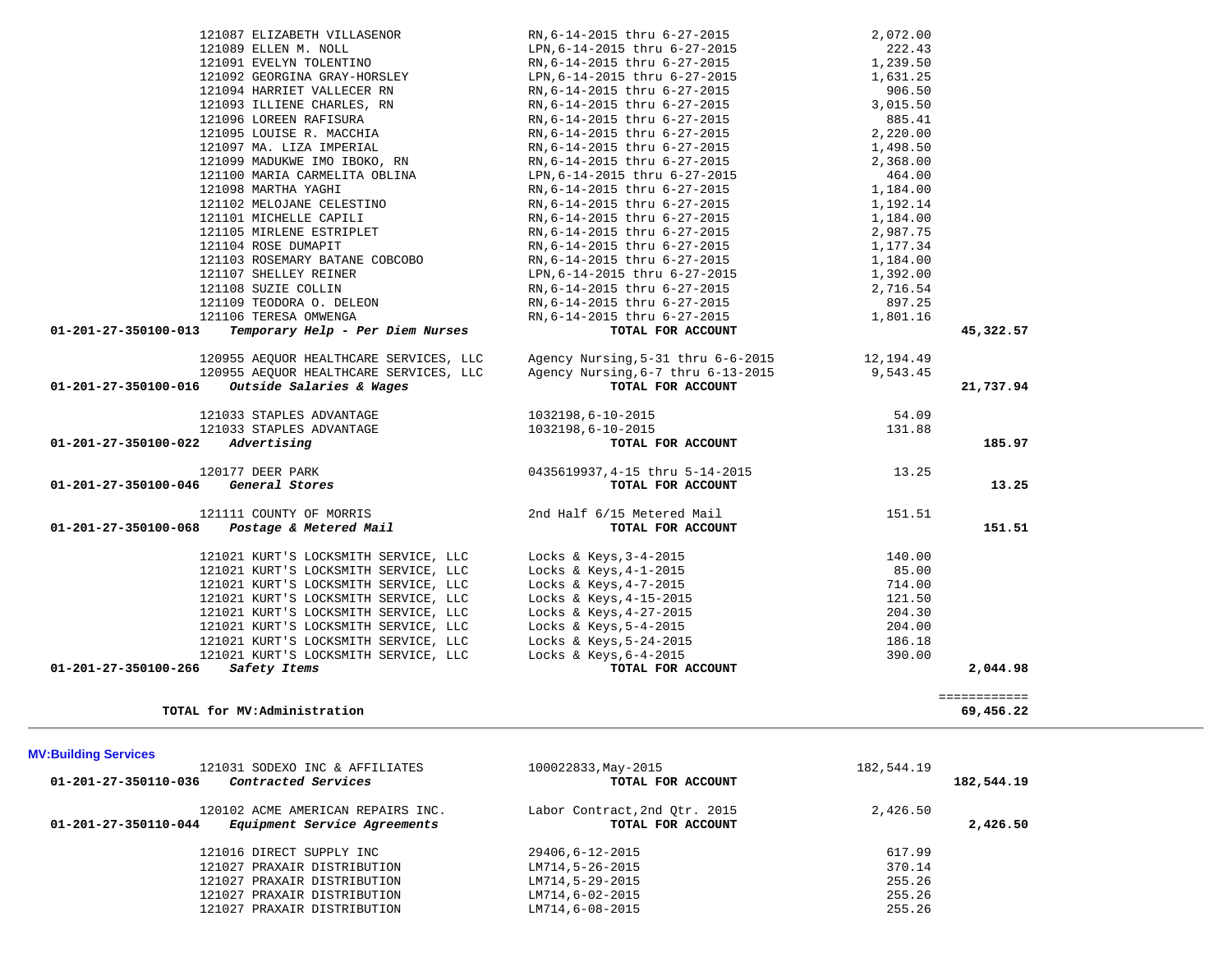| <b>MV:Building Services</b>                                                               |                                                    |            |            |
|-------------------------------------------------------------------------------------------|----------------------------------------------------|------------|------------|
| 121031 SODEXO INC & AFFILIATES<br>01-201-27-350110-036<br>Contracted Services             | 100022833, May-2015<br>TOTAL FOR ACCOUNT           | 182,544.19 | 182,544.19 |
| 120102 ACME AMERICAN REPAIRS INC.<br>Equipment Service Agreements<br>01-201-27-350110-044 | Labor Contract, 2nd Otr. 2015<br>TOTAL FOR ACCOUNT | 2,426.50   | 2,426.50   |
| 121016 DIRECT SUPPLY INC                                                                  | 29406,6-12-2015                                    | 617.99     |            |
| 121027 PRAXAIR DISTRIBUTION                                                               | LM714,5-26-2015                                    | 370.14     |            |
| 121027 PRAXAIR DISTRIBUTION                                                               | LM714,5-29-2015                                    | 255.26     |            |
| 121027 PRAXAIR DISTRIBUTION                                                               | LM714,6-02-2015                                    | 255.26     |            |
| 121027 PRAXAIR DISTRIBUTION                                                               | LM714,6-08-2015                                    | 255.26     |            |

============

**TOTAL for MV:Administration 69,456.22**

============<br>69,456.22

| 121107 SHELLEY REINER                                       | LPN, 6-14-2015 thru 6-27-2015      | 1,392.00  |           |
|-------------------------------------------------------------|------------------------------------|-----------|-----------|
| 121108 SUZIE COLLIN                                         | RN, 6-14-2015 thru 6-27-2015       | 2,716.54  |           |
| 121109 TEODORA O. DELEON                                    | RN, 6-14-2015 thru 6-27-2015       | 897.25    |           |
| 121106 TERESA OMWENGA                                       | RN, 6-14-2015 thru 6-27-2015       | 1,801.16  |           |
| 01-201-27-350100-013<br>Temporary Help - Per Diem Nurses    | TOTAL FOR ACCOUNT                  |           | 45,322.57 |
| 120955 AEQUOR HEALTHCARE SERVICES, LLC                      | Agency Nursing, 5-31 thru 6-6-2015 | 12,194.49 |           |
| 120955 AEQUOR HEALTHCARE SERVICES, LLC                      | Agency Nursing, 6-7 thru 6-13-2015 | 9,543.45  |           |
| <i>Outside Salaries &amp; Wages</i><br>01-201-27-350100-016 | TOTAL FOR ACCOUNT                  |           | 21,737.94 |
| 121033 STAPLES ADVANTAGE                                    | 1032198,6-10-2015                  | 54.09     |           |
| 121033 STAPLES ADVANTAGE                                    | 1032198,6-10-2015                  | 131.88    |           |
| 01-201-27-350100-022<br>Advertising                         | TOTAL FOR ACCOUNT                  |           | 185.97    |
| 120177 DEER PARK                                            | 0435619937,4-15 thru 5-14-2015     | 13.25     |           |
| 01-201-27-350100-046 General Stores                         | TOTAL FOR ACCOUNT                  |           | 13.25     |
| 121111 COUNTY OF MORRIS                                     | 2nd Half 6/15 Metered Mail         | 151.51    |           |
| $01 - 201 - 27 - 350100 - 068$ Postage & Metered Mail       | TOTAL FOR ACCOUNT                  |           | 151.51    |
| 121021 KURT'S LOCKSMITH SERVICE, LLC                        | Locks & Keys, $3-4-2015$           | 140.00    |           |
| 121021 KURT'S LOCKSMITH SERVICE, LLC                        | Locks & Keys, $4-1-2015$           | 85.00     |           |
| 121021 KURT'S LOCKSMITH SERVICE, LLC                        | Locks & Keys, 4-7-2015             | 714.00    |           |
| 121021 KURT'S LOCKSMITH SERVICE LLC                         | Locks & Keys $4-15-2015$           | 1 2 1 5 0 |           |

| 121087 ELIZABETH VILLASENOR                              | RN, 6-14-2015 thru 6-27-2015                                                                                                                            | 2,072.00 |           |
|----------------------------------------------------------|---------------------------------------------------------------------------------------------------------------------------------------------------------|----------|-----------|
| 121089 ELLEN M. NOLL                                     | LPN, 6-14-2015 thru 6-27-2015                                                                                                                           | 222.43   |           |
| 121091 EVELYN TOLENTINO                                  | RN, 6-14-2015 thru 6-27-2015                                                                                                                            | 1,239.50 |           |
|                                                          |                                                                                                                                                         | 1,631.25 |           |
|                                                          |                                                                                                                                                         | 906.50   |           |
| 121093 ILLIENE CHARLES, RN                               | RN,6-14-2015 thru 6-27-2015<br>RN,6-14-2015 thru 6-27-2015                                                                                              | 3,015.50 |           |
| 121096 LOREEN RAFISURA                                   |                                                                                                                                                         | 885.41   |           |
| 121095 LOUISE R. MACCHIA                                 | RN, 6-14-2015 thru 6-27-2015                                                                                                                            | 2,220.00 |           |
| 121097 MA. LIZA IMPERIAL                                 |                                                                                                                                                         | 1,498.50 |           |
| 121097 MA. LIZA IMPERIAL<br>121099 MADUKWE IMO IBOKO, RN | RN,6-14-2015 thru 6-27-2015<br>RN,6-14-2015 thru 6-27-2015                                                                                              | 2,368.00 |           |
| 121100 MARIA CARMELITA OBLINA                            | LPN,6-14-2015 thru 6-27-2015                                                                                                                            | 464.00   |           |
| 121098 MARTHA YAGHI                                      | RN, 6-14-2015 thru 6-27-2015                                                                                                                            | 1,184.00 |           |
| 121102 MELOJANE CELESTINO                                | RN, 6-14-2015 thru 6-27-2015                                                                                                                            | 1,192.14 |           |
| 121101 MICHELLE CAPILI                                   | RN, 6-14-2015 thru 6-27-2015                                                                                                                            | 1,184.00 |           |
| 121105 MIRLENE ESTRIPLET                                 | RN,6-14-2015 thru 6-27-2015                                                                                                                             | 2,987.75 |           |
| 121104 ROSE DUMAPIT                                      | RN, 6-14-2015 thru 6-27-2015                                                                                                                            | 1,177.34 |           |
| 121103 ROSEMARY BATANE COBCOBO                           | RN,6-14-2015 thru 6-27-2015                                                                                                                             | 1,184.00 |           |
| 121107 SHELLEY REINER                                    | LPN, 6-14-2015 thru 6-27-2015                                                                                                                           | 1,392.00 |           |
| 121108 SUZIE COLLIN                                      | RN,6-14-2015 thru 6-27-2015                                                                                                                             | 2,716.54 |           |
| 121108 SUZIE COLLERON<br>121109 TEODORA O. DELEON        |                                                                                                                                                         | 897.25   |           |
|                                                          | RN,6-14-2015 thru 6-27-2015<br>RN,6-14-2015 thru 6-27-2015                                                                                              | 1,801.16 |           |
| Temporary Help - Per Diem Nurses<br>01-201-27-350100-013 | TOTAL FOR ACCOUNT                                                                                                                                       |          | 45,322.57 |
|                                                          | 120955 AEQUOR HEALTHCARE SERVICES, LLC Agency Nursing, 5-31 thru 6-6-2015 12, 194.49                                                                    |          |           |
|                                                          |                                                                                                                                                         |          |           |
| 01-201-27-350100-016 Outside Salaries & Wages            | 120955 AEQUOR HEALTHCARE SERVICES, LLC agency Nursing, 6-7 thru 6-13-2015 9,543.45<br>5 Outside Salaries & Wages TOTAL FOR ACCOUNT<br>TOTAL FOR ACCOUNT |          | 21,737.94 |
|                                                          |                                                                                                                                                         |          |           |
| 121033 STAPLES ADVANTAGE                                 | 1032198,6-10-2015                                                                                                                                       | 54.09    |           |
| 121033 STAPLES ADVANTAGE                                 | 1032198,6-10-2015                                                                                                                                       | 131.88   |           |
| $01 - 201 - 27 - 350100 - 022$ Advertising               | TOTAL FOR ACCOUNT                                                                                                                                       |          | 185.97    |
| 120177 DEER PARK                                         | $0435619937, 4-15$ thru $5-14-2015$ $13.25$ $13.25$                                                                                                     |          |           |
| 01-201-27-350100-046 General Stores                      |                                                                                                                                                         |          | 13.25     |
| 121111 COUNTY OF MORRIS 2nd Half 6/15 Metered Mail       |                                                                                                                                                         | 151.51   |           |
| 01-201-27-350100-068 Postage & Metered Mail              | TOTAL FOR ACCOUNT                                                                                                                                       |          | 151.51    |
|                                                          |                                                                                                                                                         |          |           |
| 121021 KURT'S LOCKSMITH SERVICE, LLC                     | Locks & Keys, 3-4-2015                                                                                                                                  | 140.00   |           |
| 121021 KURT'S LOCKSMITH SERVICE, LLC                     | Locks & Keys, 4-1-2015                                                                                                                                  | 85.00    |           |
| 121021 KURT'S LOCKSMITH SERVICE, LLC                     | Locks & Keys, 4-7-2015                                                                                                                                  | 714.00   |           |
| 121021 KURT'S LOCKSMITH SERVICE, LLC                     | Locks & Keys, 4-15-2015                                                                                                                                 | 121.50   |           |
| 121021 KURT'S LOCKSMITH SERVICE, LLC                     | Locks & Keys, 4-27-2015                                                                                                                                 | 204.30   |           |
| 121021 KURT'S LOCKSMITH SERVICE, LLC                     | Locks & Keys, 5-4-2015                                                                                                                                  | 204.00   |           |
| 121021 KURT'S LOCKSMITH SERVICE, LLC                     | Locks & Keys, 5-24-2015                                                                                                                                 | 186.18   |           |
| 121021 KURT'S LOCKSMITH SERVICE, LLC                     | Locks & Keys, $6-4-2015$                                                                                                                                | 390.00   |           |
| 01-201-27-350100-266<br>Safety Items                     | TOTAL FOR ACCOUNT                                                                                                                                       |          | 2,044.98  |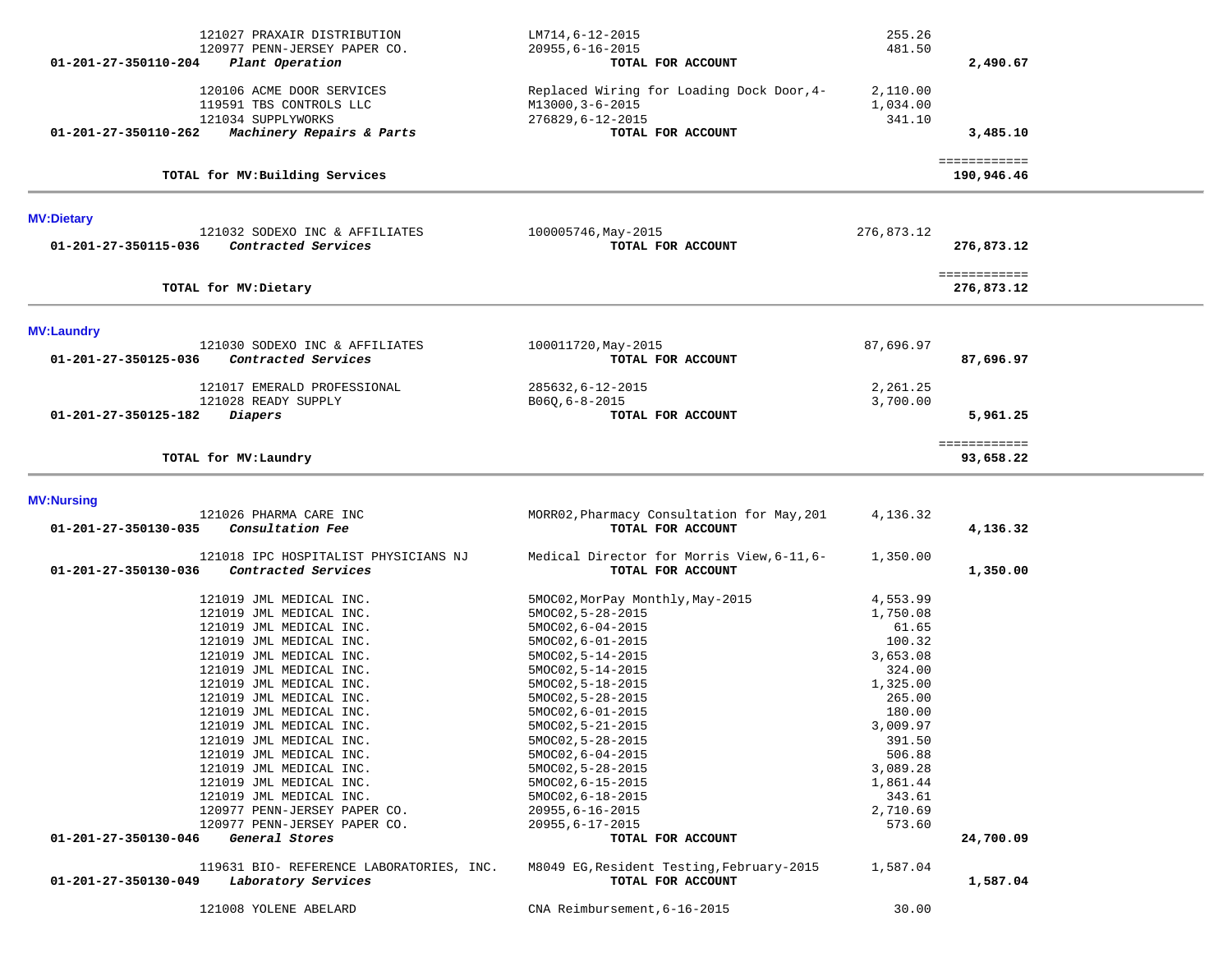| 121027 PRAXAIR DISTRIBUTION<br>120977 PENN-JERSEY PAPER CO.<br>Plant Operation<br>01-201-27-350110-204                          | LM714,6-12-2015<br>$20955, 6 - 16 - 2015$<br>TOTAL FOR ACCOUNT                                         | 255.26<br>481.50<br>2,490.67               |  |
|---------------------------------------------------------------------------------------------------------------------------------|--------------------------------------------------------------------------------------------------------|--------------------------------------------|--|
| 120106 ACME DOOR SERVICES<br>119591 TBS CONTROLS LLC<br>121034 SUPPLYWORKS<br>Machinery Repairs & Parts<br>01-201-27-350110-262 | Replaced Wiring for Loading Dock Door, 4-<br>M13000, 3-6-2015<br>276829,6-12-2015<br>TOTAL FOR ACCOUNT | 2,110.00<br>1,034.00<br>341.10<br>3,485.10 |  |
| TOTAL for MV: Building Services                                                                                                 |                                                                                                        | ============<br>190,946.46                 |  |
| <b>MV:Dietary</b>                                                                                                               |                                                                                                        |                                            |  |
| 121032 SODEXO INC & AFFILIATES<br>01-201-27-350115-036<br>Contracted Services                                                   | 100005746, May-2015<br>TOTAL FOR ACCOUNT                                                               | 276,873.12<br>276,873.12                   |  |
| TOTAL for MV: Dietary                                                                                                           |                                                                                                        | ============<br>276,873.12                 |  |
| <b>MV:Laundry</b>                                                                                                               |                                                                                                        |                                            |  |
| 121030 SODEXO INC & AFFILIATES<br>01-201-27-350125-036<br>Contracted Services                                                   | 100011720, May-2015<br>TOTAL FOR ACCOUNT                                                               | 87,696.97<br>87,696.97                     |  |
| 121017 EMERALD PROFESSIONAL                                                                                                     | 285632, 6-12-2015                                                                                      | 2,261.25                                   |  |
| 121028 READY SUPPLY<br>01-201-27-350125-182<br>Diapers                                                                          | $B06Q, 6-8-2015$<br>TOTAL FOR ACCOUNT                                                                  | 3,700.00<br>5,961.25                       |  |
| TOTAL for MV: Laundry                                                                                                           |                                                                                                        | ============<br>93,658.22                  |  |
| <b>MV:Nursing</b>                                                                                                               |                                                                                                        |                                            |  |
| 121026 PHARMA CARE INC<br>Consultation Fee<br>01-201-27-350130-035                                                              | MORR02, Pharmacy Consultation for May, 201<br>TOTAL FOR ACCOUNT                                        | 4,136.32<br>4,136.32                       |  |
| 121018 IPC HOSPITALIST PHYSICIANS NJ<br>01-201-27-350130-036<br>Contracted Services                                             | Medical Director for Morris View, 6-11, 6-<br>TOTAL FOR ACCOUNT                                        | 1,350.00<br>1,350.00                       |  |
| 121019 JML MEDICAL INC.                                                                                                         | 5MOC02, MorPay Monthly, May-2015                                                                       | 4,553.99                                   |  |
| 121019 JML MEDICAL INC.<br>121019 JML MEDICAL INC.                                                                              | $5MOCO2, 5-28-2015$<br>$5MOCO2, 6-04-2015$                                                             | 1,750.08<br>61.65                          |  |
| 121019 JML MEDICAL INC.                                                                                                         | $5MOCO2, 6-01-2015$                                                                                    | 100.32                                     |  |
| 121019 JML MEDICAL INC.                                                                                                         | 5MOC02, 5-14-2015                                                                                      | 3,653.08                                   |  |
| 121019 JML MEDICAL INC.                                                                                                         | 5MOC02, 5-14-2015                                                                                      | 324.00                                     |  |
| 121019 JML MEDICAL INC.                                                                                                         | 5MOC02, 5-18-2015                                                                                      | 1,325.00                                   |  |
| 121019 JML MEDICAL INC.<br>121019 JML MEDICAL INC.                                                                              | 5MOC02, 5-28-2015<br>$5MOCO2, 6-01-2015$                                                               | 265.00<br>180.00                           |  |
| 121019 JML MEDICAL INC.                                                                                                         | 5MOC02, 5-21-2015                                                                                      | 3,009.97                                   |  |
| 121019 JML MEDICAL INC.                                                                                                         | 5MOC02, 5-28-2015                                                                                      | 391.50                                     |  |
| 121019 JML MEDICAL INC.                                                                                                         | $5MOCO2, 6-04-2015$                                                                                    | 506.88                                     |  |
| 121019 JML MEDICAL INC.<br>121019 JML MEDICAL INC.                                                                              | 5MOC02, 5-28-2015                                                                                      | 3,089.28<br>1,861.44                       |  |
| 121019 JML MEDICAL INC.                                                                                                         | 5MOC02, 6-15-2015<br>5MOC02, 6-18-2015                                                                 | 343.61                                     |  |
| 120977 PENN-JERSEY PAPER CO.                                                                                                    | $20955, 6 - 16 - 2015$                                                                                 | 2,710.69                                   |  |
| 120977 PENN-JERSEY PAPER CO.                                                                                                    | $20955, 6 - 17 - 2015$                                                                                 | 573.60                                     |  |
| 01-201-27-350130-046<br>General Stores                                                                                          | TOTAL FOR ACCOUNT                                                                                      | 24,700.09                                  |  |
| 119631 BIO- REFERENCE LABORATORIES, INC.                                                                                        |                                                                                                        |                                            |  |
| 01-201-27-350130-049<br>Laboratory Services                                                                                     | M8049 EG, Resident Testing, February-2015<br>TOTAL FOR ACCOUNT                                         | 1,587.04<br>1,587.04                       |  |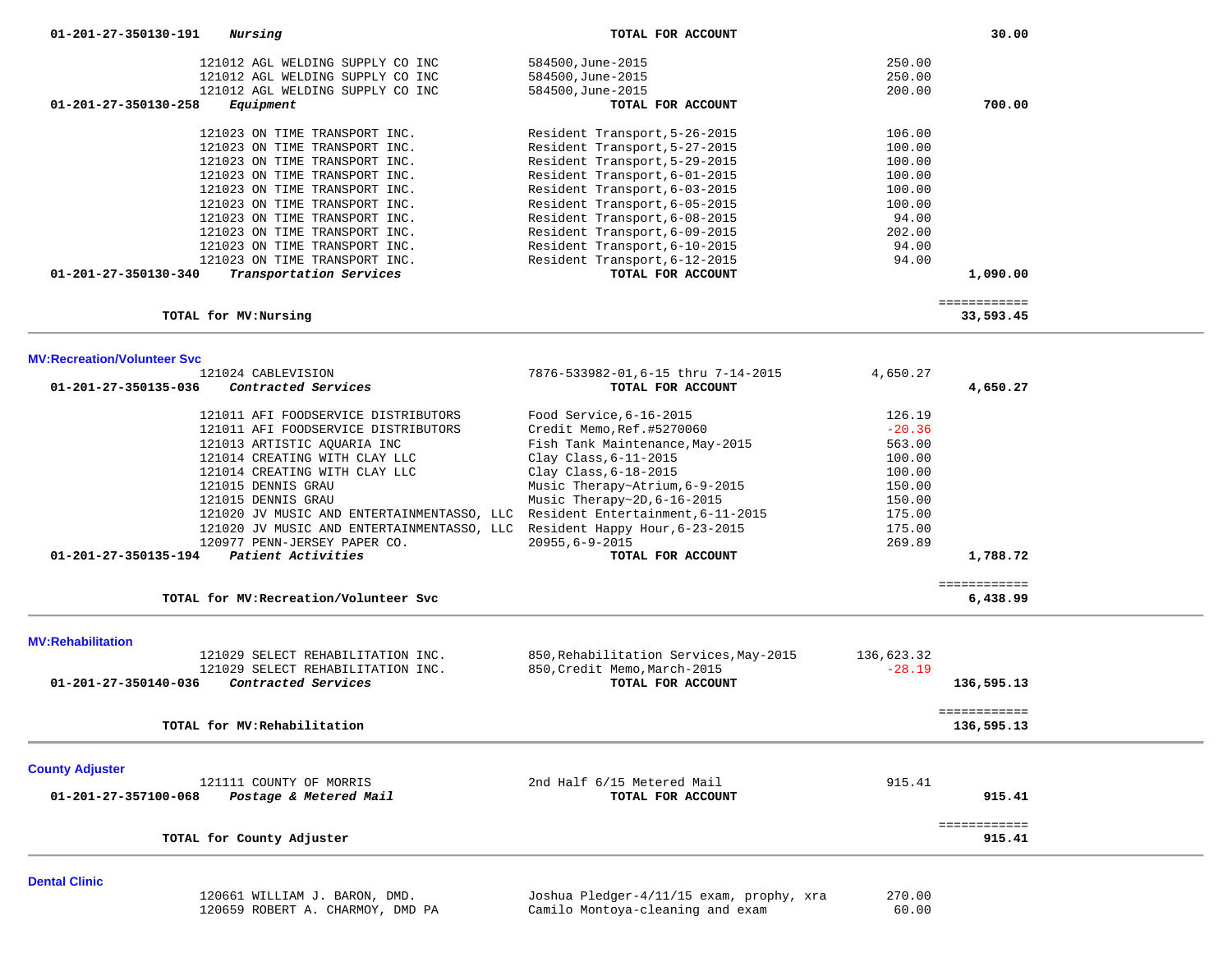| 01-201-27-350130-191<br>Nursing                           |                                  | TOTAL FOR ACCOUNT             |        | 30.00    |
|-----------------------------------------------------------|----------------------------------|-------------------------------|--------|----------|
|                                                           | 121012 AGL WELDING SUPPLY CO INC | 584500, June-2015             | 250.00 |          |
|                                                           | 121012 AGL WELDING SUPPLY CO INC | 584500, June-2015             | 250.00 |          |
|                                                           | 121012 AGL WELDING SUPPLY CO INC | 584500, June-2015             | 200.00 |          |
| 01-201-27-350130-258<br>Equipment                         |                                  | TOTAL FOR ACCOUNT             |        | 700.00   |
| 121023 ON TIME TRANSPORT INC.                             |                                  | Resident Transport, 5-26-2015 | 106.00 |          |
| 121023 ON TIME TRANSPORT INC.                             |                                  | Resident Transport, 5-27-2015 | 100.00 |          |
| 121023 ON TIME TRANSPORT INC.                             |                                  | Resident Transport, 5-29-2015 | 100.00 |          |
| 121023 ON TIME TRANSPORT INC.                             |                                  | Resident Transport, 6-01-2015 | 100.00 |          |
| 121023 ON TIME TRANSPORT INC.                             |                                  | Resident Transport, 6-03-2015 | 100.00 |          |
| 121023 ON TIME TRANSPORT INC.                             |                                  | Resident Transport, 6-05-2015 | 100.00 |          |
| 121023 ON TIME TRANSPORT INC.                             |                                  | Resident Transport, 6-08-2015 | 94.00  |          |
| 121023 ON TIME TRANSPORT INC.                             |                                  | Resident Transport, 6-09-2015 | 202.00 |          |
| 121023 ON TIME TRANSPORT INC.                             |                                  | Resident Transport, 6-10-2015 | 94.00  |          |
| 121023 ON TIME TRANSPORT INC.                             |                                  | Resident Transport, 6-12-2015 | 94.00  |          |
| $01 - 201 - 27 - 350130 - 340$<br>Transportation Services |                                  | TOTAL FOR ACCOUNT             |        | 1,090.00 |

#### **MV:Recreation/Volunteer Svc**

|                      | TOTAL for MV: Recreation/Volunteer Svc     |                                   |              | 6,438.99 |
|----------------------|--------------------------------------------|-----------------------------------|--------------|----------|
|                      |                                            |                                   | ============ |          |
| 01-201-27-350135-194 | Patient Activities                         | TOTAL FOR ACCOUNT                 |              | 1,788.72 |
|                      | 120977 PENN-JERSEY PAPER CO.               | $20955, 6 - 9 - 2015$             | 269.89       |          |
|                      | 121020 JV MUSIC AND ENTERTAINMENTASSO, LLC | Resident Happy Hour, 6-23-2015    | 175.00       |          |
|                      | 121020 JV MUSIC AND ENTERTAINMENTASSO, LLC | Resident Entertainment, 6-11-2015 | 175.00       |          |
|                      | 121015 DENNIS GRAU                         | Music Therapy~2D, $6-16-2015$     | 150.00       |          |
|                      | 121015 DENNIS GRAU                         | Music Therapy~Atrium, 6-9-2015    | 150.00       |          |
|                      | 121014 CREATING WITH CLAY LLC              | Clay Class, $6-18-2015$           | 100.00       |          |
|                      | 121014 CREATING WITH CLAY LLC              | Clay Class, $6-11-2015$           | 100.00       |          |
|                      | 121013 ARTISTIC AOUARIA INC                | Fish Tank Maintenance, May-2015   | 563.00       |          |
|                      | 121011 AFI FOODSERVICE DISTRIBUTORS        | Credit Memo, Ref.#5270060         | $-20.36$     |          |
|                      | 121011 AFI FOODSERVICE DISTRIBUTORS        | Food Service, 6-16-2015           | 126.19       |          |
| 01-201-27-350135-036 | Contracted Services                        | TOTAL FOR ACCOUNT                 |              | 4,650.27 |
|                      |                                            |                                   |              |          |

121029 SELECT REHABILITATION INC. 850, Rehabilitation Services, May-2015 136,623.32<br>121029 SELECT REHABILITATION INC. 850, Credit Memo, March-2015 -28.19 121029 SELECT REHABILITATION INC. 850, Credit Memo, March-2015  **01-201-27-350140-036** *Contracted Services* **TOTAL FOR ACCOUNT 136,595.13** ============ 136,595.13 **TOTAL for MV:Rehabilitation 136,595.13 County Adjuster**  121111 COUNTY OF MORRIS 2nd Half 6/15 Metered Mail 915.41  **01-201-27-357100-068** *Postage & Metered Mail* **TOTAL FOR ACCOUNT 915.41** ============ **TOTAL for County Adjuster 915.41**

**Dental Clinic** 

 120661 WILLIAM J. BARON, DMD. Joshua Pledger-4/11/15 exam, prophy, xra 270.00 120659 ROBERT A. CHARMOY, DMD PA Camilo Montoya-cleaning and exam 60.00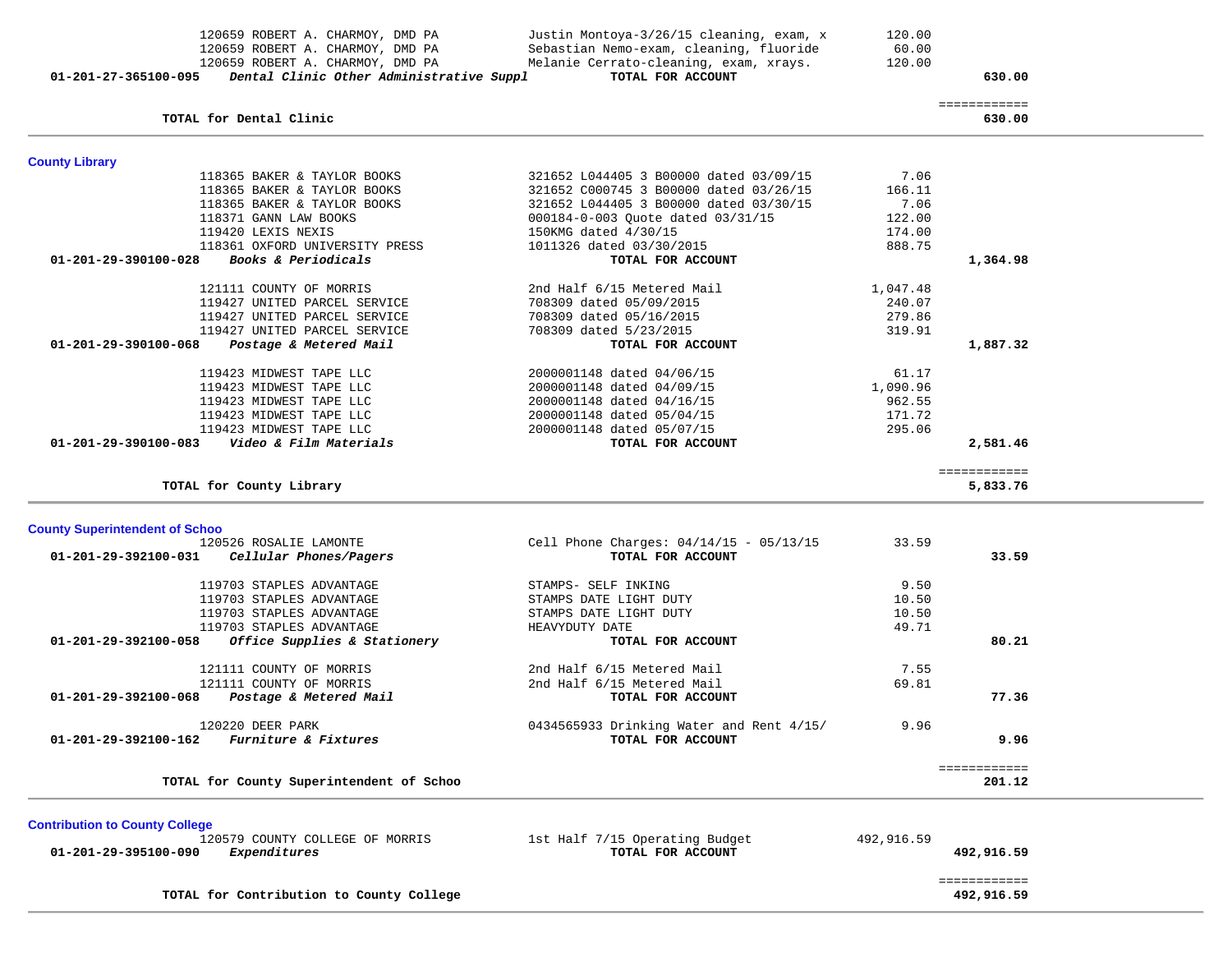|                                       | 120659 ROBERT A. CHARMOY, DMD PA                     | Sebastian Nemo-exam, cleaning, fluoride                      | 60.00            |                            |  |
|---------------------------------------|------------------------------------------------------|--------------------------------------------------------------|------------------|----------------------------|--|
|                                       | 120659 ROBERT A. CHARMOY, DMD PA                     | Melanie Cerrato-cleaning, exam, xrays.                       | 120.00           |                            |  |
| 01-201-27-365100-095                  | Dental Clinic Other Administrative Suppl             | TOTAL FOR ACCOUNT                                            |                  | 630.00                     |  |
|                                       | TOTAL for Dental Clinic                              |                                                              |                  | ============<br>630.00     |  |
|                                       |                                                      |                                                              |                  |                            |  |
| <b>County Library</b>                 |                                                      |                                                              |                  |                            |  |
|                                       | 118365 BAKER & TAYLOR BOOKS                          | 321652 L044405 3 B00000 dated 03/09/15                       | 7.06             |                            |  |
|                                       | 118365 BAKER & TAYLOR BOOKS                          | 321652 C000745 3 B00000 dated 03/26/15                       | 166.11           |                            |  |
|                                       | 118365 BAKER & TAYLOR BOOKS                          | 321652 L044405 3 B00000 dated 03/30/15                       | 7.06             |                            |  |
|                                       | 118371 GANN LAW BOOKS                                | 000184-0-003 Quote dated 03/31/15                            | 122.00           |                            |  |
|                                       | 119420 LEXIS NEXIS<br>118361 OXFORD UNIVERSITY PRESS | 150KMG dated 4/30/15<br>1011326 dated 03/30/2015             | 174.00<br>888.75 |                            |  |
| 01-201-29-390100-028                  | Books & Periodicals                                  | TOTAL FOR ACCOUNT                                            |                  | 1,364.98                   |  |
|                                       |                                                      |                                                              |                  |                            |  |
|                                       | 121111 COUNTY OF MORRIS                              | 2nd Half 6/15 Metered Mail                                   | 1,047.48         |                            |  |
|                                       | 119427 UNITED PARCEL SERVICE                         | 708309 dated 05/09/2015                                      | 240.07           |                            |  |
|                                       | 119427 UNITED PARCEL SERVICE                         | 708309 dated 05/16/2015                                      | 279.86           |                            |  |
|                                       | 119427 UNITED PARCEL SERVICE                         | 708309 dated 5/23/2015                                       | 319.91           |                            |  |
| 01-201-29-390100-068                  | Postage & Metered Mail                               | TOTAL FOR ACCOUNT                                            |                  | 1,887.32                   |  |
|                                       | 119423 MIDWEST TAPE LLC                              | 2000001148 dated 04/06/15                                    | 61.17            |                            |  |
|                                       | 119423 MIDWEST TAPE LLC                              | 2000001148 dated 04/09/15                                    | 1,090.96         |                            |  |
|                                       | 119423 MIDWEST TAPE LLC                              | 2000001148 dated 04/16/15                                    | 962.55           |                            |  |
|                                       | 119423 MIDWEST TAPE LLC                              | 2000001148 dated 05/04/15                                    | 171.72           |                            |  |
|                                       | 119423 MIDWEST TAPE LLC                              | 2000001148 dated 05/07/15                                    | 295.06           |                            |  |
| 01-201-29-390100-083                  | Video & Film Materials                               | TOTAL FOR ACCOUNT                                            |                  | 2,581.46                   |  |
|                                       |                                                      |                                                              |                  | ============               |  |
|                                       | TOTAL for County Library                             |                                                              |                  | 5,833.76                   |  |
|                                       |                                                      |                                                              |                  |                            |  |
| <b>County Superintendent of Schoo</b> | 120526 ROSALIE LAMONTE                               |                                                              | 33.59            |                            |  |
| 01-201-29-392100-031                  | Cellular Phones/Pagers                               | Cell Phone Charges: 04/14/15 - 05/13/15<br>TOTAL FOR ACCOUNT |                  | 33.59                      |  |
|                                       |                                                      |                                                              |                  |                            |  |
|                                       | 119703 STAPLES ADVANTAGE                             | STAMPS- SELF INKING                                          | 9.50             |                            |  |
|                                       | 119703 STAPLES ADVANTAGE                             | STAMPS DATE LIGHT DUTY                                       | 10.50            |                            |  |
|                                       | 119703 STAPLES ADVANTAGE                             | STAMPS DATE LIGHT DUTY                                       | 10.50            |                            |  |
|                                       | 119703 STAPLES ADVANTAGE                             | HEAVYDUTY DATE                                               | 49.71            |                            |  |
| 01-201-29-392100-058                  | Office Supplies & Stationery                         | TOTAL FOR ACCOUNT                                            |                  | 80.21                      |  |
|                                       | 121111 COUNTY OF MORRIS                              | 2nd Half 6/15 Metered Mail                                   | 7.55             |                            |  |
|                                       | 121111 COUNTY OF MORRIS                              | 2nd Half 6/15 Metered Mail                                   | 69.81            |                            |  |
| 01-201-29-392100-068                  | Postage & Metered Mail                               | TOTAL FOR ACCOUNT                                            |                  | 77.36                      |  |
|                                       | 120220 DEER PARK                                     | 0434565933 Drinking Water and Rent 4/15/                     | 9.96             |                            |  |
| 01-201-29-392100-162                  | Furniture & Fixtures                                 | TOTAL FOR ACCOUNT                                            |                  | 9.96                       |  |
|                                       |                                                      |                                                              |                  |                            |  |
|                                       | TOTAL for County Superintendent of Schoo             |                                                              |                  | ============<br>201.12     |  |
|                                       |                                                      |                                                              |                  |                            |  |
| <b>Contribution to County College</b> | 120579 COUNTY COLLEGE OF MORRIS                      | 1st Half 7/15 Operating Budget                               | 492,916.59       |                            |  |
| 01-201-29-395100-090                  | Expenditures                                         | TOTAL FOR ACCOUNT                                            |                  | 492,916.59                 |  |
|                                       |                                                      |                                                              |                  |                            |  |
|                                       | TOTAL for Contribution to County College             |                                                              |                  | ============<br>492,916.59 |  |

120659 ROBERT A. CHARMOY, DMD PA Justin Montoya-3/26/15 cleaning, exam, x 120.00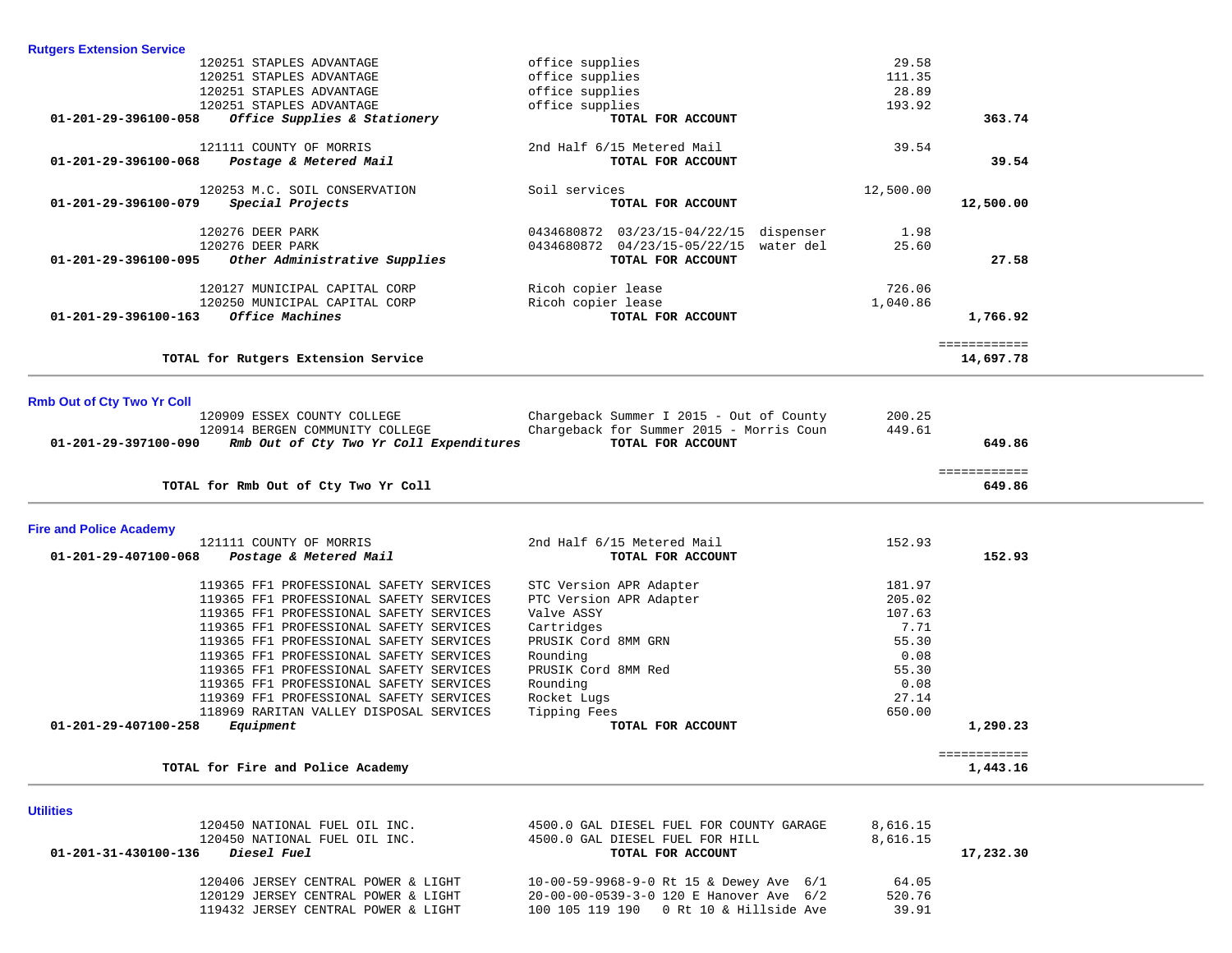| <b>Rutgers Extension Service</b>  |                                         |                                          |           |                          |
|-----------------------------------|-----------------------------------------|------------------------------------------|-----------|--------------------------|
|                                   | 120251 STAPLES ADVANTAGE                | office supplies                          | 29.58     |                          |
|                                   | 120251 STAPLES ADVANTAGE                | office supplies                          | 111.35    |                          |
|                                   | 120251 STAPLES ADVANTAGE                | office supplies                          | 28.89     |                          |
|                                   | 120251 STAPLES ADVANTAGE                | office supplies                          | 193.92    |                          |
| 01-201-29-396100-058              | Office Supplies & Stationery            | TOTAL FOR ACCOUNT                        |           | 363.74                   |
|                                   | 121111 COUNTY OF MORRIS                 | 2nd Half 6/15 Metered Mail               | 39.54     |                          |
| 01-201-29-396100-068              | Postage & Metered Mail                  | TOTAL FOR ACCOUNT                        |           | 39.54                    |
|                                   | 120253 M.C. SOIL CONSERVATION           | Soil services                            | 12,500.00 |                          |
| 01-201-29-396100-079              | Special Projects                        | TOTAL FOR ACCOUNT                        |           | 12,500.00                |
|                                   | 120276 DEER PARK                        | 0434680872 03/23/15-04/22/15 dispenser   | 1.98      |                          |
|                                   | 120276 DEER PARK                        | 0434680872 04/23/15-05/22/15 water del   | 25.60     |                          |
| 01-201-29-396100-095              | Other Administrative Supplies           | TOTAL FOR ACCOUNT                        |           | 27.58                    |
|                                   | 120127 MUNICIPAL CAPITAL CORP           | Ricoh copier lease                       | 726.06    |                          |
|                                   | 120250 MUNICIPAL CAPITAL CORP           | Ricoh copier lease                       | 1,040.86  |                          |
| $01 - 201 - 29 - 396100 - 163$    | Office Machines                         | TOTAL FOR ACCOUNT                        |           | 1,766.92                 |
|                                   |                                         |                                          |           | ============             |
|                                   | TOTAL for Rutgers Extension Service     |                                          |           | 14,697.78                |
|                                   |                                         |                                          |           |                          |
| <b>Rmb Out of Cty Two Yr Coll</b> | 120909 ESSEX COUNTY COLLEGE             | Chargeback Summer I 2015 - Out of County | 200.25    |                          |
|                                   | 120914 BERGEN COMMUNITY COLLEGE         | Chargeback for Summer 2015 - Morris Coun | 449.61    |                          |
| 01-201-29-397100-090              | Rmb Out of Cty Two Yr Coll Expenditures | TOTAL FOR ACCOUNT                        |           | 649.86                   |
|                                   |                                         |                                          |           | ============             |
|                                   | TOTAL for Rmb Out of Cty Two Yr Coll    |                                          |           | 649.86                   |
| <b>Fire and Police Academy</b>    |                                         |                                          |           |                          |
|                                   | 121111 COUNTY OF MORRIS                 | 2nd Half 6/15 Metered Mail               | 152.93    |                          |
| 01-201-29-407100-068              | Postage & Metered Mail                  | TOTAL FOR ACCOUNT                        |           | 152.93                   |
|                                   | 119365 FF1 PROFESSIONAL SAFETY SERVICES | STC Version APR Adapter                  | 181.97    |                          |
|                                   | 119365 FF1 PROFESSIONAL SAFETY SERVICES | PTC Version APR Adapter                  | 205.02    |                          |
|                                   | 119365 FF1 PROFESSIONAL SAFETY SERVICES | Valve ASSY                               | 107.63    |                          |
|                                   | 119365 FF1 PROFESSIONAL SAFETY SERVICES | Cartridges                               | 7.71      |                          |
|                                   | 119365 FF1 PROFESSIONAL SAFETY SERVICES | PRUSIK Cord 8MM GRN                      | 55.30     |                          |
|                                   | 119365 FF1 PROFESSIONAL SAFETY SERVICES | Rounding                                 | 0.08      |                          |
|                                   | 119365 FF1 PROFESSIONAL SAFETY SERVICES | PRUSIK Cord 8MM Red                      | 55.30     |                          |
|                                   | 119365 FF1 PROFESSIONAL SAFETY SERVICES | Rounding                                 | 0.08      |                          |
|                                   | 119369 FF1 PROFESSIONAL SAFETY SERVICES | Rocket Lugs                              | 27.14     |                          |
|                                   | 118969 RARITAN VALLEY DISPOSAL SERVICES | Tipping Fees                             | 650.00    |                          |
| 01-201-29-407100-258              | Equipment                               | TOTAL FOR ACCOUNT                        |           | 1,290.23                 |
|                                   | TOTAL for Fire and Police Academy       |                                          |           | ============<br>1,443.16 |
|                                   |                                         |                                          |           |                          |
| <b>Utilities</b>                  |                                         |                                          |           |                          |
|                                   | 120450 NATIONAL FUEL OIL INC.           | 4500.0 GAL DIESEL FUEL FOR COUNTY GARAGE | 8,616.15  |                          |
|                                   | 120450 NATIONAL FUEL OIL INC.           | 4500.0 GAL DIESEL FUEL FOR HILL          | 8,616.15  |                          |

 **01-201-31-430100-136** *Diesel Fuel* **TOTAL FOR ACCOUNT 17,232.30**

| 120406 JERSEY CENTRAL POWER & LIGHT | 10-00-59-9968-9-0 Rt 15 & Dewey Ave $6/1$ | 64.05  |
|-------------------------------------|-------------------------------------------|--------|
| 120129 JERSEY CENTRAL POWER & LIGHT | 20-00-00-0539-3-0 120 E Hanover Ave 6/2   | 520.76 |
| 119432 JERSEY CENTRAL POWER & LIGHT | 100 105 119 190 0 Rt 10 & Hillside Ave    | 39.91  |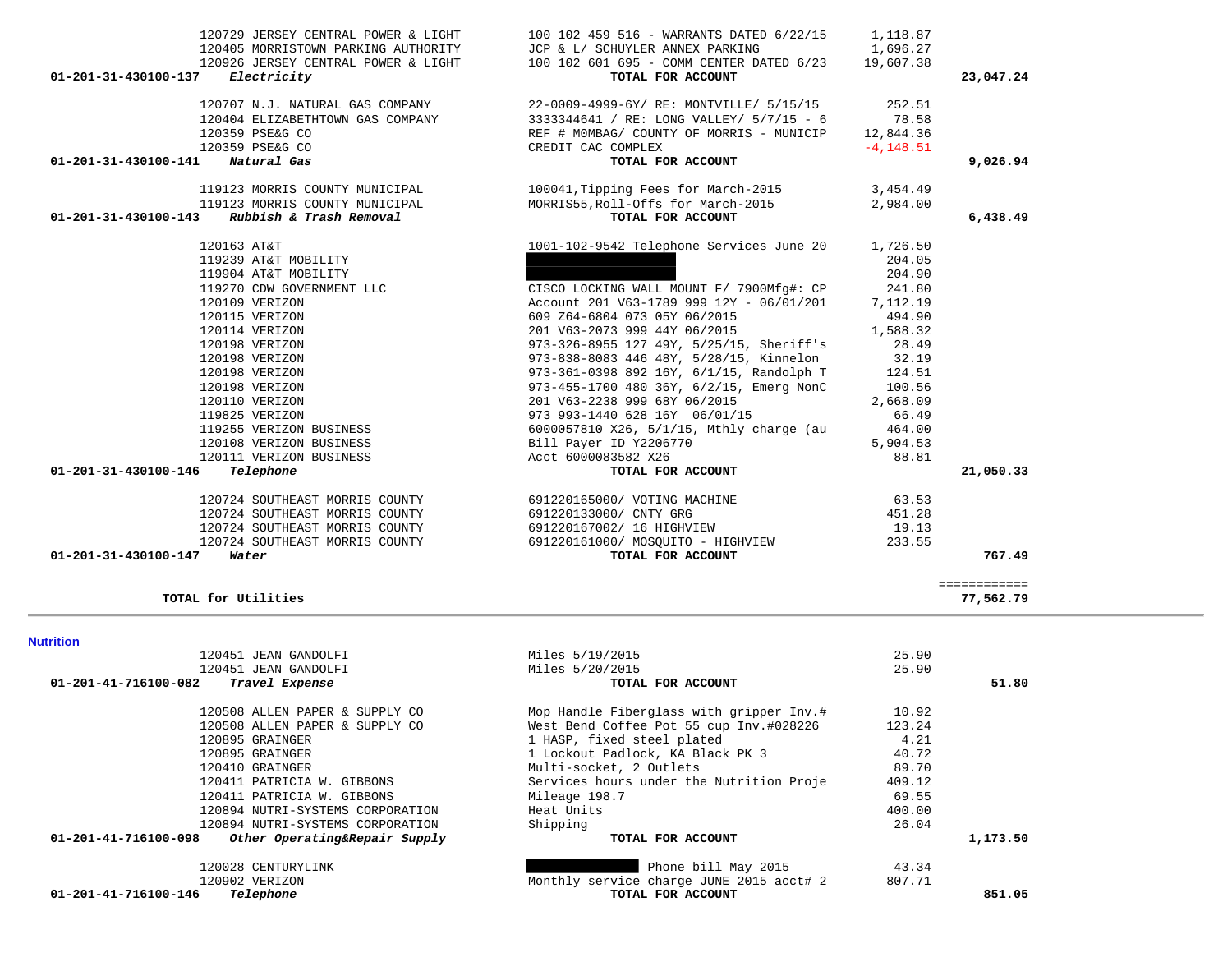| 23,047.24<br>9,026.94<br>6,438.49 |
|-----------------------------------|
|                                   |
|                                   |
|                                   |
|                                   |
|                                   |
|                                   |
|                                   |
|                                   |
|                                   |
|                                   |
|                                   |
|                                   |
|                                   |
|                                   |
|                                   |
|                                   |
|                                   |
|                                   |
|                                   |
|                                   |
|                                   |
|                                   |
|                                   |
|                                   |
|                                   |
|                                   |
|                                   |
|                                   |
| 21,050.33                         |
|                                   |
|                                   |
|                                   |
|                                   |
| 767.49                            |
|                                   |
| 77,562.79                         |
|                                   |
|                                   |
|                                   |
|                                   |
| 51.80                             |
|                                   |
|                                   |
|                                   |
|                                   |
|                                   |
|                                   |
|                                   |
|                                   |
|                                   |
| 1,173.50                          |
|                                   |
|                                   |
|                                   |
| 851.05                            |
| ============                      |

120729 JERSEY CENTRAL POWER & LIGHT 100 102 459 516 - WARRANTS DATED 6/22/15 1,118.87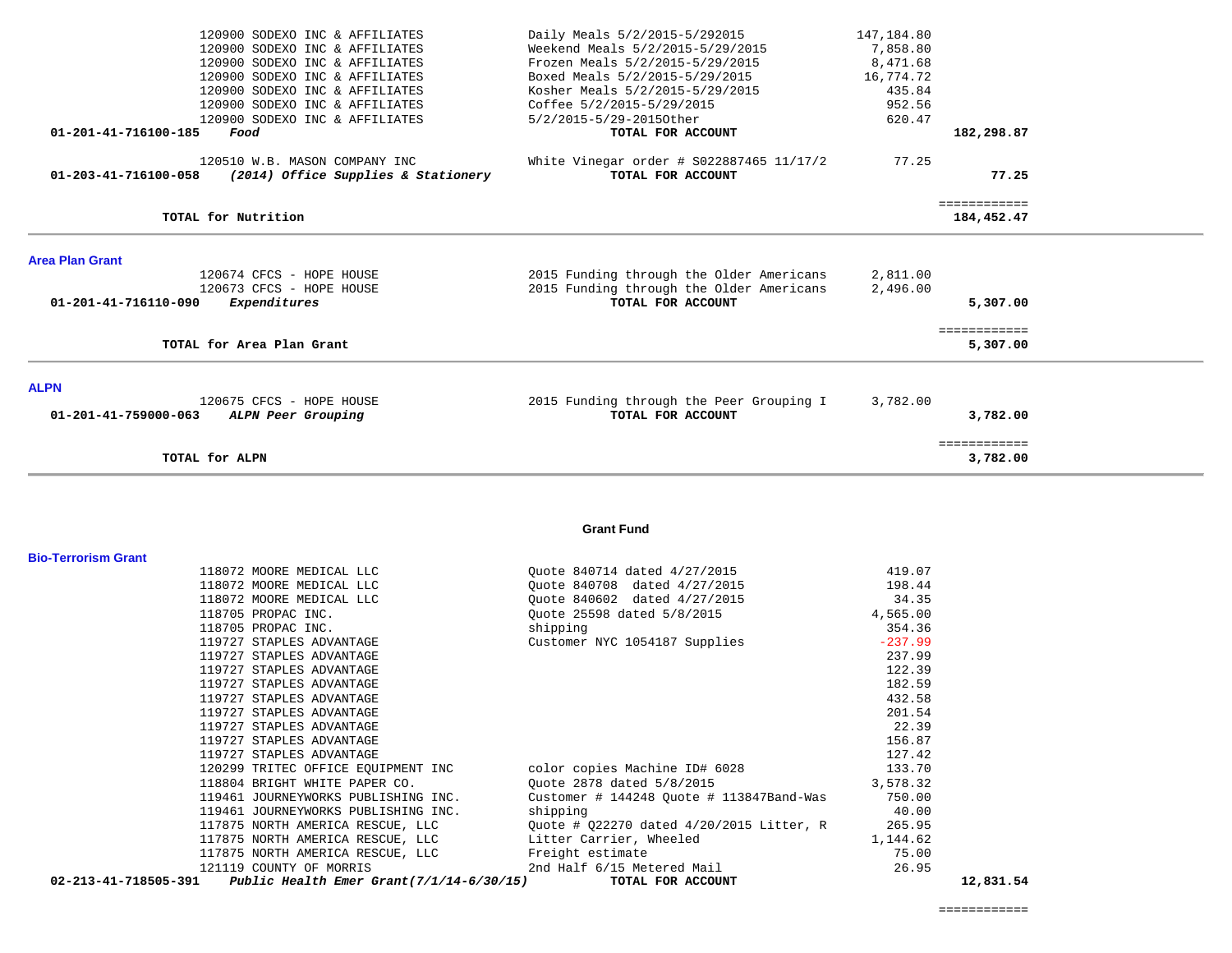|                            | 120900 SODEXO INC & AFFILIATES                                   | Daily Meals 5/2/2015-5/292015                                       | 147,184.80           |                            |  |
|----------------------------|------------------------------------------------------------------|---------------------------------------------------------------------|----------------------|----------------------------|--|
|                            | 120900 SODEXO INC & AFFILIATES<br>120900 SODEXO INC & AFFILIATES | Weekend Meals 5/2/2015-5/29/2015<br>Frozen Meals 5/2/2015-5/29/2015 | 7,858.80<br>8,471.68 |                            |  |
|                            | 120900 SODEXO INC & AFFILIATES                                   | Boxed Meals 5/2/2015-5/29/2015                                      | 16,774.72            |                            |  |
|                            | 120900 SODEXO INC & AFFILIATES                                   | Kosher Meals 5/2/2015-5/29/2015                                     | 435.84               |                            |  |
|                            | 120900 SODEXO INC & AFFILIATES                                   | Coffee 5/2/2015-5/29/2015                                           | 952.56               |                            |  |
|                            | 120900 SODEXO INC & AFFILIATES                                   | 5/2/2015-5/29-20150ther                                             | 620.47               |                            |  |
| 01-201-41-716100-185       | Food                                                             | TOTAL FOR ACCOUNT                                                   |                      | 182,298.87                 |  |
|                            | 120510 W.B. MASON COMPANY INC                                    | White Vinegar order # \$022887465 11/17/2                           | 77.25                |                            |  |
| 01-203-41-716100-058       | (2014) Office Supplies & Stationery                              | TOTAL FOR ACCOUNT                                                   |                      | 77.25                      |  |
|                            | TOTAL for Nutrition                                              |                                                                     |                      | ============<br>184,452.47 |  |
| <b>Area Plan Grant</b>     |                                                                  |                                                                     |                      |                            |  |
|                            | 120674 CFCS - HOPE HOUSE                                         | 2015 Funding through the Older Americans                            | 2,811.00             |                            |  |
|                            | 120673 CFCS - HOPE HOUSE                                         | 2015 Funding through the Older Americans                            | 2,496.00             |                            |  |
| 01-201-41-716110-090       | Expenditures                                                     | TOTAL FOR ACCOUNT                                                   |                      | 5,307.00                   |  |
|                            | TOTAL for Area Plan Grant                                        |                                                                     |                      | ============               |  |
|                            |                                                                  |                                                                     |                      | 5,307.00                   |  |
| <b>ALPN</b>                |                                                                  |                                                                     |                      |                            |  |
|                            | 120675 CFCS - HOPE HOUSE                                         | 2015 Funding through the Peer Grouping I                            | 3,782.00             |                            |  |
| 01-201-41-759000-063       | ALPN Peer Grouping                                               | TOTAL FOR ACCOUNT                                                   |                      | 3,782.00                   |  |
|                            | TOTAL for ALPN                                                   |                                                                     |                      | ============<br>3,782.00   |  |
|                            |                                                                  |                                                                     |                      |                            |  |
|                            |                                                                  |                                                                     |                      |                            |  |
|                            |                                                                  | <b>Grant Fund</b>                                                   |                      |                            |  |
| <b>Bio-Terrorism Grant</b> |                                                                  |                                                                     |                      |                            |  |
|                            | 118072 MOORE MEDICAL LLC<br>118072 MOORE MEDICAL LLC             | Quote 840714 dated 4/27/2015<br>Quote 840708 dated 4/27/2015        | 419.07<br>198.44     |                            |  |
|                            | 118072 MOORE MEDICAL LLC                                         | Quote 840602 dated 4/27/2015                                        | 34.35                |                            |  |
|                            | 118705 PROPAC INC.                                               | Quote 25598 dated 5/8/2015                                          | 4,565.00             |                            |  |
|                            | 118705 PROPAC INC.                                               | shipping                                                            | 354.36               |                            |  |
|                            | 119727 STAPLES ADVANTAGE                                         | Customer NYC 1054187 Supplies                                       | $-237.99$            |                            |  |
|                            | 119727 STAPLES ADVANTAGE                                         |                                                                     | 237.99               |                            |  |
|                            | 119727 STAPLES ADVANTAGE                                         |                                                                     | 122.39               |                            |  |
|                            | 119727 STAPLES ADVANTAGE                                         |                                                                     | 182.59               |                            |  |
|                            | 119727 STAPLES ADVANTAGE<br>119727 STAPLES ADVANTAGE             |                                                                     | 432.58<br>201.54     |                            |  |
|                            | 119727 STAPLES ADVANTAGE                                         |                                                                     | 22.39                |                            |  |
|                            | 119727 STAPLES ADVANTAGE                                         |                                                                     | 156.87               |                            |  |
|                            | 119727 STAPLES ADVANTAGE                                         |                                                                     | 127.42               |                            |  |
|                            | 120299 TRITEC OFFICE EQUIPMENT INC                               | color copies Machine ID# 6028                                       | 133.70               |                            |  |
|                            | 118804 BRIGHT WHITE PAPER CO.                                    | Ouote 2878 dated 5/8/2015                                           | 3,578.32             |                            |  |
|                            | 119461 JOURNEYWORKS PUBLISHING INC.                              | Customer # 144248 Ouote # 113847Band-Was                            | 750.00               |                            |  |
|                            | 119461 JOURNEYWORKS PUBLISHING INC.                              | shipping                                                            | 40.00                |                            |  |
|                            | 117875 NORTH AMERICA RESCUE, LLC                                 | Quote # 022270 dated 4/20/2015 Litter, R                            | 265.95               |                            |  |
|                            | 117875 NORTH AMERICA RESCUE, LLC                                 | Litter Carrier, Wheeled                                             | 1,144.62             |                            |  |
|                            | 117875 NORTH AMERICA RESCUE, LLC<br>121119 COUNTY OF MORRIS      | Freight estimate<br>2nd Half 6/15 Metered Mail                      | 75.00<br>26.95       |                            |  |
| 02-213-41-718505-391       | Public Health Emer Grant $(7/1/14-6/30/15)$                      | TOTAL FOR ACCOUNT                                                   |                      | 12,831.54                  |  |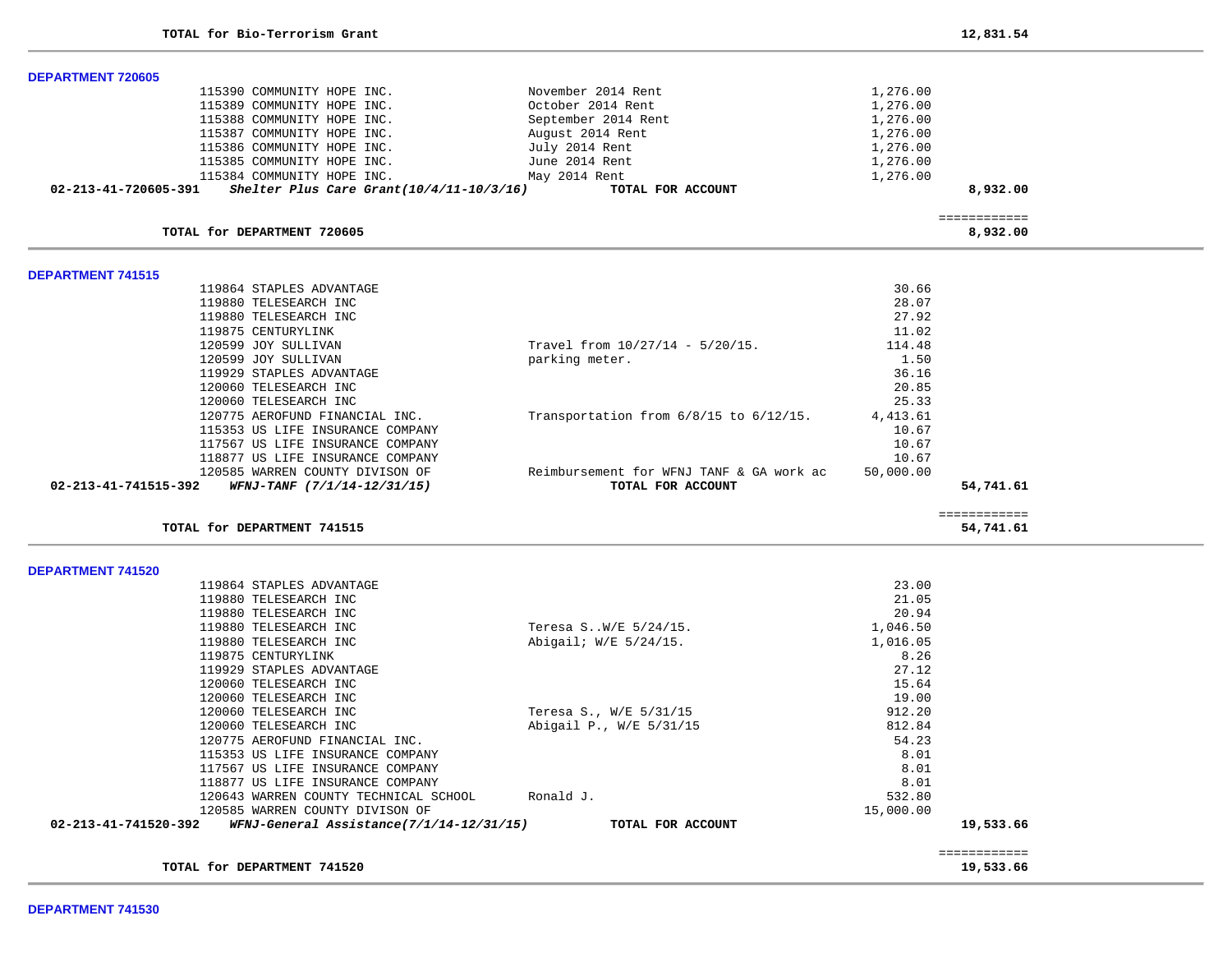| <b>DEPARTMENT 720605</b>                                            |                                          |           |                          |
|---------------------------------------------------------------------|------------------------------------------|-----------|--------------------------|
| 115390 COMMUNITY HOPE INC.                                          | November 2014 Rent                       | 1,276.00  |                          |
| 115389 COMMUNITY HOPE INC.                                          | October 2014 Rent                        | 1,276.00  |                          |
| 115388 COMMUNITY HOPE INC.                                          | September 2014 Rent                      | 1,276.00  |                          |
| 115387 COMMUNITY HOPE INC.                                          | August 2014 Rent                         | 1,276.00  |                          |
| 115386 COMMUNITY HOPE INC.                                          | July 2014 Rent                           | 1,276.00  |                          |
| 115385 COMMUNITY HOPE INC.                                          | June 2014 Rent                           | 1,276.00  |                          |
| 115384 COMMUNITY HOPE INC.                                          | May 2014 Rent                            | 1,276.00  |                          |
| Shelter Plus Care Grant $(10/4/11-10/3/16)$<br>02-213-41-720605-391 | TOTAL FOR ACCOUNT                        |           | 8,932.00                 |
|                                                                     |                                          |           |                          |
| TOTAL for DEPARTMENT 720605                                         |                                          |           | ============<br>8,932.00 |
| <b>DEPARTMENT 741515</b>                                            |                                          |           |                          |
| 119864 STAPLES ADVANTAGE                                            |                                          | 30.66     |                          |
| 119880 TELESEARCH INC                                               |                                          | 28.07     |                          |
| 119880 TELESEARCH INC                                               |                                          | 27.92     |                          |
| 119875 CENTURYLINK                                                  |                                          | 11.02     |                          |
| 120599 JOY SULLIVAN                                                 | Travel from $10/27/14 - 5/20/15$ .       | 114.48    |                          |
| 120599 JOY SULLIVAN                                                 | parking meter.                           | 1.50      |                          |
| 119929 STAPLES ADVANTAGE                                            |                                          | 36.16     |                          |
| 120060 TELESEARCH INC                                               |                                          | 20.85     |                          |
| 120060 TELESEARCH INC                                               |                                          | 25.33     |                          |
| 120775 AEROFUND FINANCIAL INC.                                      | Transportation from 6/8/15 to 6/12/15.   | 4, 413.61 |                          |
| 115353 US LIFE INSURANCE COMPANY                                    |                                          | 10.67     |                          |
| 117567 US LIFE INSURANCE COMPANY                                    |                                          | 10.67     |                          |
| 118877 US LIFE INSURANCE COMPANY                                    |                                          | 10.67     |                          |
| 120585 WARREN COUNTY DIVISON OF                                     | Reimbursement for WFNJ TANF & GA work ac | 50,000.00 |                          |
| 02-213-41-741515-392<br>WFNJ-TANF (7/1/14-12/31/15)                 | TOTAL FOR ACCOUNT                        |           | 54,741.61                |
|                                                                     |                                          |           | ============             |
| TOTAL for DEPARTMENT 741515                                         |                                          |           | 54,741.61                |
| <b>DEPARTMENT 741520</b>                                            |                                          |           |                          |
| 119864 STAPLES ADVANTAGE                                            |                                          | 23.00     |                          |
| 119880 TELESEARCH INC                                               |                                          | 21.05     |                          |
| 119880 TELESEARCH INC                                               |                                          | 20.94     |                          |
| 119880 TELESEARCH INC                                               | Teresa SW/E 5/24/15.                     | 1,046.50  |                          |
| 119880 TELESEARCH INC                                               | Abigail; W/E 5/24/15.                    | 1,016.05  |                          |
| 119875 CENTURYLINK                                                  |                                          | 8.26      |                          |
| 119929 STAPLES ADVANTAGE                                            |                                          | 27.12     |                          |
| 120060 TELESEARCH INC                                               |                                          | 15.64     |                          |
| 120060 TELESEARCH INC                                               |                                          | 19.00     |                          |
| 120060 TELESEARCH INC                                               | Teresa S., W/E 5/31/15                   | 912.20    |                          |
| 120060 TELESEARCH INC                                               | Abigail P., W/E 5/31/15                  | 812.84    |                          |
| 120775 AEROFUND FINANCIAL INC.                                      |                                          | 54.23     |                          |
| 115353 US LIFE INSURANCE COMPANY                                    |                                          | 8.01      |                          |
| 117567 US LIFE INSURANCE COMPANY                                    |                                          | 8.01      |                          |
| 118877 US LIFE INSURANCE COMPANY                                    |                                          | 8.01      |                          |
| 120643 WARREN COUNTY TECHNICAL SCHOOL                               | Ronald J.                                | 532.80    |                          |
| 120585 WARREN COUNTY DIVISON OF                                     |                                          |           |                          |
| 02-213-41-741520-392<br>WFNJ-General Assistance(7/1/14-12/31/15)    |                                          |           |                          |
|                                                                     |                                          | 15,000.00 |                          |
|                                                                     | TOTAL FOR ACCOUNT                        |           | 19,533.66                |
|                                                                     |                                          |           | ============             |

**DEPARTMENT 741530**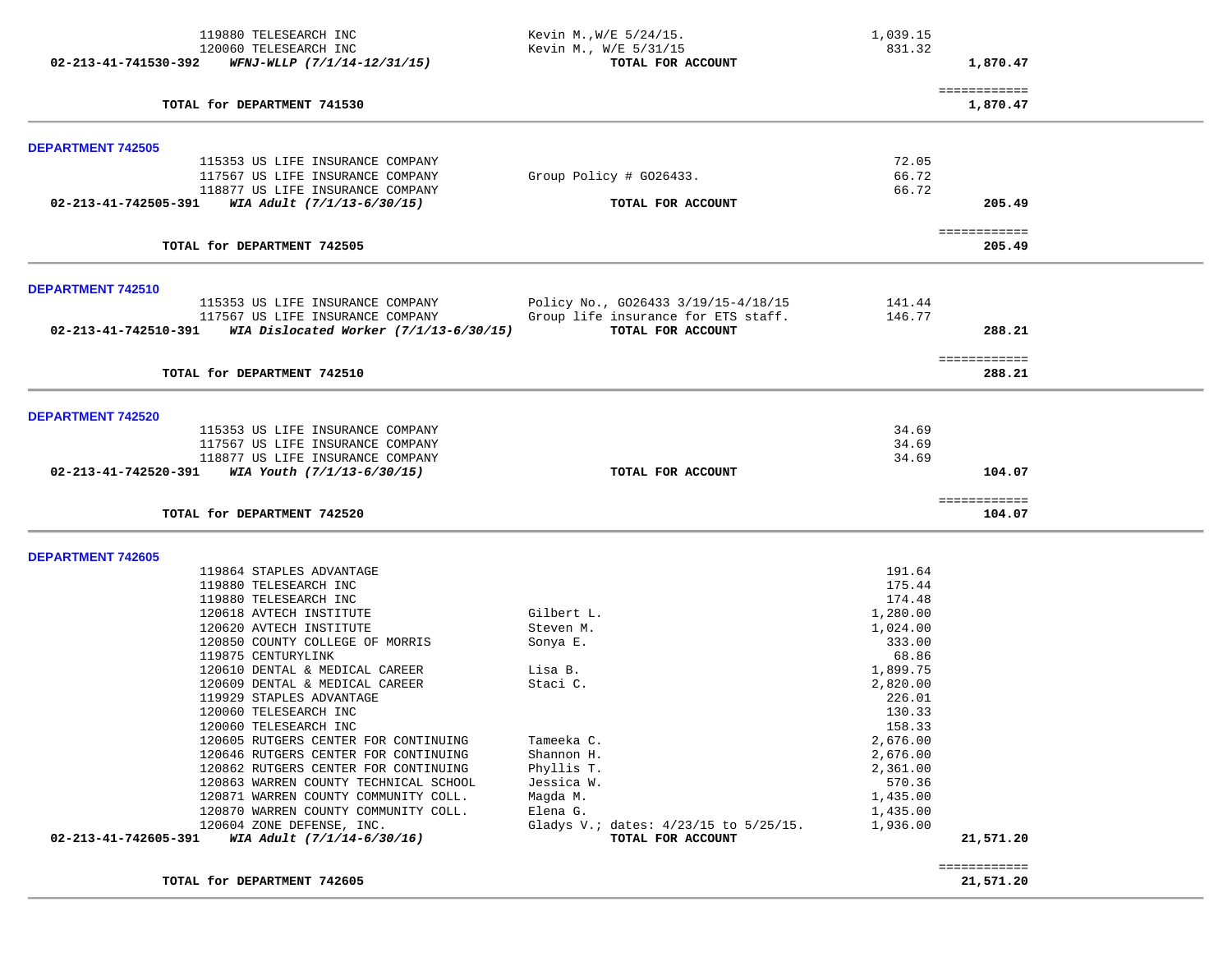|                          | 119880 TELESEARCH INC<br>120060 TELESEARCH INC<br>$02 - 213 - 41 - 741530 - 392$ WFNJ-WLLP $(7/1/14 - 12/31/15)$ | Kevin M., W/E 5/24/15.<br>Kevin M., W/E 5/31/15<br>TOTAL FOR ACCOUNT       | 1,039.15<br>831.32   | 1,870.47                  |  |
|--------------------------|------------------------------------------------------------------------------------------------------------------|----------------------------------------------------------------------------|----------------------|---------------------------|--|
|                          | TOTAL for DEPARTMENT 741530                                                                                      |                                                                            |                      | ============<br>1,870.47  |  |
| <b>DEPARTMENT 742505</b> | 115353 US LIFE INSURANCE COMPANY                                                                                 |                                                                            | 72.05                |                           |  |
|                          | 117567 US LIFE INSURANCE COMPANY<br>118877 US LIFE INSURANCE COMPANY                                             | Group Policy # G026433.                                                    | 66.72<br>66.72       |                           |  |
|                          | 02-213-41-742505-391 WIA Adult $(7/1/13-6/30/15)$                                                                | TOTAL FOR ACCOUNT                                                          |                      | 205.49                    |  |
|                          | TOTAL for DEPARTMENT 742505                                                                                      |                                                                            |                      | ============<br>205.49    |  |
| <b>DEPARTMENT 742510</b> |                                                                                                                  |                                                                            |                      |                           |  |
|                          | 115353 US LIFE INSURANCE COMPANY<br>117567 US LIFE INSURANCE COMPANY                                             | Policy No., G026433 3/19/15-4/18/15<br>Group life insurance for ETS staff. | 141.44<br>146.77     |                           |  |
|                          | $02 - 213 - 41 - 742510 - 391$ WIA Dislocated Worker $(7/1/13 - 6/30/15)$                                        | TOTAL FOR ACCOUNT                                                          |                      | 288.21                    |  |
|                          | TOTAL for DEPARTMENT 742510                                                                                      |                                                                            |                      | ============<br>288.21    |  |
| <b>DEPARTMENT 742520</b> |                                                                                                                  |                                                                            |                      |                           |  |
|                          | 115353 US LIFE INSURANCE COMPANY<br>117567 US LIFE INSURANCE COMPANY                                             |                                                                            | 34.69<br>34.69       |                           |  |
|                          | 118877 US LIFE INSURANCE COMPANY<br>02-213-41-742520-391 WIA Youth $(7/1/13-6/30/15)$                            | TOTAL FOR ACCOUNT                                                          | 34.69                | 104.07                    |  |
|                          |                                                                                                                  |                                                                            |                      |                           |  |
|                          | TOTAL for DEPARTMENT 742520                                                                                      |                                                                            |                      | ============<br>104.07    |  |
| <b>DEPARTMENT 742605</b> |                                                                                                                  |                                                                            |                      |                           |  |
|                          | 119864 STAPLES ADVANTAGE<br>119880 TELESEARCH INC                                                                |                                                                            | 191.64<br>175.44     |                           |  |
|                          | 119880 TELESEARCH INC                                                                                            |                                                                            | 174.48               |                           |  |
|                          | 120618 AVTECH INSTITUTE                                                                                          | Gilbert L.                                                                 | 1,280.00             |                           |  |
|                          | 120620 AVTECH INSTITUTE<br>120850 COUNTY COLLEGE OF MORRIS                                                       | Steven M.<br>Sonya E.                                                      | 1,024.00<br>333.00   |                           |  |
|                          | 119875 CENTURYLINK                                                                                               |                                                                            | 68.86                |                           |  |
|                          | 120610 DENTAL & MEDICAL CAREER                                                                                   | Lisa B.                                                                    | 1,899.75             |                           |  |
|                          | 120609 DENTAL & MEDICAL CAREER                                                                                   | Staci C.                                                                   | 2,820.00             |                           |  |
|                          | 119929 STAPLES ADVANTAGE                                                                                         |                                                                            | 226.01               |                           |  |
|                          | 120060 TELESEARCH INC<br>120060 TELESEARCH INC                                                                   |                                                                            | 130.33<br>158.33     |                           |  |
|                          | 120605 RUTGERS CENTER FOR CONTINUING                                                                             | Tameeka C.                                                                 | 2,676.00             |                           |  |
|                          | 120646 RUTGERS CENTER FOR CONTINUING                                                                             | Shannon H.                                                                 | 2,676.00             |                           |  |
|                          | 120862 RUTGERS CENTER FOR CONTINUING                                                                             | Phyllis T.                                                                 | 2,361.00             |                           |  |
|                          | 120863 WARREN COUNTY TECHNICAL SCHOOL                                                                            | Jessica W.                                                                 | 570.36               |                           |  |
|                          | 120871 WARREN COUNTY COMMUNITY COLL.<br>120870 WARREN COUNTY COMMUNITY COLL.                                     | Magda M.                                                                   | 1,435.00<br>1,435.00 |                           |  |
|                          | 120604 ZONE DEFENSE, INC.                                                                                        | Elena G.<br>Gladys V.; dates: 4/23/15 to 5/25/15.                          | 1,936.00             |                           |  |
| 02-213-41-742605-391     | WIA Adult (7/1/14-6/30/16)                                                                                       | TOTAL FOR ACCOUNT                                                          |                      | 21,571.20                 |  |
|                          | TOTAL for DEPARTMENT 742605                                                                                      |                                                                            |                      | ============<br>21,571.20 |  |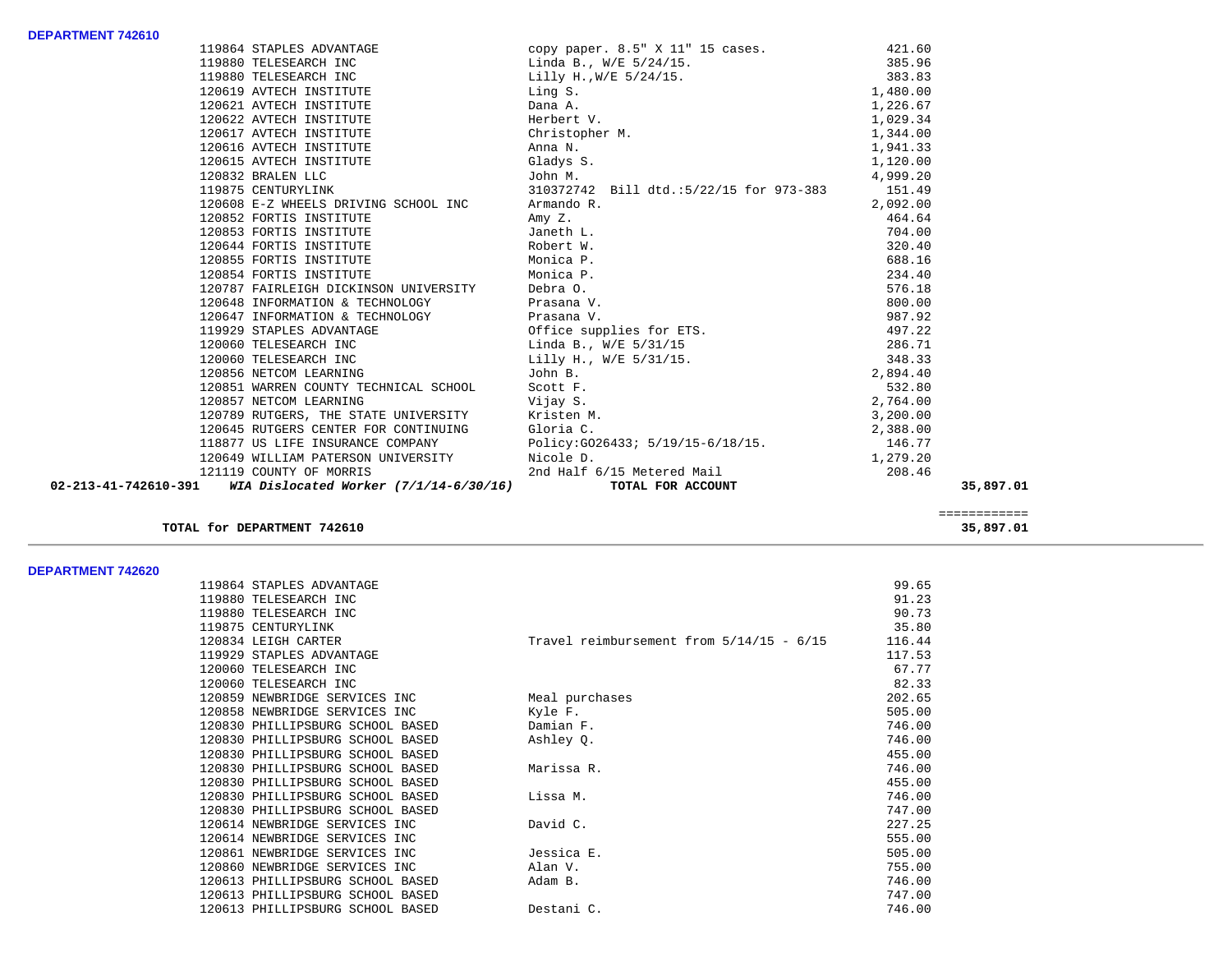|  |                                                                            | 19864 STAPLES ADVANTAGE (2009 paper. 8.5" X 11" 15 cases. 421.60<br>19880 TELESEARCH INC Linda B., $W/E$ 5/24/15. 385.96<br>19880 TELESEARCH INC Lilly H., $W/E$ 5/24/15. 383.83<br>120619 AVTECH INSTITUTE Ling S. 1, 480.00<br>120621        |          |           |
|--|----------------------------------------------------------------------------|------------------------------------------------------------------------------------------------------------------------------------------------------------------------------------------------------------------------------------------------|----------|-----------|
|  |                                                                            |                                                                                                                                                                                                                                                |          |           |
|  |                                                                            |                                                                                                                                                                                                                                                |          |           |
|  |                                                                            |                                                                                                                                                                                                                                                |          |           |
|  | 120622 AVTECH INSTITUTE                                                    | 1,029.34                                                                                                                                                                                                                                       |          |           |
|  | 120617 AVTECH INSTITUTE                                                    | Ling S.<br>Dana A.<br>Herbert V.<br>Christopher M.<br>Anna N.<br>Gladvs S<br>1,344.00                                                                                                                                                          |          |           |
|  | 120616 AVTECH INSTITUTE                                                    |                                                                                                                                                                                                                                                | 1,941.33 |           |
|  | 120615 AVTECH INSTITUTE Gladys S.                                          | 1,120.00                                                                                                                                                                                                                                       |          |           |
|  |                                                                            |                                                                                                                                                                                                                                                | 4,999.20 |           |
|  |                                                                            | 120832 BRALEN LLC<br>119875 CENTURYLINK 119875 CENTURYLINK                                                                                                                                                                                     | 151.49   |           |
|  | 120608 E-Z WHEELS DRIVING SCHOOL INC Armando R.                            |                                                                                                                                                                                                                                                | 2,092.00 |           |
|  | 120852 FORTIS INSTITUTE                                                    | Amy Z.                                                                                                                                                                                                                                         | 464.64   |           |
|  | 120852 FORTIS INSTITUTE<br>120853 FORTIS INSTITUTE 120853 FORTIS INSTITUTE |                                                                                                                                                                                                                                                | 704.00   |           |
|  | 120644 FORTIS INSTITUTE THE ROBERT W.                                      |                                                                                                                                                                                                                                                | 320.40   |           |
|  | 120855 FORTIS INSTITUTE Monica P.                                          |                                                                                                                                                                                                                                                | 688.16   |           |
|  | 120854 FORTIS INSTITUTE <b>120854</b> FORTIS INSTITUTE                     |                                                                                                                                                                                                                                                | 234.40   |           |
|  | 120787 FAIRLEIGH DICKINSON UNIVERSITY Debra O.                             |                                                                                                                                                                                                                                                | 576.18   |           |
|  | 120648 INFORMATION & TECHNOLOGY Prasana V.                                 | 120648 INFORMATION & TECHNOLOGY<br>120647 INFORMATION & TECHNOLOGY<br>120647 INFORMATION & TECHNOLOGY<br>120060 TELESEARCH INC<br>120060 TELESEARCH INC<br>120060 TELESEARCH INC<br>120060 TELESEARCH INC<br>120060 TELESEARCH INC<br>120060 T |          |           |
|  |                                                                            |                                                                                                                                                                                                                                                |          |           |
|  |                                                                            |                                                                                                                                                                                                                                                |          |           |
|  |                                                                            |                                                                                                                                                                                                                                                |          |           |
|  |                                                                            |                                                                                                                                                                                                                                                |          |           |
|  | 120856 NETCOM LEARNING                                                     | John B.                                                                                                                                                                                                                                        | 2,894.40 |           |
|  |                                                                            |                                                                                                                                                                                                                                                |          |           |
|  |                                                                            | 120851 WARREN COUNTY TECHNICAL SCHOOL SCOTT F.<br>120851 WARREN COUNTY TECHNICAL SCHOOL SCOTT F.<br>120857 NETCOM LEARNING Vijay S. 2,764.00<br>120789 RUTGERS, THE STATE UNIVERSITY Kristen M. 3,200.00<br>120645 RUTGERS CENTER FOR          |          |           |
|  |                                                                            |                                                                                                                                                                                                                                                |          |           |
|  |                                                                            |                                                                                                                                                                                                                                                |          |           |
|  |                                                                            |                                                                                                                                                                                                                                                |          |           |
|  |                                                                            |                                                                                                                                                                                                                                                | 1,279.20 |           |
|  |                                                                            |                                                                                                                                                                                                                                                | 208.46   |           |
|  | 02-213-41-742610-391 WIA Dislocated Worker (7/1/14-6/30/16)                | 120645 RUIGERS COMPANY<br>118877 US LIFE INSURANCE COMPANY<br>120649 WILLIAM PATERSON UNIVERSITY Micole D.<br>2nd Half 6/15 Metered Mail TOTAL FOR ACCOUNT                                                                                     |          | 35,897.01 |
|  |                                                                            |                                                                                                                                                                                                                                                |          |           |

# **TOTAL for DEPARTMENT 742610 35,897.01**

 ============ ============<br>35,897.01

#### **DEPARTMENT 742620**

| DEFANIMENI 144040 |                                  |                                            |        |
|-------------------|----------------------------------|--------------------------------------------|--------|
|                   | 119864 STAPLES ADVANTAGE         |                                            | 99.65  |
|                   | 119880 TELESEARCH INC            |                                            | 91.23  |
|                   | 119880 TELESEARCH INC            |                                            | 90.73  |
|                   | 119875 CENTURYLINK               |                                            | 35.80  |
|                   | 120834 LEIGH CARTER              | Travel reimbursement from $5/14/15 - 6/15$ | 116.44 |
|                   | 119929 STAPLES ADVANTAGE         |                                            | 117.53 |
|                   | 120060 TELESEARCH INC            |                                            | 67.77  |
|                   | 120060 TELESEARCH INC            |                                            | 82.33  |
|                   | 120859 NEWBRIDGE SERVICES INC    | Meal purchases                             | 202.65 |
|                   | 120858 NEWBRIDGE SERVICES INC    | Kyle F.                                    | 505.00 |
|                   | 120830 PHILLIPSBURG SCHOOL BASED | Damian F.                                  | 746.00 |
|                   | 120830 PHILLIPSBURG SCHOOL BASED | Ashley Q.                                  | 746.00 |
|                   | 120830 PHILLIPSBURG SCHOOL BASED |                                            | 455.00 |
|                   | 120830 PHILLIPSBURG SCHOOL BASED | Marissa R.                                 | 746.00 |
|                   | 120830 PHILLIPSBURG SCHOOL BASED |                                            | 455.00 |
|                   | 120830 PHILLIPSBURG SCHOOL BASED | Lissa M.                                   | 746.00 |
|                   | 120830 PHILLIPSBURG SCHOOL BASED |                                            | 747.00 |
|                   | 120614 NEWBRIDGE SERVICES INC    | David C.                                   | 227.25 |
|                   | 120614 NEWBRIDGE SERVICES INC    |                                            | 555.00 |
|                   | 120861 NEWBRIDGE SERVICES INC    | Jessica E.                                 | 505.00 |
|                   | 120860 NEWBRIDGE SERVICES INC    | Alan V.                                    | 755.00 |
|                   | 120613 PHILLIPSBURG SCHOOL BASED | Adam B.                                    | 746.00 |
|                   | 120613 PHILLIPSBURG SCHOOL BASED |                                            | 747.00 |
|                   | 120613 PHILLIPSBURG SCHOOL BASED | Destani C.                                 | 746.00 |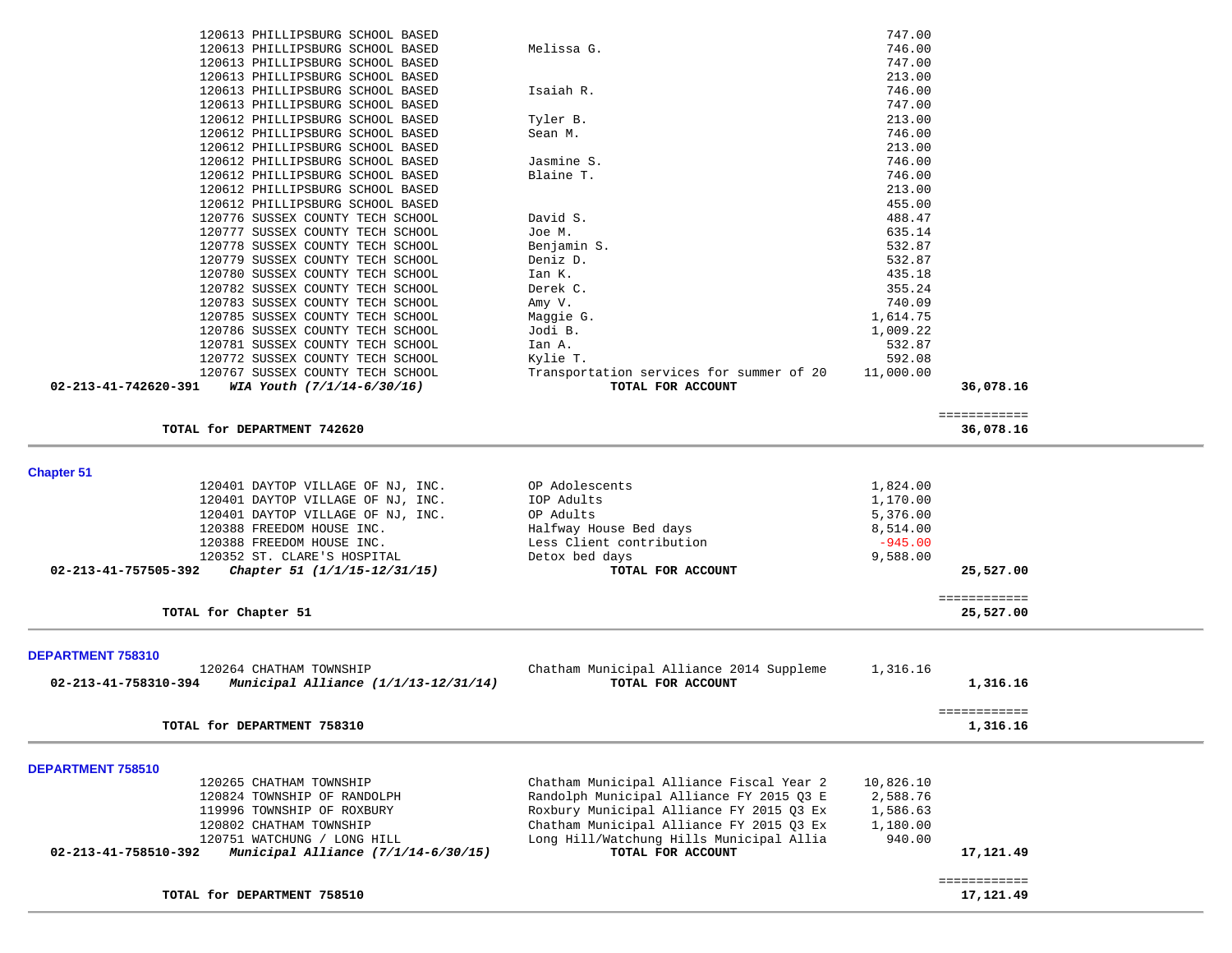| 120613 PHILLIPSBURG SCHOOL BASED                               |                                          | 747.00    |              |  |
|----------------------------------------------------------------|------------------------------------------|-----------|--------------|--|
| 120613 PHILLIPSBURG SCHOOL BASED                               | Melissa G.                               | 746.00    |              |  |
| 120613 PHILLIPSBURG SCHOOL BASED                               |                                          | 747.00    |              |  |
| 120613 PHILLIPSBURG SCHOOL BASED                               |                                          | 213.00    |              |  |
| 120613 PHILLIPSBURG SCHOOL BASED                               | Isaiah R.                                | 746.00    |              |  |
| 120613 PHILLIPSBURG SCHOOL BASED                               |                                          | 747.00    |              |  |
| 120612 PHILLIPSBURG SCHOOL BASED                               | Tyler B.                                 | 213.00    |              |  |
| 120612 PHILLIPSBURG SCHOOL BASED                               | Sean M.                                  | 746.00    |              |  |
| 120612 PHILLIPSBURG SCHOOL BASED                               |                                          | 213.00    |              |  |
| 120612 PHILLIPSBURG SCHOOL BASED                               | Jasmine S.                               | 746.00    |              |  |
| 120612 PHILLIPSBURG SCHOOL BASED                               | Blaine T.                                | 746.00    |              |  |
| 120612 PHILLIPSBURG SCHOOL BASED                               |                                          | 213.00    |              |  |
| 120612 PHILLIPSBURG SCHOOL BASED                               |                                          | 455.00    |              |  |
| 120776 SUSSEX COUNTY TECH SCHOOL                               | David S.                                 | 488.47    |              |  |
| 120777 SUSSEX COUNTY TECH SCHOOL                               | Joe M.                                   | 635.14    |              |  |
| 120778 SUSSEX COUNTY TECH SCHOOL                               |                                          | 532.87    |              |  |
|                                                                | Benjamin S.                              |           |              |  |
| 120779 SUSSEX COUNTY TECH SCHOOL                               | Deniz D.                                 | 532.87    |              |  |
| 120780 SUSSEX COUNTY TECH SCHOOL                               | Ian K.                                   | 435.18    |              |  |
| 120782 SUSSEX COUNTY TECH SCHOOL                               | Derek C.                                 | 355.24    |              |  |
| 120783 SUSSEX COUNTY TECH SCHOOL                               | Amy V.                                   | 740.09    |              |  |
| 120785 SUSSEX COUNTY TECH SCHOOL                               | Maggie G.                                | 1,614.75  |              |  |
| 120786 SUSSEX COUNTY TECH SCHOOL                               | Jodi B.                                  | 1,009.22  |              |  |
| 120781 SUSSEX COUNTY TECH SCHOOL                               | Ian A.                                   | 532.87    |              |  |
| 120772 SUSSEX COUNTY TECH SCHOOL                               | Kylie T.                                 | 592.08    |              |  |
| 120767 SUSSEX COUNTY TECH SCHOOL                               | Transportation services for summer of 20 | 11,000.00 |              |  |
| 02-213-41-742620-391<br>WIA Youth (7/1/14-6/30/16)             | TOTAL FOR ACCOUNT                        |           | 36,078.16    |  |
|                                                                |                                          |           |              |  |
|                                                                |                                          |           | ============ |  |
| TOTAL for DEPARTMENT 742620                                    |                                          |           | 36,078.16    |  |
|                                                                |                                          |           |              |  |
|                                                                |                                          |           |              |  |
| <b>Chapter 51</b>                                              |                                          |           |              |  |
|                                                                | OP Adolescents                           | 1,824.00  |              |  |
|                                                                |                                          |           |              |  |
| 120401 DAYTOP VILLAGE OF NJ, INC.                              |                                          |           |              |  |
| 120401 DAYTOP VILLAGE OF NJ, INC.                              | IOP Adults                               | 1,170.00  |              |  |
| 120401 DAYTOP VILLAGE OF NJ, INC.                              | OP Adults                                | 5,376.00  |              |  |
| 120388 FREEDOM HOUSE INC.                                      | Halfway House Bed days                   | 8,514.00  |              |  |
| 120388 FREEDOM HOUSE INC.                                      | Less Client contribution                 | $-945.00$ |              |  |
| 120352 ST. CLARE'S HOSPITAL                                    | Detox bed days                           | 9,588.00  |              |  |
| 02-213-41-757505-392<br>Chapter 51 (1/1/15-12/31/15)           | TOTAL FOR ACCOUNT                        |           | 25,527.00    |  |
|                                                                |                                          |           |              |  |
|                                                                |                                          |           | ============ |  |
|                                                                |                                          |           | 25,527.00    |  |
| TOTAL for Chapter 51                                           |                                          |           |              |  |
|                                                                |                                          |           |              |  |
|                                                                |                                          |           |              |  |
| DEPARTMENT 758310                                              |                                          |           |              |  |
| 120264 CHATHAM TOWNSHIP                                        | Chatham Municipal Alliance 2014 Suppleme | 1,316.16  |              |  |
| Municipal Alliance $(1/1/13-12/31/14)$<br>02-213-41-758310-394 | TOTAL FOR ACCOUNT                        |           | 1,316.16     |  |
|                                                                |                                          |           |              |  |
|                                                                |                                          |           | ============ |  |
| TOTAL for DEPARTMENT 758310                                    |                                          |           | 1,316.16     |  |
|                                                                |                                          |           |              |  |
|                                                                |                                          |           |              |  |
| DEPARTMENT 758510                                              |                                          |           |              |  |
| 120265 CHATHAM TOWNSHIP                                        | Chatham Municipal Alliance Fiscal Year 2 | 10,826.10 |              |  |
| 120824 TOWNSHIP OF RANDOLPH                                    | Randolph Municipal Alliance FY 2015 Q3 E | 2,588.76  |              |  |
| 119996 TOWNSHIP OF ROXBURY                                     | Roxbury Municipal Alliance FY 2015 Q3 Ex | 1,586.63  |              |  |
| 120802 CHATHAM TOWNSHIP                                        | Chatham Municipal Alliance FY 2015 03 Ex | 1,180.00  |              |  |
| 120751 WATCHUNG / LONG HILL                                    | Long Hill/Watchung Hills Municipal Allia | 940.00    |              |  |
| 02-213-41-758510-392                                           | TOTAL FOR ACCOUNT                        |           | 17,121.49    |  |
| Municipal Alliance (7/1/14-6/30/15)                            |                                          |           |              |  |
|                                                                |                                          |           | ============ |  |
| TOTAL for DEPARTMENT 758510                                    |                                          |           | 17,121.49    |  |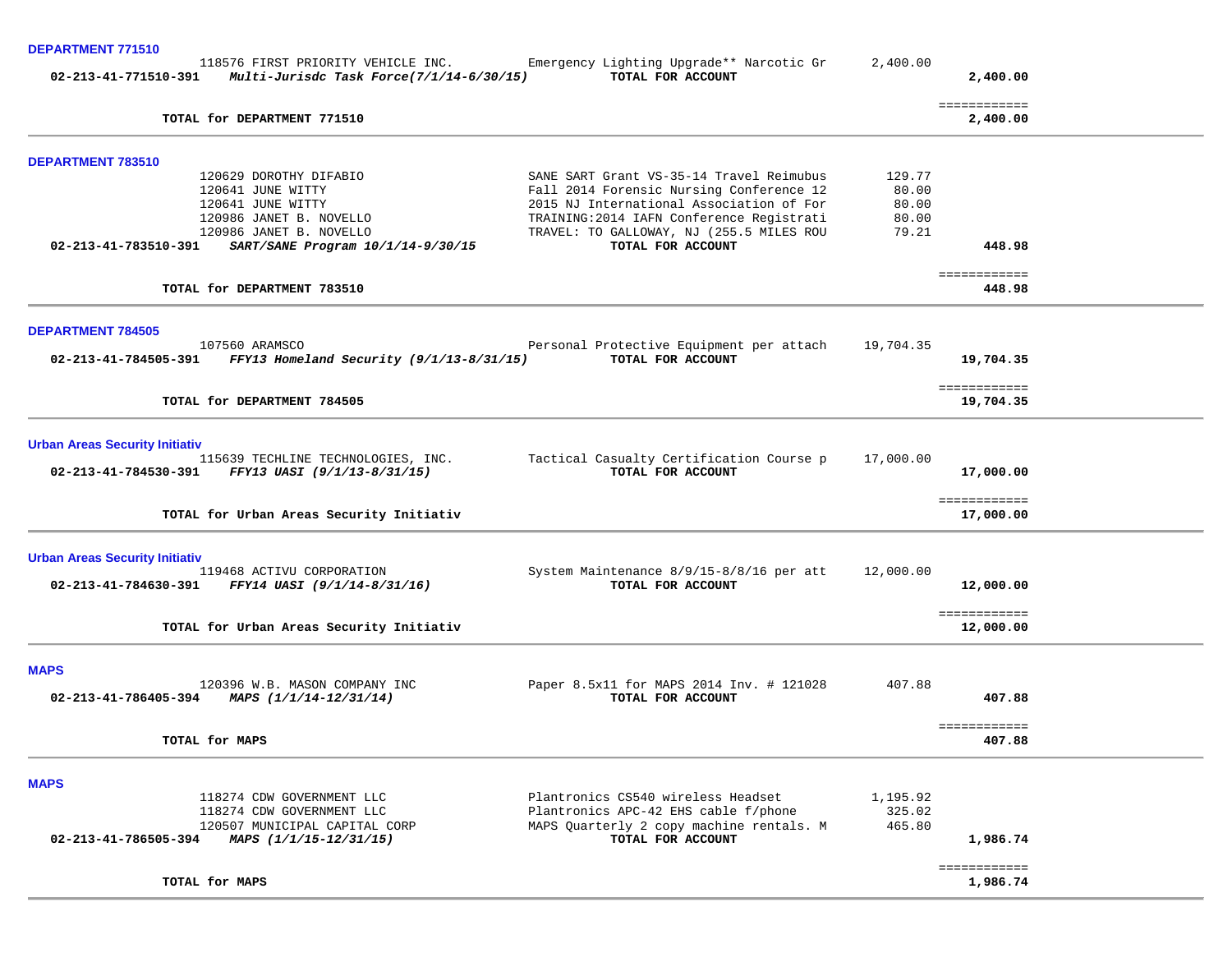### **DEPARTMENT 771510**

|                                       | 118576 FIRST PRIORITY VEHICLE INC.<br>02-213-41-771510-391 Multi-Jurisdc Task Force(7/1/14-6/30/15) | Emergency Lighting Upgrade** Narcotic Gr<br>TOTAL FOR ACCOUNT                        | 2,400.00       | 2,400.00                  |  |
|---------------------------------------|-----------------------------------------------------------------------------------------------------|--------------------------------------------------------------------------------------|----------------|---------------------------|--|
|                                       | TOTAL for DEPARTMENT 771510                                                                         |                                                                                      |                | ============<br>2,400.00  |  |
| DEPARTMENT 783510                     |                                                                                                     |                                                                                      |                |                           |  |
|                                       | 120629 DOROTHY DIFABIO                                                                              | SANE SART Grant VS-35-14 Travel Reimubus                                             | 129.77         |                           |  |
|                                       | 120641 JUNE WITTY<br>120641 JUNE WITTY                                                              | Fall 2014 Forensic Nursing Conference 12<br>2015 NJ International Association of For | 80.00<br>80.00 |                           |  |
|                                       | 120986 JANET B. NOVELLO                                                                             | TRAINING: 2014 IAFN Conference Registrati                                            | 80.00          |                           |  |
|                                       | 120986 JANET B. NOVELLO                                                                             | TRAVEL: TO GALLOWAY, NJ (255.5 MILES ROU                                             | 79.21          |                           |  |
| 02-213-41-783510-391                  | SART/SANE Program 10/1/14-9/30/15                                                                   | TOTAL FOR ACCOUNT                                                                    |                | 448.98                    |  |
|                                       | TOTAL for DEPARTMENT 783510                                                                         |                                                                                      |                | ============<br>448.98    |  |
| <b>DEPARTMENT 784505</b>              |                                                                                                     |                                                                                      |                |                           |  |
|                                       | 107560 ARAMSCO<br>02-213-41-784505-391 FFY13 Homeland Security (9/1/13-8/31/15)                     | Personal Protective Equipment per attach<br>TOTAL FOR ACCOUNT                        | 19,704.35      | 19,704.35                 |  |
|                                       | TOTAL for DEPARTMENT 784505                                                                         |                                                                                      |                | ============<br>19,704.35 |  |
| <b>Urban Areas Security Initiativ</b> |                                                                                                     |                                                                                      |                |                           |  |
|                                       | 115639 TECHLINE TECHNOLOGIES, INC.<br>02-213-41-784530-391 FFY13 UASI (9/1/13-8/31/15)              | Tactical Casualty Certification Course p<br>TOTAL FOR ACCOUNT                        | 17,000.00      | 17,000.00                 |  |
|                                       |                                                                                                     |                                                                                      |                |                           |  |
|                                       | TOTAL for Urban Areas Security Initiativ                                                            |                                                                                      |                | ============<br>17,000.00 |  |
| <b>Urban Areas Security Initiativ</b> |                                                                                                     |                                                                                      |                |                           |  |
| 02-213-41-784630-391                  | 119468 ACTIVU CORPORATION<br>FFY14 UASI (9/1/14-8/31/16)                                            | System Maintenance 8/9/15-8/8/16 per att<br>TOTAL FOR ACCOUNT                        | 12,000.00      | 12,000.00                 |  |
|                                       | TOTAL for Urban Areas Security Initiativ                                                            |                                                                                      |                | ============<br>12,000.00 |  |
| <b>MAPS</b>                           |                                                                                                     |                                                                                      |                |                           |  |
|                                       | 120396 W.B. MASON COMPANY INC<br>02-213-41-786405-394 MAPS $(1/1/14-12/31/14)$                      | Paper 8.5x11 for MAPS 2014 Inv. # 121028<br>TOTAL FOR ACCOUNT                        | 407.88         | 407.88                    |  |
|                                       | TOTAL for MAPS                                                                                      |                                                                                      |                | ============<br>407.88    |  |
| <b>MAPS</b>                           |                                                                                                     |                                                                                      |                |                           |  |
|                                       | 118274 CDW GOVERNMENT LLC                                                                           | Plantronics CS540 wireless Headset                                                   | 1,195.92       |                           |  |
|                                       | 118274 CDW GOVERNMENT LLC                                                                           | Plantronics APC-42 EHS cable f/phone                                                 | 325.02         |                           |  |
| 02-213-41-786505-394                  | 120507 MUNICIPAL CAPITAL CORP<br>MAPS (1/1/15-12/31/15)                                             | MAPS Quarterly 2 copy machine rentals. M<br>TOTAL FOR ACCOUNT                        | 465.80         | 1,986.74                  |  |
|                                       | TOTAL for MAPS                                                                                      |                                                                                      |                | ============<br>1,986.74  |  |

TOTAL for MAPS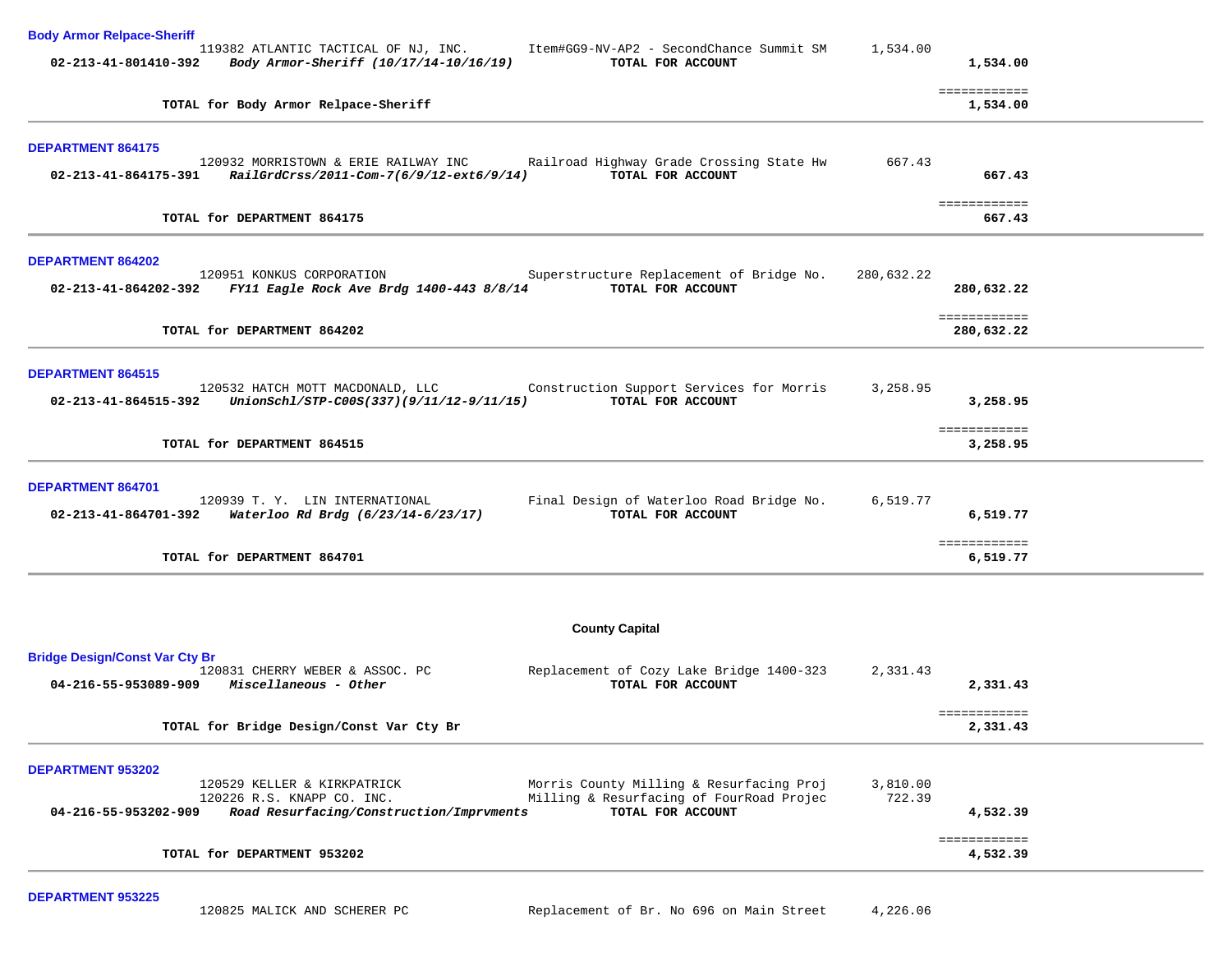| <b>Body Armor Relpace-Sheriff</b>                                                                                                                                                                                                          |                    |                            |  |
|--------------------------------------------------------------------------------------------------------------------------------------------------------------------------------------------------------------------------------------------|--------------------|----------------------------|--|
| 119382 ATLANTIC TACTICAL OF NJ, INC. Item#GG9-NV-AP2 - SecondChance Summit SM<br>02-213-41-801410-392 Body Armor-Sheriff (10/17/14-10/16/19)<br>TOTAL FOR ACCOUNT                                                                          | 1,534.00           | 1,534.00                   |  |
| TOTAL for Body Armor Relpace-Sheriff                                                                                                                                                                                                       |                    | ============<br>1,534.00   |  |
| <b>DEPARTMENT 864175</b>                                                                                                                                                                                                                   |                    |                            |  |
| 120932 MORRISTOWN & ERIE RAILWAY INC<br>Railroad Highway Grade Crossing State Hw<br>TOTAL FOR ACCOUNT<br>02-213-41-864175-391<br>RailGrdCrss/2011-Com-7(6/9/12-ext6/9/14)                                                                  | 667.43             | 667.43                     |  |
| TOTAL for DEPARTMENT 864175                                                                                                                                                                                                                |                    | ============<br>667.43     |  |
| DEPARTMENT 864202                                                                                                                                                                                                                          |                    |                            |  |
| 120951 KONKUS CORPORATION<br>Superstructure Replacement of Bridge No.<br>02-213-41-864202-392 FY11 Eagle Rock Ave Brdg 1400-443 8/8/14<br>TOTAL FOR ACCOUNT                                                                                | 280,632.22         | 280,632.22                 |  |
| TOTAL for DEPARTMENT 864202                                                                                                                                                                                                                |                    | ============<br>280,632.22 |  |
| <b>DEPARTMENT 864515</b>                                                                                                                                                                                                                   |                    |                            |  |
| 120532 HATCH MOTT MACDONALD, LLC<br>Construction Support Services for Morris<br>UnionSchl/STP-C00S(337)(9/11/12-9/11/15)<br>TOTAL FOR ACCOUNT<br>02-213-41-864515-392                                                                      | 3,258.95           | 3,258.95                   |  |
| TOTAL for DEPARTMENT 864515                                                                                                                                                                                                                |                    | ============<br>3,258.95   |  |
| DEPARTMENT 864701                                                                                                                                                                                                                          |                    |                            |  |
| 120939 T. Y. LIN INTERNATIONAL<br>Final Design of Waterloo Road Bridge No.<br>TOTAL FOR ACCOUNT<br>02-213-41-864701-392 Waterloo Rd Brdg (6/23/14-6/23/17)                                                                                 | 6,519.77           | 6,519.77                   |  |
| TOTAL for DEPARTMENT 864701                                                                                                                                                                                                                |                    | ============<br>6,519.77   |  |
|                                                                                                                                                                                                                                            |                    |                            |  |
| <b>County Capital</b>                                                                                                                                                                                                                      |                    |                            |  |
| <b>Bridge Design/Const Var Cty Br</b><br>120831 CHERRY WEBER & ASSOC. PC<br>Replacement of Cozy Lake Bridge 1400-323<br>TOTAL FOR ACCOUNT<br>$04 - 216 - 55 - 953089 - 909$ Miscellaneous - Other                                          | 2,331.43           | 2,331.43                   |  |
| TOTAL for Bridge Design/Const Var Cty Br                                                                                                                                                                                                   |                    | ============<br>2,331.43   |  |
| DEPARTMENT 953202                                                                                                                                                                                                                          |                    |                            |  |
| Morris County Milling & Resurfacing Proj<br>120529 KELLER & KIRKPATRICK<br>Milling & Resurfacing of FourRoad Projec<br>120226 R.S. KNAPP CO. INC.<br>TOTAL FOR ACCOUNT<br>04-216-55-953202-909<br>Road Resurfacing/Construction/Imprvments | 3,810.00<br>722.39 | 4,532.39                   |  |
| TOTAL for DEPARTMENT 953202                                                                                                                                                                                                                |                    | ============<br>4,532.39   |  |
|                                                                                                                                                                                                                                            |                    |                            |  |

**DEPARTMENT 953225**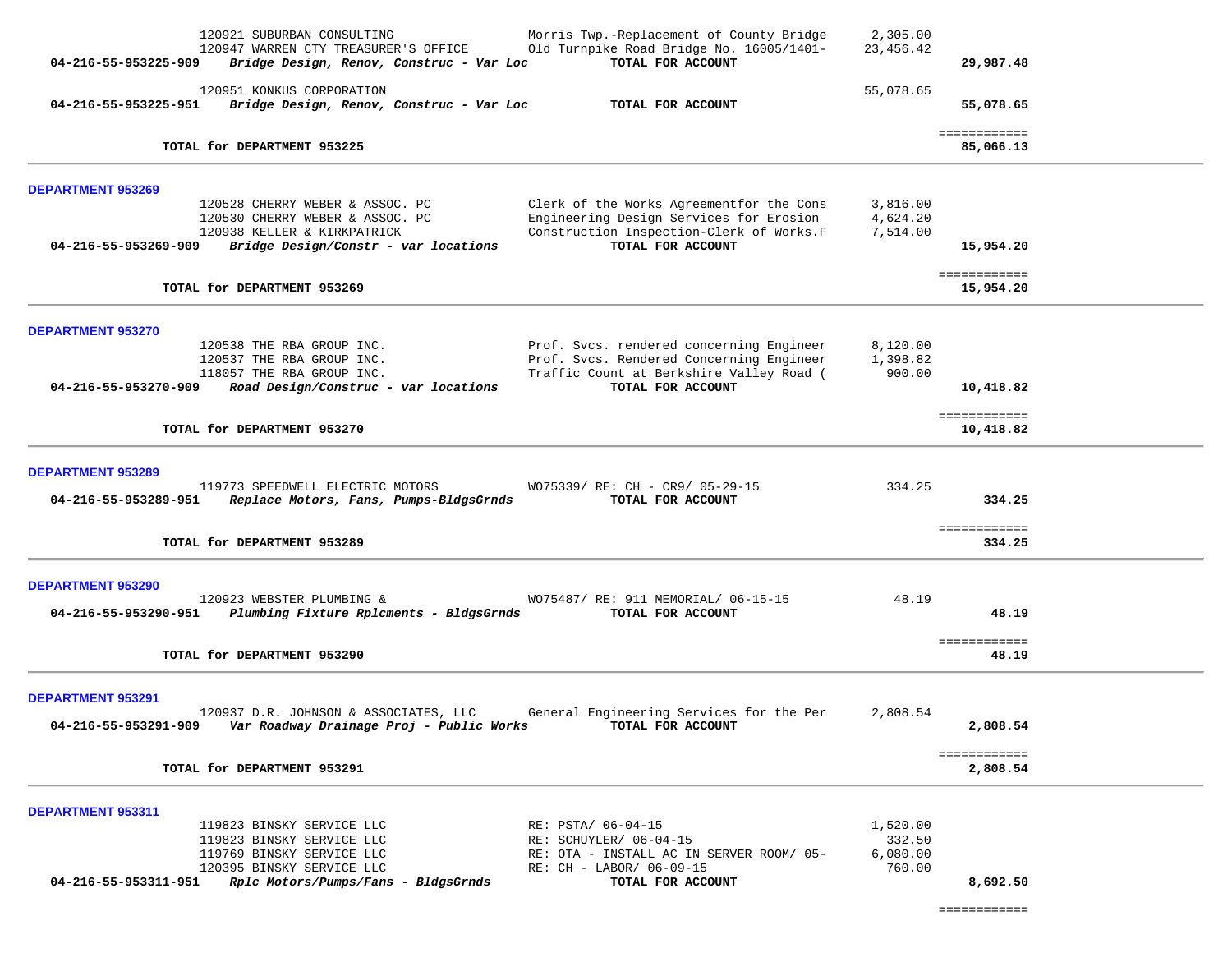| 04-216-55-953225-909                             | 120921 SUBURBAN CONSULTING<br>120947 WARREN CTY TREASURER'S OFFICE<br>Bridge Design, Renov, Construc - Var Loc                                          | Morris Twp.-Replacement of County Bridge<br>Old Turnpike Road Bridge No. 16005/1401-<br>TOTAL FOR ACCOUNT                                             | 2,305.00<br>23, 456.42                   | 29,987.48                            |  |
|--------------------------------------------------|---------------------------------------------------------------------------------------------------------------------------------------------------------|-------------------------------------------------------------------------------------------------------------------------------------------------------|------------------------------------------|--------------------------------------|--|
| 04-216-55-953225-951                             | 120951 KONKUS CORPORATION<br>Bridge Design, Renov, Construc - Var Loc                                                                                   | TOTAL FOR ACCOUNT                                                                                                                                     | 55,078.65                                | 55,078.65                            |  |
|                                                  | TOTAL for DEPARTMENT 953225                                                                                                                             |                                                                                                                                                       |                                          | ============<br>85,066.13            |  |
| <b>DEPARTMENT 953269</b><br>04-216-55-953269-909 | 120528 CHERRY WEBER & ASSOC. PC<br>120530 CHERRY WEBER & ASSOC. PC<br>120938 KELLER & KIRKPATRICK<br>Bridge Design/Constr - var locations               | Clerk of the Works Agreementfor the Cons<br>Engineering Design Services for Erosion<br>Construction Inspection-Clerk of Works.F<br>TOTAL FOR ACCOUNT  | 3,816.00<br>4,624.20<br>7,514.00         | 15,954.20<br>============            |  |
|                                                  | TOTAL for DEPARTMENT 953269                                                                                                                             |                                                                                                                                                       |                                          | 15,954.20                            |  |
| <b>DEPARTMENT 953270</b><br>04-216-55-953270-909 | 120538 THE RBA GROUP INC.<br>120537 THE RBA GROUP INC.<br>118057 THE RBA GROUP INC.<br>Road Design/Construc - var locations                             | Prof. Svcs. rendered concerning Engineer<br>Prof. Svcs. Rendered Concerning Engineer<br>Traffic Count at Berkshire Valley Road (<br>TOTAL FOR ACCOUNT | 8,120.00<br>1,398.82<br>900.00           | 10,418.82<br>============            |  |
|                                                  | TOTAL for DEPARTMENT 953270                                                                                                                             |                                                                                                                                                       |                                          | 10,418.82                            |  |
| <b>DEPARTMENT 953289</b><br>04-216-55-953289-951 | 119773 SPEEDWELL ELECTRIC MOTORS<br>Replace Motors, Fans, Pumps-BldgsGrnds<br>TOTAL for DEPARTMENT 953289                                               | WO75339/ RE: CH - CR9/ 05-29-15<br>TOTAL FOR ACCOUNT                                                                                                  | 334.25                                   | 334.25<br>============<br>334.25     |  |
|                                                  |                                                                                                                                                         |                                                                                                                                                       |                                          |                                      |  |
| <b>DEPARTMENT 953290</b><br>04-216-55-953290-951 | 120923 WEBSTER PLUMBING &<br>Plumbing Fixture Rplcments - BldgsGrnds                                                                                    | WO75487/ RE: 911 MEMORIAL/ 06-15-15<br>TOTAL FOR ACCOUNT                                                                                              | 48.19                                    | 48.19                                |  |
|                                                  | TOTAL for DEPARTMENT 953290                                                                                                                             |                                                                                                                                                       |                                          | ============<br>48.19                |  |
| <b>DEPARTMENT 953291</b><br>04-216-55-953291-909 | 120937 D.R. JOHNSON & ASSOCIATES, LLC<br>Var Roadway Drainage Proj - Public Works<br>TOTAL for DEPARTMENT 953291                                        | General Engineering Services for the Per<br>TOTAL FOR ACCOUNT                                                                                         | 2,808.54                                 | 2,808.54<br>============<br>2,808.54 |  |
| <b>DEPARTMENT 953311</b><br>04-216-55-953311-951 | 119823 BINSKY SERVICE LLC<br>119823 BINSKY SERVICE LLC<br>119769 BINSKY SERVICE LLC<br>120395 BINSKY SERVICE LLC<br>Rplc Motors/Pumps/Fans - BldgsGrnds | RE: PSTA/ 06-04-15<br>RE: SCHUYLER/ 06-04-15<br>RE: OTA - INSTALL AC IN SERVER ROOM/ 05-<br>RE: CH - LABOR/ 06-09-15<br>TOTAL FOR ACCOUNT             | 1,520.00<br>332.50<br>6,080.00<br>760.00 | 8,692.50                             |  |

============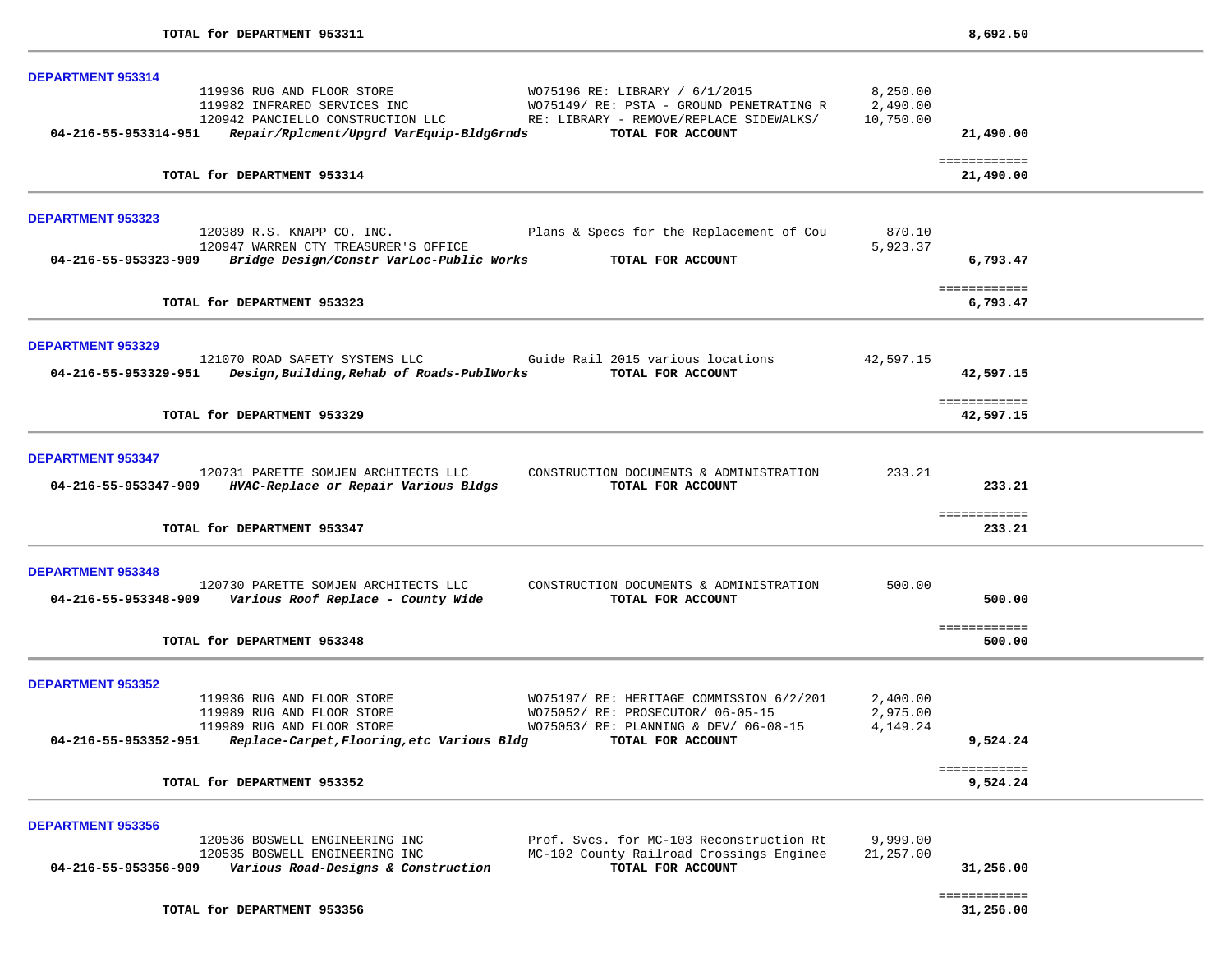| DEPARTMENT 953314                                                                                                                                                                                                       |                                   |                           |  |
|-------------------------------------------------------------------------------------------------------------------------------------------------------------------------------------------------------------------------|-----------------------------------|---------------------------|--|
| 119936 RUG AND FLOOR STORE<br>WO75196 RE: LIBRARY / 6/1/2015<br>119982 INFRARED SERVICES INC<br>WO75149/RE: PSTA - GROUND PENETRATING R<br>120942 PANCIELLO CONSTRUCTION LLC<br>RE: LIBRARY - REMOVE/REPLACE SIDEWALKS/ | 8,250.00<br>2,490.00<br>10,750.00 |                           |  |
| 04-216-55-953314-951   Repair/Rplcment/Upgrd VarEquip-BldgGrnds<br>TOTAL FOR ACCOUNT                                                                                                                                    |                                   | 21,490.00                 |  |
| TOTAL for DEPARTMENT 953314                                                                                                                                                                                             |                                   | ============<br>21,490.00 |  |
| <b>DEPARTMENT 953323</b>                                                                                                                                                                                                |                                   |                           |  |
| 120389 R.S. KNAPP CO. INC.<br>Plans & Specs for the Replacement of Cou                                                                                                                                                  | 870.10                            |                           |  |
| 120947 WARREN CTY TREASURER'S OFFICE<br>04-216-55-953323-909<br>Bridge Design/Constr VarLoc-Public Works TOTAL FOR ACCOUNT                                                                                              | 5,923.37                          | 6,793.47                  |  |
|                                                                                                                                                                                                                         |                                   | ============              |  |
| TOTAL for DEPARTMENT 953323                                                                                                                                                                                             |                                   | 6,793.47                  |  |
| <b>DEPARTMENT 953329</b>                                                                                                                                                                                                |                                   |                           |  |
| 121070 ROAD SAFETY SYSTEMS LLC Guide Rail 2015 various locations<br>TOTAL FOR ACCOUNT<br>04-216-55-953329-951 Design,Building,Rehab of Roads-PublWorks                                                                  | 42,597.15                         | 42,597.15                 |  |
| TOTAL for DEPARTMENT 953329                                                                                                                                                                                             |                                   | ============<br>42,597.15 |  |
|                                                                                                                                                                                                                         |                                   |                           |  |
| <b>DEPARTMENT 953347</b>                                                                                                                                                                                                |                                   |                           |  |
| 120731 PARETTE SOMJEN ARCHITECTS LLC<br>CONSTRUCTION DOCUMENTS & ADMINISTRATION<br>04-216-55-953347-909 HVAC-Replace or Repair Various Bldgs<br>TOTAL FOR ACCOUNT                                                       | 233.21                            | 233.21                    |  |
|                                                                                                                                                                                                                         |                                   | ============              |  |
| TOTAL for DEPARTMENT 953347                                                                                                                                                                                             |                                   | 233.21                    |  |
| <b>DEPARTMENT 953348</b>                                                                                                                                                                                                |                                   |                           |  |
| 120730 PARETTE SOMJEN ARCHITECTS LLC<br>CONSTRUCTION DOCUMENTS & ADMINISTRATION                                                                                                                                         | 500.00                            |                           |  |
| 04-216-55-953348-909    Various Roof Replace - County Wide<br>TOTAL FOR ACCOUNT                                                                                                                                         |                                   | 500.00                    |  |
| TOTAL for DEPARTMENT 953348                                                                                                                                                                                             |                                   | ============<br>500.00    |  |
|                                                                                                                                                                                                                         |                                   |                           |  |
| <b>DEPARTMENT 953352</b>                                                                                                                                                                                                |                                   |                           |  |
| 119936 RUG AND FLOOR STORE<br>WO75197/ RE: HERITAGE COMMISSION 6/2/201                                                                                                                                                  | 2,400.00                          |                           |  |
| 119989 RUG AND FLOOR STORE<br>WO75052/ RE: PROSECUTOR/ 06-05-15<br>119989 RUG AND FLOOR STORE<br>WO75053/ RE: PLANNING & DEV/ 06-08-15                                                                                  | 2,975.00<br>4,149.24              |                           |  |
| Replace-Carpet, Flooring, etc Various Bldg<br>04-216-55-953352-951<br>TOTAL FOR ACCOUNT                                                                                                                                 |                                   | 9,524.24                  |  |
| TOTAL for DEPARTMENT 953352                                                                                                                                                                                             |                                   | ============<br>9,524.24  |  |
|                                                                                                                                                                                                                         |                                   |                           |  |
| <b>DEPARTMENT 953356</b>                                                                                                                                                                                                |                                   |                           |  |
| Prof. Svcs. for MC-103 Reconstruction Rt<br>120536 BOSWELL ENGINEERING INC<br>MC-102 County Railroad Crossings Enginee<br>120535 BOSWELL ENGINEERING INC                                                                | 9,999.00<br>21,257.00             |                           |  |
| TOTAL FOR ACCOUNT<br>04-216-55-953356-909<br>Various Road-Designs & Construction                                                                                                                                        |                                   | 31,256.00                 |  |
| TOTAL for DEPARTMENT 953356                                                                                                                                                                                             |                                   | ============<br>31,256.00 |  |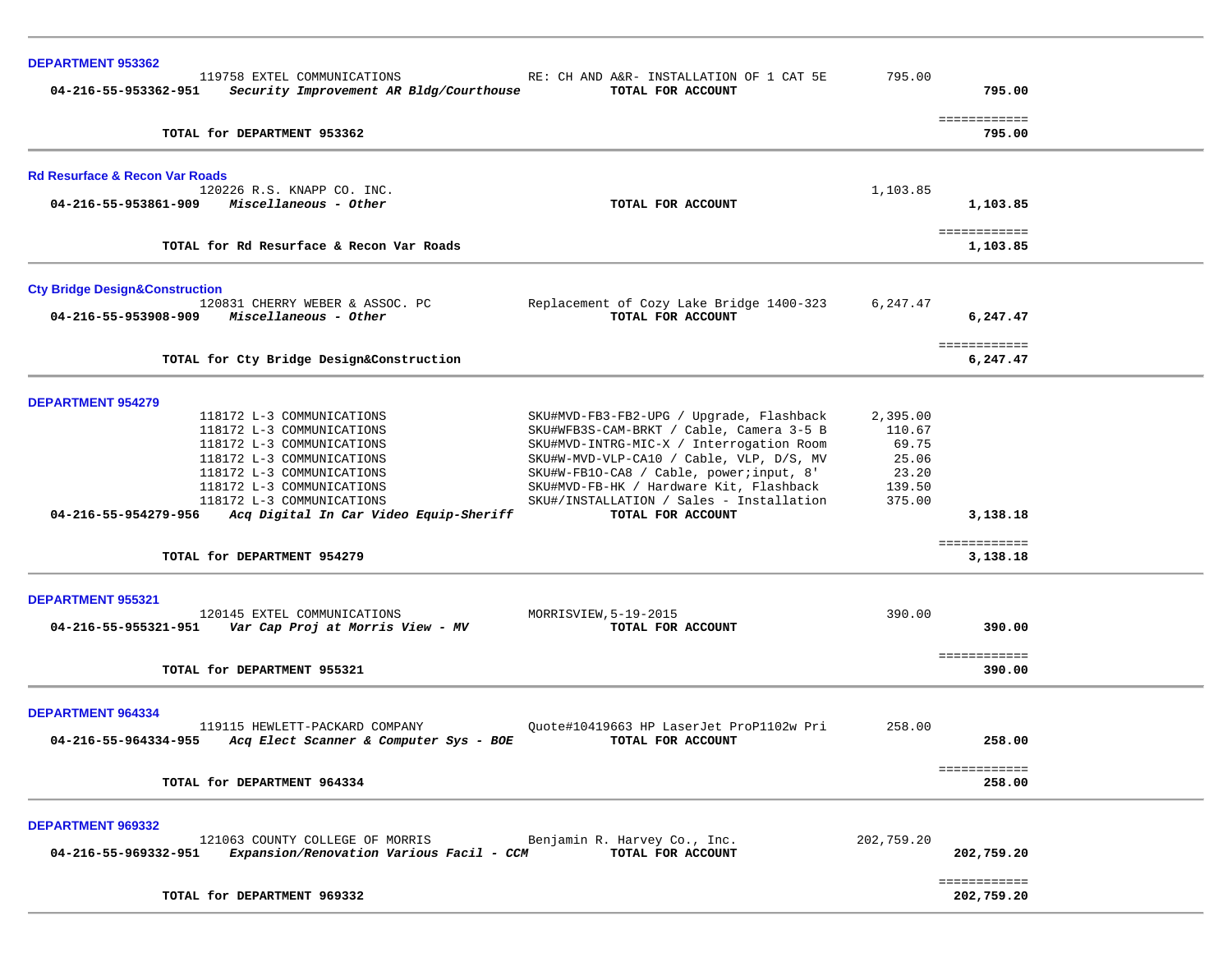| <b>DEPARTMENT 953362</b>                                                                       |                                                               |            |                            |  |
|------------------------------------------------------------------------------------------------|---------------------------------------------------------------|------------|----------------------------|--|
| 119758 EXTEL COMMUNICATIONS<br>04-216-55-953362-951<br>Security Improvement AR Bldg/Courthouse | RE: CH AND A&R- INSTALLATION OF 1 CAT 5E<br>TOTAL FOR ACCOUNT | 795.00     | 795.00                     |  |
|                                                                                                |                                                               |            | ============               |  |
| TOTAL for DEPARTMENT 953362                                                                    |                                                               |            | 795.00                     |  |
| <b>Rd Resurface &amp; Recon Var Roads</b>                                                      |                                                               |            |                            |  |
| 120226 R.S. KNAPP CO. INC.                                                                     |                                                               | 1,103.85   |                            |  |
| $04 - 216 - 55 - 953861 - 909$ Miscellaneous - Other                                           | TOTAL FOR ACCOUNT                                             |            | 1,103.85                   |  |
| TOTAL for Rd Resurface & Recon Var Roads                                                       |                                                               |            | ============<br>1,103.85   |  |
|                                                                                                |                                                               |            |                            |  |
| <b>Cty Bridge Design&amp;Construction</b>                                                      |                                                               |            |                            |  |
| 120831 CHERRY WEBER & ASSOC. PC<br>04-216-55-953908-909<br>Miscellaneous - Other               | Replacement of Cozy Lake Bridge 1400-323<br>TOTAL FOR ACCOUNT | 6,247.47   |                            |  |
|                                                                                                |                                                               |            | 6,247.47                   |  |
| TOTAL for Cty Bridge Design&Construction                                                       |                                                               |            | ============<br>6,247.47   |  |
|                                                                                                |                                                               |            |                            |  |
| <b>DEPARTMENT 954279</b><br>118172 L-3 COMMUNICATIONS                                          | SKU#MVD-FB3-FB2-UPG / Upgrade, Flashback                      | 2,395.00   |                            |  |
| 118172 L-3 COMMUNICATIONS                                                                      | SKU#WFB3S-CAM-BRKT / Cable, Camera 3-5 B                      | 110.67     |                            |  |
| 118172 L-3 COMMUNICATIONS                                                                      | SKU#MVD-INTRG-MIC-X / Interrogation Room                      | 69.75      |                            |  |
| 118172 L-3 COMMUNICATIONS                                                                      | SKU#W-MVD-VLP-CA10 / Cable, VLP, D/S, MV                      | 25.06      |                            |  |
| 118172 L-3 COMMUNICATIONS                                                                      | SKU#W-FB10-CA8 / Cable, power; input, 8'                      | 23.20      |                            |  |
| 118172 L-3 COMMUNICATIONS                                                                      | SKU#MVD-FB-HK / Hardware Kit, Flashback                       | 139.50     |                            |  |
| 118172 L-3 COMMUNICATIONS<br>04-216-55-954279-956                                              | SKU#/INSTALLATION / Sales - Installation<br>TOTAL FOR ACCOUNT | 375.00     | 3,138.18                   |  |
| Acq Digital In Car Video Equip-Sheriff                                                         |                                                               |            |                            |  |
| TOTAL for DEPARTMENT 954279                                                                    |                                                               |            | ============<br>3,138.18   |  |
|                                                                                                |                                                               |            |                            |  |
| <b>DEPARTMENT 955321</b><br>120145 EXTEL COMMUNICATIONS                                        |                                                               | 390.00     |                            |  |
|                                                                                                | MORRISVIEW, 5-19-2015<br>TOTAL FOR ACCOUNT                    |            | 390.00                     |  |
|                                                                                                |                                                               |            |                            |  |
| TOTAL for DEPARTMENT 955321                                                                    |                                                               |            | ============<br>390.00     |  |
| <b>DEPARTMENT 964334</b>                                                                       |                                                               |            |                            |  |
| 119115 HEWLETT-PACKARD COMPANY                                                                 | Quote#10419663 HP LaserJet ProP1102w Pri                      | 258.00     |                            |  |
| 04-216-55-964334-955<br>Acq Elect Scanner & Computer Sys - BOE                                 | TOTAL FOR ACCOUNT                                             |            | 258.00                     |  |
| TOTAL for DEPARTMENT 964334                                                                    |                                                               |            | ============<br>258.00     |  |
|                                                                                                |                                                               |            |                            |  |
| <b>DEPARTMENT 969332</b>                                                                       |                                                               |            |                            |  |
| 121063 COUNTY COLLEGE OF MORRIS                                                                | Benjamin R. Harvey Co., Inc.                                  | 202,759.20 |                            |  |
| Expansion/Renovation Various Facil - CCM<br>04-216-55-969332-951                               | TOTAL FOR ACCOUNT                                             |            | 202,759.20                 |  |
| TOTAL for DEPARTMENT 969332                                                                    |                                                               |            | ============<br>202,759.20 |  |
|                                                                                                |                                                               |            |                            |  |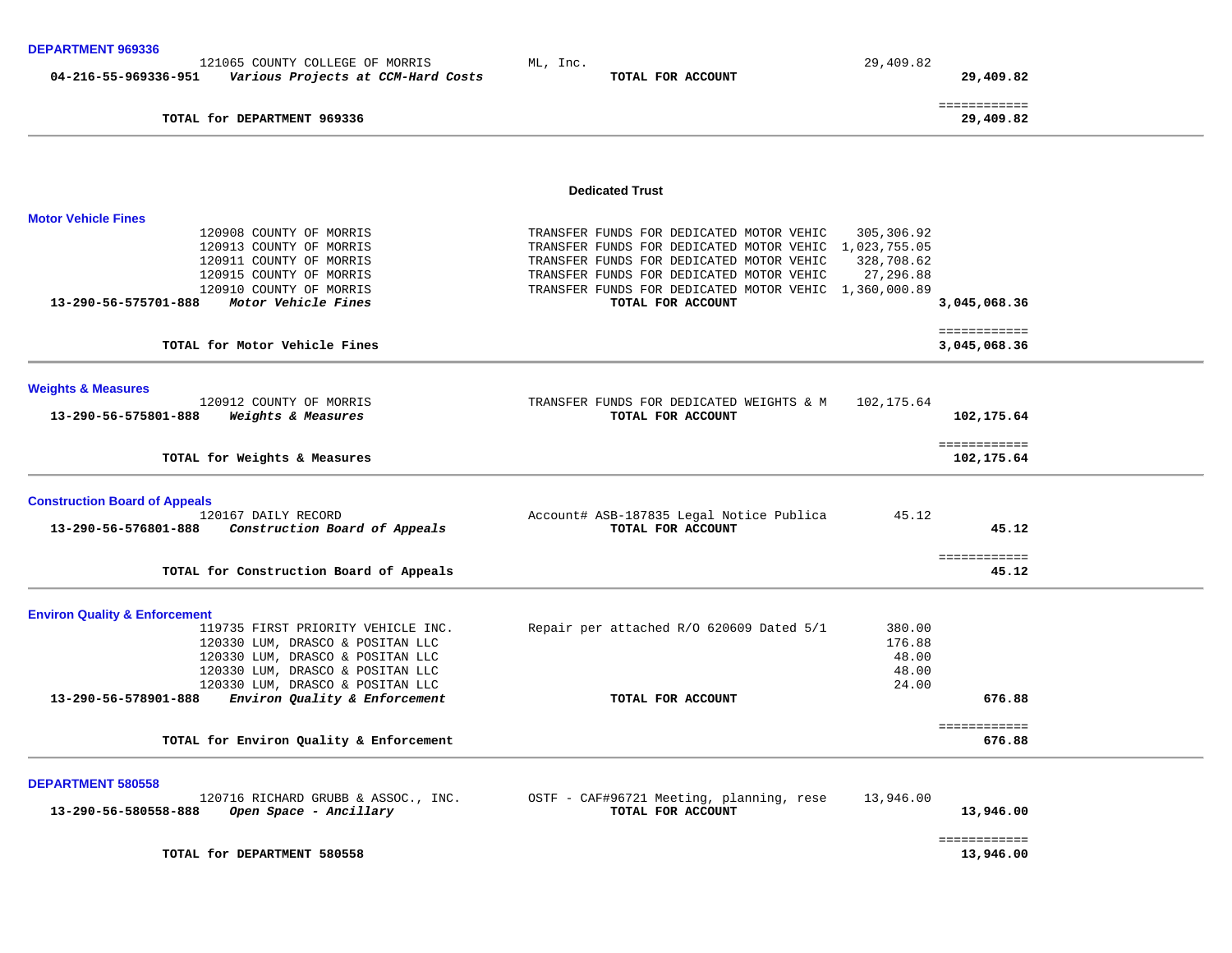| DEPARIMENI 909330                        |                                                                       |                                                                                                   |            |                           |  |
|------------------------------------------|-----------------------------------------------------------------------|---------------------------------------------------------------------------------------------------|------------|---------------------------|--|
| 04-216-55-969336-951                     | 121065 COUNTY COLLEGE OF MORRIS<br>Various Projects at CCM-Hard Costs | ML, Inc.<br>TOTAL FOR ACCOUNT                                                                     | 29,409.82  | 29,409.82                 |  |
|                                          |                                                                       |                                                                                                   |            |                           |  |
|                                          | TOTAL for DEPARTMENT 969336                                           |                                                                                                   |            | ============<br>29,409.82 |  |
|                                          |                                                                       |                                                                                                   |            |                           |  |
|                                          |                                                                       |                                                                                                   |            |                           |  |
|                                          |                                                                       | <b>Dedicated Trust</b>                                                                            |            |                           |  |
| <b>Motor Vehicle Fines</b>               |                                                                       |                                                                                                   |            |                           |  |
|                                          | 120908 COUNTY OF MORRIS                                               | TRANSFER FUNDS FOR DEDICATED MOTOR VEHIC                                                          | 305,306.92 |                           |  |
|                                          | 120913 COUNTY OF MORRIS                                               | TRANSFER FUNDS FOR DEDICATED MOTOR VEHIC 1,023,755.05                                             |            |                           |  |
|                                          | 120911 COUNTY OF MORRIS                                               | TRANSFER FUNDS FOR DEDICATED MOTOR VEHIC                                                          | 328,708.62 |                           |  |
|                                          | 120915 COUNTY OF MORRIS<br>120910 COUNTY OF MORRIS                    | TRANSFER FUNDS FOR DEDICATED MOTOR VEHIC<br>TRANSFER FUNDS FOR DEDICATED MOTOR VEHIC 1,360,000.89 | 27,296.88  |                           |  |
| 13-290-56-575701-888                     | Motor Vehicle Fines                                                   | TOTAL FOR ACCOUNT                                                                                 |            | 3,045,068.36              |  |
|                                          |                                                                       |                                                                                                   |            | ============              |  |
|                                          | TOTAL for Motor Vehicle Fines                                         |                                                                                                   |            | 3,045,068.36              |  |
|                                          |                                                                       |                                                                                                   |            |                           |  |
| <b>Weights &amp; Measures</b>            |                                                                       |                                                                                                   |            |                           |  |
|                                          | 120912 COUNTY OF MORRIS                                               | TRANSFER FUNDS FOR DEDICATED WEIGHTS & M                                                          | 102,175.64 |                           |  |
| 13-290-56-575801-888                     | Weights & Measures                                                    | TOTAL FOR ACCOUNT                                                                                 |            | 102,175.64                |  |
|                                          |                                                                       |                                                                                                   |            | ============              |  |
|                                          | TOTAL for Weights & Measures                                          |                                                                                                   |            | 102,175.64                |  |
| <b>Construction Board of Appeals</b>     |                                                                       |                                                                                                   |            |                           |  |
|                                          | 120167 DAILY RECORD                                                   | Account# ASB-187835 Legal Notice Publica                                                          | 45.12      |                           |  |
| 13-290-56-576801-888                     | Construction Board of Appeals                                         | TOTAL FOR ACCOUNT                                                                                 |            | 45.12                     |  |
|                                          |                                                                       |                                                                                                   |            |                           |  |
|                                          | TOTAL for Construction Board of Appeals                               |                                                                                                   |            | ============<br>45.12     |  |
|                                          |                                                                       |                                                                                                   |            |                           |  |
| <b>Environ Quality &amp; Enforcement</b> |                                                                       |                                                                                                   |            |                           |  |
|                                          | 119735 FIRST PRIORITY VEHICLE INC.                                    | Repair per attached R/O 620609 Dated 5/1                                                          | 380.00     |                           |  |
|                                          | 120330 LUM, DRASCO & POSITAN LLC                                      |                                                                                                   | 176.88     |                           |  |
|                                          | 120330 LUM, DRASCO & POSITAN LLC                                      |                                                                                                   | 48.00      |                           |  |
|                                          | 120330 LUM, DRASCO & POSITAN LLC                                      |                                                                                                   | 48.00      |                           |  |
|                                          | 120330 LUM, DRASCO & POSITAN LLC                                      |                                                                                                   | 24.00      |                           |  |
| 13-290-56-578901-888                     | Environ Quality & Enforcement                                         | TOTAL FOR ACCOUNT                                                                                 |            | 676.88                    |  |
|                                          | TOTAL for Environ Quality & Enforcement                               |                                                                                                   |            | ============<br>676.88    |  |
|                                          |                                                                       |                                                                                                   |            |                           |  |
| <b>DEPARTMENT 580558</b>                 |                                                                       |                                                                                                   |            |                           |  |
|                                          | 120716 RICHARD GRUBB & ASSOC., INC.                                   | OSTF - CAF#96721 Meeting, planning, rese                                                          | 13,946.00  |                           |  |
| 13-290-56-580558-888                     | Open Space - Ancillary                                                | TOTAL FOR ACCOUNT                                                                                 |            | 13,946.00                 |  |
|                                          |                                                                       |                                                                                                   |            | ============              |  |
|                                          |                                                                       |                                                                                                   |            |                           |  |

TOTAL for DEPARTMENT 580558

13,946.00